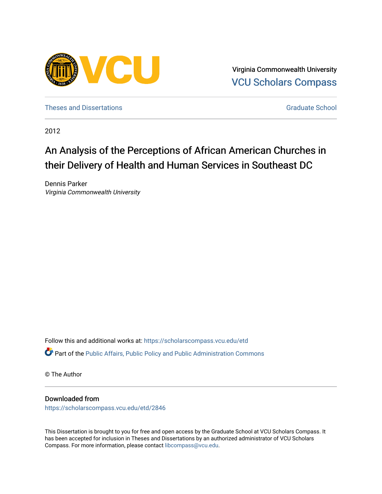

Virginia Commonwealth University [VCU Scholars Compass](https://scholarscompass.vcu.edu/) 

[Theses and Dissertations](https://scholarscompass.vcu.edu/etd) [Graduate School](https://scholarscompass.vcu.edu/gradschool) and Dissertations Graduate School and Dissertations Graduate School and Dissertations Graduate School and Dissertations Graduate School and Dissertations Graduate School and Dissert

2012

# An Analysis of the Perceptions of African American Churches in their Delivery of Health and Human Services in Southeast DC

Dennis Parker Virginia Commonwealth University

Follow this and additional works at: [https://scholarscompass.vcu.edu/etd](https://scholarscompass.vcu.edu/etd?utm_source=scholarscompass.vcu.edu%2Fetd%2F2846&utm_medium=PDF&utm_campaign=PDFCoverPages)  Part of the [Public Affairs, Public Policy and Public Administration Commons](http://network.bepress.com/hgg/discipline/393?utm_source=scholarscompass.vcu.edu%2Fetd%2F2846&utm_medium=PDF&utm_campaign=PDFCoverPages) 

© The Author

#### Downloaded from

[https://scholarscompass.vcu.edu/etd/2846](https://scholarscompass.vcu.edu/etd/2846?utm_source=scholarscompass.vcu.edu%2Fetd%2F2846&utm_medium=PDF&utm_campaign=PDFCoverPages) 

This Dissertation is brought to you for free and open access by the Graduate School at VCU Scholars Compass. It has been accepted for inclusion in Theses and Dissertations by an authorized administrator of VCU Scholars Compass. For more information, please contact [libcompass@vcu.edu](mailto:libcompass@vcu.edu).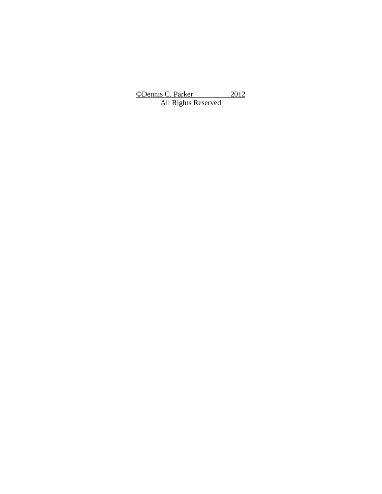**©**Dennis C. Parker 2012 All Rights Reserved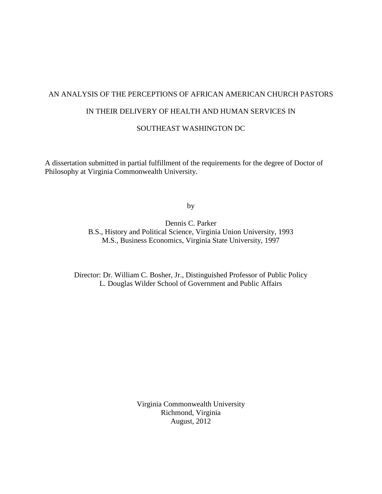# AN ANALYSIS OF THE PERCEPTIONS OF AFRICAN AMERICAN CHURCH PASTORS

### IN THEIR DELIVERY OF HEALTH AND HUMAN SERVICES IN

#### SOUTHEAST WASHINGTON DC

A dissertation submitted in partial fulfillment of the requirements for the degree of Doctor of Philosophy at Virginia Commonwealth University.

by

Dennis C. Parker B.S., History and Political Science, Virginia Union University, 1993 M.S., Business Economics, Virginia State University, 1997

Director: Dr. William C. Bosher, Jr., Distinguished Professor of Public Policy L. Douglas Wilder School of Government and Public Affairs

> Virginia Commonwealth University Richmond, Virginia August, 2012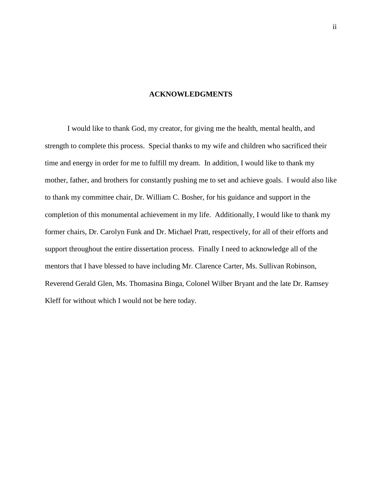#### **ACKNOWLEDGMENTS**

I would like to thank God, my creator, for giving me the health, mental health, and strength to complete this process. Special thanks to my wife and children who sacrificed their time and energy in order for me to fulfill my dream. In addition, I would like to thank my mother, father, and brothers for constantly pushing me to set and achieve goals. I would also like to thank my committee chair, Dr. William C. Bosher, for his guidance and support in the completion of this monumental achievement in my life. Additionally, I would like to thank my former chairs, Dr. Carolyn Funk and Dr. Michael Pratt, respectively, for all of their efforts and support throughout the entire dissertation process. Finally I need to acknowledge all of the mentors that I have blessed to have including Mr. Clarence Carter, Ms. Sullivan Robinson, Reverend Gerald Glen, Ms. Thomasina Binga, Colonel Wilber Bryant and the late Dr. Ramsey Kleff for without which I would not be here today.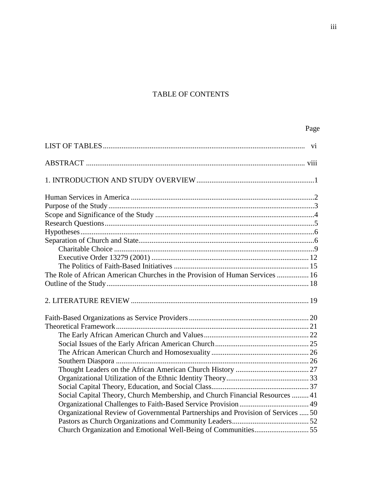### TABLE OF CONTENTS

| The Role of African American Churches in the Provision of Human Services  16     |  |
|----------------------------------------------------------------------------------|--|
|                                                                                  |  |
|                                                                                  |  |
|                                                                                  |  |
|                                                                                  |  |
|                                                                                  |  |
|                                                                                  |  |
|                                                                                  |  |
|                                                                                  |  |
|                                                                                  |  |
|                                                                                  |  |
|                                                                                  |  |
| Social Capital Theory, Church Membership, and Church Financial Resources  41     |  |
|                                                                                  |  |
| Organizational Review of Governmental Partnerships and Provision of Services  50 |  |
|                                                                                  |  |
|                                                                                  |  |

Page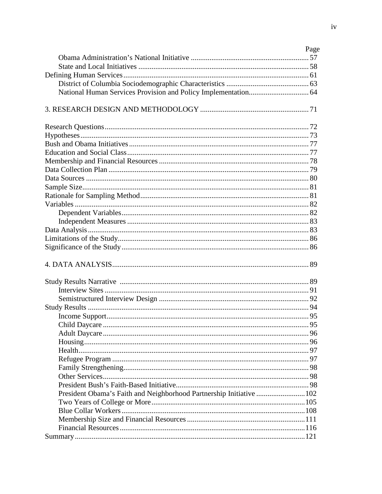|                                                                      | Page |
|----------------------------------------------------------------------|------|
|                                                                      |      |
|                                                                      |      |
|                                                                      |      |
|                                                                      |      |
|                                                                      |      |
|                                                                      |      |
|                                                                      |      |
|                                                                      |      |
|                                                                      |      |
|                                                                      |      |
|                                                                      |      |
|                                                                      |      |
|                                                                      |      |
|                                                                      |      |
|                                                                      |      |
|                                                                      |      |
|                                                                      |      |
|                                                                      |      |
|                                                                      |      |
|                                                                      |      |
|                                                                      |      |
|                                                                      |      |
|                                                                      |      |
|                                                                      |      |
|                                                                      |      |
|                                                                      |      |
|                                                                      |      |
|                                                                      |      |
|                                                                      |      |
|                                                                      |      |
|                                                                      |      |
|                                                                      |      |
|                                                                      |      |
|                                                                      |      |
|                                                                      |      |
| President Obama's Faith and Neighborhood Partnership Initiative  102 |      |
|                                                                      |      |
|                                                                      |      |
|                                                                      |      |
|                                                                      |      |
|                                                                      |      |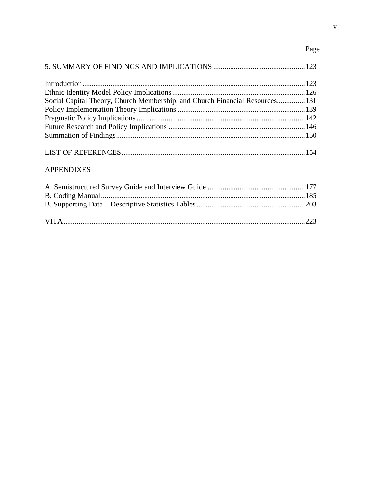## Page

| Social Capital Theory, Church Membership, and Church Financial Resources131 |  |
|-----------------------------------------------------------------------------|--|
|                                                                             |  |
|                                                                             |  |
|                                                                             |  |
|                                                                             |  |
|                                                                             |  |

### **APPENDIXES**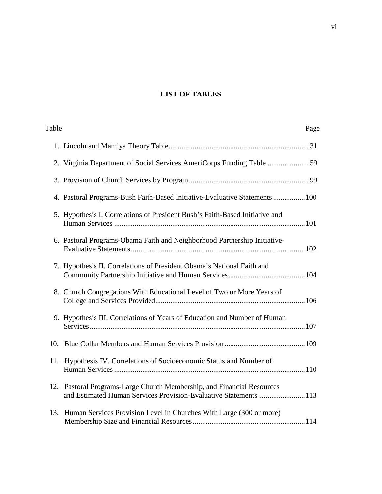### **LIST OF TABLES**

| Table |                                                                                                                                            | Page |
|-------|--------------------------------------------------------------------------------------------------------------------------------------------|------|
|       |                                                                                                                                            |      |
|       |                                                                                                                                            |      |
|       |                                                                                                                                            |      |
|       | 4. Pastoral Programs-Bush Faith-Based Initiative-Evaluative Statements  100                                                                |      |
|       | 5. Hypothesis I. Correlations of President Bush's Faith-Based Initiative and                                                               |      |
|       | 6. Pastoral Programs-Obama Faith and Neighborhood Partnership Initiative-                                                                  |      |
|       | 7. Hypothesis II. Correlations of President Obama's National Faith and                                                                     |      |
|       | 8. Church Congregations With Educational Level of Two or More Years of                                                                     |      |
|       | 9. Hypothesis III. Correlations of Years of Education and Number of Human                                                                  |      |
|       |                                                                                                                                            |      |
|       | 11. Hypothesis IV. Correlations of Socioeconomic Status and Number of                                                                      |      |
|       | 12. Pastoral Programs-Large Church Membership, and Financial Resources<br>and Estimated Human Services Provision-Evaluative Statements 113 |      |
| 13.   | Human Services Provision Level in Churches With Large (300 or more)                                                                        |      |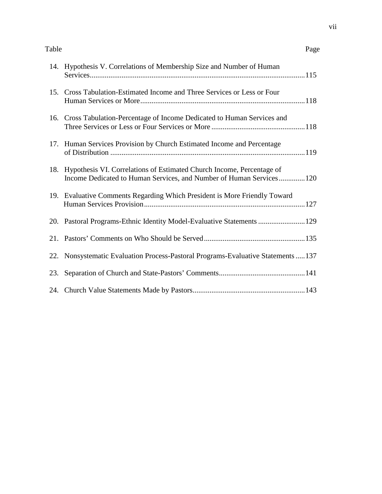#### Table Page

|     | 14. Hypothesis V. Correlations of Membership Size and Number of Human                                                                        |
|-----|----------------------------------------------------------------------------------------------------------------------------------------------|
|     | 15. Cross Tabulation-Estimated Income and Three Services or Less or Four                                                                     |
|     | 16. Cross Tabulation-Percentage of Income Dedicated to Human Services and                                                                    |
| 17. | Human Services Provision by Church Estimated Income and Percentage                                                                           |
| 18. | Hypothesis VI. Correlations of Estimated Church Income, Percentage of<br>Income Dedicated to Human Services, and Number of Human Services120 |
|     | 19. Evaluative Comments Regarding Which President is More Friendly Toward                                                                    |
|     | 20. Pastoral Programs-Ethnic Identity Model-Evaluative Statements  129                                                                       |
|     |                                                                                                                                              |
|     | 22. Nonsystematic Evaluation Process-Pastoral Programs-Evaluative Statements  137                                                            |
| 23. |                                                                                                                                              |
|     |                                                                                                                                              |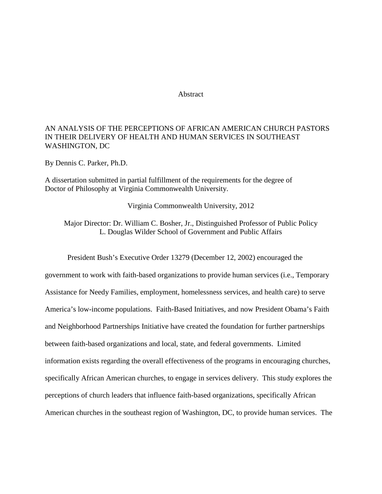#### Abstract

#### AN ANALYSIS OF THE PERCEPTIONS OF AFRICAN AMERICAN CHURCH PASTORS IN THEIR DELIVERY OF HEALTH AND HUMAN SERVICES IN SOUTHEAST WASHINGTON, DC

By Dennis C. Parker, Ph.D.

A dissertation submitted in partial fulfillment of the requirements for the degree of Doctor of Philosophy at Virginia Commonwealth University.

Virginia Commonwealth University, 2012

Major Director: Dr. William C. Bosher, Jr., Distinguished Professor of Public Policy L. Douglas Wilder School of Government and Public Affairs

President Bush's Executive Order 13279 (December 12, 2002) encouraged the government to work with faith-based organizations to provide human services (i.e., Temporary Assistance for Needy Families, employment, homelessness services, and health care) to serve America's low-income populations. Faith-Based Initiatives, and now President Obama's Faith and Neighborhood Partnerships Initiative have created the foundation for further partnerships between faith-based organizations and local, state, and federal governments. Limited information exists regarding the overall effectiveness of the programs in encouraging churches, specifically African American churches, to engage in services delivery. This study explores the perceptions of church leaders that influence faith-based organizations, specifically African American churches in the southeast region of Washington, DC, to provide human services. The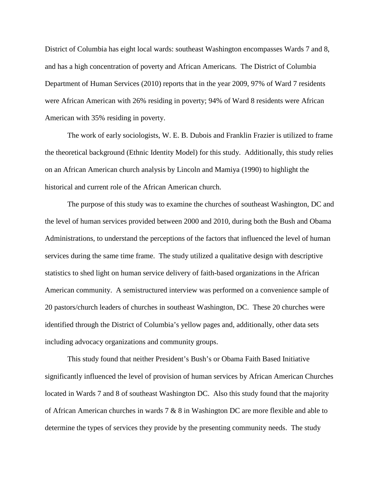District of Columbia has eight local wards: southeast Washington encompasses Wards 7 and 8, and has a high concentration of poverty and African Americans. The District of Columbia Department of Human Services (2010) reports that in the year 2009, 97% of Ward 7 residents were African American with 26% residing in poverty; 94% of Ward 8 residents were African American with 35% residing in poverty.

The work of early sociologists, W. E. B. Dubois and Franklin Frazier is utilized to frame the theoretical background (Ethnic Identity Model) for this study. Additionally, this study relies on an African American church analysis by Lincoln and Mamiya (1990) to highlight the historical and current role of the African American church.

The purpose of this study was to examine the churches of southeast Washington, DC and the level of human services provided between 2000 and 2010, during both the Bush and Obama Administrations, to understand the perceptions of the factors that influenced the level of human services during the same time frame. The study utilized a qualitative design with descriptive statistics to shed light on human service delivery of faith-based organizations in the African American community. A semistructured interview was performed on a convenience sample of 20 pastors/church leaders of churches in southeast Washington, DC. These 20 churches were identified through the District of Columbia's yellow pages and, additionally, other data sets including advocacy organizations and community groups.

This study found that neither President's Bush's or Obama Faith Based Initiative significantly influenced the level of provision of human services by African American Churches located in Wards 7 and 8 of southeast Washington DC. Also this study found that the majority of African American churches in wards 7 & 8 in Washington DC are more flexible and able to determine the types of services they provide by the presenting community needs. The study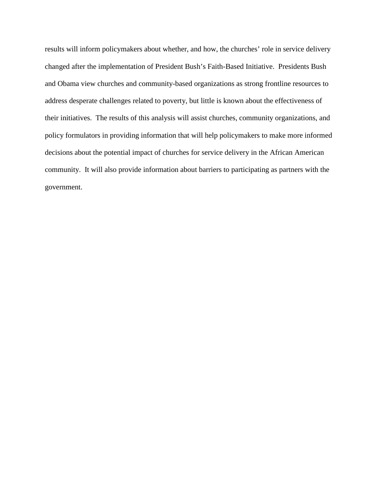results will inform policymakers about whether, and how, the churches' role in service delivery changed after the implementation of President Bush's Faith-Based Initiative. Presidents Bush and Obama view churches and community-based organizations as strong frontline resources to address desperate challenges related to poverty, but little is known about the effectiveness of their initiatives. The results of this analysis will assist churches, community organizations, and policy formulators in providing information that will help policymakers to make more informed decisions about the potential impact of churches for service delivery in the African American community. It will also provide information about barriers to participating as partners with the government.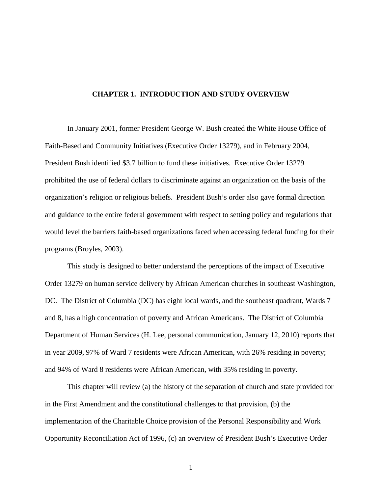#### **CHAPTER 1. INTRODUCTION AND STUDY OVERVIEW**

In January 2001, former President George W. Bush created the White House Office of Faith-Based and Community Initiatives (Executive Order 13279), and in February 2004, President Bush identified \$3.7 billion to fund these initiatives. Executive Order 13279 prohibited the use of federal dollars to discriminate against an organization on the basis of the organization's religion or religious beliefs. President Bush's order also gave formal direction and guidance to the entire federal government with respect to setting policy and regulations that would level the barriers faith-based organizations faced when accessing federal funding for their programs (Broyles, 2003).

This study is designed to better understand the perceptions of the impact of Executive Order 13279 on human service delivery by African American churches in southeast Washington, DC. The District of Columbia (DC) has eight local wards, and the southeast quadrant, Wards 7 and 8, has a high concentration of poverty and African Americans. The District of Columbia Department of Human Services (H. Lee, personal communication, January 12, 2010) reports that in year 2009, 97% of Ward 7 residents were African American, with 26% residing in poverty; and 94% of Ward 8 residents were African American, with 35% residing in poverty.

This chapter will review (a) the history of the separation of church and state provided for in the First Amendment and the constitutional challenges to that provision, (b) the implementation of the Charitable Choice provision of the Personal Responsibility and Work Opportunity Reconciliation Act of 1996, (c) an overview of President Bush's Executive Order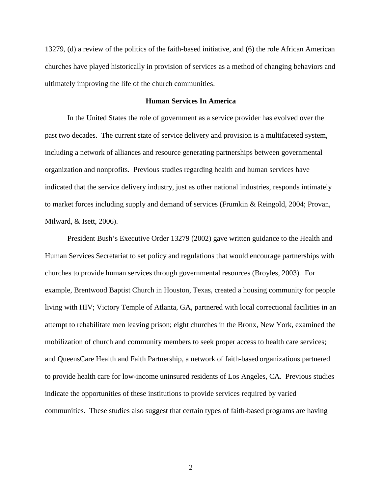13279, (d) a review of the politics of the faith-based initiative, and (6) the role African American churches have played historically in provision of services as a method of changing behaviors and ultimately improving the life of the church communities.

#### **Human Services In America**

In the United States the role of government as a service provider has evolved over the past two decades. The current state of service delivery and provision is a multifaceted system, including a network of alliances and resource generating partnerships between governmental organization and nonprofits. Previous studies regarding health and human services have indicated that the service delivery industry, just as other national industries, responds intimately to market forces including supply and demand of services (Frumkin & Reingold, 2004; Provan, Milward, & Isett, 2006).

President Bush's Executive Order 13279 (2002) gave written guidance to the Health and Human Services Secretariat to set policy and regulations that would encourage partnerships with churches to provide human services through governmental resources (Broyles, 2003). For example, Brentwood Baptist Church in Houston, Texas, created a housing community for people living with HIV; Victory Temple of Atlanta, GA, partnered with local correctional facilities in an attempt to rehabilitate men leaving prison; eight churches in the Bronx, New York, examined the mobilization of church and community members to seek proper access to health care services; and QueensCare Health and Faith Partnership, a network of faith-based organizations partnered to provide health care for low-income uninsured residents of Los Angeles, CA. Previous studies indicate the opportunities of these institutions to provide services required by varied communities. These studies also suggest that certain types of faith-based programs are having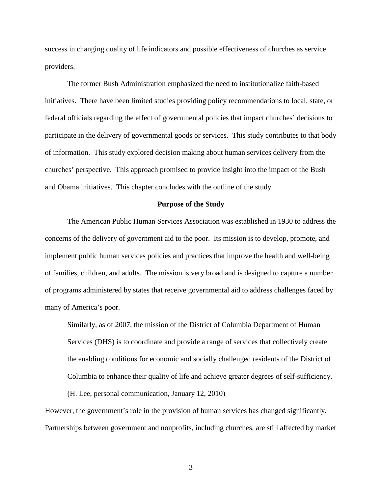success in changing quality of life indicators and possible effectiveness of churches as service providers.

The former Bush Administration emphasized the need to institutionalize faith-based initiatives. There have been limited studies providing policy recommendations to local, state, or federal officials regarding the effect of governmental policies that impact churches' decisions to participate in the delivery of governmental goods or services. This study contributes to that body of information. This study explored decision making about human services delivery from the churches' perspective. This approach promised to provide insight into the impact of the Bush and Obama initiatives. This chapter concludes with the outline of the study.

#### **Purpose of the Study**

The American Public Human Services Association was established in 1930 to address the concerns of the delivery of government aid to the poor. Its mission is to develop, promote, and implement public human services policies and practices that improve the health and well-being of families, children, and adults. The mission is very broad and is designed to capture a number of programs administered by states that receive governmental aid to address challenges faced by many of America's poor.

Similarly, as of 2007, the mission of the District of Columbia Department of Human Services (DHS) is to coordinate and provide a range of services that collectively create the enabling conditions for economic and socially challenged residents of the District of Columbia to enhance their quality of life and achieve greater degrees of self-sufficiency.

(H. Lee, personal communication, January 12, 2010)

However, the government's role in the provision of human services has changed significantly. Partnerships between government and nonprofits, including churches, are still affected by market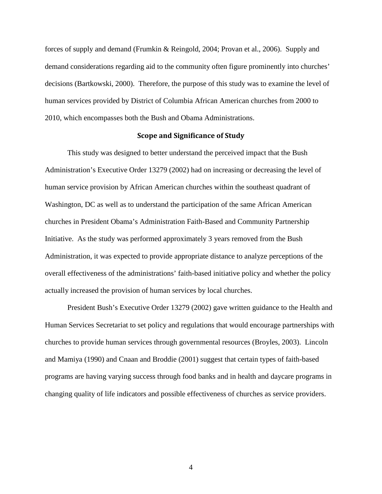forces of supply and demand (Frumkin & Reingold, 2004; Provan et al., 2006). Supply and demand considerations regarding aid to the community often figure prominently into churches' decisions (Bartkowski, 2000). Therefore, the purpose of this study was to examine the level of human services provided by District of Columbia African American churches from 2000 to 2010, which encompasses both the Bush and Obama Administrations.

#### Scope and Significance of Study

This study was designed to better understand the perceived impact that the Bush Administration's Executive Order 13279 (2002) had on increasing or decreasing the level of human service provision by African American churches within the southeast quadrant of Washington, DC as well as to understand the participation of the same African American churches in President Obama's Administration Faith-Based and Community Partnership Initiative. As the study was performed approximately 3 years removed from the Bush Administration, it was expected to provide appropriate distance to analyze perceptions of the overall effectiveness of the administrations' faith-based initiative policy and whether the policy actually increased the provision of human services by local churches.

President Bush's Executive Order 13279 (2002) gave written guidance to the Health and Human Services Secretariat to set policy and regulations that would encourage partnerships with churches to provide human services through governmental resources (Broyles, 2003). Lincoln and Mamiya (1990) and Cnaan and Broddie (2001) suggest that certain types of faith-based programs are having varying success through food banks and in health and daycare programs in changing quality of life indicators and possible effectiveness of churches as service providers.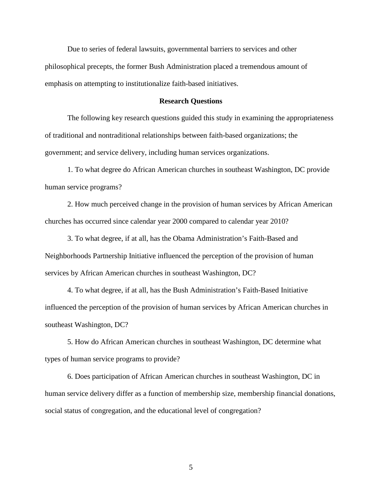Due to series of federal lawsuits, governmental barriers to services and other philosophical precepts, the former Bush Administration placed a tremendous amount of emphasis on attempting to institutionalize faith-based initiatives.

#### **Research Questions**

The following key research questions guided this study in examining the appropriateness of traditional and nontraditional relationships between faith-based organizations; the government; and service delivery, including human services organizations.

1. To what degree do African American churches in southeast Washington, DC provide human service programs?

2. How much perceived change in the provision of human services by African American churches has occurred since calendar year 2000 compared to calendar year 2010?

3. To what degree, if at all, has the Obama Administration's Faith-Based and Neighborhoods Partnership Initiative influenced the perception of the provision of human services by African American churches in southeast Washington, DC?

4. To what degree, if at all, has the Bush Administration's Faith-Based Initiative influenced the perception of the provision of human services by African American churches in southeast Washington, DC?

5. How do African American churches in southeast Washington, DC determine what types of human service programs to provide?

6. Does participation of African American churches in southeast Washington, DC in human service delivery differ as a function of membership size, membership financial donations, social status of congregation, and the educational level of congregation?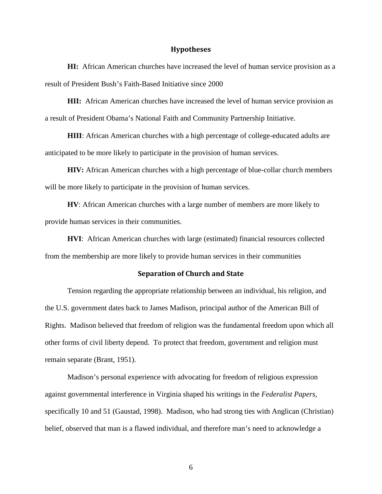#### Hypotheses

**HI:** African American churches have increased the level of human service provision as a result of President Bush's Faith-Based Initiative since 2000

**HII:** African American churches have increased the level of human service provision as a result of President Obama's National Faith and Community Partnership Initiative.

**HIII**: African American churches with a high percentage of college-educated adults are anticipated to be more likely to participate in the provision of human services.

**HIV:** African American churches with a high percentage of blue-collar church members will be more likely to participate in the provision of human services.

**HV**: African American churches with a large number of members are more likely to provide human services in their communities.

**HVI**: African American churches with large (estimated) financial resources collected from the membership are more likely to provide human services in their communities

#### Separation of Church and State

Tension regarding the appropriate relationship between an individual, his religion, and the U.S. government dates back to James Madison, principal author of the American Bill of Rights. Madison believed that freedom of religion was the fundamental freedom upon which all other forms of civil liberty depend. To protect that freedom, government and religion must remain separate (Brant, 1951).

Madison's personal experience with advocating for freedom of religious expression against governmental interference in Virginia shaped his writings in the *Federalist Papers*, specifically 10 and 51 (Gaustad, 1998). Madison, who had strong ties with Anglican (Christian) belief, observed that man is a flawed individual, and therefore man's need to acknowledge a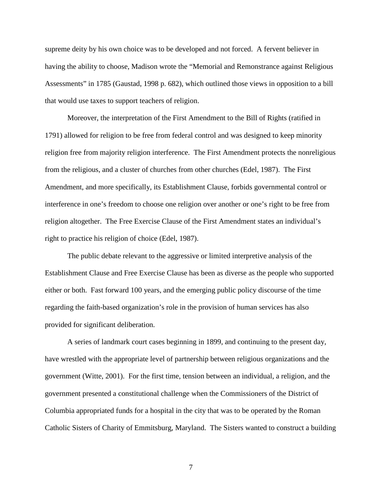supreme deity by his own choice was to be developed and not forced. A fervent believer in having the ability to choose, Madison wrote the "Memorial and Remonstrance against Religious Assessments" in 1785 (Gaustad, 1998 p. 682), which outlined those views in opposition to a bill that would use taxes to support teachers of religion.

Moreover, the interpretation of the First Amendment to the Bill of Rights (ratified in 1791) allowed for religion to be free from federal control and was designed to keep minority religion free from majority religion interference. The First Amendment protects the nonreligious from the religious, and a cluster of churches from other churches (Edel, 1987). The First Amendment, and more specifically, its Establishment Clause, forbids governmental control or interference in one's freedom to choose one religion over another or one's right to be free from religion altogether. The Free Exercise Clause of the First Amendment states an individual's right to practice his religion of choice (Edel, 1987).

The public debate relevant to the aggressive or limited interpretive analysis of the Establishment Clause and Free Exercise Clause has been as diverse as the people who supported either or both. Fast forward 100 years, and the emerging public policy discourse of the time regarding the faith-based organization's role in the provision of human services has also provided for significant deliberation.

A series of landmark court cases beginning in 1899, and continuing to the present day, have wrestled with the appropriate level of partnership between religious organizations and the government (Witte, 2001). For the first time, tension between an individual, a religion, and the government presented a constitutional challenge when the Commissioners of the District of Columbia appropriated funds for a hospital in the city that was to be operated by the Roman Catholic Sisters of Charity of Emmitsburg, Maryland. The Sisters wanted to construct a building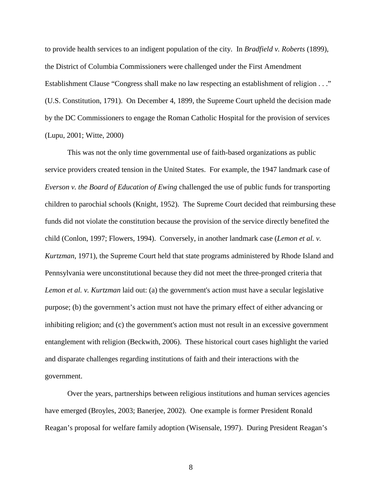to provide health services to an indigent population of the city. In *Bradfield v. Roberts* (1899), the District of Columbia Commissioners were challenged under the First Amendment Establishment Clause "Congress shall make no law respecting an establishment of religion . . ." (U.S. Constitution, 1791). On December 4, 1899, the Supreme Court upheld the decision made by the DC Commissioners to engage the Roman Catholic Hospital for the provision of services (Lupu, 2001; Witte, 2000)

This was not the only time governmental use of faith-based organizations as public service providers created tension in the United States. For example, the 1947 landmark case of *Everson v. the Board of Education of Ewing* challenged the use of public funds for transporting children to parochial schools (Knight, 1952). The Supreme Court decided that reimbursing these funds did not violate the constitution because the provision of the service directly benefited the child (Conlon, 1997; Flowers, 1994). Conversely, in another landmark case (*Lemon et al. v. Kurtzman*, 1971), the Supreme Court held that state programs administered by Rhode Island and Pennsylvania were unconstitutional because they did not meet the three-pronged criteria that *Lemon et al. v. Kurtzman* laid out: (a) the government's action must have a secular legislative purpose; (b) the government's action must not have the primary effect of either advancing or inhibiting religion; and (c) the government's action must not result in an excessive government entanglement with religion (Beckwith, 2006). These historical court cases highlight the varied and disparate challenges regarding institutions of faith and their interactions with the government.

Over the years, partnerships between religious institutions and human services agencies have emerged (Broyles, 2003; Banerjee, 2002). One example is former President Ronald Reagan's proposal for welfare family adoption (Wisensale, 1997). During President Reagan's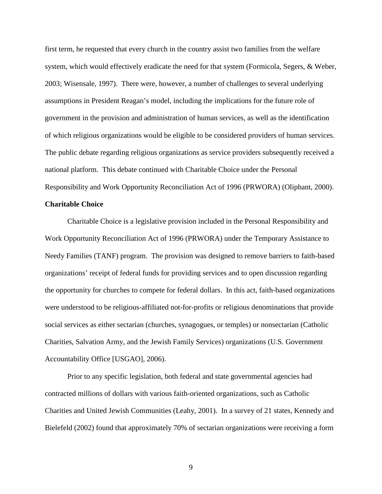first term, he requested that every church in the country assist two families from the welfare system, which would effectively eradicate the need for that system (Formicola, Segers, & Weber, 2003; Wisensale, 1997). There were, however, a number of challenges to several underlying assumptions in President Reagan's model, including the implications for the future role of government in the provision and administration of human services, as well as the identification of which religious organizations would be eligible to be considered providers of human services. The public debate regarding religious organizations as service providers subsequently received a national platform. This debate continued with Charitable Choice under the Personal Responsibility and Work Opportunity Reconciliation Act of 1996 (PRWORA) (Oliphant, 2000).

#### **Charitable Choice**

Charitable Choice is a legislative provision included in the Personal Responsibility and Work Opportunity Reconciliation Act of 1996 (PRWORA) under the Temporary Assistance to Needy Families (TANF) program. The provision was designed to remove barriers to faith-based organizations' receipt of federal funds for providing services and to open discussion regarding the opportunity for churches to compete for federal dollars. In this act, faith-based organizations were understood to be religious-affiliated not-for-profits or religious denominations that provide social services as either sectarian (churches, synagogues, or temples) or nonsectarian (Catholic Charities, Salvation Army, and the Jewish Family Services) organizations (U.S. Government Accountability Office [USGAO], 2006).

Prior to any specific legislation, both federal and state governmental agencies had contracted millions of dollars with various faith-oriented organizations, such as Catholic Charities and United Jewish Communities (Leahy, 2001). In a survey of 21 states, Kennedy and Bielefeld (2002) found that approximately 70% of sectarian organizations were receiving a form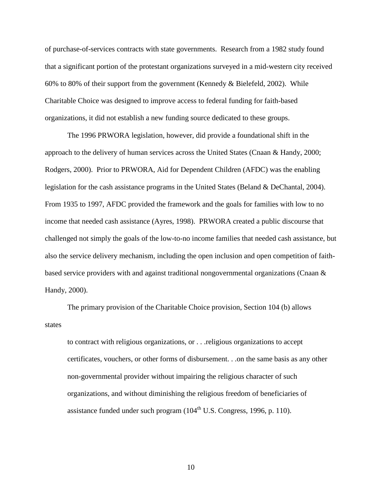of purchase-of-services contracts with state governments. Research from a 1982 study found that a significant portion of the protestant organizations surveyed in a mid-western city received 60% to 80% of their support from the government (Kennedy  $\&$  Bielefeld, 2002). While Charitable Choice was designed to improve access to federal funding for faith-based organizations, it did not establish a new funding source dedicated to these groups.

The 1996 PRWORA legislation, however, did provide a foundational shift in the approach to the delivery of human services across the United States (Cnaan & Handy, 2000; Rodgers, 2000). Prior to PRWORA, Aid for Dependent Children (AFDC) was the enabling legislation for the cash assistance programs in the United States (Beland & DeChantal, 2004). From 1935 to 1997, AFDC provided the framework and the goals for families with low to no income that needed cash assistance (Ayres, 1998). PRWORA created a public discourse that challenged not simply the goals of the low-to-no income families that needed cash assistance, but also the service delivery mechanism, including the open inclusion and open competition of faithbased service providers with and against traditional nongovernmental organizations (Cnaan & Handy, 2000).

The primary provision of the Charitable Choice provision, Section 104 (b) allows states

to contract with religious organizations, or . . .religious organizations to accept certificates, vouchers, or other forms of disbursement. . .on the same basis as any other non-governmental provider without impairing the religious character of such organizations, and without diminishing the religious freedom of beneficiaries of assistance funded under such program  $(104<sup>th</sup>$  U.S. Congress, 1996, p. 110).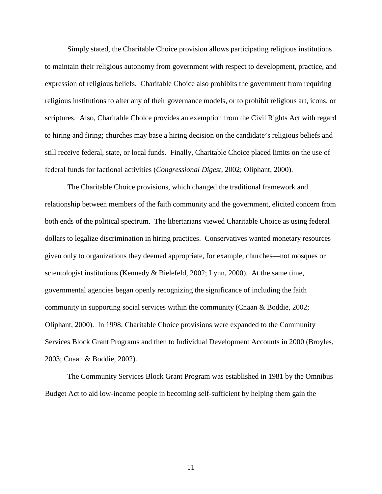Simply stated, the Charitable Choice provision allows participating religious institutions to maintain their religious autonomy from government with respect to development, practice, and expression of religious beliefs. Charitable Choice also prohibits the government from requiring religious institutions to alter any of their governance models, or to prohibit religious art, icons, or scriptures. Also, Charitable Choice provides an exemption from the Civil Rights Act with regard to hiring and firing; churches may base a hiring decision on the candidate's religious beliefs and still receive federal, state, or local funds. Finally, Charitable Choice placed limits on the use of federal funds for factional activities (*Congressional Digest*, 2002; Oliphant, 2000).

The Charitable Choice provisions, which changed the traditional framework and relationship between members of the faith community and the government, elicited concern from both ends of the political spectrum. The libertarians viewed Charitable Choice as using federal dollars to legalize discrimination in hiring practices. Conservatives wanted monetary resources given only to organizations they deemed appropriate, for example, churches—not mosques or scientologist institutions (Kennedy  $& Bielefeld, 2002$ ; Lynn, 2000). At the same time, governmental agencies began openly recognizing the significance of including the faith community in supporting social services within the community (Cnaan & Boddie, 2002; Oliphant, 2000). In 1998, Charitable Choice provisions were expanded to the Community Services Block Grant Programs and then to Individual Development Accounts in 2000 (Broyles, 2003; Cnaan & Boddie, 2002).

The Community Services Block Grant Program was established in 1981 by the Omnibus Budget Act to aid low-income people in becoming self-sufficient by helping them gain the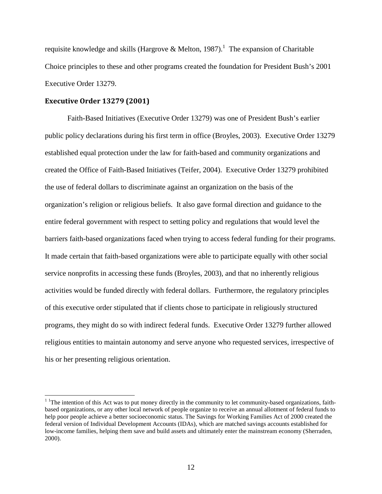requisite knowledge and skills (Hargrove & Melton, 1987).<sup>1</sup> The expansion of Charitable Choice principles to these and other programs created the foundation for President Bush's 2001 Executive Order 13279.

#### Executive Order 13279 (2001)

 $\overline{a}$ 

Faith-Based Initiatives (Executive Order 13279) was one of President Bush's earlier public policy declarations during his first term in office (Broyles, 2003). Executive Order 13279 established equal protection under the law for faith-based and community organizations and created the Office of Faith-Based Initiatives (Teifer, 2004). Executive Order 13279 prohibited the use of federal dollars to discriminate against an organization on the basis of the organization's religion or religious beliefs. It also gave formal direction and guidance to the entire federal government with respect to setting policy and regulations that would level the barriers faith-based organizations faced when trying to access federal funding for their programs. It made certain that faith-based organizations were able to participate equally with other social service nonprofits in accessing these funds (Broyles, 2003), and that no inherently religious activities would be funded directly with federal dollars. Furthermore, the regulatory principles of this executive order stipulated that if clients chose to participate in religiously structured programs, they might do so with indirect federal funds. Executive Order 13279 further allowed religious entities to maintain autonomy and serve anyone who requested services, irrespective of his or her presenting religious orientation.

<sup>&</sup>lt;sup>1</sup> The intention of this Act was to put money directly in the community to let community-based organizations, faithbased organizations, or any other local network of people organize to receive an annual allotment of federal funds to help poor people achieve a better socioeconomic status. The Savings for Working Families Act of 2000 created the federal version of Individual Development Accounts (IDAs), which are matched savings accounts established for low-income families, helping them save and build assets and ultimately enter the mainstream economy (Sherraden, 2000).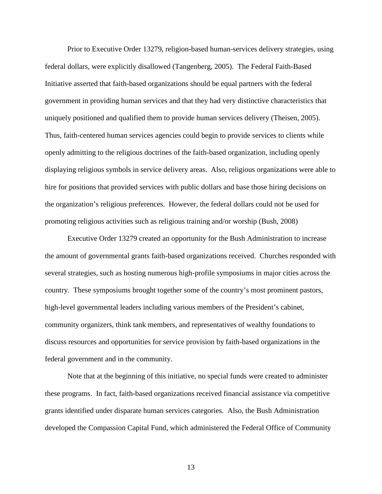Prior to Executive Order 13279, religion-based human-services delivery strategies, using federal dollars, were explicitly disallowed (Tangenberg, 2005). The Federal Faith-Based Initiative asserted that faith-based organizations should be equal partners with the federal government in providing human services and that they had very distinctive characteristics that uniquely positioned and qualified them to provide human services delivery (Theisen, 2005). Thus, faith-centered human services agencies could begin to provide services to clients while openly admitting to the religious doctrines of the faith-based organization, including openly displaying religious symbols in service delivery areas. Also, religious organizations were able to hire for positions that provided services with public dollars and base those hiring decisions on the organization's religious preferences. However, the federal dollars could not be used for promoting religious activities such as religious training and/or worship (Bush, 2008)

Executive Order 13279 created an opportunity for the Bush Administration to increase the amount of governmental grants faith-based organizations received. Churches responded with several strategies, such as hosting numerous high-profile symposiums in major cities across the country. These symposiums brought together some of the country's most prominent pastors, high-level governmental leaders including various members of the President's cabinet, community organizers, think tank members, and representatives of wealthy foundations to discuss resources and opportunities for service provision by faith-based organizations in the federal government and in the community.

Note that at the beginning of this initiative, no special funds were created to administer these programs. In fact, faith-based organizations received financial assistance via competitive grants identified under disparate human services categories. Also, the Bush Administration developed the Compassion Capital Fund, which administered the Federal Office of Community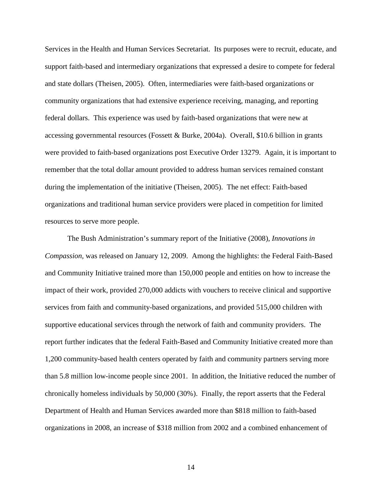Services in the Health and Human Services Secretariat. Its purposes were to recruit, educate, and support faith-based and intermediary organizations that expressed a desire to compete for federal and state dollars (Theisen, 2005). Often, intermediaries were faith-based organizations or community organizations that had extensive experience receiving, managing, and reporting federal dollars. This experience was used by faith-based organizations that were new at accessing governmental resources (Fossett & Burke, 2004a). Overall, \$10.6 billion in grants were provided to faith-based organizations post Executive Order 13279. Again, it is important to remember that the total dollar amount provided to address human services remained constant during the implementation of the initiative (Theisen, 2005). The net effect: Faith-based organizations and traditional human service providers were placed in competition for limited resources to serve more people.

The Bush Administration's summary report of the Initiative (2008), *Innovations in Compassion,* was released on January 12, 2009. Among the highlights: the Federal Faith-Based and Community Initiative trained more than 150,000 people and entities on how to increase the impact of their work, provided 270,000 addicts with vouchers to receive clinical and supportive services from faith and community-based organizations, and provided 515,000 children with supportive educational services through the network of faith and community providers. The report further indicates that the federal Faith-Based and Community Initiative created more than 1,200 community-based health centers operated by faith and community partners serving more than 5.8 million low-income people since 2001. In addition, the Initiative reduced the number of chronically homeless individuals by 50,000 (30%). Finally, the report asserts that the Federal Department of Health and Human Services awarded more than \$818 million to faith-based organizations in 2008, an increase of \$318 million from 2002 and a combined enhancement of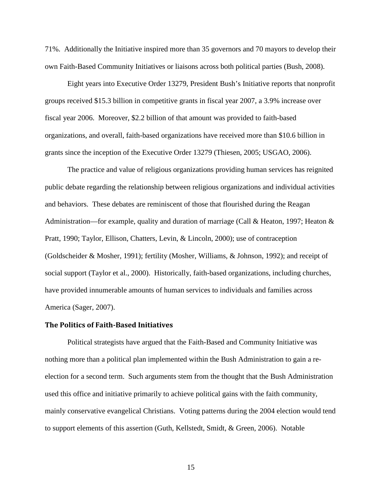71%. Additionally the Initiative inspired more than 35 governors and 70 mayors to develop their own Faith-Based Community Initiatives or liaisons across both political parties (Bush, 2008).

Eight years into Executive Order 13279, President Bush's Initiative reports that nonprofit groups received \$15.3 billion in competitive grants in fiscal year 2007, a 3.9% increase over fiscal year 2006. Moreover, \$2.2 billion of that amount was provided to faith-based organizations, and overall, faith-based organizations have received more than \$10.6 billion in grants since the inception of the Executive Order 13279 (Thiesen, 2005; USGAO, 2006).

The practice and value of religious organizations providing human services has reignited public debate regarding the relationship between religious organizations and individual activities and behaviors. These debates are reminiscent of those that flourished during the Reagan Administration—for example, quality and duration of marriage (Call & Heaton, 1997; Heaton & Pratt, 1990; Taylor, Ellison, Chatters, Levin, & Lincoln, 2000); use of contraception (Goldscheider & Mosher, 1991); fertility (Mosher, Williams, & Johnson, 1992); and receipt of social support (Taylor et al., 2000). Historically, faith-based organizations, including churches, have provided innumerable amounts of human services to individuals and families across America (Sager, 2007).

#### The Politics of Faith-Based Initiatives

Political strategists have argued that the Faith-Based and Community Initiative was nothing more than a political plan implemented within the Bush Administration to gain a reelection for a second term. Such arguments stem from the thought that the Bush Administration used this office and initiative primarily to achieve political gains with the faith community, mainly conservative evangelical Christians. Voting patterns during the 2004 election would tend to support elements of this assertion (Guth, Kellstedt, Smidt, & Green, 2006). Notable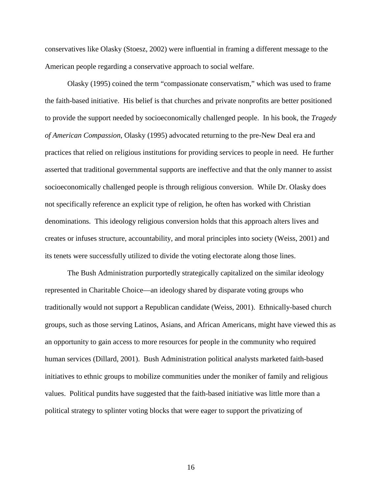conservatives like Olasky (Stoesz, 2002) were influential in framing a different message to the American people regarding a conservative approach to social welfare.

Olasky (1995) coined the term "compassionate conservatism," which was used to frame the faith-based initiative. His belief is that churches and private nonprofits are better positioned to provide the support needed by socioeconomically challenged people. In his book, the *Tragedy of American Compassion*, Olasky (1995) advocated returning to the pre-New Deal era and practices that relied on religious institutions for providing services to people in need. He further asserted that traditional governmental supports are ineffective and that the only manner to assist socioeconomically challenged people is through religious conversion. While Dr. Olasky does not specifically reference an explicit type of religion, he often has worked with Christian denominations. This ideology religious conversion holds that this approach alters lives and creates or infuses structure, accountability, and moral principles into society (Weiss, 2001) and its tenets were successfully utilized to divide the voting electorate along those lines.

The Bush Administration purportedly strategically capitalized on the similar ideology represented in Charitable Choice—an ideology shared by disparate voting groups who traditionally would not support a Republican candidate (Weiss, 2001). Ethnically-based church groups, such as those serving Latinos, Asians, and African Americans, might have viewed this as an opportunity to gain access to more resources for people in the community who required human services (Dillard, 2001). Bush Administration political analysts marketed faith-based initiatives to ethnic groups to mobilize communities under the moniker of family and religious values. Political pundits have suggested that the faith-based initiative was little more than a political strategy to splinter voting blocks that were eager to support the privatizing of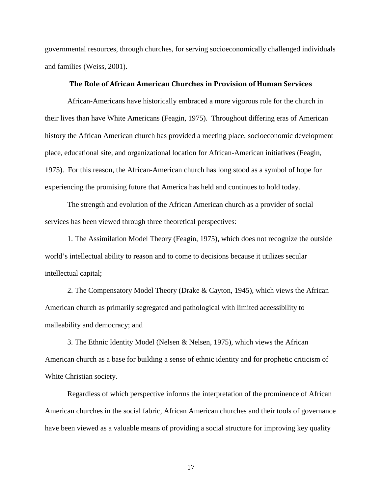governmental resources, through churches, for serving socioeconomically challenged individuals and families (Weiss, 2001).

#### The Role of African American Churches in Provision of Human Services

African-Americans have historically embraced a more vigorous role for the church in their lives than have White Americans (Feagin, 1975). Throughout differing eras of American history the African American church has provided a meeting place, socioeconomic development place, educational site, and organizational location for African-American initiatives (Feagin, 1975). For this reason, the African-American church has long stood as a symbol of hope for experiencing the promising future that America has held and continues to hold today.

The strength and evolution of the African American church as a provider of social services has been viewed through three theoretical perspectives:

1. The Assimilation Model Theory (Feagin, 1975), which does not recognize the outside world's intellectual ability to reason and to come to decisions because it utilizes secular intellectual capital;

2. The Compensatory Model Theory (Drake & Cayton, 1945), which views the African American church as primarily segregated and pathological with limited accessibility to malleability and democracy; and

3. The Ethnic Identity Model (Nelsen & Nelsen, 1975), which views the African American church as a base for building a sense of ethnic identity and for prophetic criticism of White Christian society.

Regardless of which perspective informs the interpretation of the prominence of African American churches in the social fabric, African American churches and their tools of governance have been viewed as a valuable means of providing a social structure for improving key quality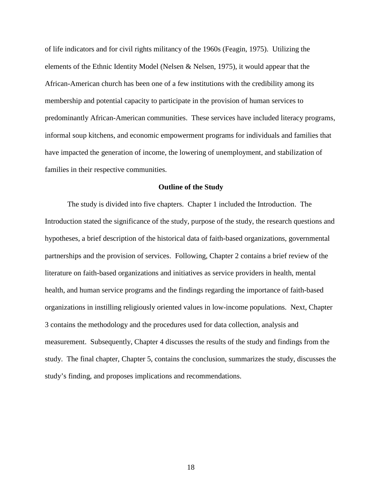of life indicators and for civil rights militancy of the 1960s (Feagin, 1975). Utilizing the elements of the Ethnic Identity Model (Nelsen & Nelsen, 1975), it would appear that the African-American church has been one of a few institutions with the credibility among its membership and potential capacity to participate in the provision of human services to predominantly African-American communities. These services have included literacy programs, informal soup kitchens, and economic empowerment programs for individuals and families that have impacted the generation of income, the lowering of unemployment, and stabilization of families in their respective communities.

#### **Outline of the Study**

The study is divided into five chapters. Chapter 1 included the Introduction. The Introduction stated the significance of the study, purpose of the study, the research questions and hypotheses, a brief description of the historical data of faith-based organizations, governmental partnerships and the provision of services. Following, Chapter 2 contains a brief review of the literature on faith-based organizations and initiatives as service providers in health, mental health, and human service programs and the findings regarding the importance of faith-based organizations in instilling religiously oriented values in low-income populations. Next, Chapter 3 contains the methodology and the procedures used for data collection, analysis and measurement. Subsequently, Chapter 4 discusses the results of the study and findings from the study. The final chapter, Chapter 5, contains the conclusion, summarizes the study, discusses the study's finding, and proposes implications and recommendations.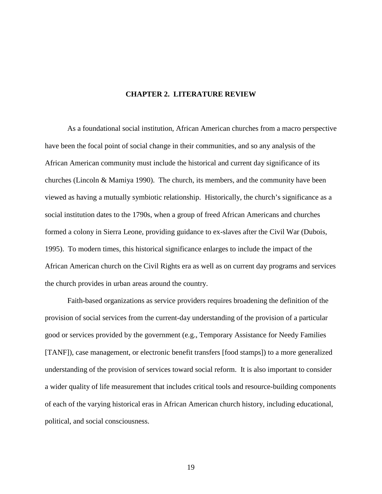#### **CHAPTER 2. LITERATURE REVIEW**

As a foundational social institution, African American churches from a macro perspective have been the focal point of social change in their communities, and so any analysis of the African American community must include the historical and current day significance of its churches (Lincoln & Mamiya 1990). The church, its members, and the community have been viewed as having a mutually symbiotic relationship. Historically, the church's significance as a social institution dates to the 1790s, when a group of freed African Americans and churches formed a colony in Sierra Leone, providing guidance to ex-slaves after the Civil War (Dubois, 1995). To modern times, this historical significance enlarges to include the impact of the African American church on the Civil Rights era as well as on current day programs and services the church provides in urban areas around the country.

Faith-based organizations as service providers requires broadening the definition of the provision of social services from the current-day understanding of the provision of a particular good or services provided by the government (e.g., Temporary Assistance for Needy Families [TANF]), case management, or electronic benefit transfers [food stamps]) to a more generalized understanding of the provision of services toward social reform. It is also important to consider a wider quality of life measurement that includes critical tools and resource-building components of each of the varying historical eras in African American church history, including educational, political, and social consciousness.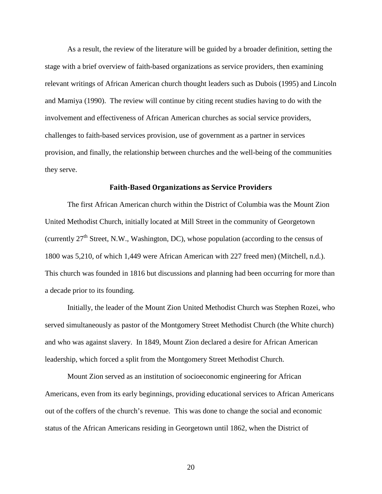As a result, the review of the literature will be guided by a broader definition, setting the stage with a brief overview of faith-based organizations as service providers, then examining relevant writings of African American church thought leaders such as Dubois (1995) and Lincoln and Mamiya (1990). The review will continue by citing recent studies having to do with the involvement and effectiveness of African American churches as social service providers, challenges to faith-based services provision, use of government as a partner in services provision, and finally, the relationship between churches and the well-being of the communities they serve.

#### Faith-Based Organizations as Service Providers

The first African American church within the District of Columbia was the Mount Zion United Methodist Church, initially located at Mill Street in the community of Georgetown (currently  $27<sup>th</sup>$  Street, N.W., Washington, DC), whose population (according to the census of 1800 was 5,210, of which 1,449 were African American with 227 freed men) (Mitchell, n.d.). This church was founded in 1816 but discussions and planning had been occurring for more than a decade prior to its founding.

Initially, the leader of the Mount Zion United Methodist Church was Stephen Rozei, who served simultaneously as pastor of the Montgomery Street Methodist Church (the White church) and who was against slavery. In 1849, Mount Zion declared a desire for African American leadership, which forced a split from the Montgomery Street Methodist Church.

Mount Zion served as an institution of socioeconomic engineering for African Americans, even from its early beginnings, providing educational services to African Americans out of the coffers of the church's revenue. This was done to change the social and economic status of the African Americans residing in Georgetown until 1862, when the District of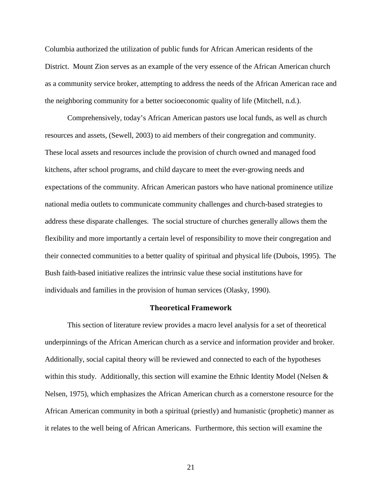Columbia authorized the utilization of public funds for African American residents of the District. Mount Zion serves as an example of the very essence of the African American church as a community service broker, attempting to address the needs of the African American race and the neighboring community for a better socioeconomic quality of life (Mitchell, n.d.).

Comprehensively, today's African American pastors use local funds, as well as church resources and assets, (Sewell, 2003) to aid members of their congregation and community. These local assets and resources include the provision of church owned and managed food kitchens, after school programs, and child daycare to meet the ever-growing needs and expectations of the community. African American pastors who have national prominence utilize national media outlets to communicate community challenges and church-based strategies to address these disparate challenges. The social structure of churches generally allows them the flexibility and more importantly a certain level of responsibility to move their congregation and their connected communities to a better quality of spiritual and physical life (Dubois, 1995). The Bush faith-based initiative realizes the intrinsic value these social institutions have for individuals and families in the provision of human services (Olasky, 1990).

#### Theoretical Framework

This section of literature review provides a macro level analysis for a set of theoretical underpinnings of the African American church as a service and information provider and broker. Additionally, social capital theory will be reviewed and connected to each of the hypotheses within this study. Additionally, this section will examine the Ethnic Identity Model (Nelsen  $\&$ Nelsen, 1975), which emphasizes the African American church as a cornerstone resource for the African American community in both a spiritual (priestly) and humanistic (prophetic) manner as it relates to the well being of African Americans. Furthermore, this section will examine the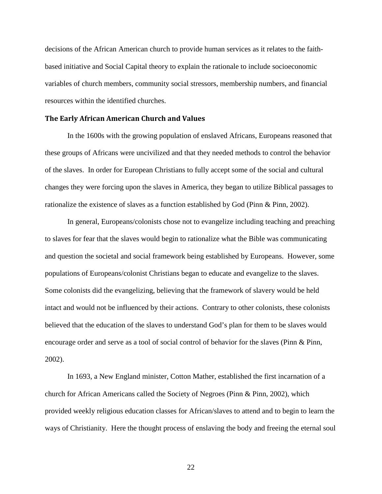decisions of the African American church to provide human services as it relates to the faithbased initiative and Social Capital theory to explain the rationale to include socioeconomic variables of church members, community social stressors, membership numbers, and financial resources within the identified churches.

#### The Early African American Church and Values

In the 1600s with the growing population of enslaved Africans, Europeans reasoned that these groups of Africans were uncivilized and that they needed methods to control the behavior of the slaves. In order for European Christians to fully accept some of the social and cultural changes they were forcing upon the slaves in America, they began to utilize Biblical passages to rationalize the existence of slaves as a function established by God (Pinn & Pinn, 2002).

In general, Europeans/colonists chose not to evangelize including teaching and preaching to slaves for fear that the slaves would begin to rationalize what the Bible was communicating and question the societal and social framework being established by Europeans. However, some populations of Europeans/colonist Christians began to educate and evangelize to the slaves. Some colonists did the evangelizing, believing that the framework of slavery would be held intact and would not be influenced by their actions. Contrary to other colonists, these colonists believed that the education of the slaves to understand God's plan for them to be slaves would encourage order and serve as a tool of social control of behavior for the slaves (Pinn & Pinn, 2002).

In 1693, a New England minister, Cotton Mather, established the first incarnation of a church for African Americans called the Society of Negroes (Pinn & Pinn, 2002), which provided weekly religious education classes for African/slaves to attend and to begin to learn the ways of Christianity. Here the thought process of enslaving the body and freeing the eternal soul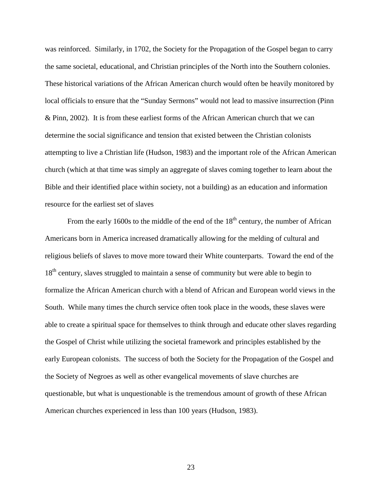was reinforced. Similarly, in 1702, the Society for the Propagation of the Gospel began to carry the same societal, educational, and Christian principles of the North into the Southern colonies. These historical variations of the African American church would often be heavily monitored by local officials to ensure that the "Sunday Sermons" would not lead to massive insurrection (Pinn & Pinn, 2002). It is from these earliest forms of the African American church that we can determine the social significance and tension that existed between the Christian colonists attempting to live a Christian life (Hudson, 1983) and the important role of the African American church (which at that time was simply an aggregate of slaves coming together to learn about the Bible and their identified place within society, not a building) as an education and information resource for the earliest set of slaves

From the early 1600s to the middle of the end of the  $18<sup>th</sup>$  century, the number of African Americans born in America increased dramatically allowing for the melding of cultural and religious beliefs of slaves to move more toward their White counterparts. Toward the end of the 18<sup>th</sup> century, slaves struggled to maintain a sense of community but were able to begin to formalize the African American church with a blend of African and European world views in the South. While many times the church service often took place in the woods, these slaves were able to create a spiritual space for themselves to think through and educate other slaves regarding the Gospel of Christ while utilizing the societal framework and principles established by the early European colonists. The success of both the Society for the Propagation of the Gospel and the Society of Negroes as well as other evangelical movements of slave churches are questionable, but what is unquestionable is the tremendous amount of growth of these African American churches experienced in less than 100 years (Hudson, 1983).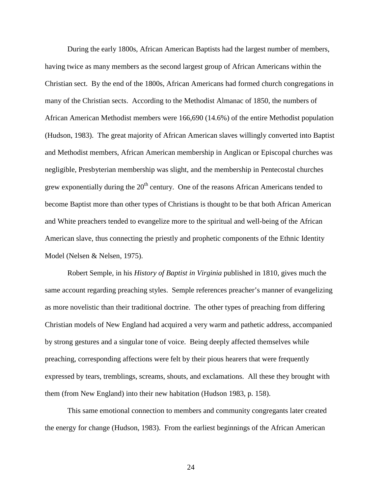During the early 1800s, African American Baptists had the largest number of members, having twice as many members as the second largest group of African Americans within the Christian sect. By the end of the 1800s, African Americans had formed church congregations in many of the Christian sects. According to the Methodist Almanac of 1850, the numbers of African American Methodist members were 166,690 (14.6%) of the entire Methodist population (Hudson, 1983). The great majority of African American slaves willingly converted into Baptist and Methodist members, African American membership in Anglican or Episcopal churches was negligible, Presbyterian membership was slight, and the membership in Pentecostal churches grew exponentially during the  $20<sup>th</sup>$  century. One of the reasons African Americans tended to become Baptist more than other types of Christians is thought to be that both African American and White preachers tended to evangelize more to the spiritual and well-being of the African American slave, thus connecting the priestly and prophetic components of the Ethnic Identity Model (Nelsen & Nelsen, 1975).

Robert Semple, in his *History of Baptist in Virginia* published in 1810, gives much the same account regarding preaching styles. Semple references preacher's manner of evangelizing as more novelistic than their traditional doctrine. The other types of preaching from differing Christian models of New England had acquired a very warm and pathetic address, accompanied by strong gestures and a singular tone of voice. Being deeply affected themselves while preaching, corresponding affections were felt by their pious hearers that were frequently expressed by tears, tremblings, screams, shouts, and exclamations. All these they brought with them (from New England) into their new habitation (Hudson 1983, p. 158).

This same emotional connection to members and community congregants later created the energy for change (Hudson, 1983). From the earliest beginnings of the African American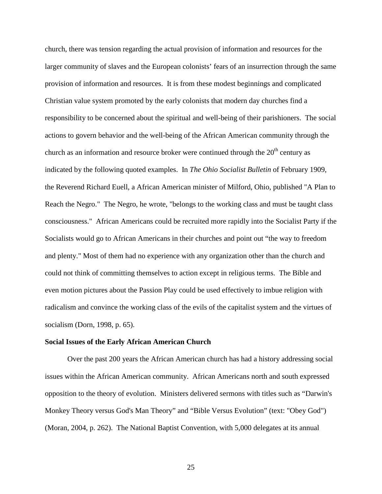church, there was tension regarding the actual provision of information and resources for the larger community of slaves and the European colonists' fears of an insurrection through the same provision of information and resources. It is from these modest beginnings and complicated Christian value system promoted by the early colonists that modern day churches find a responsibility to be concerned about the spiritual and well-being of their parishioners. The social actions to govern behavior and the well-being of the African American community through the church as an information and resource broker were continued through the  $20<sup>th</sup>$  century as indicated by the following quoted examples. In *The Ohio Socialist Bulletin* of February 1909, the Reverend Richard Euell, a African American minister of Milford, Ohio, published "A Plan to Reach the Negro." The Negro, he wrote, "belongs to the working class and must be taught class consciousness." African Americans could be recruited more rapidly into the Socialist Party if the Socialists would go to African Americans in their churches and point out "the way to freedom and plenty." Most of them had no experience with any organization other than the church and could not think of committing themselves to action except in religious terms. The Bible and even motion pictures about the Passion Play could be used effectively to imbue religion with radicalism and convince the working class of the evils of the capitalist system and the virtues of socialism (Dorn, 1998, p. 65).

### **Social Issues of the Early African American Church**

Over the past 200 years the African American church has had a history addressing social issues within the African American community. African Americans north and south expressed opposition to the theory of evolution. Ministers delivered sermons with titles such as "Darwin's Monkey Theory versus God's Man Theory" and "Bible Versus Evolution" (text: "Obey God") (Moran, 2004, p. 262). The National Baptist Convention, with 5,000 delegates at its annual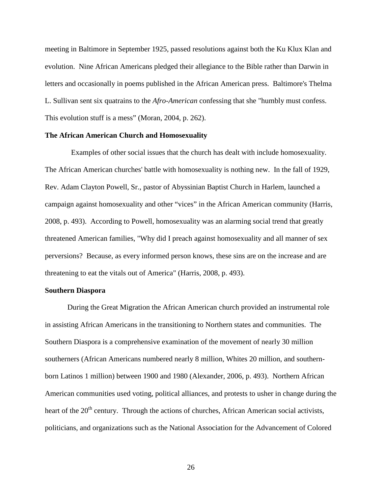meeting in Baltimore in September 1925, passed resolutions against both the Ku Klux Klan and evolution. Nine African Americans pledged their allegiance to the Bible rather than Darwin in letters and occasionally in poems published in the African American press. Baltimore's Thelma L. Sullivan sent six quatrains to the *Afro-American* confessing that she "humbly must confess. This evolution stuff is a mess" (Moran, 2004, p. 262).

### **The African American Church and Homosexuality**

 Examples of other social issues that the church has dealt with include homosexuality. The African American churches' battle with homosexuality is nothing new. In the fall of 1929, Rev. Adam Clayton Powell, Sr., pastor of Abyssinian Baptist Church in Harlem, launched a campaign against homosexuality and other "vices" in the African American community (Harris, 2008, p. 493). According to Powell, homosexuality was an alarming social trend that greatly threatened American families, "Why did I preach against homosexuality and all manner of sex perversions? Because, as every informed person knows, these sins are on the increase and are threatening to eat the vitals out of America" (Harris, 2008, p. 493).

#### **Southern Diaspora**

During the Great Migration the African American church provided an instrumental role in assisting African Americans in the transitioning to Northern states and communities. The Southern Diaspora is a comprehensive examination of the movement of nearly 30 million southerners (African Americans numbered nearly 8 million, Whites 20 million, and southernborn Latinos 1 million) between 1900 and 1980 (Alexander, 2006, p. 493). Northern African American communities used voting, political alliances, and protests to usher in change during the heart of the 20<sup>th</sup> century. Through the actions of churches, African American social activists, politicians, and organizations such as the National Association for the Advancement of Colored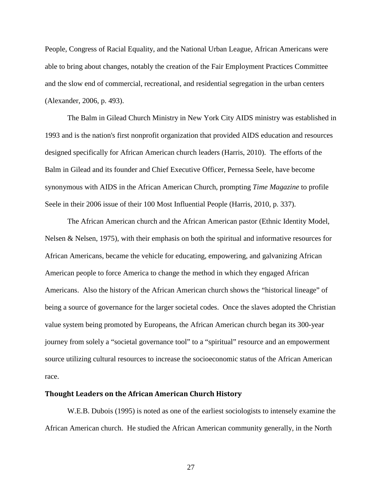People, Congress of Racial Equality, and the National Urban League, African Americans were able to bring about changes, notably the creation of the Fair Employment Practices Committee and the slow end of commercial, recreational, and residential segregation in the urban centers (Alexander, 2006, p. 493).

The Balm in Gilead Church Ministry in New York City AIDS ministry was established in 1993 and is the nation's first nonprofit organization that provided AIDS education and resources designed specifically for African American church leaders (Harris, 2010). The efforts of the Balm in Gilead and its founder and Chief Executive Officer, Pernessa Seele, have become synonymous with AIDS in the African American Church, prompting *Time Magazine* to profile Seele in their 2006 issue of their 100 Most Influential People (Harris, 2010, p. 337).

The African American church and the African American pastor (Ethnic Identity Model, Nelsen & Nelsen, 1975), with their emphasis on both the spiritual and informative resources for African Americans, became the vehicle for educating, empowering, and galvanizing African American people to force America to change the method in which they engaged African Americans. Also the history of the African American church shows the "historical lineage" of being a source of governance for the larger societal codes. Once the slaves adopted the Christian value system being promoted by Europeans, the African American church began its 300-year journey from solely a "societal governance tool" to a "spiritual" resource and an empowerment source utilizing cultural resources to increase the socioeconomic status of the African American race.

#### Thought Leaders on the African American Church History

W.E.B. Dubois (1995) is noted as one of the earliest sociologists to intensely examine the African American church. He studied the African American community generally, in the North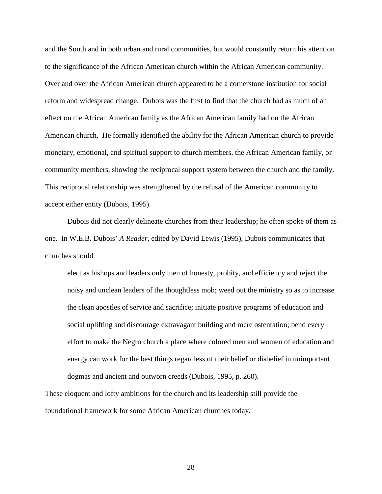and the South and in both urban and rural communities, but would constantly return his attention to the significance of the African American church within the African American community. Over and over the African American church appeared to be a cornerstone institution for social reform and widespread change. Dubois was the first to find that the church had as much of an effect on the African American family as the African American family had on the African American church. He formally identified the ability for the African American church to provide monetary, emotional, and spiritual support to church members, the African American family, or community members, showing the reciprocal support system between the church and the family. This reciprocal relationship was strengthened by the refusal of the American community to accept either entity (Dubois, 1995).

Dubois did not clearly delineate churches from their leadership; he often spoke of them as one. In W.E.B. Dubois' *A Reader*, edited by David Lewis (1995), Dubois communicates that churches should

elect as bishops and leaders only men of honesty, probity, and efficiency and reject the noisy and unclean leaders of the thoughtless mob; weed out the ministry so as to increase the clean apostles of service and sacrifice; initiate positive programs of education and social uplifting and discourage extravagant building and mere ostentation; bend every effort to make the Negro church a place where colored men and women of education and energy can work for the best things regardless of their belief or disbelief in unimportant dogmas and ancient and outworn creeds (Dubois, 1995, p. 260).

These eloquent and lofty ambitions for the church and its leadership still provide the foundational framework for some African American churches today.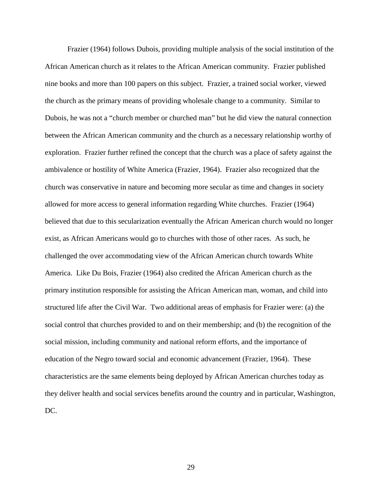Frazier (1964) follows Dubois, providing multiple analysis of the social institution of the African American church as it relates to the African American community. Frazier published nine books and more than 100 papers on this subject. Frazier, a trained social worker, viewed the church as the primary means of providing wholesale change to a community. Similar to Dubois, he was not a "church member or churched man" but he did view the natural connection between the African American community and the church as a necessary relationship worthy of exploration. Frazier further refined the concept that the church was a place of safety against the ambivalence or hostility of White America (Frazier, 1964). Frazier also recognized that the church was conservative in nature and becoming more secular as time and changes in society allowed for more access to general information regarding White churches. Frazier (1964) believed that due to this secularization eventually the African American church would no longer exist, as African Americans would go to churches with those of other races. As such, he challenged the over accommodating view of the African American church towards White America. Like Du Bois, Frazier (1964) also credited the African American church as the primary institution responsible for assisting the African American man, woman, and child into structured life after the Civil War. Two additional areas of emphasis for Frazier were: (a) the social control that churches provided to and on their membership; and (b) the recognition of the social mission, including community and national reform efforts, and the importance of education of the Negro toward social and economic advancement (Frazier, 1964). These characteristics are the same elements being deployed by African American churches today as they deliver health and social services benefits around the country and in particular, Washington, DC.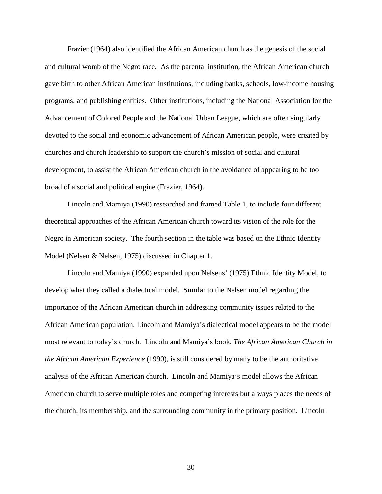Frazier (1964) also identified the African American church as the genesis of the social and cultural womb of the Negro race. As the parental institution, the African American church gave birth to other African American institutions, including banks, schools, low-income housing programs, and publishing entities. Other institutions, including the National Association for the Advancement of Colored People and the National Urban League, which are often singularly devoted to the social and economic advancement of African American people, were created by churches and church leadership to support the church's mission of social and cultural development, to assist the African American church in the avoidance of appearing to be too broad of a social and political engine (Frazier, 1964).

Lincoln and Mamiya (1990) researched and framed Table 1, to include four different theoretical approaches of the African American church toward its vision of the role for the Negro in American society. The fourth section in the table was based on the Ethnic Identity Model (Nelsen & Nelsen, 1975) discussed in Chapter 1.

Lincoln and Mamiya (1990) expanded upon Nelsens' (1975) Ethnic Identity Model, to develop what they called a dialectical model. Similar to the Nelsen model regarding the importance of the African American church in addressing community issues related to the African American population, Lincoln and Mamiya's dialectical model appears to be the model most relevant to today's church. Lincoln and Mamiya's book, *The African American Church in the African American Experience* (1990), is still considered by many to be the authoritative analysis of the African American church. Lincoln and Mamiya's model allows the African American church to serve multiple roles and competing interests but always places the needs of the church, its membership, and the surrounding community in the primary position. Lincoln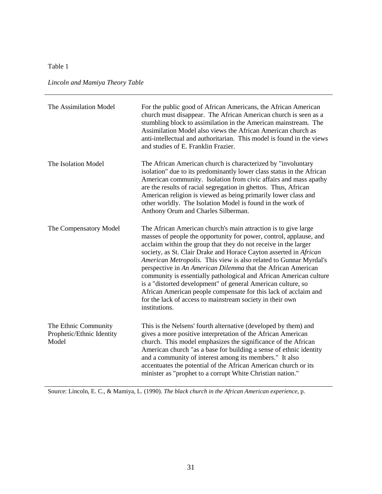# Table 1

*Lincoln and Mamiya Theory Table* 

| The Assimilation Model                                     | For the public good of African Americans, the African American<br>church must disappear. The African American church is seen as a<br>stumbling block to assimilation in the American mainstream. The<br>Assimilation Model also views the African American church as<br>anti-intellectual and authoritarian. This model is found in the views<br>and studies of E. Franklin Frazier.                                                                                                                                                                                                                                                                                                                     |
|------------------------------------------------------------|----------------------------------------------------------------------------------------------------------------------------------------------------------------------------------------------------------------------------------------------------------------------------------------------------------------------------------------------------------------------------------------------------------------------------------------------------------------------------------------------------------------------------------------------------------------------------------------------------------------------------------------------------------------------------------------------------------|
| The Isolation Model                                        | The African American church is characterized by "involuntary<br>isolation" due to its predominantly lower class status in the African<br>American community. Isolation from civic affairs and mass apathy<br>are the results of racial segregation in ghettos. Thus, African<br>American religion is viewed as being primarily lower class and<br>other worldly. The Isolation Model is found in the work of<br>Anthony Orum and Charles Silberman.                                                                                                                                                                                                                                                      |
| The Compensatory Model                                     | The African American church's main attraction is to give large<br>masses of people the opportunity for power, control, applause, and<br>acclaim within the group that they do not receive in the larger<br>society, as St. Clair Drake and Horace Cayton asserted in African<br>American Metropolis. This view is also related to Gunnar Myrdal's<br>perspective in An American Dilemma that the African American<br>community is essentially pathological and African American culture<br>is a "distorted development" of general American culture, so<br>African American people compensate for this lack of acclaim and<br>for the lack of access to mainstream society in their own<br>institutions. |
| The Ethnic Community<br>Prophetic/Ethnic Identity<br>Model | This is the Nelsens' fourth alternative (developed by them) and<br>gives a more positive interpretation of the African American<br>church. This model emphasizes the significance of the African<br>American church "as a base for building a sense of ethnic identity<br>and a community of interest among its members." It also<br>accentuates the potential of the African American church or its<br>minister as "prophet to a corrupt White Christian nation."                                                                                                                                                                                                                                       |

Source: Lincoln, E. C., & Mamiya, L. (1990). *The black church in the African American experience,* p.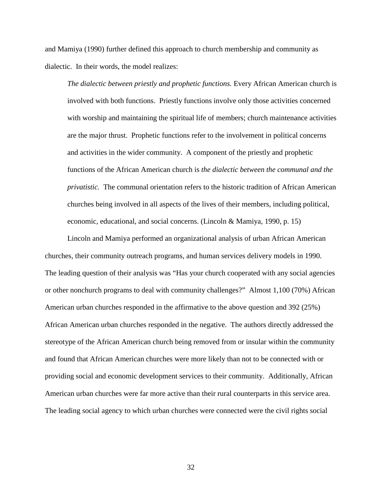and Mamiya (1990) further defined this approach to church membership and community as dialectic. In their words, the model realizes:

*The dialectic between priestly and prophetic functions.* Every African American church is involved with both functions. Priestly functions involve only those activities concerned with worship and maintaining the spiritual life of members; church maintenance activities are the major thrust. Prophetic functions refer to the involvement in political concerns and activities in the wider community. A component of the priestly and prophetic functions of the African American church is *the dialectic between the communal and the privatistic.* The communal orientation refers to the historic tradition of African American churches being involved in all aspects of the lives of their members, including political, economic, educational, and social concerns. (Lincoln & Mamiya, 1990, p. 15)

Lincoln and Mamiya performed an organizational analysis of urban African American churches, their community outreach programs, and human services delivery models in 1990. The leading question of their analysis was "Has your church cooperated with any social agencies or other nonchurch programs to deal with community challenges?" Almost 1,100 (70%) African American urban churches responded in the affirmative to the above question and 392 (25%) African American urban churches responded in the negative. The authors directly addressed the stereotype of the African American church being removed from or insular within the community and found that African American churches were more likely than not to be connected with or providing social and economic development services to their community. Additionally, African American urban churches were far more active than their rural counterparts in this service area. The leading social agency to which urban churches were connected were the civil rights social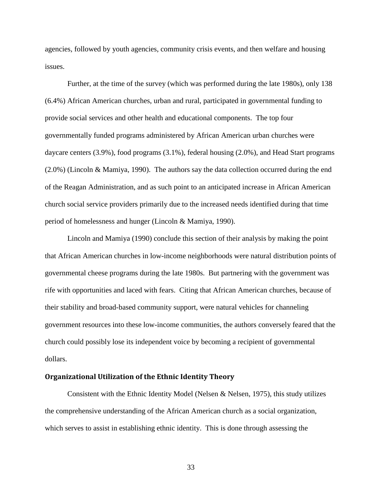agencies, followed by youth agencies, community crisis events, and then welfare and housing issues.

Further, at the time of the survey (which was performed during the late 1980s), only 138 (6.4%) African American churches, urban and rural, participated in governmental funding to provide social services and other health and educational components. The top four governmentally funded programs administered by African American urban churches were daycare centers (3.9%), food programs (3.1%), federal housing (2.0%), and Head Start programs (2.0%) (Lincoln & Mamiya, 1990). The authors say the data collection occurred during the end of the Reagan Administration, and as such point to an anticipated increase in African American church social service providers primarily due to the increased needs identified during that time period of homelessness and hunger (Lincoln & Mamiya, 1990).

Lincoln and Mamiya (1990) conclude this section of their analysis by making the point that African American churches in low-income neighborhoods were natural distribution points of governmental cheese programs during the late 1980s. But partnering with the government was rife with opportunities and laced with fears. Citing that African American churches, because of their stability and broad-based community support, were natural vehicles for channeling government resources into these low-income communities, the authors conversely feared that the church could possibly lose its independent voice by becoming a recipient of governmental dollars.

#### Organizational Utilization of the Ethnic Identity Theory

Consistent with the Ethnic Identity Model (Nelsen & Nelsen, 1975), this study utilizes the comprehensive understanding of the African American church as a social organization, which serves to assist in establishing ethnic identity. This is done through assessing the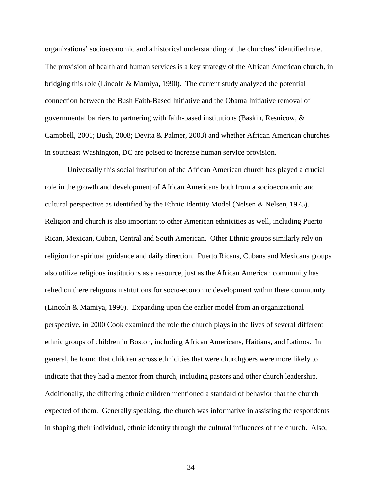organizations' socioeconomic and a historical understanding of the churches' identified role. The provision of health and human services is a key strategy of the African American church, in bridging this role (Lincoln & Mamiya, 1990). The current study analyzed the potential connection between the Bush Faith-Based Initiative and the Obama Initiative removal of governmental barriers to partnering with faith-based institutions (Baskin, Resnicow, & Campbell, 2001; Bush, 2008; Devita & Palmer, 2003) and whether African American churches in southeast Washington, DC are poised to increase human service provision.

Universally this social institution of the African American church has played a crucial role in the growth and development of African Americans both from a socioeconomic and cultural perspective as identified by the Ethnic Identity Model (Nelsen & Nelsen, 1975). Religion and church is also important to other American ethnicities as well, including Puerto Rican, Mexican, Cuban, Central and South American. Other Ethnic groups similarly rely on religion for spiritual guidance and daily direction. Puerto Ricans, Cubans and Mexicans groups also utilize religious institutions as a resource, just as the African American community has relied on there religious institutions for socio-economic development within there community (Lincoln & Mamiya, 1990). Expanding upon the earlier model from an organizational perspective, in 2000 Cook examined the role the church plays in the lives of several different ethnic groups of children in Boston, including African Americans, Haitians, and Latinos. In general, he found that children across ethnicities that were churchgoers were more likely to indicate that they had a mentor from church, including pastors and other church leadership. Additionally, the differing ethnic children mentioned a standard of behavior that the church expected of them. Generally speaking, the church was informative in assisting the respondents in shaping their individual, ethnic identity through the cultural influences of the church. Also,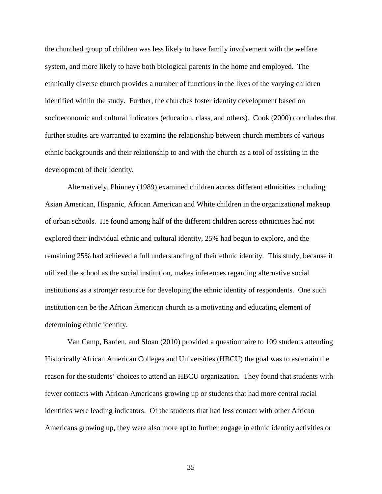the churched group of children was less likely to have family involvement with the welfare system, and more likely to have both biological parents in the home and employed. The ethnically diverse church provides a number of functions in the lives of the varying children identified within the study. Further, the churches foster identity development based on socioeconomic and cultural indicators (education, class, and others). Cook (2000) concludes that further studies are warranted to examine the relationship between church members of various ethnic backgrounds and their relationship to and with the church as a tool of assisting in the development of their identity.

Alternatively, Phinney (1989) examined children across different ethnicities including Asian American, Hispanic, African American and White children in the organizational makeup of urban schools. He found among half of the different children across ethnicities had not explored their individual ethnic and cultural identity, 25% had begun to explore, and the remaining 25% had achieved a full understanding of their ethnic identity. This study, because it utilized the school as the social institution, makes inferences regarding alternative social institutions as a stronger resource for developing the ethnic identity of respondents. One such institution can be the African American church as a motivating and educating element of determining ethnic identity.

Van Camp, Barden, and Sloan (2010) provided a questionnaire to 109 students attending Historically African American Colleges and Universities (HBCU) the goal was to ascertain the reason for the students' choices to attend an HBCU organization. They found that students with fewer contacts with African Americans growing up or students that had more central racial identities were leading indicators. Of the students that had less contact with other African Americans growing up, they were also more apt to further engage in ethnic identity activities or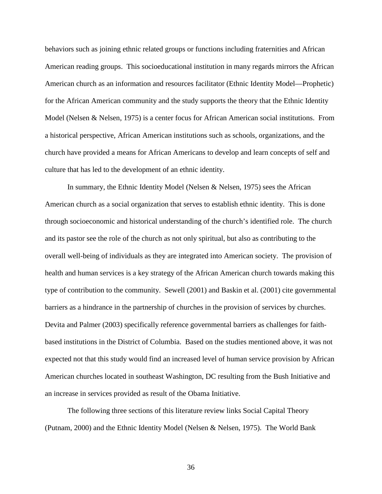behaviors such as joining ethnic related groups or functions including fraternities and African American reading groups. This socioeducational institution in many regards mirrors the African American church as an information and resources facilitator (Ethnic Identity Model—Prophetic) for the African American community and the study supports the theory that the Ethnic Identity Model (Nelsen & Nelsen, 1975) is a center focus for African American social institutions. From a historical perspective, African American institutions such as schools, organizations, and the church have provided a means for African Americans to develop and learn concepts of self and culture that has led to the development of an ethnic identity.

In summary, the Ethnic Identity Model (Nelsen & Nelsen, 1975) sees the African American church as a social organization that serves to establish ethnic identity. This is done through socioeconomic and historical understanding of the church's identified role. The church and its pastor see the role of the church as not only spiritual, but also as contributing to the overall well-being of individuals as they are integrated into American society. The provision of health and human services is a key strategy of the African American church towards making this type of contribution to the community. Sewell (2001) and Baskin et al. (2001) cite governmental barriers as a hindrance in the partnership of churches in the provision of services by churches. Devita and Palmer (2003) specifically reference governmental barriers as challenges for faithbased institutions in the District of Columbia. Based on the studies mentioned above, it was not expected not that this study would find an increased level of human service provision by African American churches located in southeast Washington, DC resulting from the Bush Initiative and an increase in services provided as result of the Obama Initiative.

The following three sections of this literature review links Social Capital Theory (Putnam, 2000) and the Ethnic Identity Model (Nelsen & Nelsen, 1975). The World Bank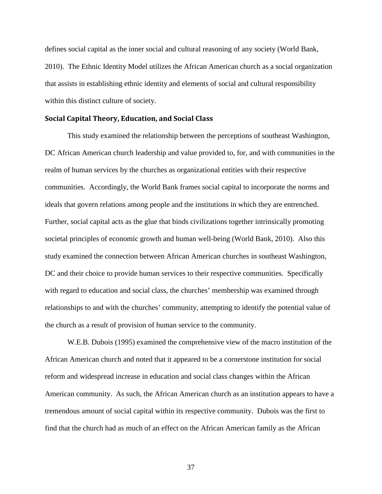defines social capital as the inner social and cultural reasoning of any society (World Bank, 2010). The Ethnic Identity Model utilizes the African American church as a social organization that assists in establishing ethnic identity and elements of social and cultural responsibility within this distinct culture of society.

#### Social Capital Theory, Education, and Social Class

This study examined the relationship between the perceptions of southeast Washington, DC African American church leadership and value provided to, for, and with communities in the realm of human services by the churches as organizational entities with their respective communities. Accordingly, the World Bank frames social capital to incorporate the norms and ideals that govern relations among people and the institutions in which they are entrenched. Further, social capital acts as the glue that binds civilizations together intrinsically promoting societal principles of economic growth and human well-being (World Bank, 2010). Also this study examined the connection between African American churches in southeast Washington, DC and their choice to provide human services to their respective communities. Specifically with regard to education and social class, the churches' membership was examined through relationships to and with the churches' community, attempting to identify the potential value of the church as a result of provision of human service to the community.

W.E.B. Dubois (1995) examined the comprehensive view of the macro institution of the African American church and noted that it appeared to be a cornerstone institution for social reform and widespread increase in education and social class changes within the African American community. As such, the African American church as an institution appears to have a tremendous amount of social capital within its respective community. Dubois was the first to find that the church had as much of an effect on the African American family as the African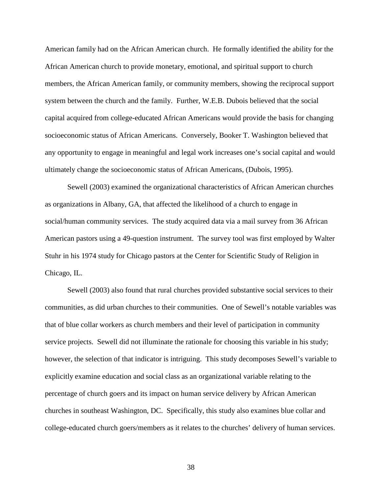American family had on the African American church. He formally identified the ability for the African American church to provide monetary, emotional, and spiritual support to church members, the African American family, or community members, showing the reciprocal support system between the church and the family. Further, W.E.B. Dubois believed that the social capital acquired from college-educated African Americans would provide the basis for changing socioeconomic status of African Americans. Conversely, Booker T. Washington believed that any opportunity to engage in meaningful and legal work increases one's social capital and would ultimately change the socioeconomic status of African Americans, (Dubois, 1995).

Sewell (2003) examined the organizational characteristics of African American churches as organizations in Albany, GA, that affected the likelihood of a church to engage in social/human community services. The study acquired data via a mail survey from 36 African American pastors using a 49-question instrument. The survey tool was first employed by Walter Stuhr in his 1974 study for Chicago pastors at the Center for Scientific Study of Religion in Chicago, IL.

Sewell (2003) also found that rural churches provided substantive social services to their communities, as did urban churches to their communities. One of Sewell's notable variables was that of blue collar workers as church members and their level of participation in community service projects. Sewell did not illuminate the rationale for choosing this variable in his study; however, the selection of that indicator is intriguing. This study decomposes Sewell's variable to explicitly examine education and social class as an organizational variable relating to the percentage of church goers and its impact on human service delivery by African American churches in southeast Washington, DC. Specifically, this study also examines blue collar and college-educated church goers/members as it relates to the churches' delivery of human services.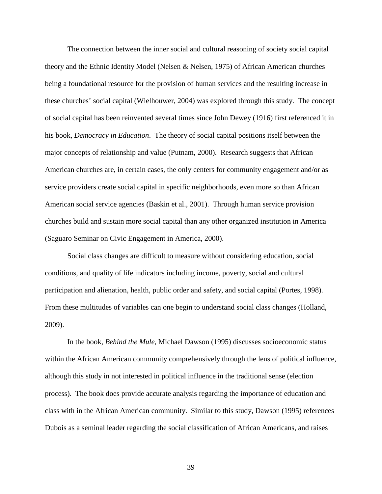The connection between the inner social and cultural reasoning of society social capital theory and the Ethnic Identity Model (Nelsen & Nelsen, 1975) of African American churches being a foundational resource for the provision of human services and the resulting increase in these churches' social capital (Wielhouwer, 2004) was explored through this study. The concept of social capital has been reinvented several times since John Dewey (1916) first referenced it in his book, *Democracy in Education*. The theory of social capital positions itself between the major concepts of relationship and value (Putnam, 2000). Research suggests that African American churches are, in certain cases, the only centers for community engagement and/or as service providers create social capital in specific neighborhoods, even more so than African American social service agencies (Baskin et al., 2001). Through human service provision churches build and sustain more social capital than any other organized institution in America (Saguaro Seminar on Civic Engagement in America, 2000).

Social class changes are difficult to measure without considering education, social conditions, and quality of life indicators including income, poverty, social and cultural participation and alienation, health, public order and safety, and social capital (Portes, 1998). From these multitudes of variables can one begin to understand social class changes (Holland, 2009).

In the book, *Behind the Mule*, Michael Dawson (1995) discusses socioeconomic status within the African American community comprehensively through the lens of political influence, although this study in not interested in political influence in the traditional sense (election process). The book does provide accurate analysis regarding the importance of education and class with in the African American community. Similar to this study, Dawson (1995) references Dubois as a seminal leader regarding the social classification of African Americans, and raises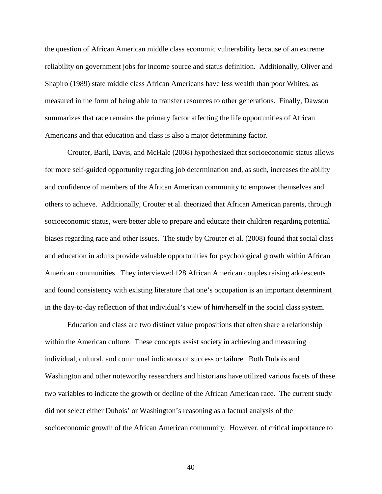the question of African American middle class economic vulnerability because of an extreme reliability on government jobs for income source and status definition. Additionally, Oliver and Shapiro (1989) state middle class African Americans have less wealth than poor Whites, as measured in the form of being able to transfer resources to other generations. Finally, Dawson summarizes that race remains the primary factor affecting the life opportunities of African Americans and that education and class is also a major determining factor.

Crouter, Baril, Davis, and McHale (2008) hypothesized that socioeconomic status allows for more self-guided opportunity regarding job determination and, as such, increases the ability and confidence of members of the African American community to empower themselves and others to achieve. Additionally, Crouter et al. theorized that African American parents, through socioeconomic status, were better able to prepare and educate their children regarding potential biases regarding race and other issues. The study by Crouter et al. (2008) found that social class and education in adults provide valuable opportunities for psychological growth within African American communities. They interviewed 128 African American couples raising adolescents and found consistency with existing literature that one's occupation is an important determinant in the day-to-day reflection of that individual's view of him/herself in the social class system.

Education and class are two distinct value propositions that often share a relationship within the American culture. These concepts assist society in achieving and measuring individual, cultural, and communal indicators of success or failure. Both Dubois and Washington and other noteworthy researchers and historians have utilized various facets of these two variables to indicate the growth or decline of the African American race. The current study did not select either Dubois' or Washington's reasoning as a factual analysis of the socioeconomic growth of the African American community. However, of critical importance to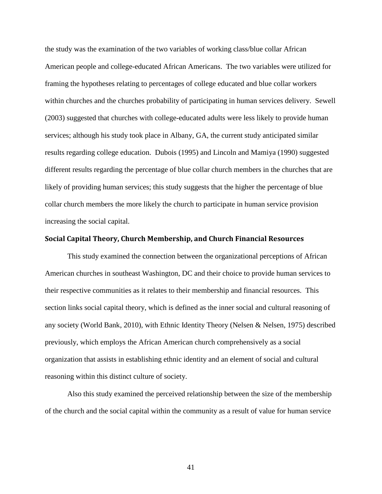the study was the examination of the two variables of working class/blue collar African American people and college-educated African Americans. The two variables were utilized for framing the hypotheses relating to percentages of college educated and blue collar workers within churches and the churches probability of participating in human services delivery. Sewell (2003) suggested that churches with college-educated adults were less likely to provide human services; although his study took place in Albany, GA, the current study anticipated similar results regarding college education. Dubois (1995) and Lincoln and Mamiya (1990) suggested different results regarding the percentage of blue collar church members in the churches that are likely of providing human services; this study suggests that the higher the percentage of blue collar church members the more likely the church to participate in human service provision increasing the social capital.

#### Social Capital Theory, Church Membership, and Church Financial Resources

This study examined the connection between the organizational perceptions of African American churches in southeast Washington, DC and their choice to provide human services to their respective communities as it relates to their membership and financial resources. This section links social capital theory, which is defined as the inner social and cultural reasoning of any society (World Bank, 2010), with Ethnic Identity Theory (Nelsen & Nelsen, 1975) described previously, which employs the African American church comprehensively as a social organization that assists in establishing ethnic identity and an element of social and cultural reasoning within this distinct culture of society.

Also this study examined the perceived relationship between the size of the membership of the church and the social capital within the community as a result of value for human service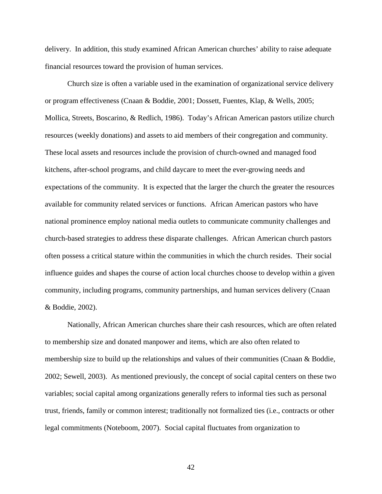delivery. In addition, this study examined African American churches' ability to raise adequate financial resources toward the provision of human services.

Church size is often a variable used in the examination of organizational service delivery or program effectiveness (Cnaan & Boddie, 2001; Dossett, Fuentes, Klap, & Wells, 2005; Mollica, Streets, Boscarino, & Redlich, 1986). Today's African American pastors utilize church resources (weekly donations) and assets to aid members of their congregation and community. These local assets and resources include the provision of church-owned and managed food kitchens, after-school programs, and child daycare to meet the ever-growing needs and expectations of the community. It is expected that the larger the church the greater the resources available for community related services or functions. African American pastors who have national prominence employ national media outlets to communicate community challenges and church-based strategies to address these disparate challenges. African American church pastors often possess a critical stature within the communities in which the church resides. Their social influence guides and shapes the course of action local churches choose to develop within a given community, including programs, community partnerships, and human services delivery (Cnaan & Boddie, 2002).

Nationally, African American churches share their cash resources, which are often related to membership size and donated manpower and items, which are also often related to membership size to build up the relationships and values of their communities (Cnaan & Boddie, 2002; Sewell, 2003). As mentioned previously, the concept of social capital centers on these two variables; social capital among organizations generally refers to informal ties such as personal trust, friends, family or common interest; traditionally not formalized ties (i.e., contracts or other legal commitments (Noteboom, 2007). Social capital fluctuates from organization to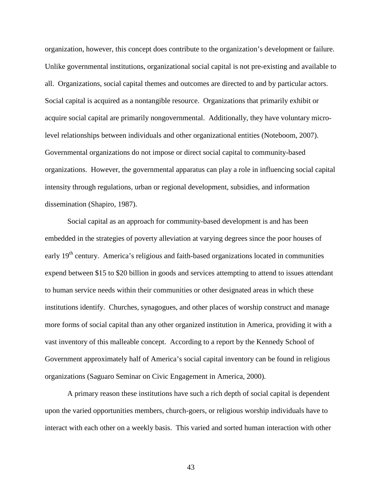organization, however, this concept does contribute to the organization's development or failure. Unlike governmental institutions, organizational social capital is not pre-existing and available to all. Organizations, social capital themes and outcomes are directed to and by particular actors. Social capital is acquired as a nontangible resource. Organizations that primarily exhibit or acquire social capital are primarily nongovernmental. Additionally, they have voluntary microlevel relationships between individuals and other organizational entities (Noteboom, 2007). Governmental organizations do not impose or direct social capital to community-based organizations. However, the governmental apparatus can play a role in influencing social capital intensity through regulations, urban or regional development, subsidies, and information dissemination (Shapiro, 1987).

Social capital as an approach for community-based development is and has been embedded in the strategies of poverty alleviation at varying degrees since the poor houses of early 19<sup>th</sup> century. America's religious and faith-based organizations located in communities expend between \$15 to \$20 billion in goods and services attempting to attend to issues attendant to human service needs within their communities or other designated areas in which these institutions identify. Churches, synagogues, and other places of worship construct and manage more forms of social capital than any other organized institution in America, providing it with a vast inventory of this malleable concept. According to a report by the Kennedy School of Government approximately half of America's social capital inventory can be found in religious organizations (Saguaro Seminar on Civic Engagement in America, 2000).

A primary reason these institutions have such a rich depth of social capital is dependent upon the varied opportunities members, church-goers, or religious worship individuals have to interact with each other on a weekly basis. This varied and sorted human interaction with other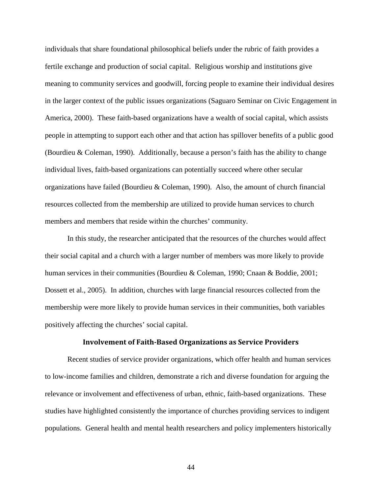individuals that share foundational philosophical beliefs under the rubric of faith provides a fertile exchange and production of social capital. Religious worship and institutions give meaning to community services and goodwill, forcing people to examine their individual desires in the larger context of the public issues organizations (Saguaro Seminar on Civic Engagement in America, 2000). These faith-based organizations have a wealth of social capital, which assists people in attempting to support each other and that action has spillover benefits of a public good (Bourdieu & Coleman, 1990). Additionally, because a person's faith has the ability to change individual lives, faith-based organizations can potentially succeed where other secular organizations have failed (Bourdieu & Coleman, 1990). Also, the amount of church financial resources collected from the membership are utilized to provide human services to church members and members that reside within the churches' community.

In this study, the researcher anticipated that the resources of the churches would affect their social capital and a church with a larger number of members was more likely to provide human services in their communities (Bourdieu & Coleman, 1990; Cnaan & Boddie, 2001; Dossett et al., 2005). In addition, churches with large financial resources collected from the membership were more likely to provide human services in their communities, both variables positively affecting the churches' social capital.

#### Involvement of Faith-Based Organizations as Service Providers

Recent studies of service provider organizations, which offer health and human services to low-income families and children, demonstrate a rich and diverse foundation for arguing the relevance or involvement and effectiveness of urban, ethnic, faith-based organizations. These studies have highlighted consistently the importance of churches providing services to indigent populations. General health and mental health researchers and policy implementers historically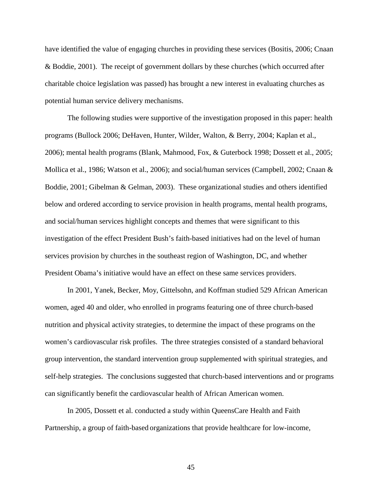have identified the value of engaging churches in providing these services (Bositis, 2006; Cnaan & Boddie, 2001). The receipt of government dollars by these churches (which occurred after charitable choice legislation was passed) has brought a new interest in evaluating churches as potential human service delivery mechanisms.

The following studies were supportive of the investigation proposed in this paper: health programs (Bullock 2006; DeHaven, Hunter, Wilder, Walton, & Berry, 2004; Kaplan et al., 2006); mental health programs (Blank, Mahmood, Fox, & Guterbock 1998; Dossett et al., 2005; Mollica et al., 1986; Watson et al., 2006); and social/human services (Campbell, 2002; Cnaan & Boddie, 2001; Gibelman & Gelman, 2003). These organizational studies and others identified below and ordered according to service provision in health programs, mental health programs, and social/human services highlight concepts and themes that were significant to this investigation of the effect President Bush's faith-based initiatives had on the level of human services provision by churches in the southeast region of Washington, DC, and whether President Obama's initiative would have an effect on these same services providers.

In 2001, Yanek, Becker, Moy, Gittelsohn, and Koffman studied 529 African American women, aged 40 and older, who enrolled in programs featuring one of three church-based nutrition and physical activity strategies, to determine the impact of these programs on the women's cardiovascular risk profiles. The three strategies consisted of a standard behavioral group intervention, the standard intervention group supplemented with spiritual strategies, and self-help strategies. The conclusions suggested that church-based interventions and or programs can significantly benefit the cardiovascular health of African American women.

In 2005, Dossett et al. conducted a study within QueensCare Health and Faith Partnership, a group of faith-based organizations that provide healthcare for low-income,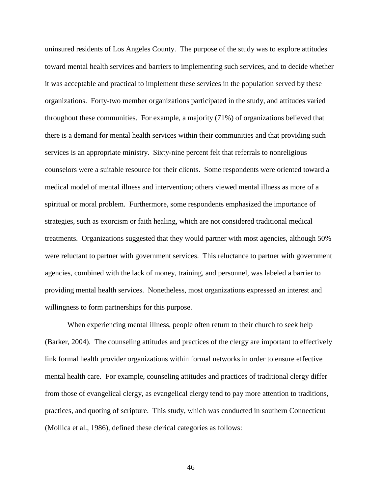uninsured residents of Los Angeles County. The purpose of the study was to explore attitudes toward mental health services and barriers to implementing such services, and to decide whether it was acceptable and practical to implement these services in the population served by these organizations. Forty-two member organizations participated in the study, and attitudes varied throughout these communities. For example, a majority (71%) of organizations believed that there is a demand for mental health services within their communities and that providing such services is an appropriate ministry. Sixty-nine percent felt that referrals to nonreligious counselors were a suitable resource for their clients. Some respondents were oriented toward a medical model of mental illness and intervention; others viewed mental illness as more of a spiritual or moral problem. Furthermore, some respondents emphasized the importance of strategies, such as exorcism or faith healing, which are not considered traditional medical treatments. Organizations suggested that they would partner with most agencies, although 50% were reluctant to partner with government services. This reluctance to partner with government agencies, combined with the lack of money, training, and personnel, was labeled a barrier to providing mental health services. Nonetheless, most organizations expressed an interest and willingness to form partnerships for this purpose.

When experiencing mental illness, people often return to their church to seek help (Barker, 2004). The counseling attitudes and practices of the clergy are important to effectively link formal health provider organizations within formal networks in order to ensure effective mental health care. For example, counseling attitudes and practices of traditional clergy differ from those of evangelical clergy, as evangelical clergy tend to pay more attention to traditions, practices, and quoting of scripture. This study, which was conducted in southern Connecticut (Mollica et al., 1986), defined these clerical categories as follows: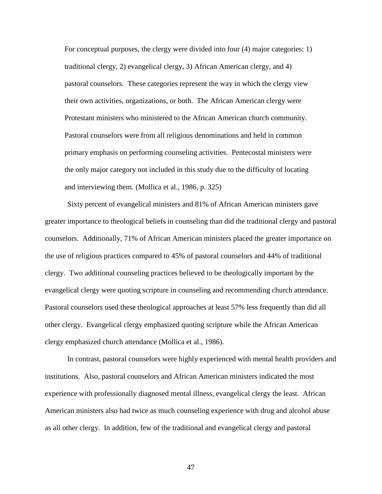For conceptual purposes, the clergy were divided into four (4) major categories: 1) traditional clergy, 2) evangelical clergy, 3) African American clergy, and 4) pastoral counselors. These categories represent the way in which the clergy view their own activities, organizations, or both. The African American clergy were Protestant ministers who ministered to the African American church community. Pastoral counselors were from all religious denominations and held in common primary emphasis on performing counseling activities. Pentecostal ministers were the only major category not included in this study due to the difficulty of locating and interviewing them. (Mollica et al., 1986, p. 325)

Sixty percent of evangelical ministers and 81% of African American ministers gave greater importance to theological beliefs in counseling than did the traditional clergy and pastoral counselors. Additionally, 71% of African American ministers placed the greater importance on the use of religious practices compared to 45% of pastoral counselors and 44% of traditional clergy. Two additional counseling practices believed to be theologically important by the evangelical clergy were quoting scripture in counseling and recommending church attendance. Pastoral counselors used these theological approaches at least 57% less frequently than did all other clergy. Evangelical clergy emphasized quoting scripture while the African American clergy emphasized church attendance (Mollica et al., 1986).

In contrast, pastoral counselors were highly experienced with mental health providers and institutions. Also, pastoral counselors and African American ministers indicated the most experience with professionally diagnosed mental illness, evangelical clergy the least. African American ministers also had twice as much counseling experience with drug and alcohol abuse as all other clergy. In addition, few of the traditional and evangelical clergy and pastoral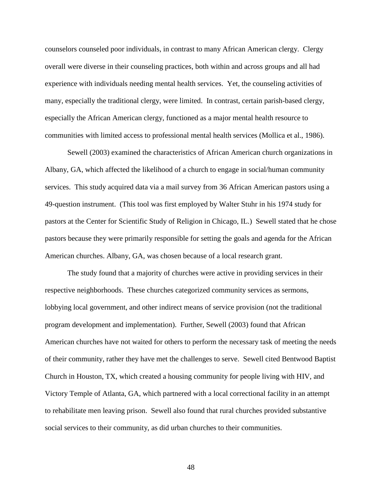counselors counseled poor individuals, in contrast to many African American clergy. Clergy overall were diverse in their counseling practices, both within and across groups and all had experience with individuals needing mental health services. Yet, the counseling activities of many, especially the traditional clergy, were limited. In contrast, certain parish-based clergy, especially the African American clergy, functioned as a major mental health resource to communities with limited access to professional mental health services (Mollica et al., 1986).

Sewell (2003) examined the characteristics of African American church organizations in Albany, GA, which affected the likelihood of a church to engage in social/human community services. This study acquired data via a mail survey from 36 African American pastors using a 49-question instrument. (This tool was first employed by Walter Stuhr in his 1974 study for pastors at the Center for Scientific Study of Religion in Chicago, IL.) Sewell stated that he chose pastors because they were primarily responsible for setting the goals and agenda for the African American churches. Albany, GA, was chosen because of a local research grant.

The study found that a majority of churches were active in providing services in their respective neighborhoods. These churches categorized community services as sermons, lobbying local government, and other indirect means of service provision (not the traditional program development and implementation). Further, Sewell (2003) found that African American churches have not waited for others to perform the necessary task of meeting the needs of their community, rather they have met the challenges to serve. Sewell cited Bentwood Baptist Church in Houston, TX, which created a housing community for people living with HIV, and Victory Temple of Atlanta, GA, which partnered with a local correctional facility in an attempt to rehabilitate men leaving prison. Sewell also found that rural churches provided substantive social services to their community, as did urban churches to their communities.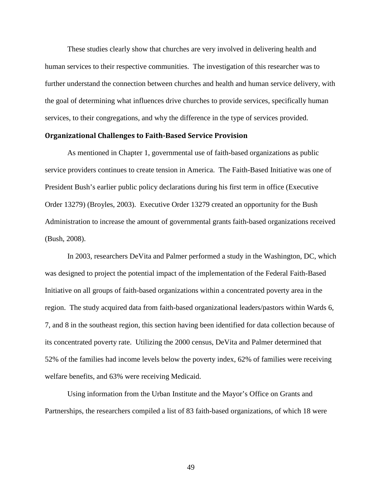These studies clearly show that churches are very involved in delivering health and human services to their respective communities. The investigation of this researcher was to further understand the connection between churches and health and human service delivery, with the goal of determining what influences drive churches to provide services, specifically human services, to their congregations, and why the difference in the type of services provided.

#### Organizational Challenges to Faith-Based Service Provision

As mentioned in Chapter 1, governmental use of faith-based organizations as public service providers continues to create tension in America. The Faith-Based Initiative was one of President Bush's earlier public policy declarations during his first term in office (Executive Order 13279) (Broyles, 2003). Executive Order 13279 created an opportunity for the Bush Administration to increase the amount of governmental grants faith-based organizations received (Bush, 2008).

In 2003, researchers DeVita and Palmer performed a study in the Washington, DC, which was designed to project the potential impact of the implementation of the Federal Faith-Based Initiative on all groups of faith-based organizations within a concentrated poverty area in the region. The study acquired data from faith-based organizational leaders/pastors within Wards 6, 7, and 8 in the southeast region, this section having been identified for data collection because of its concentrated poverty rate. Utilizing the 2000 census, DeVita and Palmer determined that 52% of the families had income levels below the poverty index, 62% of families were receiving welfare benefits, and 63% were receiving Medicaid.

Using information from the Urban Institute and the Mayor's Office on Grants and Partnerships, the researchers compiled a list of 83 faith-based organizations, of which 18 were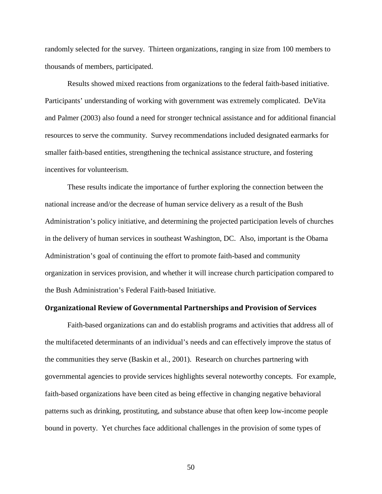randomly selected for the survey. Thirteen organizations, ranging in size from 100 members to thousands of members, participated.

Results showed mixed reactions from organizations to the federal faith-based initiative. Participants' understanding of working with government was extremely complicated. DeVita and Palmer (2003) also found a need for stronger technical assistance and for additional financial resources to serve the community. Survey recommendations included designated earmarks for smaller faith-based entities, strengthening the technical assistance structure, and fostering incentives for volunteerism.

These results indicate the importance of further exploring the connection between the national increase and/or the decrease of human service delivery as a result of the Bush Administration's policy initiative, and determining the projected participation levels of churches in the delivery of human services in southeast Washington, DC. Also, important is the Obama Administration's goal of continuing the effort to promote faith-based and community organization in services provision, and whether it will increase church participation compared to the Bush Administration's Federal Faith-based Initiative.

### Organizational Review of Governmental Partnerships and Provision of Services

Faith-based organizations can and do establish programs and activities that address all of the multifaceted determinants of an individual's needs and can effectively improve the status of the communities they serve (Baskin et al., 2001). Research on churches partnering with governmental agencies to provide services highlights several noteworthy concepts. For example, faith-based organizations have been cited as being effective in changing negative behavioral patterns such as drinking, prostituting, and substance abuse that often keep low-income people bound in poverty. Yet churches face additional challenges in the provision of some types of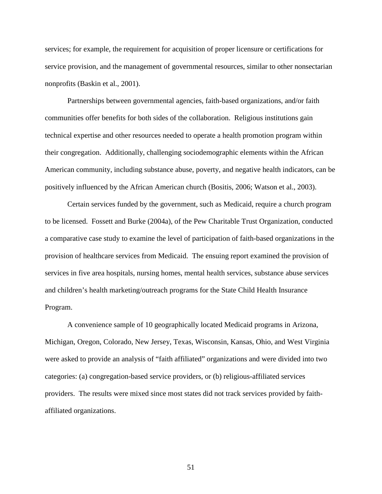services; for example, the requirement for acquisition of proper licensure or certifications for service provision, and the management of governmental resources, similar to other nonsectarian nonprofits (Baskin et al., 2001).

Partnerships between governmental agencies, faith-based organizations, and/or faith communities offer benefits for both sides of the collaboration. Religious institutions gain technical expertise and other resources needed to operate a health promotion program within their congregation. Additionally, challenging sociodemographic elements within the African American community, including substance abuse, poverty, and negative health indicators, can be positively influenced by the African American church (Bositis, 2006; Watson et al., 2003).

Certain services funded by the government, such as Medicaid, require a church program to be licensed. Fossett and Burke (2004a), of the Pew Charitable Trust Organization, conducted a comparative case study to examine the level of participation of faith-based organizations in the provision of healthcare services from Medicaid. The ensuing report examined the provision of services in five area hospitals, nursing homes, mental health services, substance abuse services and children's health marketing/outreach programs for the State Child Health Insurance Program.

A convenience sample of 10 geographically located Medicaid programs in Arizona, Michigan, Oregon, Colorado, New Jersey, Texas, Wisconsin, Kansas, Ohio, and West Virginia were asked to provide an analysis of "faith affiliated" organizations and were divided into two categories: (a) congregation-based service providers, or (b) religious-affiliated services providers. The results were mixed since most states did not track services provided by faithaffiliated organizations.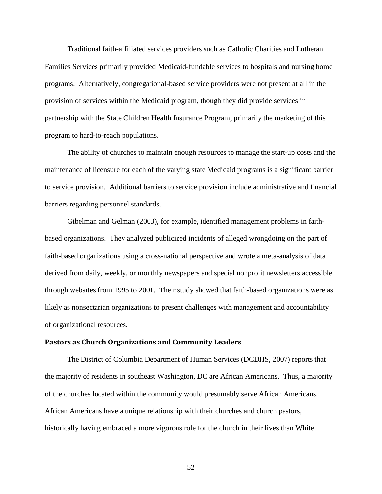Traditional faith-affiliated services providers such as Catholic Charities and Lutheran Families Services primarily provided Medicaid-fundable services to hospitals and nursing home programs. Alternatively, congregational-based service providers were not present at all in the provision of services within the Medicaid program, though they did provide services in partnership with the State Children Health Insurance Program, primarily the marketing of this program to hard-to-reach populations.

The ability of churches to maintain enough resources to manage the start-up costs and the maintenance of licensure for each of the varying state Medicaid programs is a significant barrier to service provision. Additional barriers to service provision include administrative and financial barriers regarding personnel standards.

Gibelman and Gelman (2003), for example, identified management problems in faithbased organizations. They analyzed publicized incidents of alleged wrongdoing on the part of faith-based organizations using a cross-national perspective and wrote a meta-analysis of data derived from daily, weekly, or monthly newspapers and special nonprofit newsletters accessible through websites from 1995 to 2001. Their study showed that faith-based organizations were as likely as nonsectarian organizations to present challenges with management and accountability of organizational resources.

#### Pastors as Church Organizations and Community Leaders

The District of Columbia Department of Human Services (DCDHS, 2007) reports that the majority of residents in southeast Washington, DC are African Americans. Thus, a majority of the churches located within the community would presumably serve African Americans. African Americans have a unique relationship with their churches and church pastors, historically having embraced a more vigorous role for the church in their lives than White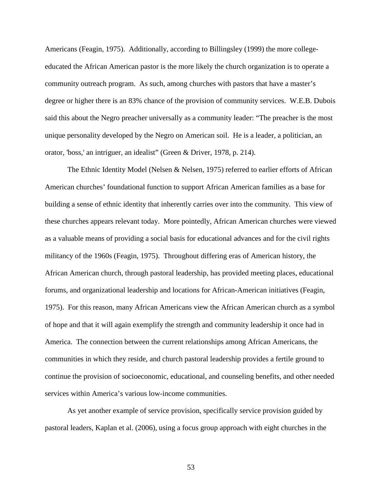Americans (Feagin, 1975). Additionally, according to Billingsley (1999) the more collegeeducated the African American pastor is the more likely the church organization is to operate a community outreach program. As such, among churches with pastors that have a master's degree or higher there is an 83% chance of the provision of community services. W.E.B. Dubois said this about the Negro preacher universally as a community leader: "The preacher is the most unique personality developed by the Negro on American soil. He is a leader, a politician, an orator, 'boss,' an intriguer, an idealist" (Green & Driver, 1978, p. 214).

The Ethnic Identity Model (Nelsen & Nelsen, 1975) referred to earlier efforts of African American churches' foundational function to support African American families as a base for building a sense of ethnic identity that inherently carries over into the community. This view of these churches appears relevant today. More pointedly, African American churches were viewed as a valuable means of providing a social basis for educational advances and for the civil rights militancy of the 1960s (Feagin, 1975). Throughout differing eras of American history, the African American church, through pastoral leadership, has provided meeting places, educational forums, and organizational leadership and locations for African-American initiatives (Feagin, 1975). For this reason, many African Americans view the African American church as a symbol of hope and that it will again exemplify the strength and community leadership it once had in America. The connection between the current relationships among African Americans, the communities in which they reside, and church pastoral leadership provides a fertile ground to continue the provision of socioeconomic, educational, and counseling benefits, and other needed services within America's various low-income communities.

As yet another example of service provision, specifically service provision guided by pastoral leaders, Kaplan et al. (2006), using a focus group approach with eight churches in the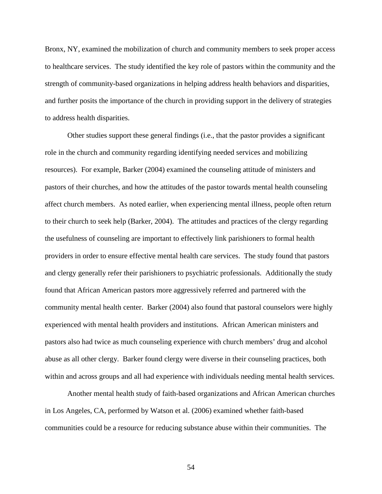Bronx, NY, examined the mobilization of church and community members to seek proper access to healthcare services. The study identified the key role of pastors within the community and the strength of community-based organizations in helping address health behaviors and disparities, and further posits the importance of the church in providing support in the delivery of strategies to address health disparities.

Other studies support these general findings (i.e., that the pastor provides a significant role in the church and community regarding identifying needed services and mobilizing resources). For example, Barker (2004) examined the counseling attitude of ministers and pastors of their churches, and how the attitudes of the pastor towards mental health counseling affect church members. As noted earlier, when experiencing mental illness, people often return to their church to seek help (Barker, 2004). The attitudes and practices of the clergy regarding the usefulness of counseling are important to effectively link parishioners to formal health providers in order to ensure effective mental health care services. The study found that pastors and clergy generally refer their parishioners to psychiatric professionals. Additionally the study found that African American pastors more aggressively referred and partnered with the community mental health center. Barker (2004) also found that pastoral counselors were highly experienced with mental health providers and institutions. African American ministers and pastors also had twice as much counseling experience with church members' drug and alcohol abuse as all other clergy. Barker found clergy were diverse in their counseling practices, both within and across groups and all had experience with individuals needing mental health services.

Another mental health study of faith-based organizations and African American churches in Los Angeles, CA, performed by Watson et al. (2006) examined whether faith-based communities could be a resource for reducing substance abuse within their communities. The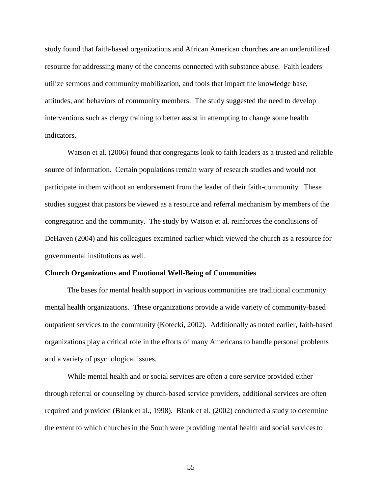study found that faith-based organizations and African American churches are an underutilized resource for addressing many of the concerns connected with substance abuse. Faith leaders utilize sermons and community mobilization, and tools that impact the knowledge base, attitudes, and behaviors of community members. The study suggested the need to develop interventions such as clergy training to better assist in attempting to change some health indicators.

Watson et al. (2006) found that congregants look to faith leaders as a trusted and reliable source of information. Certain populations remain wary of research studies and would not participate in them without an endorsement from the leader of their faith-community. These studies suggest that pastors be viewed as a resource and referral mechanism by members of the congregation and the community. The study by Watson et al. reinforces the conclusions of DeHaven (2004) and his colleagues examined earlier which viewed the church as a resource for governmental institutions as well.

### **Church Organizations and Emotional Well-Being of Communities**

The bases for mental health support in various communities are traditional community mental health organizations. These organizations provide a wide variety of community-based outpatient services to the community (Kotecki, 2002). Additionally as noted earlier, faith-based organizations play a critical role in the efforts of many Americans to handle personal problems and a variety of psychological issues.

While mental health and or social services are often a core service provided either through referral or counseling by church-based service providers, additional services are often required and provided (Blank et al., 1998). Blank et al. (2002) conducted a study to determine the extent to which churchesin the South were providing mental health and social servicesto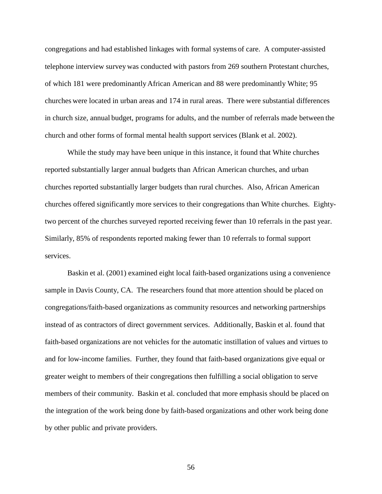congregations and had established linkages with formal systems of care. A computer-assisted telephone interview survey was conducted with pastors from 269 southern Protestant churches, of which 181 were predominantlyAfrican American and 88 were predominantly White; 95 churches were located in urban areas and 174 in rural areas. There were substantial differences in church size, annual budget, programs for adults, and the number of referrals made between the church and other forms of formal mental health support services (Blank et al. 2002).

While the study may have been unique in this instance, it found that White churches reported substantially larger annual budgets than African American churches, and urban churches reported substantially larger budgets than rural churches. Also, African American churches offered significantly more services to their congregations than White churches. Eightytwo percent of the churches surveyed reported receiving fewer than 10 referrals in the past year. Similarly, 85% of respondents reported making fewer than 10 referrals to formal support services.

Baskin et al. (2001) examined eight local faith-based organizations using a convenience sample in Davis County, CA. The researchers found that more attention should be placed on congregations/faith-based organizations as community resources and networking partnerships instead of as contractors of direct government services. Additionally, Baskin et al. found that faith-based organizations are not vehicles for the automatic instillation of values and virtues to and for low-income families. Further, they found that faith-based organizations give equal or greater weight to members of their congregations then fulfilling a social obligation to serve members of their community. Baskin et al. concluded that more emphasis should be placed on the integration of the work being done by faith-based organizations and other work being done by other public and private providers.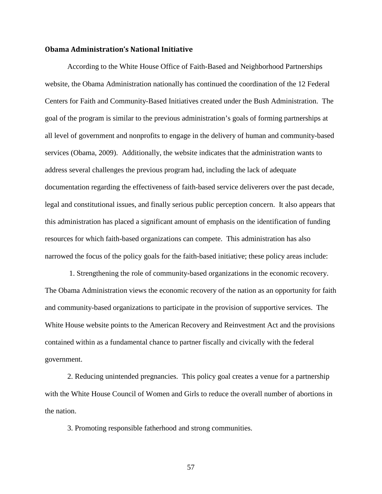### Obama Administration's National Initiative

According to the White House Office of Faith-Based and Neighborhood Partnerships website, the Obama Administration nationally has continued the coordination of the 12 Federal Centers for Faith and Community-Based Initiatives created under the Bush Administration. The goal of the program is similar to the previous administration's goals of forming partnerships at all level of government and nonprofits to engage in the delivery of human and community-based services (Obama, 2009). Additionally, the website indicates that the administration wants to address several challenges the previous program had, including the lack of adequate documentation regarding the effectiveness of faith-based service deliverers over the past decade, legal and constitutional issues, and finally serious public perception concern. It also appears that this administration has placed a significant amount of emphasis on the identification of funding resources for which faith-based organizations can compete. This administration has also narrowed the focus of the policy goals for the faith-based initiative; these policy areas include:

 1. Strengthening the role of community-based organizations in the economic recovery. The Obama Administration views the economic recovery of the nation as an opportunity for faith and community-based organizations to participate in the provision of supportive services. The White House website points to the American Recovery and Reinvestment Act and the provisions contained within as a fundamental chance to partner fiscally and civically with the federal government.

2. Reducing unintended pregnancies. This policy goal creates a venue for a partnership with the White House Council of Women and Girls to reduce the overall number of abortions in the nation.

3. Promoting responsible fatherhood and strong communities.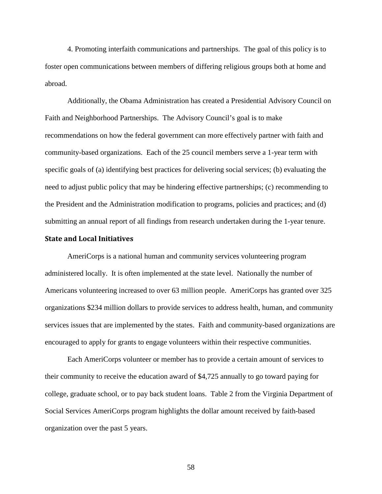4. Promoting interfaith communications and partnerships. The goal of this policy is to foster open communications between members of differing religious groups both at home and abroad.

Additionally, the Obama Administration has created a Presidential Advisory Council on Faith and Neighborhood Partnerships. The Advisory Council's goal is to make recommendations on how the federal government can more effectively partner with faith and community-based organizations. Each of the 25 council members serve a 1-year term with specific goals of (a) identifying best practices for delivering social services; (b) evaluating the need to adjust public policy that may be hindering effective partnerships; (c) recommending to the President and the Administration modification to programs, policies and practices; and (d) submitting an annual report of all findings from research undertaken during the 1-year tenure.

#### State and Local Initiatives

AmeriCorps is a national human and community services volunteering program administered locally. It is often implemented at the state level. Nationally the number of Americans volunteering increased to over 63 million people. AmeriCorps has granted over 325 organizations \$234 million dollars to provide services to address health, human, and community services issues that are implemented by the states. Faith and community-based organizations are encouraged to apply for grants to engage volunteers within their respective communities.

Each AmeriCorps volunteer or member has to provide a certain amount of services to their community to receive the education award of \$4,725 annually to go toward paying for college, graduate school, or to pay back student loans. Table 2 from the Virginia Department of Social Services AmeriCorps program highlights the dollar amount received by faith-based organization over the past 5 years.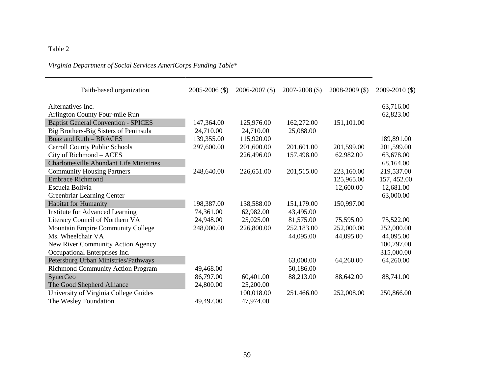# Table 2

# *Virginia Department of Social Services AmeriCorps Funding Table\**

| Faith-based organization                        | $2005 - 2006$ (\$) | $2006 - 2007$ (\$) | $2007 - 2008$ (\$) | $2008 - 2009$ (\$) | $2009 - 2010$ (\$) |
|-------------------------------------------------|--------------------|--------------------|--------------------|--------------------|--------------------|
| Alternatives Inc.                               |                    |                    |                    |                    | 63,716.00          |
| Arlington County Four-mile Run                  |                    |                    |                    |                    | 62,823.00          |
| <b>Baptist General Convention - SPICES</b>      | 147,364.00         | 125,976.00         | 162,272.00         | 151,101.00         |                    |
| Big Brothers-Big Sisters of Peninsula           | 24,710.00          | 24,710.00          | 25,088.00          |                    |                    |
| <b>Boaz and Ruth - BRACES</b>                   | 139,355.00         | 115,920.00         |                    |                    | 189,891.00         |
| <b>Carroll County Public Schools</b>            | 297,600.00         | 201,600.00         | 201,601.00         | 201,599.00         | 201,599.00         |
| City of Richmond - ACES                         |                    | 226,496.00         | 157,498.00         | 62,982.00          | 63,678.00          |
| <b>Charlottesville Abundant Life Ministries</b> |                    |                    |                    |                    | 68,164.00          |
| <b>Community Housing Partners</b>               | 248,640.00         | 226,651.00         | 201,515.00         | 223,160.00         | 219,537.00         |
| <b>Embrace Richmond</b>                         |                    |                    |                    | 125,965.00         | 157, 452.00        |
| Escuela Bolivia                                 |                    |                    |                    | 12,600.00          | 12,681.00          |
| Greenbriar Learning Center                      |                    |                    |                    |                    | 63,000.00          |
| <b>Habitat for Humanity</b>                     | 198,387.00         | 138,588.00         | 151,179.00         | 150,997.00         |                    |
| <b>Institute for Advanced Learning</b>          | 74,361.00          | 62,982.00          | 43,495.00          |                    |                    |
| Literacy Council of Northern VA                 | 24,948.00          | 25,025.00          | 81,575.00          | 75,595.00          | 75,522.00          |
| Mountain Empire Community College               | 248,000.00         | 226,800.00         | 252,183.00         | 252,000.00         | 252,000.00         |
| Ms. Wheelchair VA                               |                    |                    | 44,095.00          | 44,095.00          | 44,095.00          |
| New River Community Action Agency               |                    |                    |                    |                    | 100,797.00         |
| Occupational Enterprises Inc.                   |                    |                    |                    |                    | 315,000.00         |
| Petersburg Urban Ministries/Pathways            |                    |                    | 63,000.00          | 64,260.00          | 64,260.00          |
| <b>Richmond Community Action Program</b>        | 49,468.00          |                    | 50,186.00          |                    |                    |
| SynerGeo                                        | 86,797.00          | 60,401.00          | 88,213.00          | 88,642.00          | 88,741.00          |
| The Good Shepherd Alliance                      | 24,800.00          | 25,200.00          |                    |                    |                    |
| University of Virginia College Guides           |                    | 100,018.00         | 251,466.00         | 252,008.00         | 250,866.00         |
| The Wesley Foundation                           | 49,497.00          | 47,974.00          |                    |                    |                    |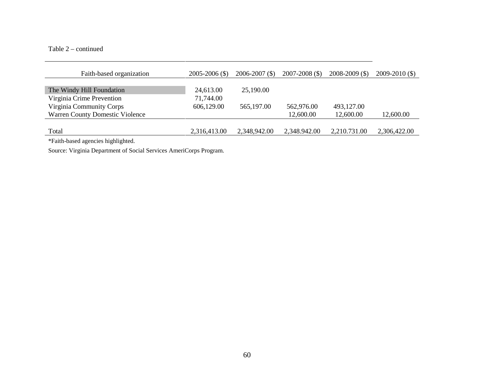## Table 2 – continued

| Faith-based organization                                                                                       | $2005 - 2006$ (\$) | $2006 - 2007$ (\$) | $2007 - 2008$ (\$) | $2008 - 2009$ (\$) | $2009 - 2010$ (\$) |
|----------------------------------------------------------------------------------------------------------------|--------------------|--------------------|--------------------|--------------------|--------------------|
|                                                                                                                |                    |                    |                    |                    |                    |
| The Windy Hill Foundation                                                                                      | 24,613.00          | 25,190.00          |                    |                    |                    |
| Virginia Crime Prevention                                                                                      | 71,744.00          |                    |                    |                    |                    |
| Virginia Community Corps                                                                                       | 606,129.00         | 565,197.00         | 562,976.00         | 493,127.00         |                    |
| <b>Warren County Domestic Violence</b>                                                                         |                    |                    | 12,600.00          | 12,600.00          | 12,600.00          |
|                                                                                                                |                    |                    |                    |                    |                    |
| Total                                                                                                          | 2,316,413.00       | 2,348,942.00       | 2,348.942.00       | 2,210.731.00       | 2,306,422.00       |
| - Silvated and an almost and the selection of the selection of the selection of the selection of the selection |                    |                    |                    |                    |                    |

\*Faith-based agencies highlighted.

Source: Virginia Department of Social Services AmeriCorps Program.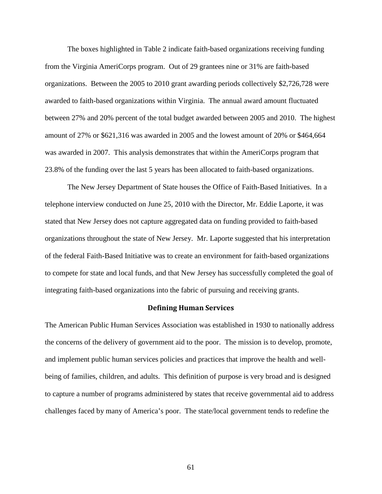The boxes highlighted in Table 2 indicate faith-based organizations receiving funding from the Virginia AmeriCorps program. Out of 29 grantees nine or 31% are faith-based organizations. Between the 2005 to 2010 grant awarding periods collectively \$2,726,728 were awarded to faith-based organizations within Virginia. The annual award amount fluctuated between 27% and 20% percent of the total budget awarded between 2005 and 2010. The highest amount of 27% or \$621,316 was awarded in 2005 and the lowest amount of 20% or \$464,664 was awarded in 2007. This analysis demonstrates that within the AmeriCorps program that 23.8% of the funding over the last 5 years has been allocated to faith-based organizations.

The New Jersey Department of State houses the Office of Faith-Based Initiatives. In a telephone interview conducted on June 25, 2010 with the Director, Mr. Eddie Laporte, it was stated that New Jersey does not capture aggregated data on funding provided to faith-based organizations throughout the state of New Jersey. Mr. Laporte suggested that his interpretation of the federal Faith-Based Initiative was to create an environment for faith-based organizations to compete for state and local funds, and that New Jersey has successfully completed the goal of integrating faith-based organizations into the fabric of pursuing and receiving grants.

#### Defining Human Services

The American Public Human Services Association was established in 1930 to nationally address the concerns of the delivery of government aid to the poor. The mission is to develop, promote, and implement public human services policies and practices that improve the health and wellbeing of families, children, and adults. This definition of purpose is very broad and is designed to capture a number of programs administered by states that receive governmental aid to address challenges faced by many of America's poor. The state/local government tends to redefine the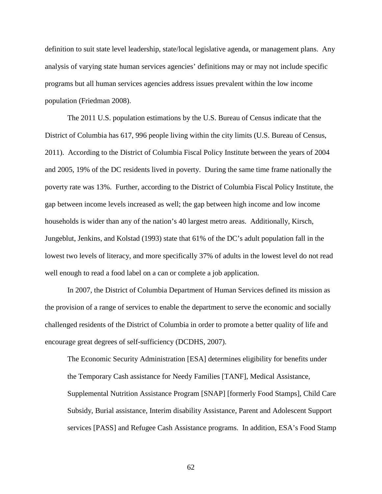definition to suit state level leadership, state/local legislative agenda, or management plans. Any analysis of varying state human services agencies' definitions may or may not include specific programs but all human services agencies address issues prevalent within the low income population (Friedman 2008).

The 2011 U.S. population estimations by the U.S. Bureau of Census indicate that the District of Columbia has 617, 996 people living within the city limits (U.S. Bureau of Census, 2011). According to the District of Columbia Fiscal Policy Institute between the years of 2004 and 2005, 19% of the DC residents lived in poverty. During the same time frame nationally the poverty rate was 13%. Further, according to the District of Columbia Fiscal Policy Institute, the gap between income levels increased as well; the gap between high income and low income households is wider than any of the nation's 40 largest metro areas. Additionally, Kirsch, Jungeblut, Jenkins, and Kolstad (1993) state that 61% of the DC's adult population fall in the lowest two levels of literacy, and more specifically 37% of adults in the lowest level do not read well enough to read a food label on a can or complete a job application.

In 2007, the District of Columbia Department of Human Services defined its mission as the provision of a range of services to enable the department to serve the economic and socially challenged residents of the District of Columbia in order to promote a better quality of life and encourage great degrees of self-sufficiency (DCDHS, 2007).

The Economic Security Administration [ESA] determines eligibility for benefits under the Temporary Cash assistance for Needy Families [TANF], Medical Assistance, Supplemental Nutrition Assistance Program [SNAP] [formerly Food Stamps], Child Care Subsidy, Burial assistance, Interim disability Assistance, Parent and Adolescent Support services [PASS] and Refugee Cash Assistance programs. In addition, ESA's Food Stamp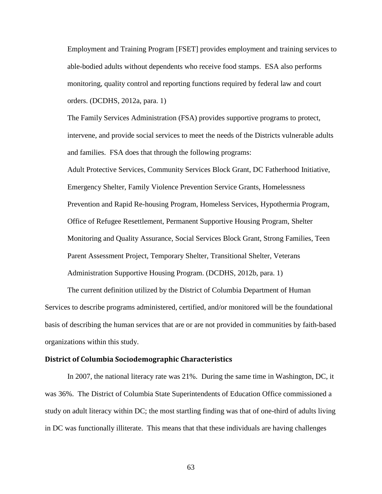Employment and Training Program [FSET] provides employment and training services to able-bodied adults without dependents who receive food stamps. ESA also performs monitoring, quality control and reporting functions required by federal law and court orders. (DCDHS, 2012a, para. 1)

The Family Services Administration (FSA) provides supportive programs to protect, intervene, and provide social services to meet the needs of the Districts vulnerable adults and families. FSA does that through the following programs:

Adult Protective Services, Community Services Block Grant, DC Fatherhood Initiative, Emergency Shelter, Family Violence Prevention Service Grants, Homelessness Prevention and Rapid Re-housing Program, Homeless Services, Hypothermia Program, Office of Refugee Resettlement, Permanent Supportive Housing Program, Shelter Monitoring and Quality Assurance, Social Services Block Grant, Strong Families, Teen Parent Assessment Project, Temporary Shelter, Transitional Shelter, Veterans Administration Supportive Housing Program. (DCDHS, 2012b, para. 1)

The current definition utilized by the District of Columbia Department of Human Services to describe programs administered, certified, and/or monitored will be the foundational basis of describing the human services that are or are not provided in communities by faith-based organizations within this study.

### District of Columbia Sociodemographic Characteristics

In 2007, the national literacy rate was 21%. During the same time in Washington, DC, it was 36%. The District of Columbia State Superintendents of Education Office commissioned a study on adult literacy within DC; the most startling finding was that of one-third of adults living in DC was functionally illiterate. This means that that these individuals are having challenges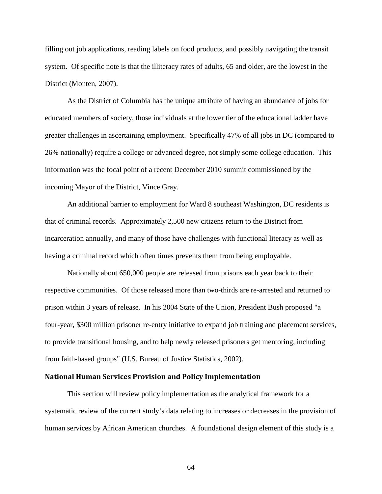filling out job applications, reading labels on food products, and possibly navigating the transit system. Of specific note is that the illiteracy rates of adults, 65 and older, are the lowest in the District (Monten, 2007).

As the District of Columbia has the unique attribute of having an abundance of jobs for educated members of society, those individuals at the lower tier of the educational ladder have greater challenges in ascertaining employment. Specifically 47% of all jobs in DC (compared to 26% nationally) require a college or advanced degree, not simply some college education. This information was the focal point of a recent December 2010 summit commissioned by the incoming Mayor of the District, Vince Gray.

An additional barrier to employment for Ward 8 southeast Washington, DC residents is that of criminal records. Approximately 2,500 new citizens return to the District from incarceration annually, and many of those have challenges with functional literacy as well as having a criminal record which often times prevents them from being employable.

Nationally about 650,000 people are released from prisons each year back to their respective communities. Of those released more than two-thirds are re-arrested and returned to prison within 3 years of release. In his 2004 State of the Union, President Bush proposed "a four-year, \$300 million prisoner re-entry initiative to expand job training and placement services, to provide transitional housing, and to help newly released prisoners get mentoring, including from faith-based groups" (U.S. Bureau of Justice Statistics, 2002).

# National Human Services Provision and Policy Implementation

This section will review policy implementation as the analytical framework for a systematic review of the current study's data relating to increases or decreases in the provision of human services by African American churches. A foundational design element of this study is a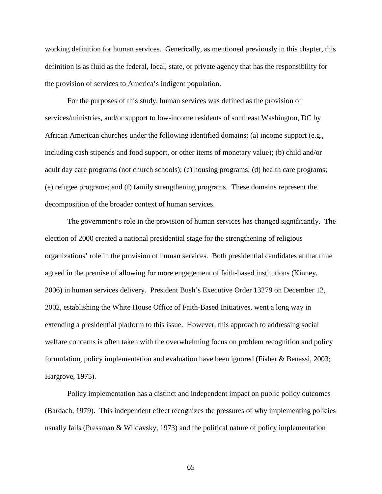working definition for human services. Generically, as mentioned previously in this chapter, this definition is as fluid as the federal, local, state, or private agency that has the responsibility for the provision of services to America's indigent population.

For the purposes of this study, human services was defined as the provision of services/ministries, and/or support to low-income residents of southeast Washington, DC by African American churches under the following identified domains: (a) income support (e.g., including cash stipends and food support, or other items of monetary value); (b) child and/or adult day care programs (not church schools); (c) housing programs; (d) health care programs; (e) refugee programs; and (f) family strengthening programs. These domains represent the decomposition of the broader context of human services.

The government's role in the provision of human services has changed significantly. The election of 2000 created a national presidential stage for the strengthening of religious organizations' role in the provision of human services. Both presidential candidates at that time agreed in the premise of allowing for more engagement of faith-based institutions (Kinney, 2006) in human services delivery. President Bush's Executive Order 13279 on December 12, 2002, establishing the White House Office of Faith-Based Initiatives, went a long way in extending a presidential platform to this issue. However, this approach to addressing social welfare concerns is often taken with the overwhelming focus on problem recognition and policy formulation, policy implementation and evaluation have been ignored (Fisher & Benassi, 2003; Hargrove, 1975).

Policy implementation has a distinct and independent impact on public policy outcomes (Bardach, 1979). This independent effect recognizes the pressures of why implementing policies usually fails (Pressman  $\&$  Wildavsky, 1973) and the political nature of policy implementation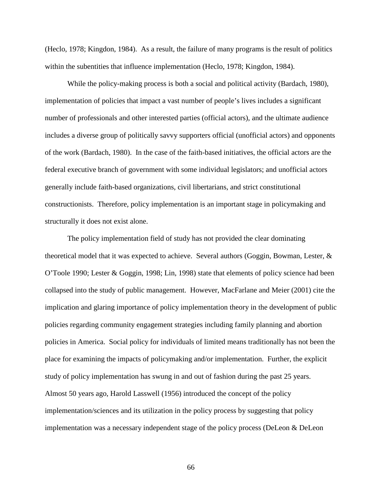(Heclo, 1978; Kingdon, 1984). As a result, the failure of many programs is the result of politics within the subentities that influence implementation (Heclo, 1978; Kingdon, 1984).

While the policy-making process is both a social and political activity (Bardach, 1980), implementation of policies that impact a vast number of people's lives includes a significant number of professionals and other interested parties (official actors), and the ultimate audience includes a diverse group of politically savvy supporters official (unofficial actors) and opponents of the work (Bardach, 1980). In the case of the faith-based initiatives, the official actors are the federal executive branch of government with some individual legislators; and unofficial actors generally include faith-based organizations, civil libertarians, and strict constitutional constructionists. Therefore, policy implementation is an important stage in policymaking and structurally it does not exist alone.

The policy implementation field of study has not provided the clear dominating theoretical model that it was expected to achieve. Several authors (Goggin, Bowman, Lester, & O'Toole 1990; Lester & Goggin, 1998; Lin, 1998) state that elements of policy science had been collapsed into the study of public management. However, MacFarlane and Meier (2001) cite the implication and glaring importance of policy implementation theory in the development of public policies regarding community engagement strategies including family planning and abortion policies in America. Social policy for individuals of limited means traditionally has not been the place for examining the impacts of policymaking and/or implementation. Further, the explicit study of policy implementation has swung in and out of fashion during the past 25 years. Almost 50 years ago, Harold Lasswell (1956) introduced the concept of the policy implementation/sciences and its utilization in the policy process by suggesting that policy implementation was a necessary independent stage of the policy process (DeLeon & DeLeon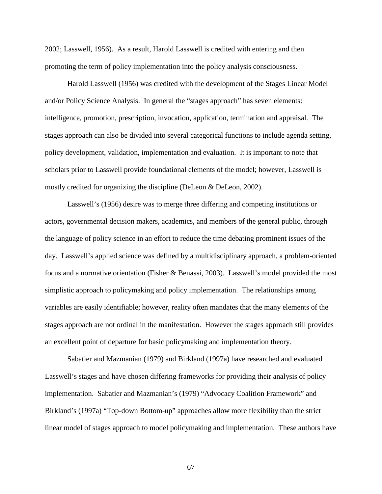2002; Lasswell, 1956). As a result, Harold Lasswell is credited with entering and then promoting the term of policy implementation into the policy analysis consciousness.

Harold Lasswell (1956) was credited with the development of the Stages Linear Model and/or Policy Science Analysis. In general the "stages approach" has seven elements: intelligence, promotion, prescription, invocation, application, termination and appraisal. The stages approach can also be divided into several categorical functions to include agenda setting, policy development, validation, implementation and evaluation. It is important to note that scholars prior to Lasswell provide foundational elements of the model; however, Lasswell is mostly credited for organizing the discipline (DeLeon & DeLeon, 2002).

Lasswell's (1956) desire was to merge three differing and competing institutions or actors, governmental decision makers, academics, and members of the general public, through the language of policy science in an effort to reduce the time debating prominent issues of the day. Lasswell's applied science was defined by a multidisciplinary approach, a problem-oriented focus and a normative orientation (Fisher & Benassi, 2003). Lasswell's model provided the most simplistic approach to policymaking and policy implementation. The relationships among variables are easily identifiable; however, reality often mandates that the many elements of the stages approach are not ordinal in the manifestation. However the stages approach still provides an excellent point of departure for basic policymaking and implementation theory.

Sabatier and Mazmanian (1979) and Birkland (1997a) have researched and evaluated Lasswell's stages and have chosen differing frameworks for providing their analysis of policy implementation. Sabatier and Mazmanian's (1979) "Advocacy Coalition Framework" and Birkland's (1997a) "Top-down Bottom-up" approaches allow more flexibility than the strict linear model of stages approach to model policymaking and implementation. These authors have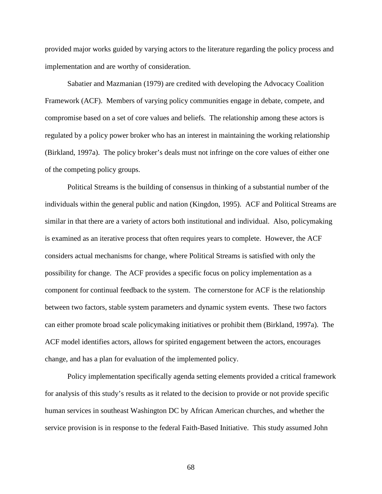provided major works guided by varying actors to the literature regarding the policy process and implementation and are worthy of consideration.

Sabatier and Mazmanian (1979) are credited with developing the Advocacy Coalition Framework (ACF). Members of varying policy communities engage in debate, compete, and compromise based on a set of core values and beliefs. The relationship among these actors is regulated by a policy power broker who has an interest in maintaining the working relationship (Birkland, 1997a). The policy broker's deals must not infringe on the core values of either one of the competing policy groups.

Political Streams is the building of consensus in thinking of a substantial number of the individuals within the general public and nation (Kingdon, 1995). ACF and Political Streams are similar in that there are a variety of actors both institutional and individual. Also, policymaking is examined as an iterative process that often requires years to complete. However, the ACF considers actual mechanisms for change, where Political Streams is satisfied with only the possibility for change. The ACF provides a specific focus on policy implementation as a component for continual feedback to the system. The cornerstone for ACF is the relationship between two factors, stable system parameters and dynamic system events. These two factors can either promote broad scale policymaking initiatives or prohibit them (Birkland, 1997a). The ACF model identifies actors, allows for spirited engagement between the actors, encourages change, and has a plan for evaluation of the implemented policy.

Policy implementation specifically agenda setting elements provided a critical framework for analysis of this study's results as it related to the decision to provide or not provide specific human services in southeast Washington DC by African American churches, and whether the service provision is in response to the federal Faith-Based Initiative. This study assumed John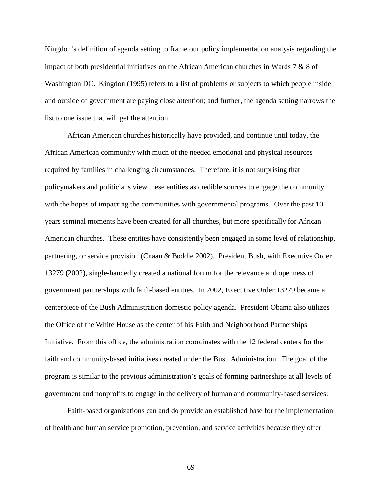Kingdon's definition of agenda setting to frame our policy implementation analysis regarding the impact of both presidential initiatives on the African American churches in Wards 7 & 8 of Washington DC. Kingdon (1995) refers to a list of problems or subjects to which people inside and outside of government are paying close attention; and further, the agenda setting narrows the list to one issue that will get the attention.

African American churches historically have provided, and continue until today, the African American community with much of the needed emotional and physical resources required by families in challenging circumstances. Therefore, it is not surprising that policymakers and politicians view these entities as credible sources to engage the community with the hopes of impacting the communities with governmental programs. Over the past 10 years seminal moments have been created for all churches, but more specifically for African American churches. These entities have consistently been engaged in some level of relationship, partnering, or service provision (Cnaan & Boddie 2002). President Bush, with Executive Order 13279 (2002), single-handedly created a national forum for the relevance and openness of government partnerships with faith-based entities. In 2002, Executive Order 13279 became a centerpiece of the Bush Administration domestic policy agenda. President Obama also utilizes the Office of the White House as the center of his Faith and Neighborhood Partnerships Initiative. From this office, the administration coordinates with the 12 federal centers for the faith and community-based initiatives created under the Bush Administration. The goal of the program is similar to the previous administration's goals of forming partnerships at all levels of government and nonprofits to engage in the delivery of human and community-based services.

Faith-based organizations can and do provide an established base for the implementation of health and human service promotion, prevention, and service activities because they offer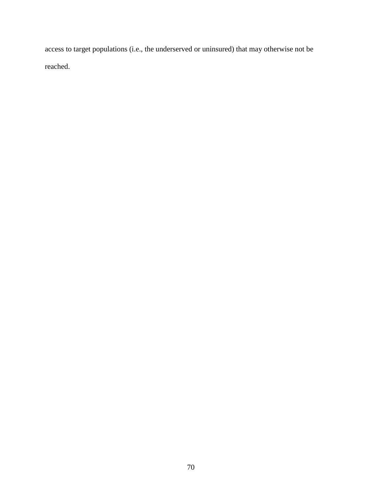access to target populations (i.e., the underserved or uninsured) that may otherwise not be reached.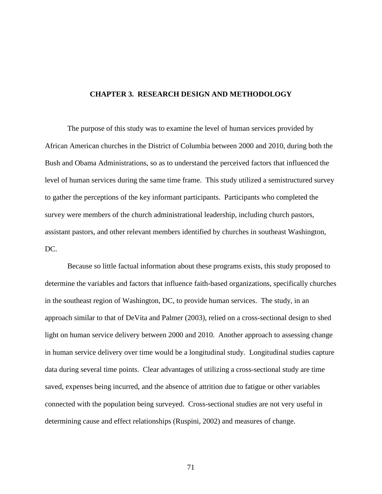# **CHAPTER 3. RESEARCH DESIGN AND METHODOLOGY**

The purpose of this study was to examine the level of human services provided by African American churches in the District of Columbia between 2000 and 2010, during both the Bush and Obama Administrations, so as to understand the perceived factors that influenced the level of human services during the same time frame. This study utilized a semistructured survey to gather the perceptions of the key informant participants. Participants who completed the survey were members of the church administrational leadership, including church pastors, assistant pastors, and other relevant members identified by churches in southeast Washington, DC.

Because so little factual information about these programs exists, this study proposed to determine the variables and factors that influence faith-based organizations, specifically churches in the southeast region of Washington, DC, to provide human services. The study, in an approach similar to that of DeVita and Palmer (2003), relied on a cross-sectional design to shed light on human service delivery between 2000 and 2010. Another approach to assessing change in human service delivery over time would be a longitudinal study. Longitudinal studies capture data during several time points. Clear advantages of utilizing a cross-sectional study are time saved, expenses being incurred, and the absence of attrition due to fatigue or other variables connected with the population being surveyed. Cross-sectional studies are not very useful in determining cause and effect relationships (Ruspini, 2002) and measures of change.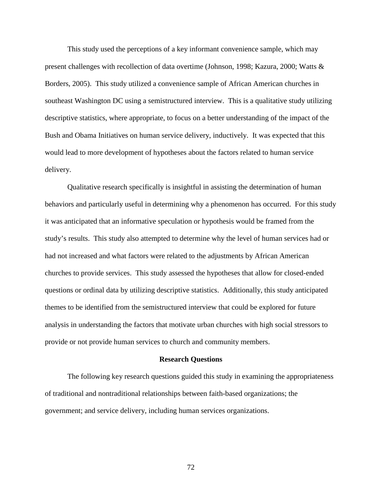This study used the perceptions of a key informant convenience sample, which may present challenges with recollection of data overtime (Johnson, 1998; Kazura, 2000; Watts & Borders, 2005). This study utilized a convenience sample of African American churches in southeast Washington DC using a semistructured interview. This is a qualitative study utilizing descriptive statistics, where appropriate, to focus on a better understanding of the impact of the Bush and Obama Initiatives on human service delivery, inductively. It was expected that this would lead to more development of hypotheses about the factors related to human service delivery.

Qualitative research specifically is insightful in assisting the determination of human behaviors and particularly useful in determining why a phenomenon has occurred. For this study it was anticipated that an informative speculation or hypothesis would be framed from the study's results. This study also attempted to determine why the level of human services had or had not increased and what factors were related to the adjustments by African American churches to provide services. This study assessed the hypotheses that allow for closed-ended questions or ordinal data by utilizing descriptive statistics. Additionally, this study anticipated themes to be identified from the semistructured interview that could be explored for future analysis in understanding the factors that motivate urban churches with high social stressors to provide or not provide human services to church and community members.

#### **Research Questions**

The following key research questions guided this study in examining the appropriateness of traditional and nontraditional relationships between faith-based organizations; the government; and service delivery, including human services organizations.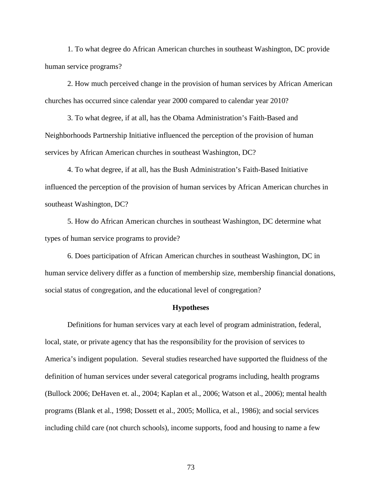1. To what degree do African American churches in southeast Washington, DC provide human service programs?

2. How much perceived change in the provision of human services by African American churches has occurred since calendar year 2000 compared to calendar year 2010?

3. To what degree, if at all, has the Obama Administration's Faith-Based and Neighborhoods Partnership Initiative influenced the perception of the provision of human services by African American churches in southeast Washington, DC?

4. To what degree, if at all, has the Bush Administration's Faith-Based Initiative influenced the perception of the provision of human services by African American churches in southeast Washington, DC?

5. How do African American churches in southeast Washington, DC determine what types of human service programs to provide?

6. Does participation of African American churches in southeast Washington, DC in human service delivery differ as a function of membership size, membership financial donations, social status of congregation, and the educational level of congregation?

#### **Hypotheses**

Definitions for human services vary at each level of program administration, federal, local, state, or private agency that has the responsibility for the provision of services to America's indigent population. Several studies researched have supported the fluidness of the definition of human services under several categorical programs including, health programs (Bullock 2006; DeHaven et. al., 2004; Kaplan et al., 2006; Watson et al., 2006); mental health programs (Blank et al., 1998; Dossett et al., 2005; Mollica, et al., 1986); and social services including child care (not church schools), income supports, food and housing to name a few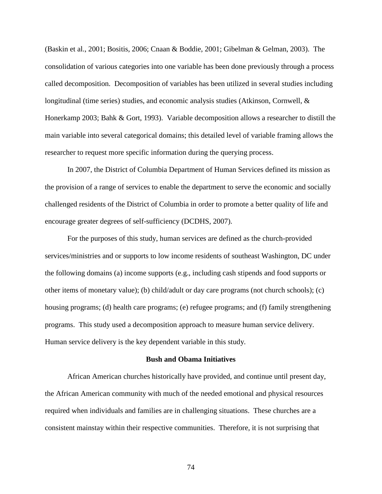(Baskin et al., 2001; Bositis, 2006; Cnaan & Boddie, 2001; Gibelman & Gelman, 2003). The consolidation of various categories into one variable has been done previously through a process called decomposition. Decomposition of variables has been utilized in several studies including longitudinal (time series) studies, and economic analysis studies (Atkinson, Cornwell, & Honerkamp 2003; Bahk & Gort, 1993). Variable decomposition allows a researcher to distill the main variable into several categorical domains; this detailed level of variable framing allows the researcher to request more specific information during the querying process.

In 2007, the District of Columbia Department of Human Services defined its mission as the provision of a range of services to enable the department to serve the economic and socially challenged residents of the District of Columbia in order to promote a better quality of life and encourage greater degrees of self-sufficiency (DCDHS, 2007).

For the purposes of this study, human services are defined as the church-provided services/ministries and or supports to low income residents of southeast Washington, DC under the following domains (a) income supports (e.g., including cash stipends and food supports or other items of monetary value); (b) child/adult or day care programs (not church schools); (c) housing programs; (d) health care programs; (e) refugee programs; and (f) family strengthening programs. This study used a decomposition approach to measure human service delivery. Human service delivery is the key dependent variable in this study.

### **Bush and Obama Initiatives**

African American churches historically have provided, and continue until present day, the African American community with much of the needed emotional and physical resources required when individuals and families are in challenging situations. These churches are a consistent mainstay within their respective communities. Therefore, it is not surprising that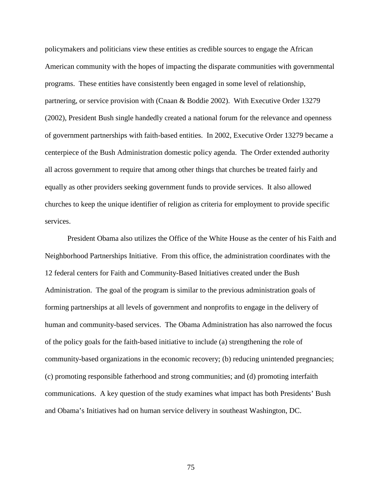policymakers and politicians view these entities as credible sources to engage the African American community with the hopes of impacting the disparate communities with governmental programs. These entities have consistently been engaged in some level of relationship, partnering, or service provision with (Cnaan & Boddie 2002). With Executive Order 13279 (2002), President Bush single handedly created a national forum for the relevance and openness of government partnerships with faith-based entities. In 2002, Executive Order 13279 became a centerpiece of the Bush Administration domestic policy agenda. The Order extended authority all across government to require that among other things that churches be treated fairly and equally as other providers seeking government funds to provide services. It also allowed churches to keep the unique identifier of religion as criteria for employment to provide specific services.

President Obama also utilizes the Office of the White House as the center of his Faith and Neighborhood Partnerships Initiative. From this office, the administration coordinates with the 12 federal centers for Faith and Community-Based Initiatives created under the Bush Administration. The goal of the program is similar to the previous administration goals of forming partnerships at all levels of government and nonprofits to engage in the delivery of human and community-based services. The Obama Administration has also narrowed the focus of the policy goals for the faith-based initiative to include (a) strengthening the role of community-based organizations in the economic recovery; (b) reducing unintended pregnancies; (c) promoting responsible fatherhood and strong communities; and (d) promoting interfaith communications. A key question of the study examines what impact has both Presidents' Bush and Obama's Initiatives had on human service delivery in southeast Washington, DC.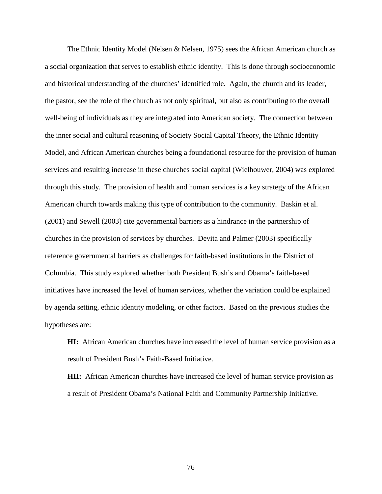The Ethnic Identity Model (Nelsen & Nelsen, 1975) sees the African American church as a social organization that serves to establish ethnic identity. This is done through socioeconomic and historical understanding of the churches' identified role. Again, the church and its leader, the pastor, see the role of the church as not only spiritual, but also as contributing to the overall well-being of individuals as they are integrated into American society. The connection between the inner social and cultural reasoning of Society Social Capital Theory, the Ethnic Identity Model, and African American churches being a foundational resource for the provision of human services and resulting increase in these churches social capital (Wielhouwer, 2004) was explored through this study. The provision of health and human services is a key strategy of the African American church towards making this type of contribution to the community. Baskin et al. (2001) and Sewell (2003) cite governmental barriers as a hindrance in the partnership of churches in the provision of services by churches. Devita and Palmer (2003) specifically reference governmental barriers as challenges for faith-based institutions in the District of Columbia. This study explored whether both President Bush's and Obama's faith-based initiatives have increased the level of human services, whether the variation could be explained by agenda setting, ethnic identity modeling, or other factors.Based on the previous studies the hypotheses are:

**HI:** African American churches have increased the level of human service provision as a result of President Bush's Faith-Based Initiative.

**HII:** African American churches have increased the level of human service provision as a result of President Obama's National Faith and Community Partnership Initiative.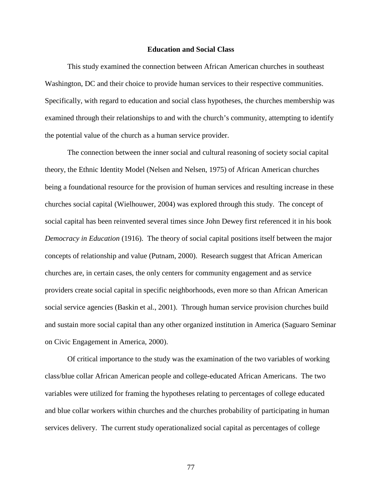#### **Education and Social Class**

This study examined the connection between African American churches in southeast Washington, DC and their choice to provide human services to their respective communities. Specifically, with regard to education and social class hypotheses, the churches membership was examined through their relationships to and with the church's community, attempting to identify the potential value of the church as a human service provider.

The connection between the inner social and cultural reasoning of society social capital theory, the Ethnic Identity Model (Nelsen and Nelsen, 1975) of African American churches being a foundational resource for the provision of human services and resulting increase in these churches social capital (Wielhouwer, 2004) was explored through this study. The concept of social capital has been reinvented several times since John Dewey first referenced it in his book *Democracy in Education* (1916). The theory of social capital positions itself between the major concepts of relationship and value (Putnam, 2000). Research suggest that African American churches are, in certain cases, the only centers for community engagement and as service providers create social capital in specific neighborhoods, even more so than African American social service agencies (Baskin et al., 2001). Through human service provision churches build and sustain more social capital than any other organized institution in America (Saguaro Seminar on Civic Engagement in America, 2000).

Of critical importance to the study was the examination of the two variables of working class/blue collar African American people and college-educated African Americans. The two variables were utilized for framing the hypotheses relating to percentages of college educated and blue collar workers within churches and the churches probability of participating in human services delivery. The current study operationalized social capital as percentages of college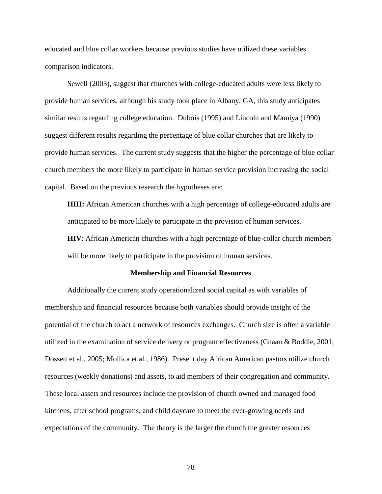educated and blue collar workers because previous studies have utilized these variables comparison indicators.

Sewell (2003), suggest that churches with college-educated adults were less likely to provide human services, although his study took place in Albany, GA, this study anticipates similar results regarding college education. Dubois (1995) and Lincoln and Mamiya (1990) suggest different results regarding the percentage of blue collar churches that are likely to provide human services. The current study suggests that the higher the percentage of blue collar church members the more likely to participate in human service provision increasing the social capital. Based on the previous research the hypotheses are:

**HIII:** African American churches with a high percentage of college-educated adults are anticipated to be more likely to participate in the provision of human services.

**HIV**: African American churches with a high percentage of blue-collar church members will be more likely to participate in the provision of human services.

#### **Membership and Financial Resources**

Additionally the current study operationalized social capital as with variables of membership and financial resources because both variables should provide insight of the potential of the church to act a network of resources exchanges. Church size is often a variable utilized in the examination of service delivery or program effectiveness (Cnaan & Boddie, 2001; Dossett et al., 2005; Mollica et al., 1986). Present day African American pastors utilize church resources (weekly donations) and assets, to aid members of their congregation and community. These local assets and resources include the provision of church owned and managed food kitchens, after school programs, and child daycare to meet the ever-growing needs and expectations of the community. The theory is the larger the church the greater resources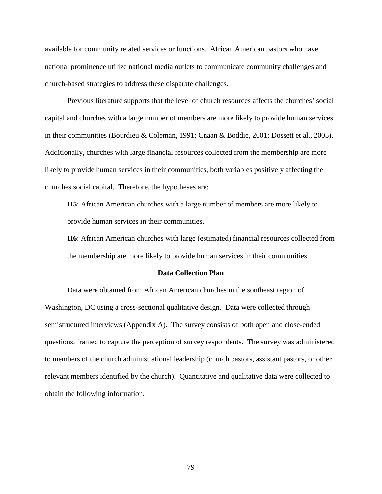available for community related services or functions. African American pastors who have national prominence utilize national media outlets to communicate community challenges and church-based strategies to address these disparate challenges.

Previous literature supports that the level of church resources affects the churches' social capital and churches with a large number of members are more likely to provide human services in their communities (Bourdieu & Coleman, 1991; Cnaan & Boddie, 2001; Dossett et al., 2005). Additionally, churches with large financial resources collected from the membership are more likely to provide human services in their communities, both variables positively affecting the churches social capital. Therefore, the hypotheses are:

**H5**: African American churches with a large number of members are more likely to provide human services in their communities.

**H6**: African American churches with large (estimated) financial resources collected from the membership are more likely to provide human services in their communities.

### **Data Collection Plan**

Data were obtained from African American churches in the southeast region of Washington, DC using a cross-sectional qualitative design. Data were collected through semistructured interviews (Appendix A). The survey consists of both open and close-ended questions, framed to capture the perception of survey respondents. The survey was administered to members of the church administrational leadership (church pastors, assistant pastors, or other relevant members identified by the church). Quantitative and qualitative data were collected to obtain the following information.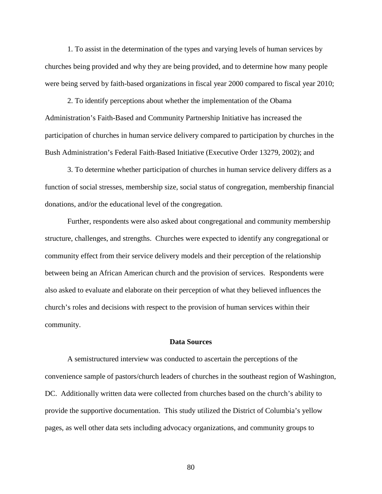1. To assist in the determination of the types and varying levels of human services by churches being provided and why they are being provided, and to determine how many people were being served by faith-based organizations in fiscal year 2000 compared to fiscal year 2010;

2. To identify perceptions about whether the implementation of the Obama Administration's Faith-Based and Community Partnership Initiative has increased the participation of churches in human service delivery compared to participation by churches in the Bush Administration's Federal Faith-Based Initiative (Executive Order 13279, 2002); and

3. To determine whether participation of churches in human service delivery differs as a function of social stresses, membership size, social status of congregation, membership financial donations, and/or the educational level of the congregation.

Further, respondents were also asked about congregational and community membership structure, challenges, and strengths. Churches were expected to identify any congregational or community effect from their service delivery models and their perception of the relationship between being an African American church and the provision of services. Respondents were also asked to evaluate and elaborate on their perception of what they believed influences the church's roles and decisions with respect to the provision of human services within their community.

# **Data Sources**

A semistructured interview was conducted to ascertain the perceptions of the convenience sample of pastors/church leaders of churches in the southeast region of Washington, DC. Additionally written data were collected from churches based on the church's ability to provide the supportive documentation. This study utilized the District of Columbia's yellow pages, as well other data sets including advocacy organizations, and community groups to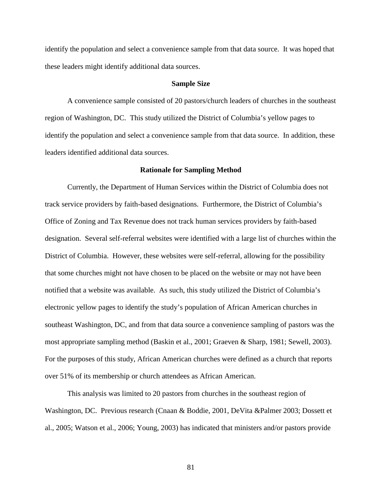identify the population and select a convenience sample from that data source. It was hoped that these leaders might identify additional data sources.

#### **Sample Size**

A convenience sample consisted of 20 pastors/church leaders of churches in the southeast region of Washington, DC. This study utilized the District of Columbia's yellow pages to identify the population and select a convenience sample from that data source. In addition, these leaders identified additional data sources.

#### **Rationale for Sampling Method**

Currently, the Department of Human Services within the District of Columbia does not track service providers by faith-based designations. Furthermore, the District of Columbia's Office of Zoning and Tax Revenue does not track human services providers by faith-based designation. Several self-referral websites were identified with a large list of churches within the District of Columbia. However, these websites were self-referral, allowing for the possibility that some churches might not have chosen to be placed on the website or may not have been notified that a website was available. As such, this study utilized the District of Columbia's electronic yellow pages to identify the study's population of African American churches in southeast Washington, DC, and from that data source a convenience sampling of pastors was the most appropriate sampling method (Baskin et al., 2001; Graeven & Sharp, 1981; Sewell, 2003). For the purposes of this study, African American churches were defined as a church that reports over 51% of its membership or church attendees as African American.

This analysis was limited to 20 pastors from churches in the southeast region of Washington, DC. Previous research (Cnaan & Boddie, 2001, DeVita &Palmer 2003; Dossett et al., 2005; Watson et al., 2006; Young, 2003) has indicated that ministers and/or pastors provide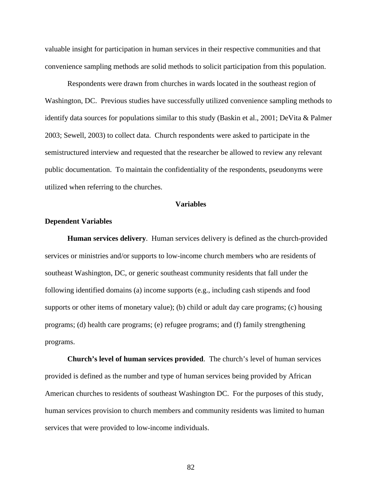valuable insight for participation in human services in their respective communities and that convenience sampling methods are solid methods to solicit participation from this population.

Respondents were drawn from churches in wards located in the southeast region of Washington, DC. Previous studies have successfully utilized convenience sampling methods to identify data sources for populations similar to this study (Baskin et al., 2001; DeVita & Palmer 2003; Sewell, 2003) to collect data. Church respondents were asked to participate in the semistructured interview and requested that the researcher be allowed to review any relevant public documentation. To maintain the confidentiality of the respondents, pseudonyms were utilized when referring to the churches.

# **Variables**

# **Dependent Variables**

**Human services delivery**. Human services delivery is defined as the church-provided services or ministries and/or supports to low-income church members who are residents of southeast Washington, DC, or generic southeast community residents that fall under the following identified domains (a) income supports (e.g., including cash stipends and food supports or other items of monetary value); (b) child or adult day care programs; (c) housing programs; (d) health care programs; (e) refugee programs; and (f) family strengthening programs.

**Church's level of human services provided**. The church's level of human services provided is defined as the number and type of human services being provided by African American churches to residents of southeast Washington DC. For the purposes of this study, human services provision to church members and community residents was limited to human services that were provided to low-income individuals.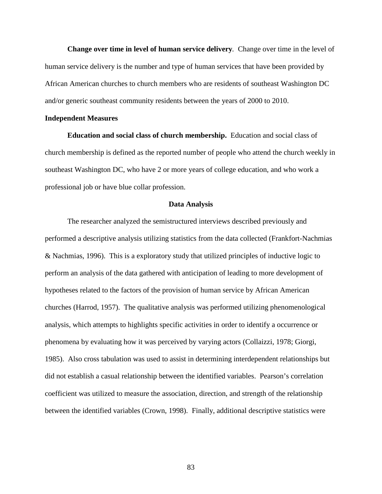**Change over time in level of human service delivery***.* Change over time in the level of human service delivery is the number and type of human services that have been provided by African American churches to church members who are residents of southeast Washington DC and/or generic southeast community residents between the years of 2000 to 2010.

### **Independent Measures**

**Education and social class of church membership.** Education and social class of church membership is defined as the reported number of people who attend the church weekly in southeast Washington DC, who have 2 or more years of college education, and who work a professional job or have blue collar profession.

#### **Data Analysis**

The researcher analyzed the semistructured interviews described previously and performed a descriptive analysis utilizing statistics from the data collected (Frankfort-Nachmias & Nachmias, 1996). This is a exploratory study that utilized principles of inductive logic to perform an analysis of the data gathered with anticipation of leading to more development of hypotheses related to the factors of the provision of human service by African American churches (Harrod, 1957). The qualitative analysis was performed utilizing phenomenological analysis, which attempts to highlights specific activities in order to identify a occurrence or phenomena by evaluating how it was perceived by varying actors (Collaizzi, 1978; Giorgi, 1985). Also cross tabulation was used to assist in determining interdependent relationships but did not establish a casual relationship between the identified variables. Pearson's correlation coefficient was utilized to measure the association, direction, and strength of the relationship between the identified variables (Crown, 1998). Finally, additional descriptive statistics were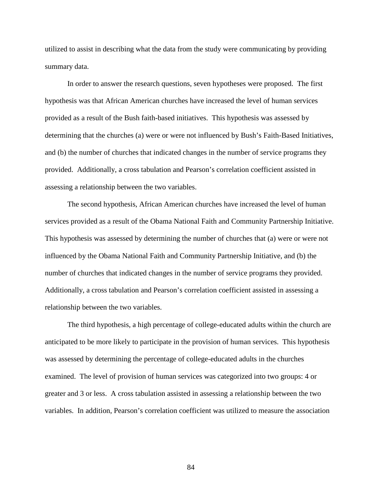utilized to assist in describing what the data from the study were communicating by providing summary data.

In order to answer the research questions, seven hypotheses were proposed. The first hypothesis was that African American churches have increased the level of human services provided as a result of the Bush faith-based initiatives. This hypothesis was assessed by determining that the churches (a) were or were not influenced by Bush's Faith-Based Initiatives, and (b) the number of churches that indicated changes in the number of service programs they provided. Additionally, a cross tabulation and Pearson's correlation coefficient assisted in assessing a relationship between the two variables.

The second hypothesis, African American churches have increased the level of human services provided as a result of the Obama National Faith and Community Partnership Initiative. This hypothesis was assessed by determining the number of churches that (a) were or were not influenced by the Obama National Faith and Community Partnership Initiative, and (b) the number of churches that indicated changes in the number of service programs they provided. Additionally, a cross tabulation and Pearson's correlation coefficient assisted in assessing a relationship between the two variables.

The third hypothesis, a high percentage of college-educated adults within the church are anticipated to be more likely to participate in the provision of human services. This hypothesis was assessed by determining the percentage of college-educated adults in the churches examined. The level of provision of human services was categorized into two groups: 4 or greater and 3 or less. A cross tabulation assisted in assessing a relationship between the two variables. In addition, Pearson's correlation coefficient was utilized to measure the association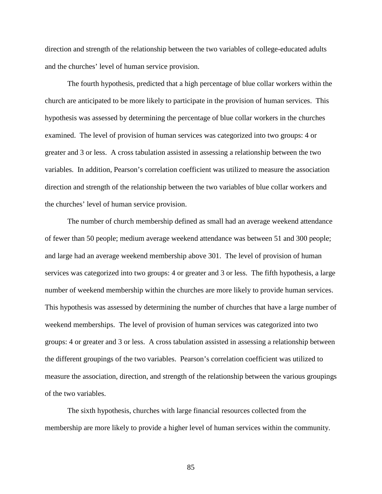direction and strength of the relationship between the two variables of college-educated adults and the churches' level of human service provision.

The fourth hypothesis, predicted that a high percentage of blue collar workers within the church are anticipated to be more likely to participate in the provision of human services. This hypothesis was assessed by determining the percentage of blue collar workers in the churches examined. The level of provision of human services was categorized into two groups: 4 or greater and 3 or less. A cross tabulation assisted in assessing a relationship between the two variables. In addition, Pearson's correlation coefficient was utilized to measure the association direction and strength of the relationship between the two variables of blue collar workers and the churches' level of human service provision.

The number of church membership defined as small had an average weekend attendance of fewer than 50 people; medium average weekend attendance was between 51 and 300 people; and large had an average weekend membership above 301. The level of provision of human services was categorized into two groups: 4 or greater and 3 or less. The fifth hypothesis, a large number of weekend membership within the churches are more likely to provide human services. This hypothesis was assessed by determining the number of churches that have a large number of weekend memberships. The level of provision of human services was categorized into two groups: 4 or greater and 3 or less. A cross tabulation assisted in assessing a relationship between the different groupings of the two variables. Pearson's correlation coefficient was utilized to measure the association, direction, and strength of the relationship between the various groupings of the two variables.

The sixth hypothesis, churches with large financial resources collected from the membership are more likely to provide a higher level of human services within the community.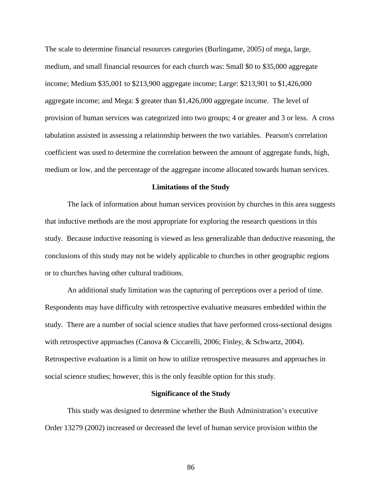The scale to determine financial resources categories (Burlingame, 2005) of mega, large, medium, and small financial resources for each church was: Small \$0 to \$35,000 aggregate income; Medium \$35,001 to \$213,900 aggregate income; Large: \$213,901 to \$1,426,000 aggregate income; and Mega: \$ greater than \$1,426,000 aggregate income. The level of provision of human services was categorized into two groups; 4 or greater and 3 or less. A cross tabulation assisted in assessing a relationship between the two variables. Pearson's correlation coefficient was used to determine the correlation between the amount of aggregate funds, high, medium or low, and the percentage of the aggregate income allocated towards human services.

# **Limitations of the Study**

The lack of information about human services provision by churches in this area suggests that inductive methods are the most appropriate for exploring the research questions in this study. Because inductive reasoning is viewed as less generalizable than deductive reasoning, the conclusions of this study may not be widely applicable to churches in other geographic regions or to churches having other cultural traditions.

An additional study limitation was the capturing of perceptions over a period of time. Respondents may have difficulty with retrospective evaluative measures embedded within the study. There are a number of social science studies that have performed cross-sectional designs with retrospective approaches (Canova & Ciccarelli, 2006; Finley, & Schwartz, 2004). Retrospective evaluation is a limit on how to utilize retrospective measures and approaches in social science studies; however, this is the only feasible option for this study.

#### **Significance of the Study**

This study was designed to determine whether the Bush Administration's executive Order 13279 (2002) increased or decreased the level of human service provision within the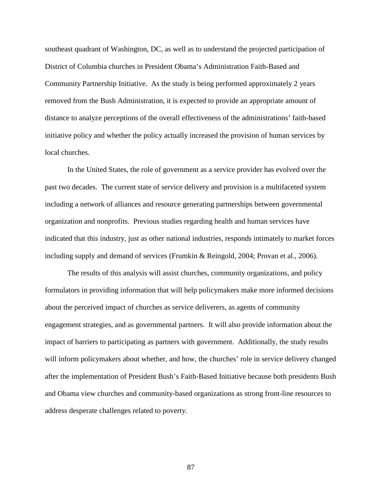southeast quadrant of Washington, DC, as well as to understand the projected participation of District of Columbia churches in President Obama's Administration Faith-Based and Community Partnership Initiative. As the study is being performed approximately 2 years removed from the Bush Administration, it is expected to provide an appropriate amount of distance to analyze perceptions of the overall effectiveness of the administrations' faith-based initiative policy and whether the policy actually increased the provision of human services by local churches.

In the United States, the role of government as a service provider has evolved over the past two decades. The current state of service delivery and provision is a multifaceted system including a network of alliances and resource generating partnerships between governmental organization and nonprofits. Previous studies regarding health and human services have indicated that this industry, just as other national industries, responds intimately to market forces including supply and demand of services (Frumkin & Reingold, 2004; Provan et al., 2006).

The results of this analysis will assist churches, community organizations, and policy formulators in providing information that will help policymakers make more informed decisions about the perceived impact of churches as service deliverers, as agents of community engagement strategies, and as governmental partners. It will also provide information about the impact of barriers to participating as partners with government. Additionally, the study results will inform policymakers about whether, and how, the churches' role in service delivery changed after the implementation of President Bush's Faith-Based Initiative because both presidents Bush and Obama view churches and community-based organizations as strong front-line resources to address desperate challenges related to poverty.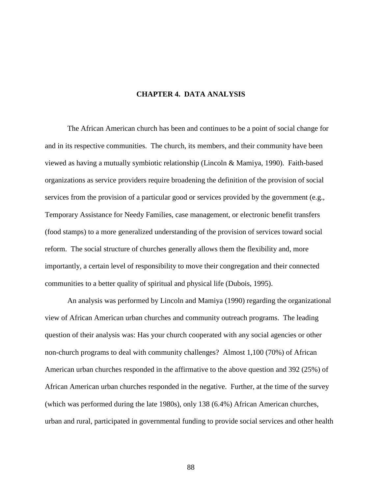# **CHAPTER 4. DATA ANALYSIS**

The African American church has been and continues to be a point of social change for and in its respective communities. The church, its members, and their community have been viewed as having a mutually symbiotic relationship (Lincoln & Mamiya, 1990). Faith-based organizations as service providers require broadening the definition of the provision of social services from the provision of a particular good or services provided by the government (e.g., Temporary Assistance for Needy Families, case management, or electronic benefit transfers (food stamps) to a more generalized understanding of the provision of services toward social reform. The social structure of churches generally allows them the flexibility and, more importantly, a certain level of responsibility to move their congregation and their connected communities to a better quality of spiritual and physical life (Dubois, 1995).

An analysis was performed by Lincoln and Mamiya (1990) regarding the organizational view of African American urban churches and community outreach programs. The leading question of their analysis was: Has your church cooperated with any social agencies or other non-church programs to deal with community challenges? Almost 1,100 (70%) of African American urban churches responded in the affirmative to the above question and 392 (25%) of African American urban churches responded in the negative. Further, at the time of the survey (which was performed during the late 1980s), only 138 (6.4%) African American churches, urban and rural, participated in governmental funding to provide social services and other health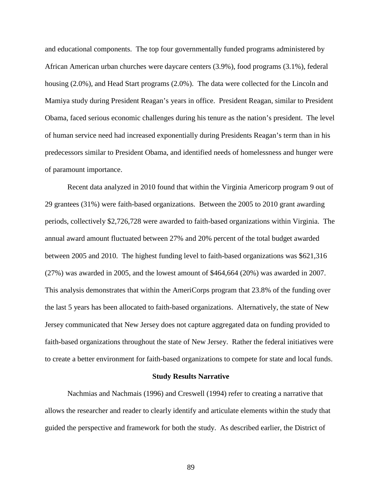and educational components. The top four governmentally funded programs administered by African American urban churches were daycare centers (3.9%), food programs (3.1%), federal housing (2.0%), and Head Start programs (2.0%). The data were collected for the Lincoln and Mamiya study during President Reagan's years in office. President Reagan, similar to President Obama, faced serious economic challenges during his tenure as the nation's president. The level of human service need had increased exponentially during Presidents Reagan's term than in his predecessors similar to President Obama, and identified needs of homelessness and hunger were of paramount importance.

Recent data analyzed in 2010 found that within the Virginia Americorp program 9 out of 29 grantees (31%) were faith-based organizations. Between the 2005 to 2010 grant awarding periods, collectively \$2,726,728 were awarded to faith-based organizations within Virginia. The annual award amount fluctuated between 27% and 20% percent of the total budget awarded between 2005 and 2010. The highest funding level to faith-based organizations was \$621,316 (27%) was awarded in 2005, and the lowest amount of \$464,664 (20%) was awarded in 2007. This analysis demonstrates that within the AmeriCorps program that 23.8% of the funding over the last 5 years has been allocated to faith-based organizations. Alternatively, the state of New Jersey communicated that New Jersey does not capture aggregated data on funding provided to faith-based organizations throughout the state of New Jersey. Rather the federal initiatives were to create a better environment for faith-based organizations to compete for state and local funds.

#### **Study Results Narrative**

Nachmias and Nachmais (1996) and Creswell (1994) refer to creating a narrative that allows the researcher and reader to clearly identify and articulate elements within the study that guided the perspective and framework for both the study. As described earlier, the District of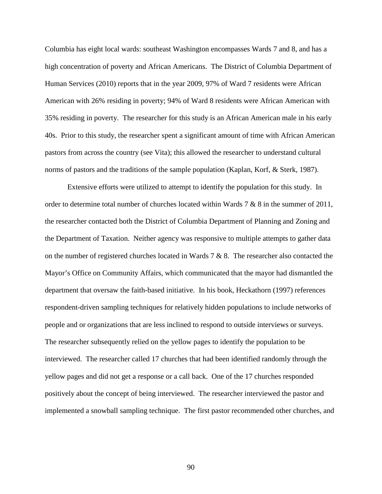Columbia has eight local wards: southeast Washington encompasses Wards 7 and 8, and has a high concentration of poverty and African Americans. The District of Columbia Department of Human Services (2010) reports that in the year 2009, 97% of Ward 7 residents were African American with 26% residing in poverty; 94% of Ward 8 residents were African American with 35% residing in poverty. The researcher for this study is an African American male in his early 40s. Prior to this study, the researcher spent a significant amount of time with African American pastors from across the country (see Vita); this allowed the researcher to understand cultural norms of pastors and the traditions of the sample population (Kaplan, Korf, & Sterk, 1987).

Extensive efforts were utilized to attempt to identify the population for this study. In order to determine total number of churches located within Wards 7 & 8 in the summer of 2011, the researcher contacted both the District of Columbia Department of Planning and Zoning and the Department of Taxation. Neither agency was responsive to multiple attempts to gather data on the number of registered churches located in Wards 7 & 8. The researcher also contacted the Mayor's Office on Community Affairs, which communicated that the mayor had dismantled the department that oversaw the faith-based initiative. In his book, Heckathorn (1997) references respondent-driven sampling techniques for relatively hidden populations to include networks of people and or organizations that are less inclined to respond to outside interviews or surveys. The researcher subsequently relied on the yellow pages to identify the population to be interviewed. The researcher called 17 churches that had been identified randomly through the yellow pages and did not get a response or a call back. One of the 17 churches responded positively about the concept of being interviewed. The researcher interviewed the pastor and implemented a snowball sampling technique. The first pastor recommended other churches, and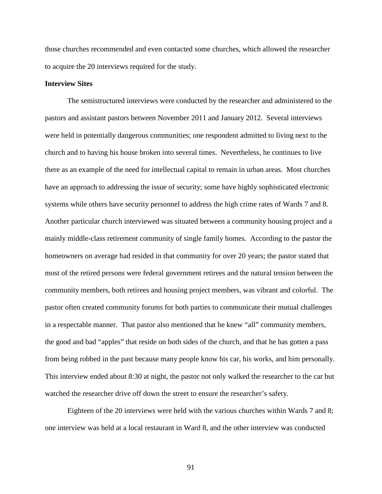those churches recommended and even contacted some churches, which allowed the researcher to acquire the 20 interviews required for the study.

# **Interview Sites**

The semistructured interviews were conducted by the researcher and administered to the pastors and assistant pastors between November 2011 and January 2012. Several interviews were held in potentially dangerous communities; one respondent admitted to living next to the church and to having his house broken into several times. Nevertheless, he continues to live there as an example of the need for intellectual capital to remain in urban areas. Most churches have an approach to addressing the issue of security; some have highly sophisticated electronic systems while others have security personnel to address the high crime rates of Wards 7 and 8. Another particular church interviewed was situated between a community housing project and a mainly middle-class retirement community of single family homes. According to the pastor the homeowners on average had resided in that community for over 20 years; the pastor stated that most of the retired persons were federal government retirees and the natural tension between the community members, both retirees and housing project members, was vibrant and colorful. The pastor often created community forums for both parties to communicate their mutual challenges in a respectable manner. That pastor also mentioned that he knew "all" community members, the good and bad "apples" that reside on both sides of the church, and that he has gotten a pass from being robbed in the past because many people know his car, his works, and him personally. This interview ended about 8:30 at night, the pastor not only walked the researcher to the car but watched the researcher drive off down the street to ensure the researcher's safety.

Eighteen of the 20 interviews were held with the various churches within Wards 7 and 8; one interview was held at a local restaurant in Ward 8, and the other interview was conducted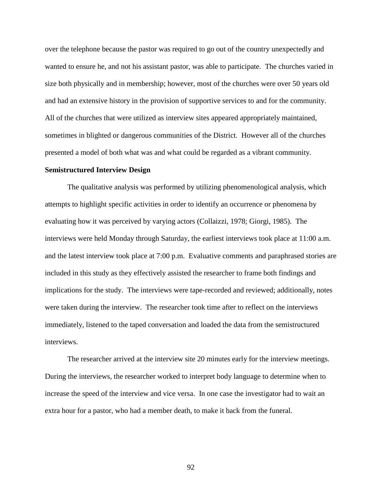over the telephone because the pastor was required to go out of the country unexpectedly and wanted to ensure he, and not his assistant pastor, was able to participate. The churches varied in size both physically and in membership; however, most of the churches were over 50 years old and had an extensive history in the provision of supportive services to and for the community. All of the churches that were utilized as interview sites appeared appropriately maintained, sometimes in blighted or dangerous communities of the District. However all of the churches presented a model of both what was and what could be regarded as a vibrant community.

### **Semistructured Interview Design**

The qualitative analysis was performed by utilizing phenomenological analysis, which attempts to highlight specific activities in order to identify an occurrence or phenomena by evaluating how it was perceived by varying actors (Collaizzi, 1978; Giorgi, 1985). The interviews were held Monday through Saturday, the earliest interviews took place at 11:00 a.m. and the latest interview took place at 7:00 p.m. Evaluative comments and paraphrased stories are included in this study as they effectively assisted the researcher to frame both findings and implications for the study. The interviews were tape-recorded and reviewed; additionally, notes were taken during the interview. The researcher took time after to reflect on the interviews immediately, listened to the taped conversation and loaded the data from the semistructured interviews.

The researcher arrived at the interview site 20 minutes early for the interview meetings. During the interviews, the researcher worked to interpret body language to determine when to increase the speed of the interview and vice versa. In one case the investigator had to wait an extra hour for a pastor, who had a member death, to make it back from the funeral.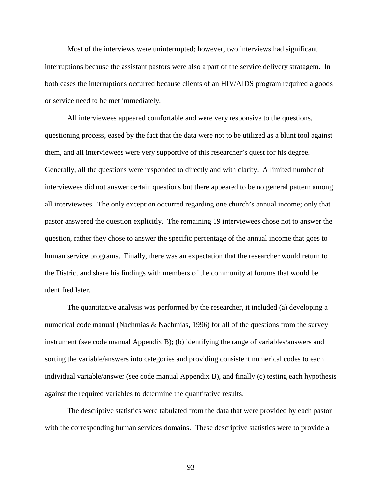Most of the interviews were uninterrupted; however, two interviews had significant interruptions because the assistant pastors were also a part of the service delivery stratagem. In both cases the interruptions occurred because clients of an HIV/AIDS program required a goods or service need to be met immediately.

All interviewees appeared comfortable and were very responsive to the questions, questioning process, eased by the fact that the data were not to be utilized as a blunt tool against them, and all interviewees were very supportive of this researcher's quest for his degree. Generally, all the questions were responded to directly and with clarity. A limited number of interviewees did not answer certain questions but there appeared to be no general pattern among all interviewees. The only exception occurred regarding one church's annual income; only that pastor answered the question explicitly. The remaining 19 interviewees chose not to answer the question, rather they chose to answer the specific percentage of the annual income that goes to human service programs. Finally, there was an expectation that the researcher would return to the District and share his findings with members of the community at forums that would be identified later.

The quantitative analysis was performed by the researcher, it included (a) developing a numerical code manual (Nachmias & Nachmias, 1996) for all of the questions from the survey instrument (see code manual Appendix B); (b) identifying the range of variables/answers and sorting the variable/answers into categories and providing consistent numerical codes to each individual variable/answer (see code manual Appendix B), and finally (c) testing each hypothesis against the required variables to determine the quantitative results.

The descriptive statistics were tabulated from the data that were provided by each pastor with the corresponding human services domains. These descriptive statistics were to provide a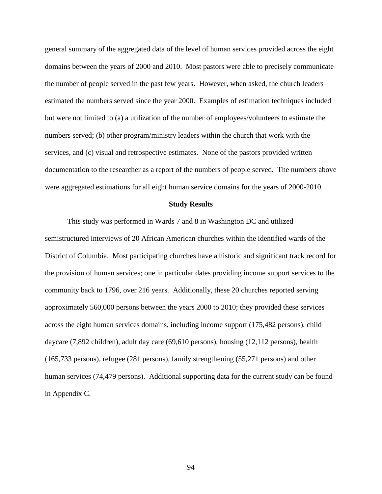general summary of the aggregated data of the level of human services provided across the eight domains between the years of 2000 and 2010. Most pastors were able to precisely communicate the number of people served in the past few years. However, when asked, the church leaders estimated the numbers served since the year 2000. Examples of estimation techniques included but were not limited to (a) a utilization of the number of employees/volunteers to estimate the numbers served; (b) other program/ministry leaders within the church that work with the services, and (c) visual and retrospective estimates. None of the pastors provided written documentation to the researcher as a report of the numbers of people served. The numbers above were aggregated estimations for all eight human service domains for the years of 2000-2010.

#### **Study Results**

This study was performed in Wards 7 and 8 in Washington DC and utilized semistructured interviews of 20 African American churches within the identified wards of the District of Columbia. Most participating churches have a historic and significant track record for the provision of human services; one in particular dates providing income support services to the community back to 1796, over 216 years. Additionally, these 20 churches reported serving approximately 560,000 persons between the years 2000 to 2010; they provided these services across the eight human services domains, including income support (175,482 persons), child daycare (7,892 children), adult day care (69,610 persons), housing (12,112 persons), health (165,733 persons), refugee (281 persons), family strengthening (55,271 persons) and other human services (74,479 persons). Additional supporting data for the current study can be found in Appendix C.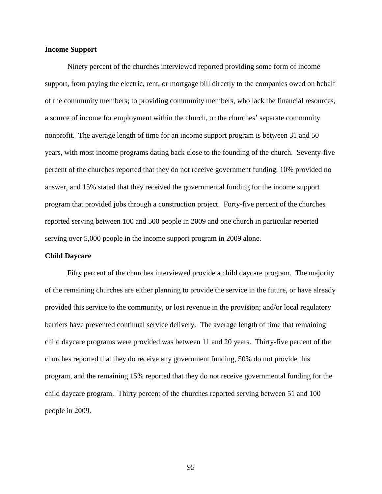# **Income Support**

Ninety percent of the churches interviewed reported providing some form of income support, from paying the electric, rent, or mortgage bill directly to the companies owed on behalf of the community members; to providing community members, who lack the financial resources, a source of income for employment within the church, or the churches' separate community nonprofit. The average length of time for an income support program is between 31 and 50 years, with most income programs dating back close to the founding of the church. Seventy-five percent of the churches reported that they do not receive government funding, 10% provided no answer, and 15% stated that they received the governmental funding for the income support program that provided jobs through a construction project. Forty-five percent of the churches reported serving between 100 and 500 people in 2009 and one church in particular reported serving over 5,000 people in the income support program in 2009 alone.

#### **Child Daycare**

Fifty percent of the churches interviewed provide a child daycare program. The majority of the remaining churches are either planning to provide the service in the future, or have already provided this service to the community, or lost revenue in the provision; and/or local regulatory barriers have prevented continual service delivery. The average length of time that remaining child daycare programs were provided was between 11 and 20 years. Thirty-five percent of the churches reported that they do receive any government funding, 50% do not provide this program, and the remaining 15% reported that they do not receive governmental funding for the child daycare program. Thirty percent of the churches reported serving between 51 and 100 people in 2009.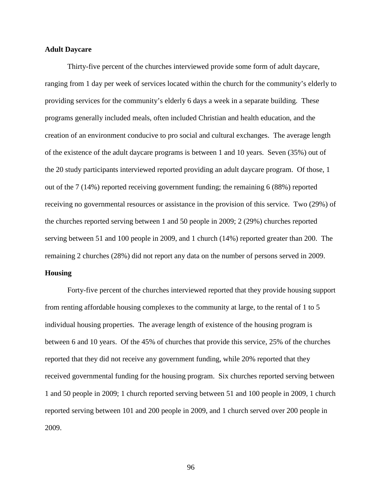# **Adult Daycare**

Thirty-five percent of the churches interviewed provide some form of adult daycare, ranging from 1 day per week of services located within the church for the community's elderly to providing services for the community's elderly 6 days a week in a separate building. These programs generally included meals, often included Christian and health education, and the creation of an environment conducive to pro social and cultural exchanges. The average length of the existence of the adult daycare programs is between 1 and 10 years. Seven (35%) out of the 20 study participants interviewed reported providing an adult daycare program. Of those, 1 out of the 7 (14%) reported receiving government funding; the remaining 6 (88%) reported receiving no governmental resources or assistance in the provision of this service. Two (29%) of the churches reported serving between 1 and 50 people in 2009; 2 (29%) churches reported serving between 51 and 100 people in 2009, and 1 church (14%) reported greater than 200. The remaining 2 churches (28%) did not report any data on the number of persons served in 2009.

# **Housing**

Forty-five percent of the churches interviewed reported that they provide housing support from renting affordable housing complexes to the community at large, to the rental of 1 to 5 individual housing properties. The average length of existence of the housing program is between 6 and 10 years. Of the 45% of churches that provide this service, 25% of the churches reported that they did not receive any government funding, while 20% reported that they received governmental funding for the housing program. Six churches reported serving between 1 and 50 people in 2009; 1 church reported serving between 51 and 100 people in 2009, 1 church reported serving between 101 and 200 people in 2009, and 1 church served over 200 people in 2009.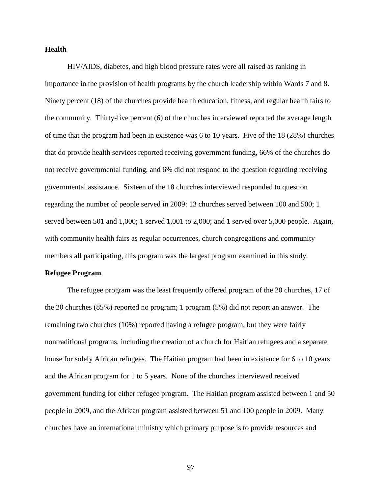## **Health**

HIV/AIDS, diabetes, and high blood pressure rates were all raised as ranking in importance in the provision of health programs by the church leadership within Wards 7 and 8. Ninety percent (18) of the churches provide health education, fitness, and regular health fairs to the community. Thirty-five percent (6) of the churches interviewed reported the average length of time that the program had been in existence was 6 to 10 years. Five of the 18 (28%) churches that do provide health services reported receiving government funding, 66% of the churches do not receive governmental funding, and 6% did not respond to the question regarding receiving governmental assistance. Sixteen of the 18 churches interviewed responded to question regarding the number of people served in 2009: 13 churches served between 100 and 500; 1 served between 501 and 1,000; 1 served 1,001 to 2,000; and 1 served over 5,000 people. Again, with community health fairs as regular occurrences, church congregations and community members all participating, this program was the largest program examined in this study.

### **Refugee Program**

The refugee program was the least frequently offered program of the 20 churches, 17 of the 20 churches (85%) reported no program; 1 program (5%) did not report an answer. The remaining two churches (10%) reported having a refugee program, but they were fairly nontraditional programs, including the creation of a church for Haitian refugees and a separate house for solely African refugees. The Haitian program had been in existence for 6 to 10 years and the African program for 1 to 5 years. None of the churches interviewed received government funding for either refugee program. The Haitian program assisted between 1 and 50 people in 2009, and the African program assisted between 51 and 100 people in 2009. Many churches have an international ministry which primary purpose is to provide resources and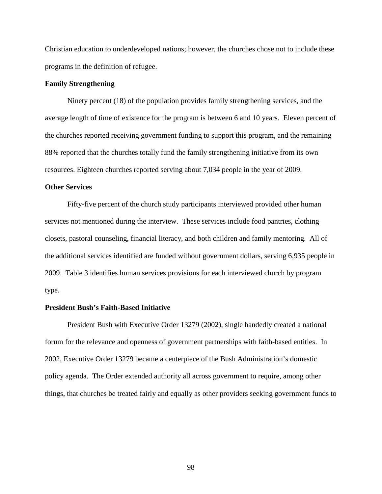Christian education to underdeveloped nations; however, the churches chose not to include these programs in the definition of refugee.

### **Family Strengthening**

Ninety percent (18) of the population provides family strengthening services, and the average length of time of existence for the program is between 6 and 10 years. Eleven percent of the churches reported receiving government funding to support this program, and the remaining 88% reported that the churches totally fund the family strengthening initiative from its own resources. Eighteen churches reported serving about 7,034 people in the year of 2009.

## **Other Services**

Fifty-five percent of the church study participants interviewed provided other human services not mentioned during the interview. These services include food pantries, clothing closets, pastoral counseling, financial literacy, and both children and family mentoring. All of the additional services identified are funded without government dollars, serving 6,935 people in 2009. Table 3 identifies human services provisions for each interviewed church by program type.

### **President Bush's Faith-Based Initiative**

President Bush with Executive Order 13279 (2002), single handedly created a national forum for the relevance and openness of government partnerships with faith-based entities. In 2002, Executive Order 13279 became a centerpiece of the Bush Administration's domestic policy agenda. The Order extended authority all across government to require, among other things, that churches be treated fairly and equally as other providers seeking government funds to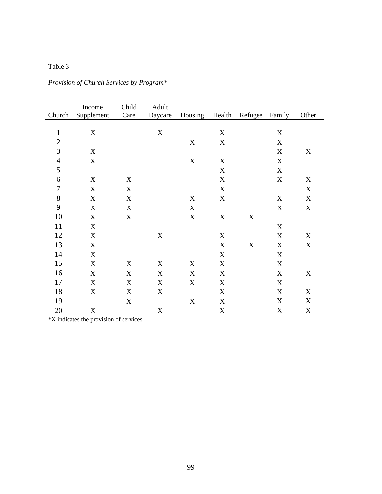| Church           | Income<br>Supplement      | Child<br>Care             | Adult<br>Daycare          | Housing Health            |                           | Refugee     | Family      | Other                     |
|------------------|---------------------------|---------------------------|---------------------------|---------------------------|---------------------------|-------------|-------------|---------------------------|
|                  |                           |                           |                           |                           |                           |             |             |                           |
| $\mathbf{1}$     | $\mathbf X$               |                           | $\mathbf X$               |                           | $\mathbf X$               |             | $\mathbf X$ |                           |
| $\overline{c}$   |                           |                           |                           | $\mathbf X$               | $\mathbf X$               |             | $\mathbf X$ |                           |
| $\overline{3}$   | X                         |                           |                           |                           |                           |             | $\mathbf X$ | $\mathbf X$               |
| $\overline{4}$   | X                         |                           |                           | $\mathbf X$               | $\mathbf X$               |             | $\mathbf X$ |                           |
| 5                |                           |                           |                           |                           | $\mathbf X$               |             | $\mathbf X$ |                           |
| $\sqrt{6}$       | $\boldsymbol{\mathrm{X}}$ | $\mathbf X$               |                           |                           | $\mathbf X$               |             | $\mathbf X$ | $\mathbf X$               |
| $\boldsymbol{7}$ | X                         | $\mathbf X$               |                           |                           | $\mathbf X$               |             |             | $\mathbf X$               |
| 8                | $\boldsymbol{\mathrm{X}}$ | X                         |                           | $\boldsymbol{\mathrm{X}}$ | $\mathbf X$               |             | $\mathbf X$ | $\boldsymbol{\mathrm{X}}$ |
| 9                | $\mathbf X$               | $\boldsymbol{\mathrm{X}}$ |                           | $\mathbf X$               |                           |             | $\mathbf X$ | $\mathbf X$               |
| 10               | $\mathbf X$               | $\mathbf X$               |                           | $\mathbf X$               | $\mathbf X$               | $\mathbf X$ |             |                           |
| 11               | $\boldsymbol{\mathrm{X}}$ |                           |                           |                           |                           |             | $\mathbf X$ |                           |
| 12               | X                         |                           | $\boldsymbol{\mathrm{X}}$ |                           | $\boldsymbol{\mathrm{X}}$ |             | $\mathbf X$ | $\mathbf X$               |
| 13               | X                         |                           |                           |                           | $\mathbf X$               | $\mathbf X$ | $\mathbf X$ | $\mathbf X$               |
| 14               | X                         |                           |                           |                           | $\mathbf X$               |             | X           |                           |
| 15               | X                         | X                         | X                         | $\mathbf X$               | $\mathbf X$               |             | $\mathbf X$ |                           |
| 16               | X                         | X                         | X                         | $\mathbf X$               | $\mathbf X$               |             | $\mathbf X$ | $\mathbf X$               |
| 17               | X                         | X                         | $\boldsymbol{\mathrm{X}}$ | $\mathbf X$               | $\mathbf X$               |             | $\mathbf X$ |                           |
| 18               | X                         | X                         | X                         |                           | $\mathbf X$               |             | $\mathbf X$ | $\boldsymbol{\mathrm{X}}$ |
| 19               |                           | $\mathbf X$               |                           | $\mathbf X$               | $\mathbf X$               |             | X           | X                         |
| 20               | $\mathbf X$               |                           | $\mathbf X$               |                           | $\mathbf X$               |             | $\mathbf X$ | $\mathbf X$               |

*Provision of Church Services by Program\** 

\*X indicates the provision of services.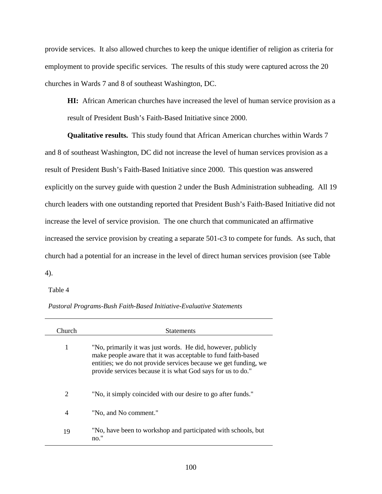provide services. It also allowed churches to keep the unique identifier of religion as criteria for employment to provide specific services. The results of this study were captured across the 20 churches in Wards 7 and 8 of southeast Washington, DC.

**HI:** African American churches have increased the level of human service provision as a result of President Bush's Faith-Based Initiative since 2000.

**Qualitative results.** This study found that African American churches within Wards 7 and 8 of southeast Washington, DC did not increase the level of human services provision as a result of President Bush's Faith-Based Initiative since 2000. This question was answered explicitly on the survey guide with question 2 under the Bush Administration subheading. All 19 church leaders with one outstanding reported that President Bush's Faith-Based Initiative did not increase the level of service provision. The one church that communicated an affirmative increased the service provision by creating a separate 501-c3 to compete for funds. As such, that church had a potential for an increase in the level of direct human services provision (see Table 4).

Table 4

| Pastoral Programs-Bush Faith-Based Initiative-Evaluative Statements |  |
|---------------------------------------------------------------------|--|
|---------------------------------------------------------------------|--|

| Church | <b>Statements</b>                                                                                                                                                                                                                                             |
|--------|---------------------------------------------------------------------------------------------------------------------------------------------------------------------------------------------------------------------------------------------------------------|
| 1      | "No, primarily it was just words. He did, however, publicly<br>make people aware that it was acceptable to fund faith-based<br>entities; we do not provide services because we get funding, we<br>provide services because it is what God says for us to do." |
| 2      | "No, it simply coincided with our desire to go after funds."                                                                                                                                                                                                  |
| 4      | "No, and No comment."                                                                                                                                                                                                                                         |
| 19     | "No, have been to workshop and participated with schools, but<br>no."                                                                                                                                                                                         |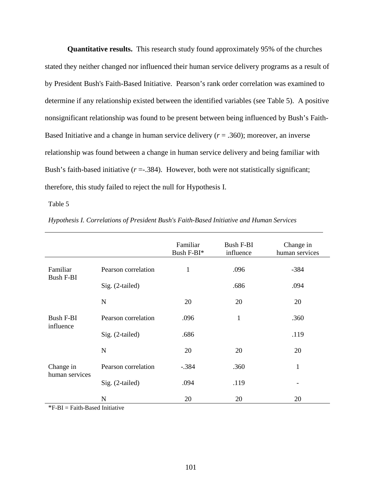**Quantitative results.** This research study found approximately 95% of the churches stated they neither changed nor influenced their human service delivery programs as a result of by President Bush's Faith-Based Initiative. Pearson's rank order correlation was examined to determine if any relationship existed between the identified variables (see Table 5). A positive nonsignificant relationship was found to be present between being influenced by Bush's Faith-Based Initiative and a change in human service delivery  $(r = .360)$ ; moreover, an inverse relationship was found between a change in human service delivery and being familiar with Bush's faith-based initiative  $(r = .384)$ . However, both were not statistically significant; therefore, this study failed to reject the null for Hypothesis I.

Table 5

|                               |                     | Familiar<br>Bush F-BI* | <b>Bush F-BI</b><br>influence | Change in<br>human services |
|-------------------------------|---------------------|------------------------|-------------------------------|-----------------------------|
| Familiar                      | Pearson correlation | $\mathbf{1}$           | .096                          | $-384$                      |
| <b>Bush F-BI</b>              | Sig. (2-tailed)     |                        | .686                          | .094                        |
|                               | N                   | 20                     | 20                            | 20                          |
| <b>Bush F-BI</b><br>influence | Pearson correlation | .096                   | 1                             | .360                        |
|                               | Sig. (2-tailed)     | .686                   |                               | .119                        |
|                               | N                   | 20                     | 20                            | 20                          |
| Change in<br>human services   | Pearson correlation | $-.384$                | .360                          | $\mathbf 1$                 |
|                               | Sig. (2-tailed)     | .094                   | .119                          |                             |
|                               | N                   | 20                     | 20                            | 20                          |

*Hypothesis I. Correlations of President Bush's Faith-Based Initiative and Human Services* 

 $*F-BI = Faith-Based Initiative$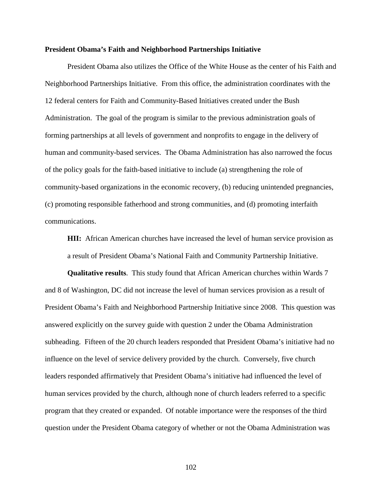### **President Obama's Faith and Neighborhood Partnerships Initiative**

President Obama also utilizes the Office of the White House as the center of his Faith and Neighborhood Partnerships Initiative. From this office, the administration coordinates with the 12 federal centers for Faith and Community-Based Initiatives created under the Bush Administration. The goal of the program is similar to the previous administration goals of forming partnerships at all levels of government and nonprofits to engage in the delivery of human and community-based services. The Obama Administration has also narrowed the focus of the policy goals for the faith-based initiative to include (a) strengthening the role of community-based organizations in the economic recovery, (b) reducing unintended pregnancies, (c) promoting responsible fatherhood and strong communities, and (d) promoting interfaith communications.

**HII:** African American churches have increased the level of human service provision as a result of President Obama's National Faith and Community Partnership Initiative.

**Qualitative results**. This study found that African American churches within Wards 7 and 8 of Washington, DC did not increase the level of human services provision as a result of President Obama's Faith and Neighborhood Partnership Initiative since 2008. This question was answered explicitly on the survey guide with question 2 under the Obama Administration subheading. Fifteen of the 20 church leaders responded that President Obama's initiative had no influence on the level of service delivery provided by the church. Conversely, five church leaders responded affirmatively that President Obama's initiative had influenced the level of human services provided by the church, although none of church leaders referred to a specific program that they created or expanded. Of notable importance were the responses of the third question under the President Obama category of whether or not the Obama Administration was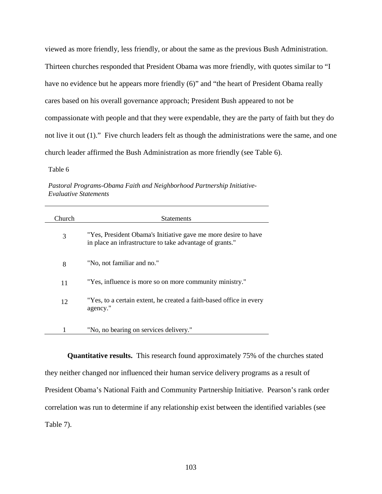viewed as more friendly, less friendly, or about the same as the previous Bush Administration. Thirteen churches responded that President Obama was more friendly, with quotes similar to "I have no evidence but he appears more friendly (6)" and "the heart of President Obama really cares based on his overall governance approach; President Bush appeared to not be compassionate with people and that they were expendable, they are the party of faith but they do not live it out (1)." Five church leaders felt as though the administrations were the same, and one church leader affirmed the Bush Administration as more friendly (see Table 6).

Table 6

*Pastoral Programs-Obama Faith and Neighborhood Partnership Initiative-Evaluative Statements* 

| Church | <b>Statements</b>                                                                                                          |
|--------|----------------------------------------------------------------------------------------------------------------------------|
| 3      | "Yes, President Obama's Initiative gave me more desire to have<br>in place an infrastructure to take advantage of grants." |
| 8      | "No, not familiar and no."                                                                                                 |
| 11     | "Yes, influence is more so on more community ministry."                                                                    |
| 12     | "Yes, to a certain extent, he created a faith-based office in every<br>agency."                                            |
|        | "No, no bearing on services delivery."                                                                                     |

**Quantitative results.** This research found approximately 75% of the churches stated they neither changed nor influenced their human service delivery programs as a result of President Obama's National Faith and Community Partnership Initiative. Pearson's rank order correlation was run to determine if any relationship exist between the identified variables (see Table 7).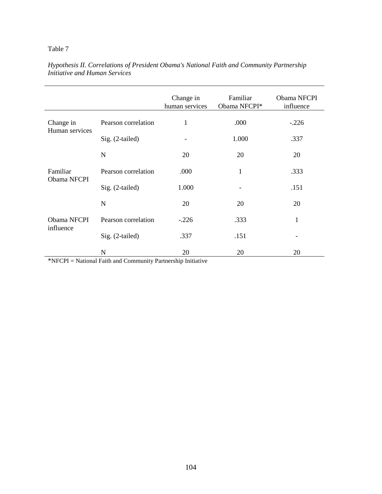|                          |                     | Change in<br>human services | Familiar<br>Obama NFCPI* | Obama NFCPI<br>influence |
|--------------------------|---------------------|-----------------------------|--------------------------|--------------------------|
| Change in                | Pearson correlation | 1                           | .000                     | $-.226$                  |
| Human services           | Sig. (2-tailed)     |                             | 1.000                    | .337                     |
|                          | N                   | 20                          | 20                       | 20                       |
| Familiar<br>Obama NFCPI  | Pearson correlation | .000                        | 1                        | .333                     |
|                          | Sig. (2-tailed)     | 1.000                       |                          | .151                     |
|                          | N                   | 20                          | 20                       | 20                       |
| Obama NFCPI<br>influence | Pearson correlation | $-.226$                     | .333                     | $\mathbf{1}$             |
|                          | Sig. (2-tailed)     | .337                        | .151                     |                          |
|                          | N                   | 20                          | 20                       | 20                       |

*Hypothesis II. Correlations of President Obama's National Faith and Community Partnership Initiative and Human Services* 

\*NFCPI = National Faith and Community Partnership Initiative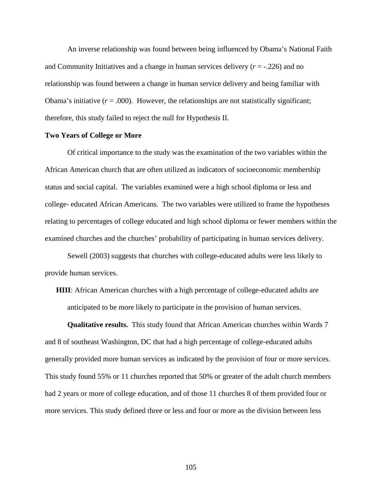An inverse relationship was found between being influenced by Obama's National Faith and Community Initiatives and a change in human services delivery  $(r = -.226)$  and no relationship was found between a change in human service delivery and being familiar with Obama's initiative  $(r = .000)$ . However, the relationships are not statistically significant; therefore, this study failed to reject the null for Hypothesis II.

### **Two Years of College or More**

Of critical importance to the study was the examination of the two variables within the African American church that are often utilized as indicators of socioeconomic membership status and social capital. The variables examined were a high school diploma or less and college- educated African Americans. The two variables were utilized to frame the hypotheses relating to percentages of college educated and high school diploma or fewer members within the examined churches and the churches' probability of participating in human services delivery.

Sewell (2003) suggests that churches with college-educated adults were less likely to provide human services.

**HIII**: African American churches with a high percentage of college-educated adults are anticipated to be more likely to participate in the provision of human services.

**Qualitative results.** This study found that African American churches within Wards 7 and 8 of southeast Washington, DC that had a high percentage of college-educated adults generally provided more human services as indicated by the provision of four or more services. This study found 55% or 11 churches reported that 50% or greater of the adult church members had 2 years or more of college education, and of those 11 churches 8 of them provided four or more services. This study defined three or less and four or more as the division between less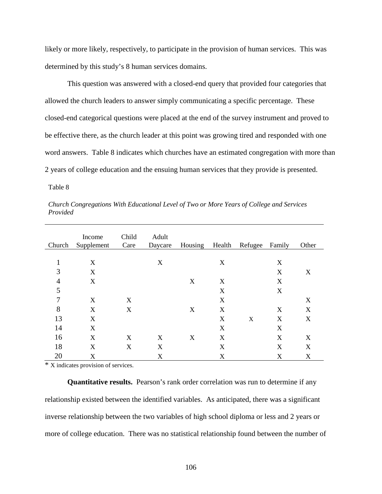likely or more likely, respectively, to participate in the provision of human services. This was determined by this study's 8 human services domains.

This question was answered with a closed-end query that provided four categories that allowed the church leaders to answer simply communicating a specific percentage. These closed-end categorical questions were placed at the end of the survey instrument and proved to be effective there, as the church leader at this point was growing tired and responded with one word answers. Table 8 indicates which churches have an estimated congregation with more than 2 years of college education and the ensuing human services that they provide is presented.

Table 8

| Church | Income<br>Supplement | Child<br>Care | Adult<br>Daycare | Housing | Health | Refugee | Family | Other |
|--------|----------------------|---------------|------------------|---------|--------|---------|--------|-------|
|        |                      |               |                  |         |        |         |        |       |
| 1      | X                    |               | X                |         | X      |         | X      |       |
| 3      | X                    |               |                  |         |        |         | X      | X     |
| 4      | X                    |               |                  | X       | X      |         | X      |       |
| 5      |                      |               |                  |         | X      |         | X      |       |
| 7      | X                    | X             |                  |         | X      |         |        | X     |
| 8      | X                    | X             |                  | X       | X      |         | X      | X     |
| 13     | X                    |               |                  |         | X      | X       | X      | X     |
| 14     | X                    |               |                  |         | X      |         | X      |       |
| 16     | X                    | X             | X                | X       | X      |         | X      | X     |
| 18     | X                    | X             | X                |         | X      |         | X      | X     |
|        |                      |               |                  |         |        |         |        |       |
| 20     | X                    |               | X                |         | X      |         | X      | X     |

*Church Congregations With Educational Level of Two or More Years of College and Services Provided* 

\* X indicates provision of services.

**Quantitative results.** Pearson's rank order correlation was run to determine if any relationship existed between the identified variables. As anticipated, there was a significant inverse relationship between the two variables of high school diploma or less and 2 years or more of college education. There was no statistical relationship found between the number of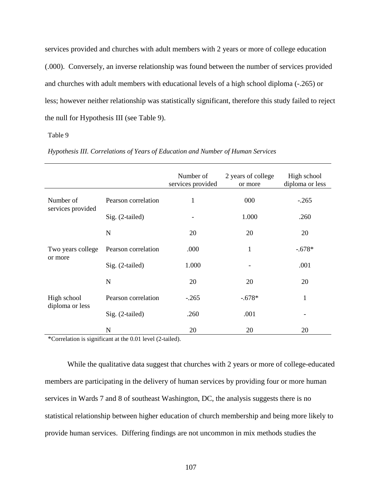services provided and churches with adult members with 2 years or more of college education (.000). Conversely, an inverse relationship was found between the number of services provided and churches with adult members with educational levels of a high school diploma (-.265) or less; however neither relationship was statistically significant, therefore this study failed to reject the null for Hypothesis III (see Table 9).

### Table 9

|                                |                     | Number of<br>services provided | 2 years of college<br>or more | High school<br>diploma or less |
|--------------------------------|---------------------|--------------------------------|-------------------------------|--------------------------------|
| Number of                      | Pearson correlation | $\mathbf{1}$                   | 000                           | $-.265$                        |
| services provided              | Sig. (2-tailed)     |                                | 1.000                         | .260                           |
|                                | $\mathbf N$         | 20                             | 20                            | 20                             |
| Two years college              | Pearson correlation | .000                           | $\mathbf{1}$                  | $-.678*$                       |
| or more                        | Sig. (2-tailed)     | 1.000                          |                               | .001                           |
|                                | N                   | 20                             | 20                            | 20                             |
| High school<br>diploma or less | Pearson correlation | $-.265$                        | $-.678*$                      | 1                              |
|                                | Sig. (2-tailed)     | .260                           | .001                          |                                |
|                                | N                   | 20                             | 20                            | 20                             |

*Hypothesis III. Correlations of Years of Education and Number of Human Services* 

\*Correlation is significant at the 0.01 level (2-tailed).

While the qualitative data suggest that churches with 2 years or more of college-educated members are participating in the delivery of human services by providing four or more human services in Wards 7 and 8 of southeast Washington, DC, the analysis suggests there is no statistical relationship between higher education of church membership and being more likely to provide human services. Differing findings are not uncommon in mix methods studies the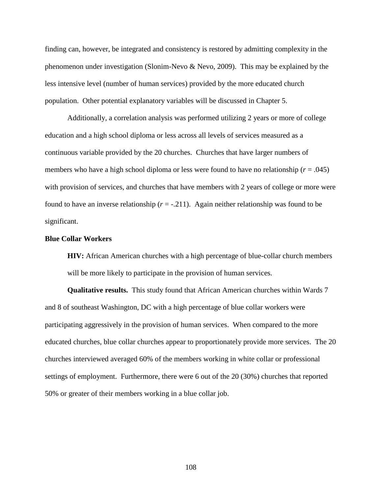finding can, however, be integrated and consistency is restored by admitting complexity in the phenomenon under investigation (Slonim-Nevo & Nevo, 2009). This may be explained by the less intensive level (number of human services) provided by the more educated church population. Other potential explanatory variables will be discussed in Chapter 5.

Additionally, a correlation analysis was performed utilizing 2 years or more of college education and a high school diploma or less across all levels of services measured as a continuous variable provided by the 20 churches. Churches that have larger numbers of members who have a high school diploma or less were found to have no relationship (*r* = .045) with provision of services, and churches that have members with 2 years of college or more were found to have an inverse relationship  $(r = -0.211)$ . Again neither relationship was found to be significant.

### **Blue Collar Workers**

**HIV:** African American churches with a high percentage of blue-collar church members will be more likely to participate in the provision of human services.

**Qualitative results.** This study found that African American churches within Wards 7 and 8 of southeast Washington, DC with a high percentage of blue collar workers were participating aggressively in the provision of human services. When compared to the more educated churches, blue collar churches appear to proportionately provide more services. The 20 churches interviewed averaged 60% of the members working in white collar or professional settings of employment. Furthermore, there were 6 out of the 20 (30%) churches that reported 50% or greater of their members working in a blue collar job.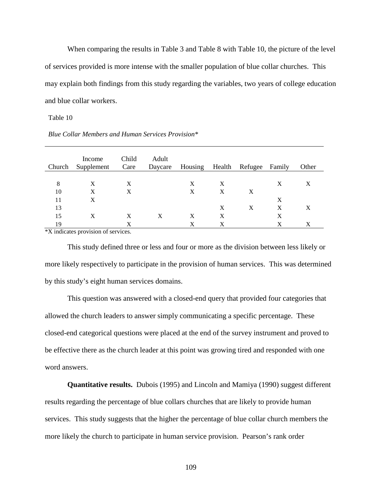When comparing the results in Table 3 and Table 8 with Table 10, the picture of the level of services provided is more intense with the smaller population of blue collar churches. This may explain both findings from this study regarding the variables, two years of college education and blue collar workers.

Table 10

| Church | Income<br>Supplement | Child<br>Care | Adult<br>Daycare | Housing Health Refugee |   |   | Family | Other |
|--------|----------------------|---------------|------------------|------------------------|---|---|--------|-------|
|        |                      |               |                  |                        |   |   |        |       |
| 8      | X                    | X             |                  | X                      | X |   | X      | X     |
| 10     | X                    | X             |                  | X                      | X | X |        |       |
| 11     | X                    |               |                  |                        |   |   | X      |       |
| 13     |                      |               |                  |                        | X | X | X      | X     |
| 15     | X                    | X             | X                | X                      | X |   | X      |       |
| 19     |                      | Х             |                  | X                      | X |   | X      | X     |

*Blue Collar Members and Human Services Provision\** 

\*X indicates provision of services.

This study defined three or less and four or more as the division between less likely or more likely respectively to participate in the provision of human services. This was determined by this study's eight human services domains.

This question was answered with a closed-end query that provided four categories that allowed the church leaders to answer simply communicating a specific percentage. These closed-end categorical questions were placed at the end of the survey instrument and proved to be effective there as the church leader at this point was growing tired and responded with one word answers.

**Quantitative results.** Dubois (1995) and Lincoln and Mamiya (1990) suggest different results regarding the percentage of blue collars churches that are likely to provide human services. This study suggests that the higher the percentage of blue collar church members the more likely the church to participate in human service provision. Pearson's rank order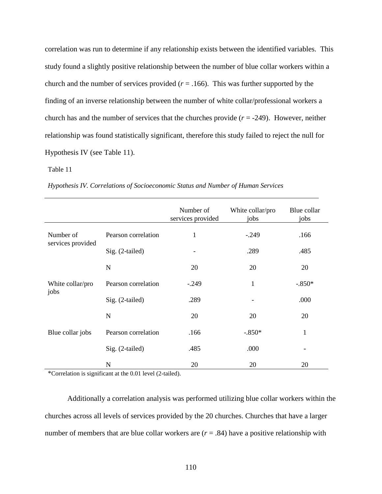correlation was run to determine if any relationship exists between the identified variables. This study found a slightly positive relationship between the number of blue collar workers within a church and the number of services provided  $(r = .166)$ . This was further supported by the finding of an inverse relationship between the number of white collar/professional workers a church has and the number of services that the churches provide  $(r = -249)$ . However, neither relationship was found statistically significant, therefore this study failed to reject the null for Hypothesis IV (see Table 11).

### Table 11

|  | Hypothesis IV. Correlations of Socioeconomic Status and Number of Human Services |  |
|--|----------------------------------------------------------------------------------|--|
|  |                                                                                  |  |

|                   |                     | Number of<br>services provided | White collar/pro<br>jobs | Blue collar<br>jobs |
|-------------------|---------------------|--------------------------------|--------------------------|---------------------|
| Number of         | Pearson correlation | 1                              | $-.249$                  | .166                |
| services provided | Sig. (2-tailed)     |                                | .289                     | .485                |
|                   | N                   | 20                             | 20                       | 20                  |
| White collar/pro  | Pearson correlation | $-.249$                        | $\mathbf{1}$             | $-.850*$            |
| jobs              | Sig. (2-tailed)     | .289                           | -                        | .000                |
|                   | N                   | 20                             | 20                       | 20                  |
| Blue collar jobs  | Pearson correlation | .166                           | $-.850*$                 | 1                   |
|                   | Sig. (2-tailed)     | .485                           | .000                     |                     |
|                   | N                   | 20                             | 20                       | 20                  |

\*Correlation is significant at the 0.01 level (2-tailed).

Additionally a correlation analysis was performed utilizing blue collar workers within the churches across all levels of services provided by the 20 churches. Churches that have a larger number of members that are blue collar workers are  $(r = .84)$  have a positive relationship with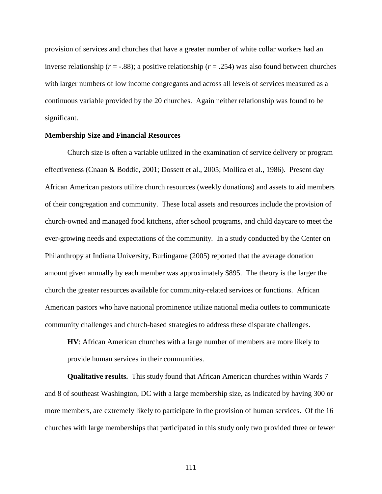provision of services and churches that have a greater number of white collar workers had an inverse relationship (*r* = -.88); a positive relationship (*r* = .254) was also found between churches with larger numbers of low income congregants and across all levels of services measured as a continuous variable provided by the 20 churches. Again neither relationship was found to be significant.

### **Membership Size and Financial Resources**

Church size is often a variable utilized in the examination of service delivery or program effectiveness (Cnaan & Boddie, 2001; Dossett et al., 2005; Mollica et al., 1986). Present day African American pastors utilize church resources (weekly donations) and assets to aid members of their congregation and community. These local assets and resources include the provision of church-owned and managed food kitchens, after school programs, and child daycare to meet the ever-growing needs and expectations of the community. In a study conducted by the Center on Philanthropy at Indiana University, Burlingame (2005) reported that the average donation amount given annually by each member was approximately \$895. The theory is the larger the church the greater resources available for community-related services or functions. African American pastors who have national prominence utilize national media outlets to communicate community challenges and church-based strategies to address these disparate challenges.

**HV**: African American churches with a large number of members are more likely to provide human services in their communities.

**Qualitative results.** This study found that African American churches within Wards 7 and 8 of southeast Washington, DC with a large membership size, as indicated by having 300 or more members, are extremely likely to participate in the provision of human services. Of the 16 churches with large memberships that participated in this study only two provided three or fewer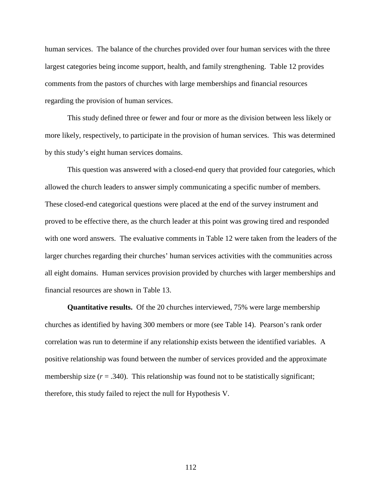human services. The balance of the churches provided over four human services with the three largest categories being income support, health, and family strengthening. Table 12 provides comments from the pastors of churches with large memberships and financial resources regarding the provision of human services.

This study defined three or fewer and four or more as the division between less likely or more likely, respectively, to participate in the provision of human services. This was determined by this study's eight human services domains.

This question was answered with a closed-end query that provided four categories, which allowed the church leaders to answer simply communicating a specific number of members. These closed-end categorical questions were placed at the end of the survey instrument and proved to be effective there, as the church leader at this point was growing tired and responded with one word answers. The evaluative comments in Table 12 were taken from the leaders of the larger churches regarding their churches' human services activities with the communities across all eight domains. Human services provision provided by churches with larger memberships and financial resources are shown in Table 13.

**Quantitative results.** Of the 20 churches interviewed, 75% were large membership churches as identified by having 300 members or more (see Table 14). Pearson's rank order correlation was run to determine if any relationship exists between the identified variables. A positive relationship was found between the number of services provided and the approximate membership size  $(r = .340)$ . This relationship was found not to be statistically significant; therefore, this study failed to reject the null for Hypothesis V.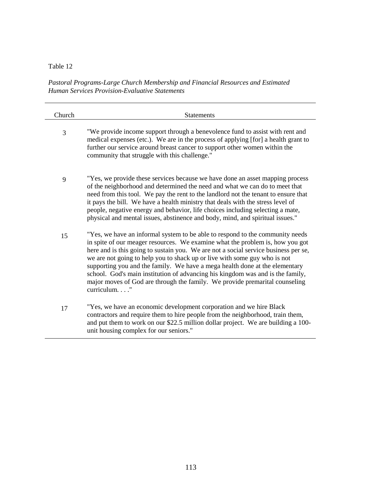*Pastoral Programs-Large Church Membership and Financial Resources and Estimated Human Services Provision-Evaluative Statements* 

| Church | <b>Statements</b>                                                                                                                                                                                                                                                                                                                                                                                                                                                                                                                                                                                 |
|--------|---------------------------------------------------------------------------------------------------------------------------------------------------------------------------------------------------------------------------------------------------------------------------------------------------------------------------------------------------------------------------------------------------------------------------------------------------------------------------------------------------------------------------------------------------------------------------------------------------|
| 3      | "We provide income support through a benevolence fund to assist with rent and<br>medical expenses (etc.). We are in the process of applying [for] a health grant to<br>further our service around breast cancer to support other women within the<br>community that struggle with this challenge."                                                                                                                                                                                                                                                                                                |
| 9      | "Yes, we provide these services because we have done an asset mapping process<br>of the neighborhood and determined the need and what we can do to meet that<br>need from this tool. We pay the rent to the landlord not the tenant to ensure that<br>it pays the bill. We have a health ministry that deals with the stress level of<br>people, negative energy and behavior, life choices including selecting a mate,<br>physical and mental issues, abstinence and body, mind, and spiritual issues."                                                                                          |
| 15     | "Yes, we have an informal system to be able to respond to the community needs<br>in spite of our meager resources. We examine what the problem is, how you got<br>here and is this going to sustain you. We are not a social service business per se,<br>we are not going to help you to shack up or live with some guy who is not<br>supporting you and the family. We have a mega health done at the elementary<br>school. God's main institution of advancing his kingdom was and is the family,<br>major moves of God are through the family. We provide premarital counseling<br>curriculum" |
| 17     | "Yes, we have an economic development corporation and we hire Black<br>contractors and require them to hire people from the neighborhood, train them,<br>and put them to work on our \$22.5 million dollar project. We are building a 100-<br>unit housing complex for our seniors."                                                                                                                                                                                                                                                                                                              |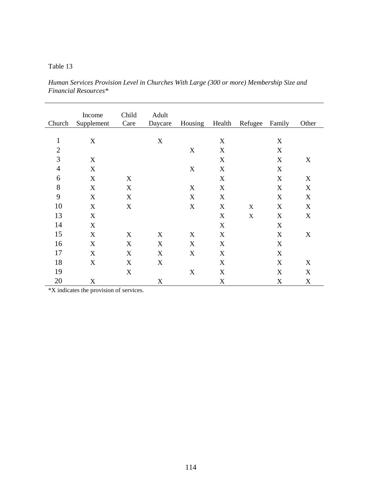*Human Services Provision Level in Churches With Large (300 or more) Membership Size and Financial Resources\** 

| Church         | Income<br>Supplement | Child<br>Care | Adult<br>Daycare | Housing | Health | Refugee | Family | Other |
|----------------|----------------------|---------------|------------------|---------|--------|---------|--------|-------|
|                |                      |               |                  |         |        |         |        |       |
| $\mathbf{1}$   | X                    |               | X                |         | X      |         | X      |       |
| $\overline{2}$ |                      |               |                  | X       | X      |         | X      |       |
| 3              | X                    |               |                  |         | X      |         | X      | X     |
| $\overline{4}$ | X                    |               |                  | X       | X      |         | X      |       |
| 6              | X                    | X             |                  |         | X      |         | X      | X     |
| 8              | X                    | X             |                  | X       | X      |         | X      | X     |
| 9              | X                    | X             |                  | X       | X      |         | X      | X     |
| 10             | X                    | X             |                  | X       | X      | X       | X      | X     |
| 13             | X                    |               |                  |         | X      | X       | X      | X     |
| 14             | X                    |               |                  |         | X      |         | X      |       |
| 15             | X                    | X             | X                | X       | X      |         | X      | X     |
| 16             | $\mathbf X$          | X             | X                | X       | X      |         | X      |       |
| 17             | X                    | X             | X                | X       | X      |         | X      |       |
| 18             | X                    | X             | X                |         | X      |         | X      | X     |
| 19             |                      | X             |                  | X       | X      |         | X      | X     |
| 20             | X                    |               | X                |         | X      |         | X      | X     |

\*X indicates the provision of services.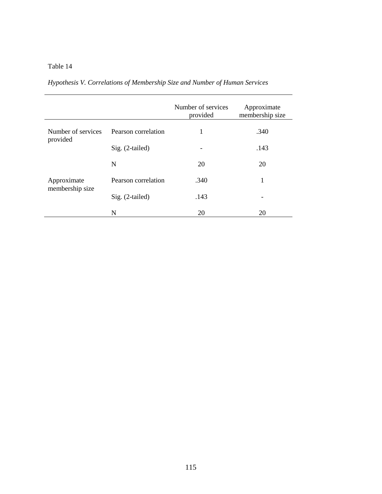|                                |                     | Number of services<br>provided | Approximate<br>membership size |
|--------------------------------|---------------------|--------------------------------|--------------------------------|
| Number of services<br>provided | Pearson correlation | 1                              | .340                           |
|                                | Sig. (2-tailed)     | -                              | .143                           |
|                                | N                   | 20                             | 20                             |
| Approximate                    | Pearson correlation | .340                           | 1                              |
| membership size                | Sig. (2-tailed)     | .143                           |                                |
|                                | N                   | 20                             | 20                             |

*Hypothesis V. Correlations of Membership Size and Number of Human Services*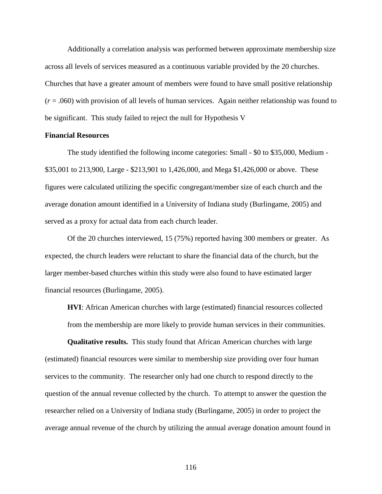Additionally a correlation analysis was performed between approximate membership size across all levels of services measured as a continuous variable provided by the 20 churches. Churches that have a greater amount of members were found to have small positive relationship  $(r = .060)$  with provision of all levels of human services. Again neither relationship was found to be significant. This study failed to reject the null for Hypothesis V

### **Financial Resources**

The study identified the following income categories: Small - \$0 to \$35,000, Medium - \$35,001 to 213,900, Large - \$213,901 to 1,426,000, and Mega \$1,426,000 or above. These figures were calculated utilizing the specific congregant/member size of each church and the average donation amount identified in a University of Indiana study (Burlingame, 2005) and served as a proxy for actual data from each church leader.

Of the 20 churches interviewed, 15 (75%) reported having 300 members or greater. As expected, the church leaders were reluctant to share the financial data of the church, but the larger member-based churches within this study were also found to have estimated larger financial resources (Burlingame, 2005).

**HVI**: African American churches with large (estimated) financial resources collected from the membership are more likely to provide human services in their communities.

**Qualitative results.** This study found that African American churches with large (estimated) financial resources were similar to membership size providing over four human services to the community. The researcher only had one church to respond directly to the question of the annual revenue collected by the church. To attempt to answer the question the researcher relied on a University of Indiana study (Burlingame, 2005) in order to project the average annual revenue of the church by utilizing the annual average donation amount found in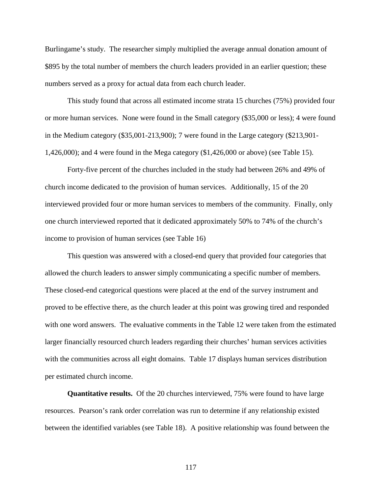Burlingame's study. The researcher simply multiplied the average annual donation amount of \$895 by the total number of members the church leaders provided in an earlier question; these numbers served as a proxy for actual data from each church leader.

This study found that across all estimated income strata 15 churches (75%) provided four or more human services. None were found in the Small category (\$35,000 or less); 4 were found in the Medium category (\$35,001-213,900); 7 were found in the Large category (\$213,901- 1,426,000); and 4 were found in the Mega category (\$1,426,000 or above) (see Table 15).

Forty-five percent of the churches included in the study had between 26% and 49% of church income dedicated to the provision of human services. Additionally, 15 of the 20 interviewed provided four or more human services to members of the community. Finally, only one church interviewed reported that it dedicated approximately 50% to 74% of the church's income to provision of human services (see Table 16)

This question was answered with a closed-end query that provided four categories that allowed the church leaders to answer simply communicating a specific number of members. These closed-end categorical questions were placed at the end of the survey instrument and proved to be effective there, as the church leader at this point was growing tired and responded with one word answers. The evaluative comments in the Table 12 were taken from the estimated larger financially resourced church leaders regarding their churches' human services activities with the communities across all eight domains. Table 17 displays human services distribution per estimated church income.

**Quantitative results.** Of the 20 churches interviewed, 75% were found to have large resources. Pearson's rank order correlation was run to determine if any relationship existed between the identified variables (see Table 18). A positive relationship was found between the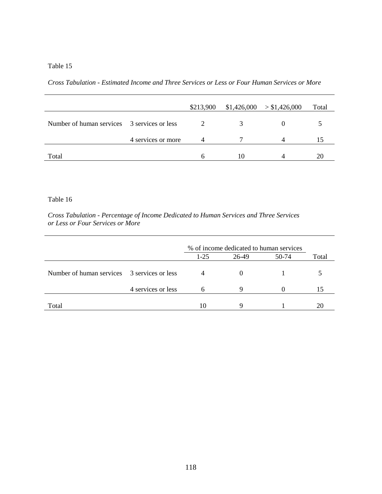*Cross Tabulation - Estimated Income and Three Services or Less or Four Human Services or More* 

|                                             |                    | \$213,900 |    | $$1,426,000$ > \$1,426,000 | Total |
|---------------------------------------------|--------------------|-----------|----|----------------------------|-------|
| Number of human services 3 services or less |                    |           |    |                            |       |
|                                             | 4 services or more | Δ         |    |                            |       |
| Total                                       |                    |           | 10 |                            |       |

### Table 16

*Cross Tabulation - Percentage of Income Dedicated to Human Services and Three Services or Less or Four Services or More* 

|                                                                   | $1-25$ | 26-49 | 50-74 | Total                                   |
|-------------------------------------------------------------------|--------|-------|-------|-----------------------------------------|
| Number of human services 3 services or less<br>4 services or less |        | 9     |       |                                         |
|                                                                   | 10     |       |       |                                         |
|                                                                   |        |       |       | % of income dedicated to human services |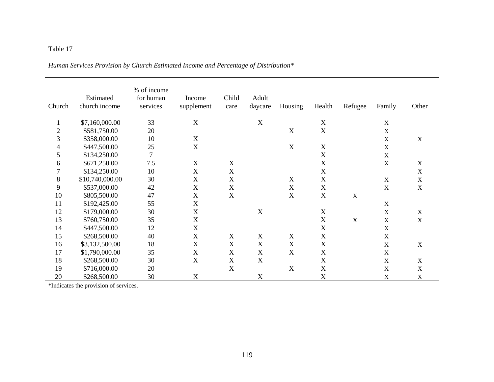# *Human Services Provision by Church Estimated Income and Percentage of Distribution\**

| Church                   | Estimated<br>church income | % of income<br>for human<br>services | Income<br>supplement      | Child<br>care             | Adult<br>daycare | Housing                   | Health                    | Refugee | Family      | Other                     |
|--------------------------|----------------------------|--------------------------------------|---------------------------|---------------------------|------------------|---------------------------|---------------------------|---------|-------------|---------------------------|
| $\mathbf 1$              | \$7,160,000.00             | 33                                   | $\mathbf X$               |                           | X                |                           | $\mathbf X$               |         | $\mathbf X$ |                           |
| $\sqrt{2}$               | \$581,750.00               | 20                                   |                           |                           |                  | X                         | X                         |         | $\mathbf X$ |                           |
| $\mathfrak{Z}$           | \$358,000.00               | 10                                   | $\mathbf X$               |                           |                  |                           |                           |         | $\mathbf X$ | $\boldsymbol{\mathrm{X}}$ |
| $\overline{\mathcal{A}}$ | \$447,500.00               | 25                                   | X                         |                           |                  | X                         | $\boldsymbol{\mathrm{X}}$ |         | $\mathbf X$ |                           |
| 5                        | \$134,250.00               | $\overline{7}$                       |                           |                           |                  |                           | X                         |         | $\mathbf X$ |                           |
| 6                        | \$671,250.00               | 7.5                                  | $\boldsymbol{\mathrm{X}}$ | X                         |                  |                           | $\mathbf X$               |         | $\mathbf X$ | $\mathbf X$               |
| $\overline{7}$           | \$134,250.00               | 10                                   | $\mathbf X$               | $\mathbf X$               |                  |                           | X                         |         |             | $\mathbf X$               |
| $8\,$                    | \$10,740,000.00            | 30                                   | $\mathbf X$               | X                         |                  | $\mathbf X$               | $\mathbf X$               |         | $\mathbf X$ | $\mathbf X$               |
| 9                        | \$537,000.00               | 42                                   | $\boldsymbol{\mathrm{X}}$ | X                         |                  | $\boldsymbol{\mathrm{X}}$ | $\mathbf X$               |         | $\mathbf X$ | $\mathbf X$               |
| 10                       | \$805,500.00               | 47                                   | $\boldsymbol{\mathrm{X}}$ | $\mathbf X$               |                  | X                         | $\boldsymbol{\mathrm{X}}$ | X       |             |                           |
| 11                       | \$192,425.00               | 55                                   | $\mathbf X$               |                           |                  |                           |                           |         | $\mathbf X$ |                           |
| 12                       | \$179,000.00               | 30                                   | $\boldsymbol{\mathrm{X}}$ |                           | X                |                           | $\mathbf X$               |         | $\mathbf X$ | X                         |
| 13                       | \$760,750.00               | 35                                   | $\mathbf X$               |                           |                  |                           | $\mathbf X$               | X       | $\mathbf X$ | $\mathbf X$               |
| 14                       | \$447,500.00               | 12                                   | $\boldsymbol{\mathrm{X}}$ |                           |                  |                           | X                         |         | $\mathbf X$ |                           |
| 15                       | \$268,500.00               | 40                                   | $\mathbf X$               | X                         | $\mathbf X$      | $\boldsymbol{\mathrm{X}}$ | $\mathbf X$               |         | $\mathbf X$ |                           |
| 16                       | \$3,132,500.00             | 18                                   | $\boldsymbol{\mathrm{X}}$ | $\mathbf X$               | $\mathbf X$      | $\mathbf X$               | $\mathbf X$               |         | $\mathbf X$ | $\mathbf X$               |
| 17                       | \$1,790,000.00             | 35                                   | $\mathbf X$               | $\boldsymbol{\mathrm{X}}$ | $\mathbf X$      | $\boldsymbol{\mathrm{X}}$ | $\mathbf X$               |         | $\mathbf X$ |                           |
| 18                       | \$268,500.00               | 30                                   | $\boldsymbol{\mathrm{X}}$ | X                         | $\mathbf X$      |                           | $\mathbf X$               |         | $\mathbf X$ | X                         |
| 19                       | \$716,000.00               | 20                                   |                           | $\boldsymbol{\mathrm{X}}$ |                  | $\mathbf X$               | X                         |         | $\mathbf X$ | $\mathbf X$               |
| 20                       | \$268,500.00               | 30                                   | $\boldsymbol{\mathrm{X}}$ |                           | $\mathbf X$      |                           | X                         |         | $\mathbf X$ | $\mathbf X$               |

\*Indicates the provision of services.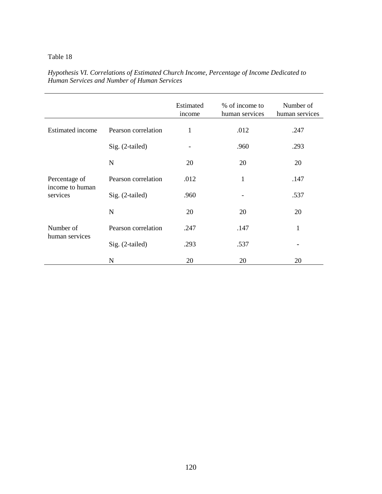|                             |                     | Estimated<br>income | % of income to<br>human services | Number of<br>human services |
|-----------------------------|---------------------|---------------------|----------------------------------|-----------------------------|
| <b>Estimated</b> income     | Pearson correlation | 1                   | .012                             | .247                        |
|                             | Sig. (2-tailed)     | -                   | .960                             | .293                        |
|                             | N                   | 20                  | 20                               | 20                          |
| Percentage of               | Pearson correlation | .012                | 1                                | .147                        |
| income to human<br>services | Sig. (2-tailed)     | .960                |                                  | .537                        |
|                             | N                   | 20                  | 20                               | 20                          |
| Number of                   | Pearson correlation | .247                | .147                             | $\mathbf{1}$                |
| human services              | Sig. (2-tailed)     | .293                | .537                             |                             |
|                             | N                   | 20                  | 20                               | 20                          |

*Hypothesis VI. Correlations of Estimated Church Income, Percentage of Income Dedicated to Human Services and Number of Human Services*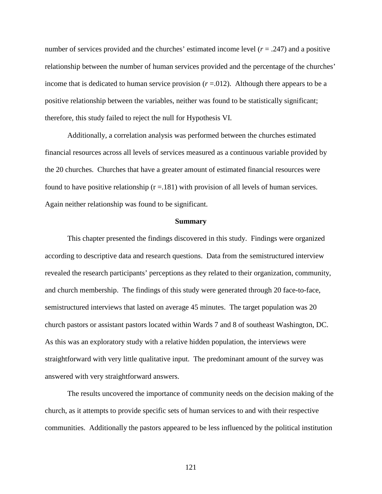number of services provided and the churches' estimated income level  $(r = .247)$  and a positive relationship between the number of human services provided and the percentage of the churches' income that is dedicated to human service provision  $(r = .012)$ . Although there appears to be a positive relationship between the variables, neither was found to be statistically significant; therefore, this study failed to reject the null for Hypothesis VI.

Additionally, a correlation analysis was performed between the churches estimated financial resources across all levels of services measured as a continuous variable provided by the 20 churches. Churches that have a greater amount of estimated financial resources were found to have positive relationship  $(r = .181)$  with provision of all levels of human services. Again neither relationship was found to be significant.

#### **Summary**

This chapter presented the findings discovered in this study. Findings were organized according to descriptive data and research questions. Data from the semistructured interview revealed the research participants' perceptions as they related to their organization, community, and church membership. The findings of this study were generated through 20 face-to-face, semistructured interviews that lasted on average 45 minutes. The target population was 20 church pastors or assistant pastors located within Wards 7 and 8 of southeast Washington, DC. As this was an exploratory study with a relative hidden population, the interviews were straightforward with very little qualitative input. The predominant amount of the survey was answered with very straightforward answers.

The results uncovered the importance of community needs on the decision making of the church, as it attempts to provide specific sets of human services to and with their respective communities. Additionally the pastors appeared to be less influenced by the political institution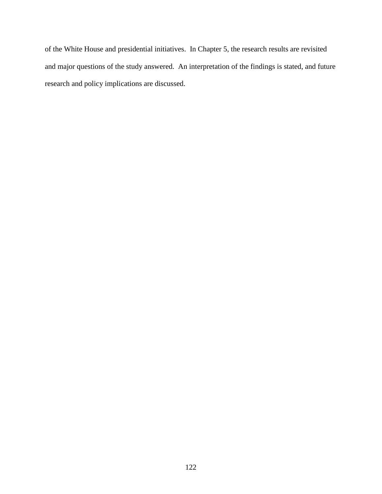of the White House and presidential initiatives. In Chapter 5, the research results are revisited and major questions of the study answered. An interpretation of the findings is stated, and future research and policy implications are discussed.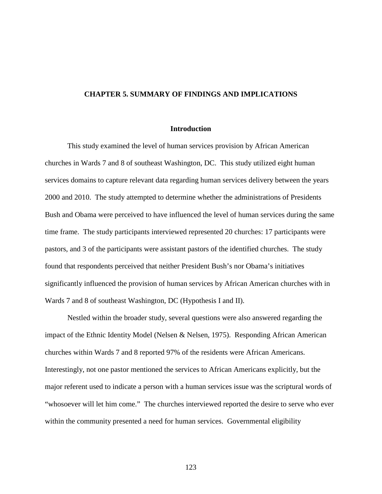### **CHAPTER 5. SUMMARY OF FINDINGS AND IMPLICATIONS**

#### **Introduction**

This study examined the level of human services provision by African American churches in Wards 7 and 8 of southeast Washington, DC. This study utilized eight human services domains to capture relevant data regarding human services delivery between the years 2000 and 2010. The study attempted to determine whether the administrations of Presidents Bush and Obama were perceived to have influenced the level of human services during the same time frame. The study participants interviewed represented 20 churches: 17 participants were pastors, and 3 of the participants were assistant pastors of the identified churches. The study found that respondents perceived that neither President Bush's nor Obama's initiatives significantly influenced the provision of human services by African American churches with in Wards 7 and 8 of southeast Washington, DC (Hypothesis I and II).

Nestled within the broader study, several questions were also answered regarding the impact of the Ethnic Identity Model (Nelsen & Nelsen, 1975). Responding African American churches within Wards 7 and 8 reported 97% of the residents were African Americans. Interestingly, not one pastor mentioned the services to African Americans explicitly, but the major referent used to indicate a person with a human services issue was the scriptural words of "whosoever will let him come." The churches interviewed reported the desire to serve who ever within the community presented a need for human services. Governmental eligibility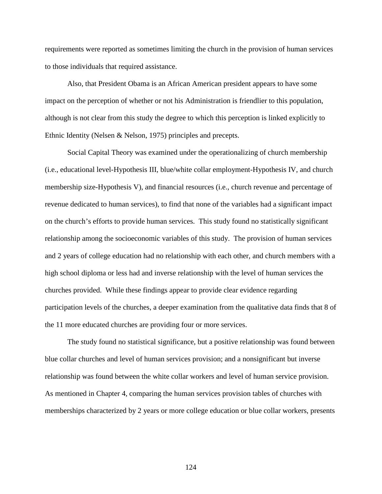requirements were reported as sometimes limiting the church in the provision of human services to those individuals that required assistance.

Also, that President Obama is an African American president appears to have some impact on the perception of whether or not his Administration is friendlier to this population, although is not clear from this study the degree to which this perception is linked explicitly to Ethnic Identity (Nelsen & Nelson, 1975) principles and precepts.

Social Capital Theory was examined under the operationalizing of church membership (i.e., educational level-Hypothesis III, blue/white collar employment-Hypothesis IV, and church membership size-Hypothesis V), and financial resources (i.e., church revenue and percentage of revenue dedicated to human services), to find that none of the variables had a significant impact on the church's efforts to provide human services. This study found no statistically significant relationship among the socioeconomic variables of this study. The provision of human services and 2 years of college education had no relationship with each other, and church members with a high school diploma or less had and inverse relationship with the level of human services the churches provided. While these findings appear to provide clear evidence regarding participation levels of the churches, a deeper examination from the qualitative data finds that 8 of the 11 more educated churches are providing four or more services.

The study found no statistical significance, but a positive relationship was found between blue collar churches and level of human services provision; and a nonsignificant but inverse relationship was found between the white collar workers and level of human service provision. As mentioned in Chapter 4, comparing the human services provision tables of churches with memberships characterized by 2 years or more college education or blue collar workers, presents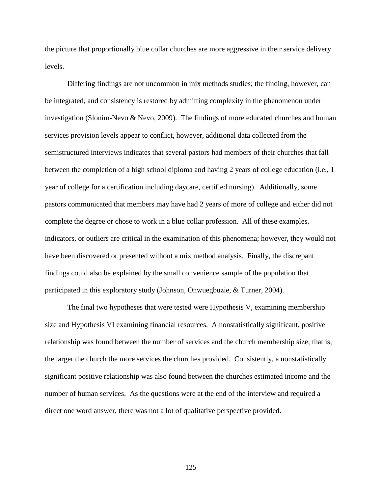the picture that proportionally blue collar churches are more aggressive in their service delivery levels.

Differing findings are not uncommon in mix methods studies; the finding, however, can be integrated, and consistency is restored by admitting complexity in the phenomenon under investigation (Slonim-Nevo & Nevo, 2009). The findings of more educated churches and human services provision levels appear to conflict, however, additional data collected from the semistructured interviews indicates that several pastors had members of their churches that fall between the completion of a high school diploma and having 2 years of college education (i.e., 1 year of college for a certification including daycare, certified nursing). Additionally, some pastors communicated that members may have had 2 years of more of college and either did not complete the degree or chose to work in a blue collar profession. All of these examples, indicators, or outliers are critical in the examination of this phenomena; however, they would not have been discovered or presented without a mix method analysis. Finally, the discrepant findings could also be explained by the small convenience sample of the population that participated in this exploratory study (Johnson, Onwuegbuzie, & Turner, 2004).

The final two hypotheses that were tested were Hypothesis V, examining membership size and Hypothesis VI examining financial resources. A nonstatistically significant, positive relationship was found between the number of services and the church membership size; that is, the larger the church the more services the churches provided. Consistently, a nonstatistically significant positive relationship was also found between the churches estimated income and the number of human services. As the questions were at the end of the interview and required a direct one word answer, there was not a lot of qualitative perspective provided.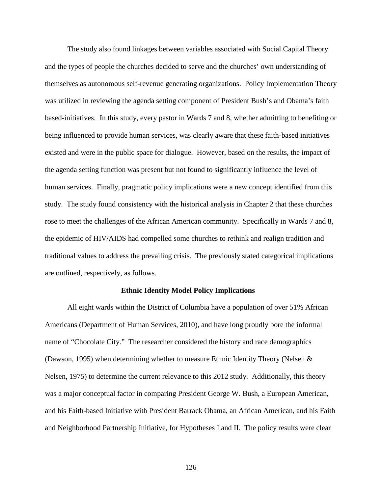The study also found linkages between variables associated with Social Capital Theory and the types of people the churches decided to serve and the churches' own understanding of themselves as autonomous self-revenue generating organizations. Policy Implementation Theory was utilized in reviewing the agenda setting component of President Bush's and Obama's faith based-initiatives. In this study, every pastor in Wards 7 and 8, whether admitting to benefiting or being influenced to provide human services, was clearly aware that these faith-based initiatives existed and were in the public space for dialogue. However, based on the results, the impact of the agenda setting function was present but not found to significantly influence the level of human services. Finally, pragmatic policy implications were a new concept identified from this study. The study found consistency with the historical analysis in Chapter 2 that these churches rose to meet the challenges of the African American community. Specifically in Wards 7 and 8, the epidemic of HIV/AIDS had compelled some churches to rethink and realign tradition and traditional values to address the prevailing crisis. The previously stated categorical implications are outlined, respectively, as follows.

### **Ethnic Identity Model Policy Implications**

All eight wards within the District of Columbia have a population of over 51% African Americans (Department of Human Services, 2010), and have long proudly bore the informal name of "Chocolate City." The researcher considered the history and race demographics (Dawson, 1995) when determining whether to measure Ethnic Identity Theory (Nelsen & Nelsen, 1975) to determine the current relevance to this 2012 study. Additionally, this theory was a major conceptual factor in comparing President George W. Bush, a European American, and his Faith-based Initiative with President Barrack Obama, an African American, and his Faith and Neighborhood Partnership Initiative, for Hypotheses I and II. The policy results were clear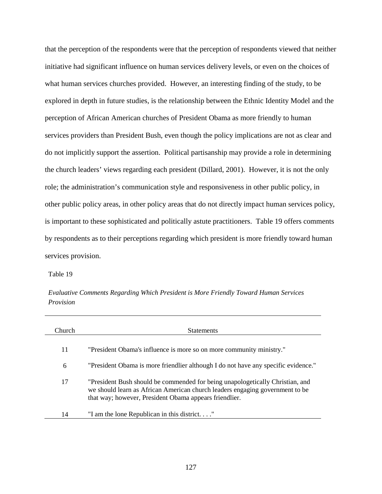that the perception of the respondents were that the perception of respondents viewed that neither initiative had significant influence on human services delivery levels, or even on the choices of what human services churches provided. However, an interesting finding of the study, to be explored in depth in future studies, is the relationship between the Ethnic Identity Model and the perception of African American churches of President Obama as more friendly to human services providers than President Bush, even though the policy implications are not as clear and do not implicitly support the assertion. Political partisanship may provide a role in determining the church leaders' views regarding each president (Dillard, 2001). However, it is not the only role; the administration's communication style and responsiveness in other public policy, in other public policy areas, in other policy areas that do not directly impact human services policy, is important to these sophisticated and politically astute practitioners. Table 19 offers comments by respondents as to their perceptions regarding which president is more friendly toward human services provision.

Table 19

*Evaluative Comments Regarding Which President is More Friendly Toward Human Services Provision* 

| Church | <b>Statements</b>                                                                                                                                                                                                       |
|--------|-------------------------------------------------------------------------------------------------------------------------------------------------------------------------------------------------------------------------|
| 11     | "President Obama's influence is more so on more community ministry."                                                                                                                                                    |
| 6      | "President Obama is more friendlier although I do not have any specific evidence."                                                                                                                                      |
| 17     | "President Bush should be commended for being unapologetically Christian, and<br>we should learn as African American church leaders engaging government to be<br>that way; however, President Obama appears friendlier. |
| 14     | "I am the lone Republican in this district"                                                                                                                                                                             |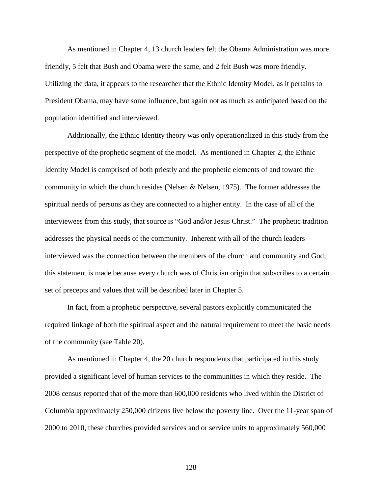As mentioned in Chapter 4, 13 church leaders felt the Obama Administration was more friendly, 5 felt that Bush and Obama were the same, and 2 felt Bush was more friendly. Utilizing the data, it appears to the researcher that the Ethnic Identity Model, as it pertains to President Obama, may have some influence, but again not as much as anticipated based on the population identified and interviewed.

Additionally, the Ethnic Identity theory was only operationalized in this study from the perspective of the prophetic segment of the model. As mentioned in Chapter 2, the Ethnic Identity Model is comprised of both priestly and the prophetic elements of and toward the community in which the church resides (Nelsen & Nelsen, 1975). The former addresses the spiritual needs of persons as they are connected to a higher entity. In the case of all of the interviewees from this study, that source is "God and/or Jesus Christ." The prophetic tradition addresses the physical needs of the community. Inherent with all of the church leaders interviewed was the connection between the members of the church and community and God; this statement is made because every church was of Christian origin that subscribes to a certain set of precepts and values that will be described later in Chapter 5.

In fact, from a prophetic perspective, several pastors explicitly communicated the required linkage of both the spiritual aspect and the natural requirement to meet the basic needs of the community (see Table 20).

As mentioned in Chapter 4, the 20 church respondents that participated in this study provided a significant level of human services to the communities in which they reside. The 2008 census reported that of the more than 600,000 residents who lived within the District of Columbia approximately 250,000 citizens live below the poverty line. Over the 11-year span of 2000 to 2010, these churches provided services and or service units to approximately 560,000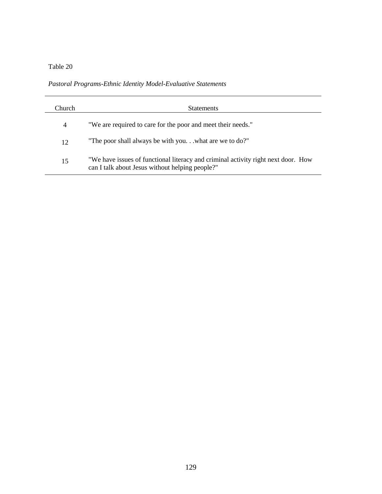*Pastoral Programs-Ethnic Identity Model-Evaluative Statements* 

| Church | <b>Statements</b>                                                                                                                    |
|--------|--------------------------------------------------------------------------------------------------------------------------------------|
| 4      | "We are required to care for the poor and meet their needs."                                                                         |
| 12     | "The poor shall always be with youwhat are we to do?"                                                                                |
| 15     | "We have issues of functional literacy and criminal activity right next door. How<br>can I talk about Jesus without helping people?" |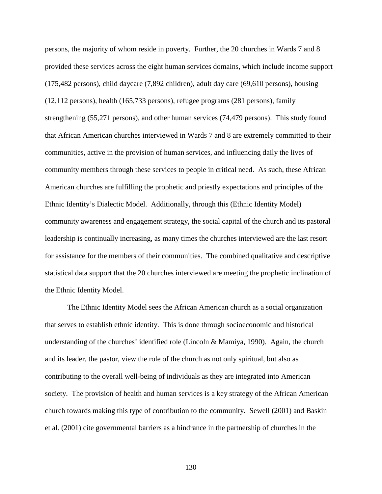persons, the majority of whom reside in poverty. Further, the 20 churches in Wards 7 and 8 provided these services across the eight human services domains, which include income support (175,482 persons), child daycare (7,892 children), adult day care (69,610 persons), housing (12,112 persons), health (165,733 persons), refugee programs (281 persons), family strengthening (55,271 persons), and other human services (74,479 persons). This study found that African American churches interviewed in Wards 7 and 8 are extremely committed to their communities, active in the provision of human services, and influencing daily the lives of community members through these services to people in critical need. As such, these African American churches are fulfilling the prophetic and priestly expectations and principles of the Ethnic Identity's Dialectic Model. Additionally, through this (Ethnic Identity Model) community awareness and engagement strategy, the social capital of the church and its pastoral leadership is continually increasing, as many times the churches interviewed are the last resort for assistance for the members of their communities. The combined qualitative and descriptive statistical data support that the 20 churches interviewed are meeting the prophetic inclination of the Ethnic Identity Model.

The Ethnic Identity Model sees the African American church as a social organization that serves to establish ethnic identity. This is done through socioeconomic and historical understanding of the churches' identified role (Lincoln & Mamiya, 1990). Again, the church and its leader, the pastor, view the role of the church as not only spiritual, but also as contributing to the overall well-being of individuals as they are integrated into American society. The provision of health and human services is a key strategy of the African American church towards making this type of contribution to the community. Sewell (2001) and Baskin et al. (2001) cite governmental barriers as a hindrance in the partnership of churches in the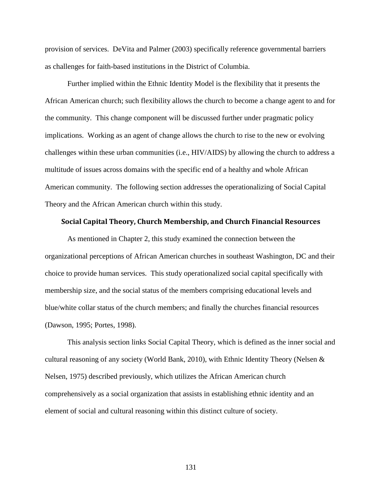provision of services. DeVita and Palmer (2003) specifically reference governmental barriers as challenges for faith-based institutions in the District of Columbia.

Further implied within the Ethnic Identity Model is the flexibility that it presents the African American church; such flexibility allows the church to become a change agent to and for the community. This change component will be discussed further under pragmatic policy implications. Working as an agent of change allows the church to rise to the new or evolving challenges within these urban communities (i.e., HIV/AIDS) by allowing the church to address a multitude of issues across domains with the specific end of a healthy and whole African American community. The following section addresses the operationalizing of Social Capital Theory and the African American church within this study.

### Social Capital Theory, Church Membership, and Church Financial Resources

As mentioned in Chapter 2, this study examined the connection between the organizational perceptions of African American churches in southeast Washington, DC and their choice to provide human services. This study operationalized social capital specifically with membership size, and the social status of the members comprising educational levels and blue/white collar status of the church members; and finally the churches financial resources (Dawson, 1995; Portes, 1998).

This analysis section links Social Capital Theory, which is defined as the inner social and cultural reasoning of any society (World Bank, 2010), with Ethnic Identity Theory (Nelsen  $\&$ Nelsen, 1975) described previously, which utilizes the African American church comprehensively as a social organization that assists in establishing ethnic identity and an element of social and cultural reasoning within this distinct culture of society.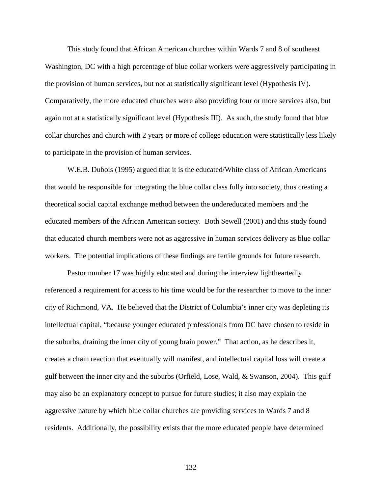This study found that African American churches within Wards 7 and 8 of southeast Washington, DC with a high percentage of blue collar workers were aggressively participating in the provision of human services, but not at statistically significant level (Hypothesis IV). Comparatively, the more educated churches were also providing four or more services also, but again not at a statistically significant level (Hypothesis III). As such, the study found that blue collar churches and church with 2 years or more of college education were statistically less likely to participate in the provision of human services.

W.E.B. Dubois (1995) argued that it is the educated/White class of African Americans that would be responsible for integrating the blue collar class fully into society, thus creating a theoretical social capital exchange method between the undereducated members and the educated members of the African American society. Both Sewell (2001) and this study found that educated church members were not as aggressive in human services delivery as blue collar workers. The potential implications of these findings are fertile grounds for future research.

Pastor number 17 was highly educated and during the interview lightheartedly referenced a requirement for access to his time would be for the researcher to move to the inner city of Richmond, VA. He believed that the District of Columbia's inner city was depleting its intellectual capital, "because younger educated professionals from DC have chosen to reside in the suburbs, draining the inner city of young brain power." That action, as he describes it, creates a chain reaction that eventually will manifest, and intellectual capital loss will create a gulf between the inner city and the suburbs (Orfield, Lose, Wald, & Swanson, 2004). This gulf may also be an explanatory concept to pursue for future studies; it also may explain the aggressive nature by which blue collar churches are providing services to Wards 7 and 8 residents. Additionally, the possibility exists that the more educated people have determined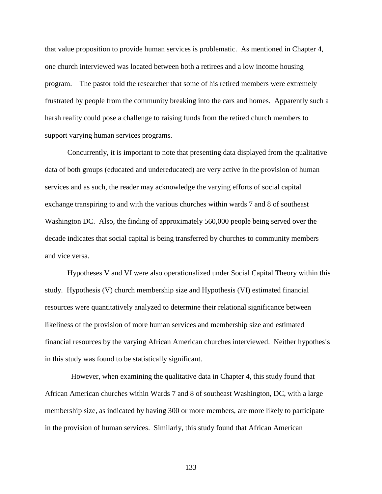that value proposition to provide human services is problematic. As mentioned in Chapter 4, one church interviewed was located between both a retirees and a low income housing program. The pastor told the researcher that some of his retired members were extremely frustrated by people from the community breaking into the cars and homes. Apparently such a harsh reality could pose a challenge to raising funds from the retired church members to support varying human services programs.

Concurrently, it is important to note that presenting data displayed from the qualitative data of both groups (educated and undereducated) are very active in the provision of human services and as such, the reader may acknowledge the varying efforts of social capital exchange transpiring to and with the various churches within wards 7 and 8 of southeast Washington DC. Also, the finding of approximately 560,000 people being served over the decade indicates that social capital is being transferred by churches to community members and vice versa.

Hypotheses V and VI were also operationalized under Social Capital Theory within this study. Hypothesis (V) church membership size and Hypothesis (VI) estimated financial resources were quantitatively analyzed to determine their relational significance between likeliness of the provision of more human services and membership size and estimated financial resources by the varying African American churches interviewed. Neither hypothesis in this study was found to be statistically significant.

 However, when examining the qualitative data in Chapter 4, this study found that African American churches within Wards 7 and 8 of southeast Washington, DC, with a large membership size, as indicated by having 300 or more members, are more likely to participate in the provision of human services. Similarly, this study found that African American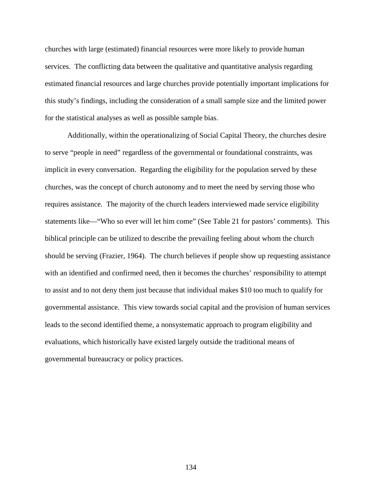churches with large (estimated) financial resources were more likely to provide human services. The conflicting data between the qualitative and quantitative analysis regarding estimated financial resources and large churches provide potentially important implications for this study's findings, including the consideration of a small sample size and the limited power for the statistical analyses as well as possible sample bias.

Additionally, within the operationalizing of Social Capital Theory, the churches desire to serve "people in need" regardless of the governmental or foundational constraints, was implicit in every conversation. Regarding the eligibility for the population served by these churches, was the concept of church autonomy and to meet the need by serving those who requires assistance. The majority of the church leaders interviewed made service eligibility statements like—"Who so ever will let him come" (See Table 21 for pastors' comments). This biblical principle can be utilized to describe the prevailing feeling about whom the church should be serving (Frazier, 1964). The church believes if people show up requesting assistance with an identified and confirmed need, then it becomes the churches' responsibility to attempt to assist and to not deny them just because that individual makes \$10 too much to qualify for governmental assistance. This view towards social capital and the provision of human services leads to the second identified theme, a nonsystematic approach to program eligibility and evaluations, which historically have existed largely outside the traditional means of governmental bureaucracy or policy practices.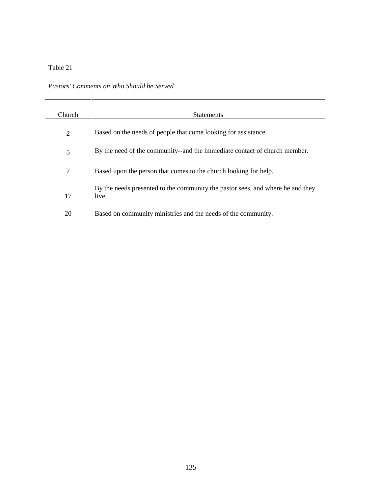## Table 21

| Pastors' Comments on Who Should be Served |  |
|-------------------------------------------|--|
|-------------------------------------------|--|

| Church | <b>Statements</b>                                                              |
|--------|--------------------------------------------------------------------------------|
| 2      | Based on the needs of people that come looking for assistance.                 |
| 5      | By the need of the community--and the immediate contact of church member.      |
| 7      | Based upon the person that comes to the church looking for help.               |
|        | By the needs presented to the community the pastor sees, and where he and they |
| 17     | live.                                                                          |
| 20     | Based on community ministries and the needs of the community.                  |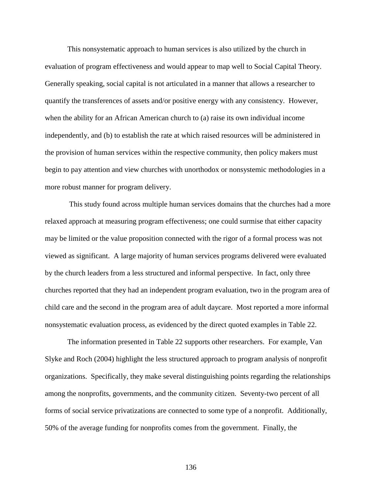This nonsystematic approach to human services is also utilized by the church in evaluation of program effectiveness and would appear to map well to Social Capital Theory. Generally speaking, social capital is not articulated in a manner that allows a researcher to quantify the transferences of assets and/or positive energy with any consistency. However, when the ability for an African American church to (a) raise its own individual income independently, and (b) to establish the rate at which raised resources will be administered in the provision of human services within the respective community, then policy makers must begin to pay attention and view churches with unorthodox or nonsystemic methodologies in a more robust manner for program delivery.

 This study found across multiple human services domains that the churches had a more relaxed approach at measuring program effectiveness; one could surmise that either capacity may be limited or the value proposition connected with the rigor of a formal process was not viewed as significant. A large majority of human services programs delivered were evaluated by the church leaders from a less structured and informal perspective. In fact, only three churches reported that they had an independent program evaluation, two in the program area of child care and the second in the program area of adult daycare. Most reported a more informal nonsystematic evaluation process, as evidenced by the direct quoted examples in Table 22.

The information presented in Table 22 supports other researchers. For example, Van Slyke and Roch (2004) highlight the less structured approach to program analysis of nonprofit organizations. Specifically, they make several distinguishing points regarding the relationships among the nonprofits, governments, and the community citizen. Seventy-two percent of all forms of social service privatizations are connected to some type of a nonprofit. Additionally, 50% of the average funding for nonprofits comes from the government. Finally, the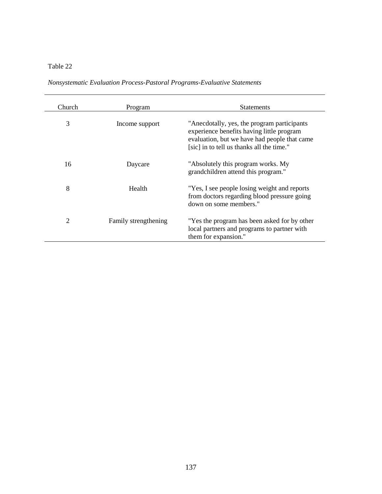# Table 22

*Nonsystematic Evaluation Process-Pastoral Programs-Evaluative Statements* 

| Church | Program              | <b>Statements</b>                                                                                                                                                                     |
|--------|----------------------|---------------------------------------------------------------------------------------------------------------------------------------------------------------------------------------|
| 3      | Income support       | "Anecdotally, yes, the program participants<br>experience benefits having little program<br>evaluation, but we have had people that came<br>[sic] in to tell us thanks all the time." |
| 16     | Daycare              | "Absolutely this program works. My<br>grandchildren attend this program."                                                                                                             |
| 8      | Health               | "Yes, I see people losing weight and reports<br>from doctors regarding blood pressure going<br>down on some members."                                                                 |
| 2      | Family strengthening | "Yes the program has been asked for by other<br>local partners and programs to partner with<br>them for expansion."                                                                   |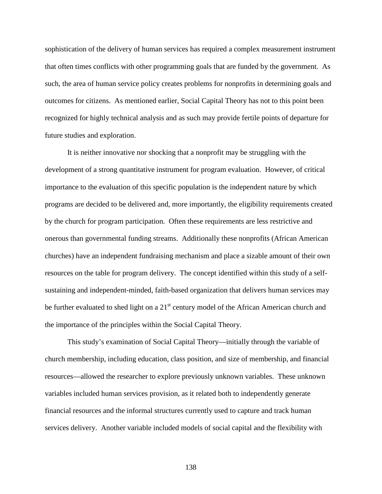sophistication of the delivery of human services has required a complex measurement instrument that often times conflicts with other programming goals that are funded by the government. As such, the area of human service policy creates problems for nonprofits in determining goals and outcomes for citizens. As mentioned earlier, Social Capital Theory has not to this point been recognized for highly technical analysis and as such may provide fertile points of departure for future studies and exploration.

It is neither innovative nor shocking that a nonprofit may be struggling with the development of a strong quantitative instrument for program evaluation. However, of critical importance to the evaluation of this specific population is the independent nature by which programs are decided to be delivered and, more importantly, the eligibility requirements created by the church for program participation. Often these requirements are less restrictive and onerous than governmental funding streams. Additionally these nonprofits (African American churches) have an independent fundraising mechanism and place a sizable amount of their own resources on the table for program delivery. The concept identified within this study of a selfsustaining and independent-minded, faith-based organization that delivers human services may be further evaluated to shed light on a 21<sup>st</sup> century model of the African American church and the importance of the principles within the Social Capital Theory.

This study's examination of Social Capital Theory—initially through the variable of church membership, including education, class position, and size of membership, and financial resources—allowed the researcher to explore previously unknown variables. These unknown variables included human services provision, as it related both to independently generate financial resources and the informal structures currently used to capture and track human services delivery. Another variable included models of social capital and the flexibility with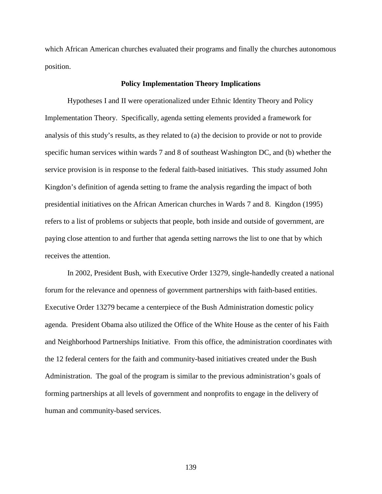which African American churches evaluated their programs and finally the churches autonomous position.

#### **Policy Implementation Theory Implications**

Hypotheses I and II were operationalized under Ethnic Identity Theory and Policy Implementation Theory. Specifically, agenda setting elements provided a framework for analysis of this study's results, as they related to (a) the decision to provide or not to provide specific human services within wards 7 and 8 of southeast Washington DC, and (b) whether the service provision is in response to the federal faith-based initiatives. This study assumed John Kingdon's definition of agenda setting to frame the analysis regarding the impact of both presidential initiatives on the African American churches in Wards 7 and 8. Kingdon (1995) refers to a list of problems or subjects that people, both inside and outside of government, are paying close attention to and further that agenda setting narrows the list to one that by which receives the attention.

In 2002, President Bush, with Executive Order 13279, single-handedly created a national forum for the relevance and openness of government partnerships with faith-based entities. Executive Order 13279 became a centerpiece of the Bush Administration domestic policy agenda. President Obama also utilized the Office of the White House as the center of his Faith and Neighborhood Partnerships Initiative. From this office, the administration coordinates with the 12 federal centers for the faith and community-based initiatives created under the Bush Administration. The goal of the program is similar to the previous administration's goals of forming partnerships at all levels of government and nonprofits to engage in the delivery of human and community-based services.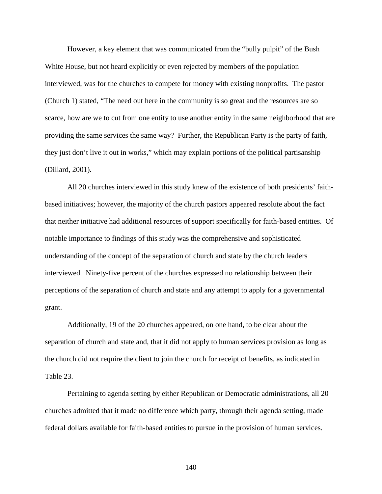However, a key element that was communicated from the "bully pulpit" of the Bush White House, but not heard explicitly or even rejected by members of the population interviewed, was for the churches to compete for money with existing nonprofits. The pastor (Church 1) stated, "The need out here in the community is so great and the resources are so scarce, how are we to cut from one entity to use another entity in the same neighborhood that are providing the same services the same way? Further, the Republican Party is the party of faith, they just don't live it out in works," which may explain portions of the political partisanship (Dillard, 2001).

All 20 churches interviewed in this study knew of the existence of both presidents' faithbased initiatives; however, the majority of the church pastors appeared resolute about the fact that neither initiative had additional resources of support specifically for faith-based entities. Of notable importance to findings of this study was the comprehensive and sophisticated understanding of the concept of the separation of church and state by the church leaders interviewed. Ninety-five percent of the churches expressed no relationship between their perceptions of the separation of church and state and any attempt to apply for a governmental grant.

Additionally, 19 of the 20 churches appeared, on one hand, to be clear about the separation of church and state and, that it did not apply to human services provision as long as the church did not require the client to join the church for receipt of benefits, as indicated in Table 23.

Pertaining to agenda setting by either Republican or Democratic administrations, all 20 churches admitted that it made no difference which party, through their agenda setting, made federal dollars available for faith-based entities to pursue in the provision of human services.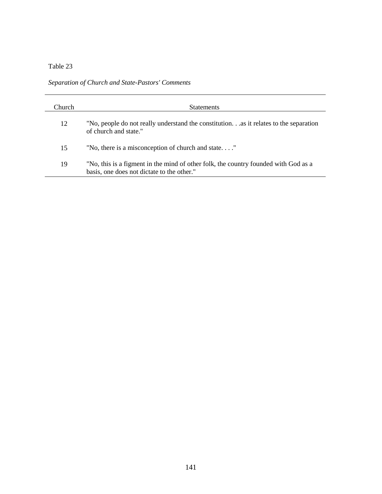## Table 23

*Separation of Church and State-Pastors' Comments* 

| Church. | <b>Statements</b>                                                                                                                 |
|---------|-----------------------------------------------------------------------------------------------------------------------------------|
| 12      | "No, people do not really understand the constitutionas it relates to the separation<br>of church and state."                     |
| 15      | "No, there is a misconception of church and state"                                                                                |
| 19      | "No, this is a figment in the mind of other folk, the country founded with God as a<br>basis, one does not dictate to the other." |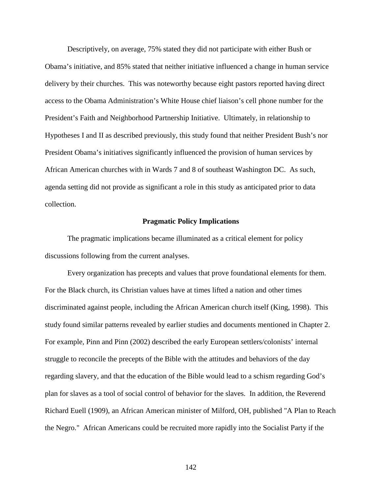Descriptively, on average, 75% stated they did not participate with either Bush or Obama's initiative, and 85% stated that neither initiative influenced a change in human service delivery by their churches. This was noteworthy because eight pastors reported having direct access to the Obama Administration's White House chief liaison's cell phone number for the President's Faith and Neighborhood Partnership Initiative. Ultimately, in relationship to Hypotheses I and II as described previously, this study found that neither President Bush's nor President Obama's initiatives significantly influenced the provision of human services by African American churches with in Wards 7 and 8 of southeast Washington DC. As such, agenda setting did not provide as significant a role in this study as anticipated prior to data collection.

#### **Pragmatic Policy Implications**

The pragmatic implications became illuminated as a critical element for policy discussions following from the current analyses.

Every organization has precepts and values that prove foundational elements for them. For the Black church, its Christian values have at times lifted a nation and other times discriminated against people, including the African American church itself (King, 1998). This study found similar patterns revealed by earlier studies and documents mentioned in Chapter 2. For example, Pinn and Pinn (2002) described the early European settlers/colonists' internal struggle to reconcile the precepts of the Bible with the attitudes and behaviors of the day regarding slavery, and that the education of the Bible would lead to a schism regarding God's plan for slaves as a tool of social control of behavior for the slaves. In addition, the Reverend Richard Euell (1909), an African American minister of Milford, OH, published "A Plan to Reach the Negro." African Americans could be recruited more rapidly into the Socialist Party if the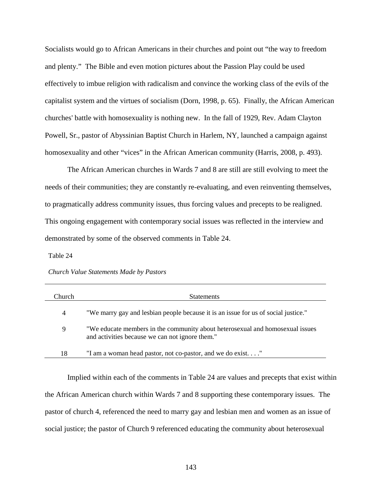Socialists would go to African Americans in their churches and point out "the way to freedom and plenty." The Bible and even motion pictures about the Passion Play could be used effectively to imbue religion with radicalism and convince the working class of the evils of the capitalist system and the virtues of socialism (Dorn, 1998, p. 65). Finally, the African American churches' battle with homosexuality is nothing new. In the fall of 1929, Rev. Adam Clayton Powell, Sr., pastor of Abyssinian Baptist Church in Harlem, NY, launched a campaign against homosexuality and other "vices" in the African American community (Harris, 2008, p. 493).

The African American churches in Wards 7 and 8 are still are still evolving to meet the needs of their communities; they are constantly re-evaluating, and even reinventing themselves, to pragmatically address community issues, thus forcing values and precepts to be realigned. This ongoing engagement with contemporary social issues was reflected in the interview and demonstrated by some of the observed comments in Table 24.

Table 24

| Church Value Statements Made by Pastors |  |
|-----------------------------------------|--|
|-----------------------------------------|--|

| Church | <b>Statements</b>                                                                                                                |
|--------|----------------------------------------------------------------------------------------------------------------------------------|
| 4      | "We marry gay and lesbian people because it is an issue for us of social justice."                                               |
| 9      | "We educate members in the community about heterosexual and homosexual issues<br>and activities because we can not ignore them." |
| 18     | "I am a woman head pastor, not co-pastor, and we do exist"                                                                       |

Implied within each of the comments in Table 24 are values and precepts that exist within the African American church within Wards 7 and 8 supporting these contemporary issues. The pastor of church 4, referenced the need to marry gay and lesbian men and women as an issue of social justice; the pastor of Church 9 referenced educating the community about heterosexual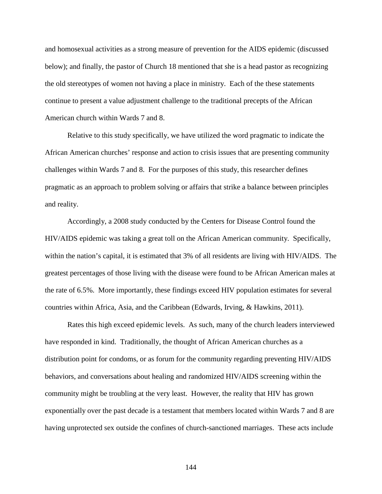and homosexual activities as a strong measure of prevention for the AIDS epidemic (discussed below); and finally, the pastor of Church 18 mentioned that she is a head pastor as recognizing the old stereotypes of women not having a place in ministry. Each of the these statements continue to present a value adjustment challenge to the traditional precepts of the African American church within Wards 7 and 8.

Relative to this study specifically, we have utilized the word pragmatic to indicate the African American churches' response and action to crisis issues that are presenting community challenges within Wards 7 and 8. For the purposes of this study, this researcher defines pragmatic as an approach to problem solving or affairs that strike a balance between principles and reality.

Accordingly, a 2008 study conducted by the Centers for Disease Control found the HIV/AIDS epidemic was taking a great toll on the African American community. Specifically, within the nation's capital, it is estimated that 3% of all residents are living with HIV/AIDS. The greatest percentages of those living with the disease were found to be African American males at the rate of 6.5%. More importantly, these findings exceed HIV population estimates for several countries within Africa, Asia, and the Caribbean (Edwards, Irving, & Hawkins, 2011).

Rates this high exceed epidemic levels. As such, many of the church leaders interviewed have responded in kind. Traditionally, the thought of African American churches as a distribution point for condoms, or as forum for the community regarding preventing HIV/AIDS behaviors, and conversations about healing and randomized HIV/AIDS screening within the community might be troubling at the very least. However, the reality that HIV has grown exponentially over the past decade is a testament that members located within Wards 7 and 8 are having unprotected sex outside the confines of church-sanctioned marriages. These acts include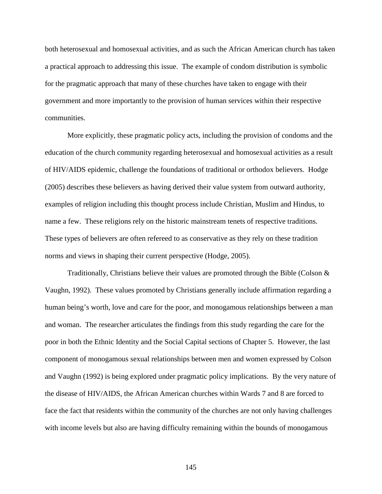both heterosexual and homosexual activities, and as such the African American church has taken a practical approach to addressing this issue. The example of condom distribution is symbolic for the pragmatic approach that many of these churches have taken to engage with their government and more importantly to the provision of human services within their respective communities.

More explicitly, these pragmatic policy acts, including the provision of condoms and the education of the church community regarding heterosexual and homosexual activities as a result of HIV/AIDS epidemic, challenge the foundations of traditional or orthodox believers. Hodge (2005) describes these believers as having derived their value system from outward authority, examples of religion including this thought process include Christian, Muslim and Hindus, to name a few. These religions rely on the historic mainstream tenets of respective traditions. These types of believers are often refereed to as conservative as they rely on these tradition norms and views in shaping their current perspective (Hodge, 2005).

Traditionally, Christians believe their values are promoted through the Bible (Colson & Vaughn, 1992). These values promoted by Christians generally include affirmation regarding a human being's worth, love and care for the poor, and monogamous relationships between a man and woman. The researcher articulates the findings from this study regarding the care for the poor in both the Ethnic Identity and the Social Capital sections of Chapter 5. However, the last component of monogamous sexual relationships between men and women expressed by Colson and Vaughn (1992) is being explored under pragmatic policy implications. By the very nature of the disease of HIV/AIDS, the African American churches within Wards 7 and 8 are forced to face the fact that residents within the community of the churches are not only having challenges with income levels but also are having difficulty remaining within the bounds of monogamous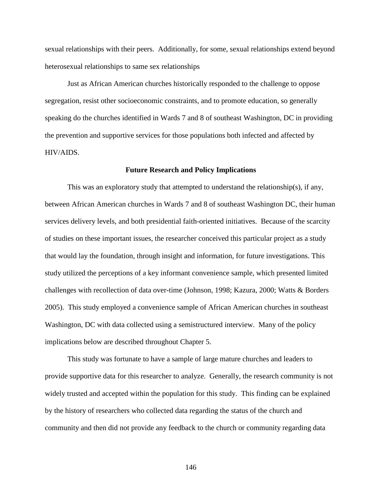sexual relationships with their peers. Additionally, for some, sexual relationships extend beyond heterosexual relationships to same sex relationships

Just as African American churches historically responded to the challenge to oppose segregation, resist other socioeconomic constraints, and to promote education, so generally speaking do the churches identified in Wards 7 and 8 of southeast Washington, DC in providing the prevention and supportive services for those populations both infected and affected by HIV/AIDS.

#### **Future Research and Policy Implications**

This was an exploratory study that attempted to understand the relationship(s), if any, between African American churches in Wards 7 and 8 of southeast Washington DC, their human services delivery levels, and both presidential faith-oriented initiatives. Because of the scarcity of studies on these important issues, the researcher conceived this particular project as a study that would lay the foundation, through insight and information, for future investigations. This study utilized the perceptions of a key informant convenience sample, which presented limited challenges with recollection of data over-time (Johnson, 1998; Kazura, 2000; Watts & Borders 2005). This study employed a convenience sample of African American churches in southeast Washington, DC with data collected using a semistructured interview. Many of the policy implications below are described throughout Chapter 5.

This study was fortunate to have a sample of large mature churches and leaders to provide supportive data for this researcher to analyze. Generally, the research community is not widely trusted and accepted within the population for this study. This finding can be explained by the history of researchers who collected data regarding the status of the church and community and then did not provide any feedback to the church or community regarding data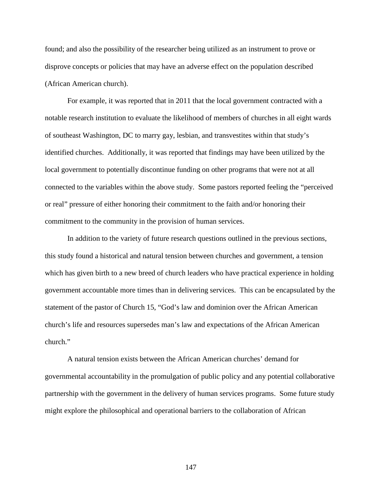found; and also the possibility of the researcher being utilized as an instrument to prove or disprove concepts or policies that may have an adverse effect on the population described (African American church).

For example, it was reported that in 2011 that the local government contracted with a notable research institution to evaluate the likelihood of members of churches in all eight wards of southeast Washington, DC to marry gay, lesbian, and transvestites within that study's identified churches. Additionally, it was reported that findings may have been utilized by the local government to potentially discontinue funding on other programs that were not at all connected to the variables within the above study. Some pastors reported feeling the "perceived or real" pressure of either honoring their commitment to the faith and/or honoring their commitment to the community in the provision of human services.

In addition to the variety of future research questions outlined in the previous sections, this study found a historical and natural tension between churches and government, a tension which has given birth to a new breed of church leaders who have practical experience in holding government accountable more times than in delivering services. This can be encapsulated by the statement of the pastor of Church 15, "God's law and dominion over the African American church's life and resources supersedes man's law and expectations of the African American church."

A natural tension exists between the African American churches' demand for governmental accountability in the promulgation of public policy and any potential collaborative partnership with the government in the delivery of human services programs. Some future study might explore the philosophical and operational barriers to the collaboration of African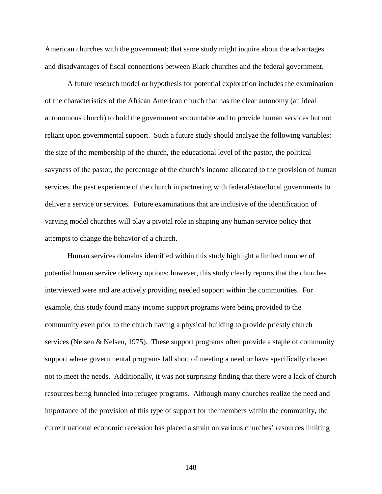American churches with the government; that same study might inquire about the advantages and disadvantages of fiscal connections between Black churches and the federal government.

A future research model or hypothesis for potential exploration includes the examination of the characteristics of the African American church that has the clear autonomy (an ideal autonomous church) to hold the government accountable and to provide human services but not reliant upon governmental support. Such a future study should analyze the following variables: the size of the membership of the church, the educational level of the pastor, the political savyness of the pastor, the percentage of the church's income allocated to the provision of human services, the past experience of the church in partnering with federal/state/local governments to deliver a service or services. Future examinations that are inclusive of the identification of varying model churches will play a pivotal role in shaping any human service policy that attempts to change the behavior of a church.

Human services domains identified within this study highlight a limited number of potential human service delivery options; however, this study clearly reports that the churches interviewed were and are actively providing needed support within the communities. For example, this study found many income support programs were being provided to the community even prior to the church having a physical building to provide priestly church services (Nelsen & Nelsen, 1975). These support programs often provide a staple of community support where governmental programs fall short of meeting a need or have specifically chosen not to meet the needs. Additionally, it was not surprising finding that there were a lack of church resources being funneled into refugee programs. Although many churches realize the need and importance of the provision of this type of support for the members within the community, the current national economic recession has placed a strain on various churches' resources limiting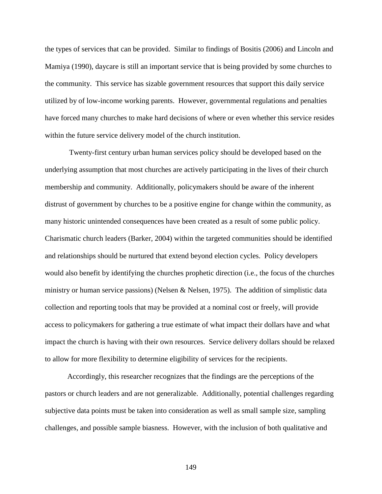the types of services that can be provided. Similar to findings of Bositis (2006) and Lincoln and Mamiya (1990), daycare is still an important service that is being provided by some churches to the community. This service has sizable government resources that support this daily service utilized by of low-income working parents. However, governmental regulations and penalties have forced many churches to make hard decisions of where or even whether this service resides within the future service delivery model of the church institution.

 Twenty-first century urban human services policy should be developed based on the underlying assumption that most churches are actively participating in the lives of their church membership and community. Additionally, policymakers should be aware of the inherent distrust of government by churches to be a positive engine for change within the community, as many historic unintended consequences have been created as a result of some public policy. Charismatic church leaders (Barker, 2004) within the targeted communities should be identified and relationships should be nurtured that extend beyond election cycles. Policy developers would also benefit by identifying the churches prophetic direction (i.e., the focus of the churches ministry or human service passions) (Nelsen & Nelsen, 1975). The addition of simplistic data collection and reporting tools that may be provided at a nominal cost or freely, will provide access to policymakers for gathering a true estimate of what impact their dollars have and what impact the church is having with their own resources. Service delivery dollars should be relaxed to allow for more flexibility to determine eligibility of services for the recipients.

Accordingly, this researcher recognizes that the findings are the perceptions of the pastors or church leaders and are not generalizable. Additionally, potential challenges regarding subjective data points must be taken into consideration as well as small sample size, sampling challenges, and possible sample biasness. However, with the inclusion of both qualitative and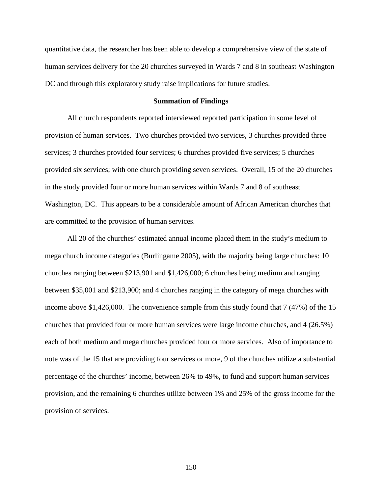quantitative data, the researcher has been able to develop a comprehensive view of the state of human services delivery for the 20 churches surveyed in Wards 7 and 8 in southeast Washington DC and through this exploratory study raise implications for future studies.

#### **Summation of Findings**

All church respondents reported interviewed reported participation in some level of provision of human services. Two churches provided two services, 3 churches provided three services; 3 churches provided four services; 6 churches provided five services; 5 churches provided six services; with one church providing seven services. Overall, 15 of the 20 churches in the study provided four or more human services within Wards 7 and 8 of southeast Washington, DC. This appears to be a considerable amount of African American churches that are committed to the provision of human services.

All 20 of the churches' estimated annual income placed them in the study's medium to mega church income categories (Burlingame 2005), with the majority being large churches: 10 churches ranging between \$213,901 and \$1,426,000; 6 churches being medium and ranging between \$35,001 and \$213,900; and 4 churches ranging in the category of mega churches with income above \$1,426,000. The convenience sample from this study found that 7 (47%) of the 15 churches that provided four or more human services were large income churches, and 4 (26.5%) each of both medium and mega churches provided four or more services. Also of importance to note was of the 15 that are providing four services or more, 9 of the churches utilize a substantial percentage of the churches' income, between 26% to 49%, to fund and support human services provision, and the remaining 6 churches utilize between 1% and 25% of the gross income for the provision of services.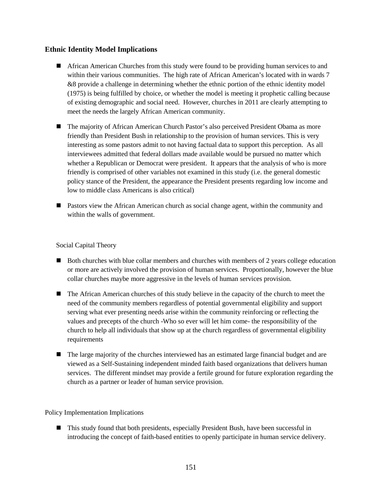## **Ethnic Identity Model Implications**

- **African American Churches from this study were found to be providing human services to and** within their various communities. The high rate of African American's located with in wards 7 &8 provide a challenge in determining whether the ethnic portion of the ethnic identity model (1975) is being fulfilled by choice, or whether the model is meeting it prophetic calling because of existing demographic and social need. However, churches in 2011 are clearly attempting to meet the needs the largely African American community.
- The majority of African American Church Pastor's also perceived President Obama as more friendly than President Bush in relationship to the provision of human services. This is very interesting as some pastors admit to not having factual data to support this perception. As all interviewees admitted that federal dollars made available would be pursued no matter which whether a Republican or Democrat were president. It appears that the analysis of who is more friendly is comprised of other variables not examined in this study (i.e. the general domestic policy stance of the President, the appearance the President presents regarding low income and low to middle class Americans is also critical)
- Pastors view the African American church as social change agent, within the community and within the walls of government.

### Social Capital Theory

- Both churches with blue collar members and churches with members of 2 years college education or more are actively involved the provision of human services. Proportionally, however the blue collar churches maybe more aggressive in the levels of human services provision.
- The African American churches of this study believe in the capacity of the church to meet the need of the community members regardless of potential governmental eligibility and support serving what ever presenting needs arise within the community reinforcing or reflecting the values and precepts of the church -Who so ever will let him come- the responsibility of the church to help all individuals that show up at the church regardless of governmental eligibility requirements
- $\blacksquare$  The large majority of the churches interviewed has an estimated large financial budget and are viewed as a Self-Sustaining independent minded faith based organizations that delivers human services. The different mindset may provide a fertile ground for future exploration regarding the church as a partner or leader of human service provision.

### Policy Implementation Implications

■ This study found that both presidents, especially President Bush, have been successful in introducing the concept of faith-based entities to openly participate in human service delivery.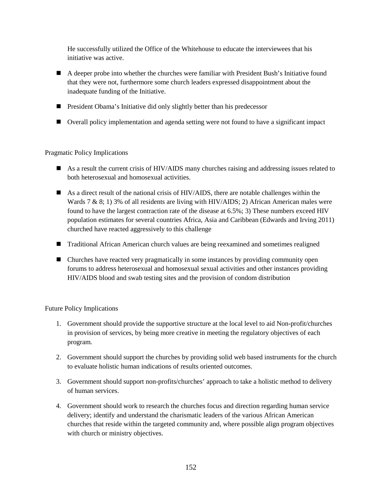He successfully utilized the Office of the Whitehouse to educate the interviewees that his initiative was active.

- A deeper probe into whether the churches were familiar with President Bush's Initiative found that they were not, furthermore some church leaders expressed disappointment about the inadequate funding of the Initiative.
- **President Obama's Initiative did only slightly better than his predecessor**
- Overall policy implementation and agenda setting were not found to have a significant impact

Pragmatic Policy Implications

- As a result the current crisis of HIV/AIDS many churches raising and addressing issues related to both heterosexual and homosexual activities.
- As a direct result of the national crisis of HIV/AIDS, there are notable challenges within the Wards 7 & 8; 1) 3% of all residents are living with HIV/AIDS; 2) African American males were found to have the largest contraction rate of the disease at 6.5%; 3) These numbers exceed HIV population estimates for several countries Africa, Asia and Caribbean (Edwards and Irving 2011) churched have reacted aggressively to this challenge
- Traditional African American church values are being reexamined and sometimes realigned
- Churches have reacted very pragmatically in some instances by providing community open forums to address heterosexual and homosexual sexual activities and other instances providing HIV/AIDS blood and swab testing sites and the provision of condom distribution

Future Policy Implications

- 1. Government should provide the supportive structure at the local level to aid Non-profit/churches in provision of services, by being more creative in meeting the regulatory objectives of each program.
- 2. Government should support the churches by providing solid web based instruments for the church to evaluate holistic human indications of results oriented outcomes.
- 3. Government should support non-profits/churches' approach to take a holistic method to delivery of human services.
- 4. Government should work to research the churches focus and direction regarding human service delivery; identify and understand the charismatic leaders of the various African American churches that reside within the targeted community and, where possible align program objectives with church or ministry objectives.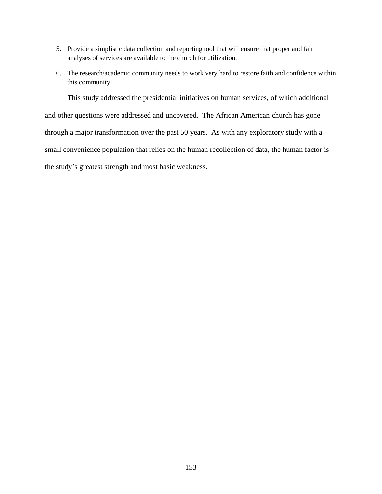- 5. Provide a simplistic data collection and reporting tool that will ensure that proper and fair analyses of services are available to the church for utilization.
- 6. The research/academic community needs to work very hard to restore faith and confidence within this community.

This study addressed the presidential initiatives on human services, of which additional and other questions were addressed and uncovered. The African American church has gone through a major transformation over the past 50 years. As with any exploratory study with a small convenience population that relies on the human recollection of data, the human factor is the study's greatest strength and most basic weakness.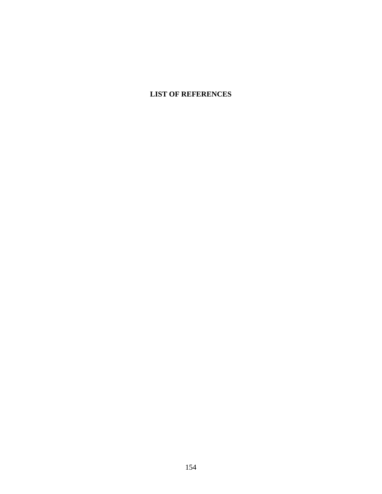# **LIST OF REFERENCES**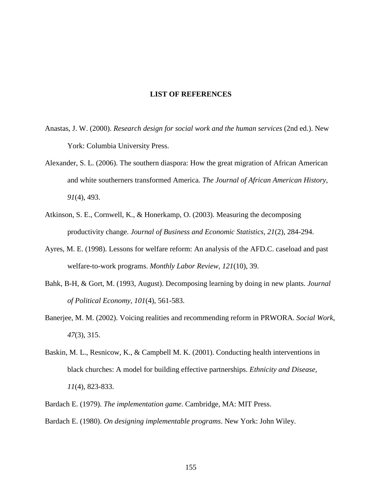#### **LIST OF REFERENCES**

- Anastas, J. W. (2000). *Research design for social work and the human services* (2nd ed.). New York: Columbia University Press.
- Alexander, S. L. (2006). The southern diaspora: How the great migration of African American and white southerners transformed America*. The Journal of African American History, 91*(4), 493.
- Atkinson, S. E., Cornwell, K., & Honerkamp, O. (2003). Measuring the decomposing productivity change. *Journal of Business and Economic Statistics, 21*(2), 284-294.
- Ayres, M. E. (1998). Lessons for welfare reform: An analysis of the AFD.C. caseload and past welfare-to-work programs. *Monthly Labor Review, 121*(10), 39.
- Bahk, B-H, & Gort, M. (1993, August). Decomposing learning by doing in new plants. *Journal of Political Economy, 101*(4), 561-583.
- Banerjee, M. M. (2002). Voicing realities and recommending reform in PRWORA. *Social Work*, *47*(3), 315.
- Baskin, M. L., Resnicow, K., & Campbell M. K. (2001). Conducting health interventions in black churches: A model for building effective partnerships. *Ethnicity and Disease, 11*(4), 823-833.
- Bardach E. (1979). *The implementation game*. Cambridge, MA: MIT Press. Bardach E. (1980). *On designing implementable programs*. New York: John Wiley.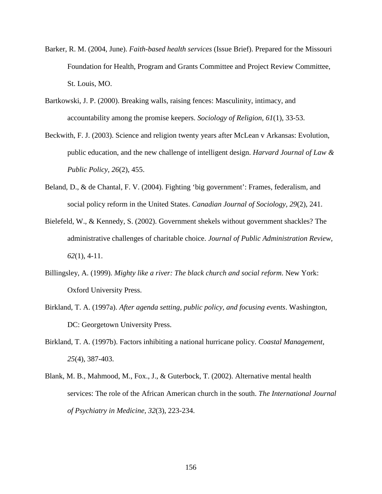- Barker, R. M. (2004, June). *Faith-based health services* (Issue Brief). Prepared for the Missouri Foundation for Health, Program and Grants Committee and Project Review Committee, St. Louis, MO.
- Bartkowski, J. P. (2000). Breaking walls, raising fences: Masculinity, intimacy, and accountability among the promise keepers. *Sociology of Religion, 61*(1), 33-53.
- Beckwith, F. J. (2003). Science and religion twenty years after McLean v Arkansas: Evolution, public education, and the new challenge of intelligent design. *Harvard Journal of Law & Public Policy, 26*(2), 455.
- Beland, D., & de Chantal, F. V. (2004). Fighting 'big government': Frames, federalism, and social policy reform in the United States. *Canadian Journal of Sociology, 29*(2), 241.
- Bielefeld, W., & Kennedy, S. (2002). Government shekels without government shackles? The administrative challenges of charitable choice. *Journal of Public Administration Review, 62*(1), 4-11.
- Billingsley, A. (1999). *Mighty like a river: The black church and social reform*. New York: Oxford University Press.
- Birkland, T. A. (1997a). *After agenda setting, public policy, and focusing events*. Washington, DC: Georgetown University Press.
- Birkland, T. A. (1997b). Factors inhibiting a national hurricane policy. *Coastal Management*, *25*(4), 387-403.
- Blank, M. B., Mahmood, M., Fox., J., & Guterbock, T. (2002). Alternative mental health services: The role of the African American church in the south. *The International Journal of Psychiatry in Medicine, 32*(3), 223-234.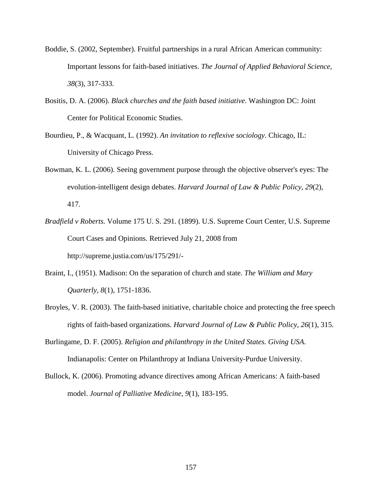- Boddie, S. (2002, September). Fruitful partnerships in a rural African American community: Important lessons for faith-based initiatives. *The Journal of Applied Behavioral Science, 38*(3), 317-333.
- Bositis, D. A. (2006). *Black churches and the faith based initiative*. Washington DC: Joint Center for Political Economic Studies.
- Bourdieu, P., & Wacquant, L. (1992). *An invitation to reflexive sociology*. Chicago, IL: University of Chicago Press.
- Bowman, K. L. (2006). Seeing government purpose through the objective observer's eyes: The evolution-intelligent design debates. *Harvard Journal of Law & Public Policy, 29*(2), 417.
- *Bradfield v Roberts.* Volume 175 U. S. 291. (1899). U.S. Supreme Court Center, U.S. Supreme Court Cases and Opinions. Retrieved July 21, 2008 from http://supreme.justia.com/us/175/291/-
- Braint, I., (1951). Madison: On the separation of church and state. *The William and Mary Quarterly, 8*(1), 1751-1836.
- Broyles, V. R. (2003). The faith-based initiative, charitable choice and protecting the free speech rights of faith-based organizations. *Harvard Journal of Law & Public Policy, 26*(1), 315.
- Burlingame, D. F. (2005). *Religion and philanthropy in the United States. Giving USA*. Indianapolis: Center on Philanthropy at Indiana University-Purdue University.
- Bullock, K. (2006). Promoting advance directives among African Americans: A faith-based model. *Journal of Palliative Medicine, 9*(1), 183-195.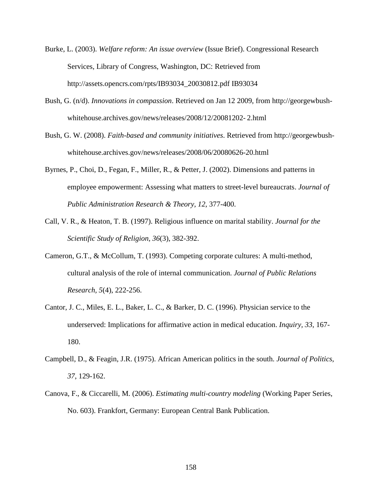- Burke, L. (2003). *Welfare reform: An issue overview* (Issue Brief). Congressional Research Services, Library of Congress, Washington, DC: Retrieved from http://assets.opencrs.com/rpts/IB93034\_20030812.pdf IB93034
- Bush, G. (n/d). *Innovations in compassion*. Retrieved on Jan 12 2009, from http://georgewbushwhitehouse.archives.gov/news/releases/2008/12/20081202- 2.html
- Bush, G. W. (2008). *Faith-based and community initiatives*. Retrieved from http://georgewbushwhitehouse.archives.gov/news/releases/2008/06/20080626-20.html
- Byrnes, P., Choi, D., Fegan, F., Miller, R., & Petter, J. (2002). Dimensions and patterns in employee empowerment: Assessing what matters to street-level bureaucrats. *Journal of Public Administration Research & Theory, 12*, 377-400.
- Call, V. R., & Heaton, T. B. (1997). Religious influence on marital stability. *Journal for the Scientific Study of Religion, 36*(3), 382-392.
- Cameron, G.T., & McCollum, T. (1993). Competing corporate cultures: A multi-method, cultural analysis of the role of internal communication. *Journal of Public Relations Research, 5*(4), 222-256.
- Cantor, J. C., Miles, E. L., Baker, L. C., & Barker, D. C. (1996). Physician service to the underserved: Implications for affirmative action in medical education. *Inquiry, 33*, 167- 180.
- Campbell, D., & Feagin, J.R. (1975). African American politics in the south. *Journal of Politics, 37*, 129-162.
- Canova, F., & Ciccarelli, M. (2006). *Estimating multi-country modeling* (Working Paper Series, No. 603). Frankfort, Germany: European Central Bank Publication.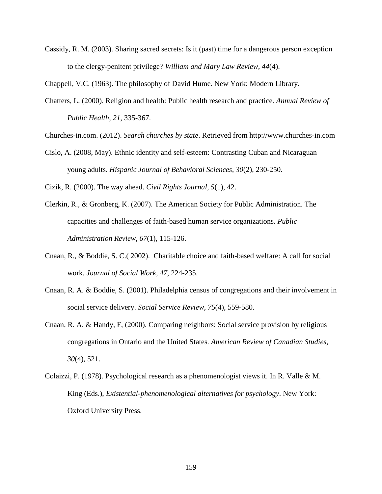Cassidy, R. M. (2003). Sharing sacred secrets: Is it (past) time for a dangerous person exception to the clergy-penitent privilege? *William and Mary Law Review, 44*(4).

Chappell, V.C. (1963). The philosophy of David Hume. New York: Modern Library.

Chatters, L. (2000). Religion and health: Public health research and practice. *Annual Review of Public Health, 21*, 335-367.

Churches-in.com. (2012). *Search churches by state*. Retrieved from http://www.churches-in.com

Cislo, A. (2008, May). Ethnic identity and self-esteem: Contrasting Cuban and Nicaraguan young adults. *Hispanic Journal of Behavioral Sciences, 30*(2), 230-250.

Cizik, R. (2000). The way ahead. *Civil Rights Journal, 5*(1), 42.

- Clerkin, R., & Gronberg, K. (2007). The American Society for Public Administration. The capacities and challenges of faith-based human service organizations. *Public Administration Review, 67*(1), 115-126.
- Cnaan, R., & Boddie, S. C.( 2002). Charitable choice and faith-based welfare: A call for social work. *Journal of Social Work, 47*, 224-235.
- Cnaan, R. A. & Boddie, S. (2001). Philadelphia census of congregations and their involvement in social service delivery. *Social Service Review, 75*(4), 559-580.
- Cnaan, R. A. & Handy, F, (2000). Comparing neighbors: Social service provision by religious congregations in Ontario and the United States*. American Review of Canadian Studies, 30*(4), 521.
- Colaizzi, P. (1978). Psychological research as a phenomenologist views it. In R. Valle & M. King (Eds.), *Existential-phenomenological alternatives for psychology*. New York: Oxford University Press.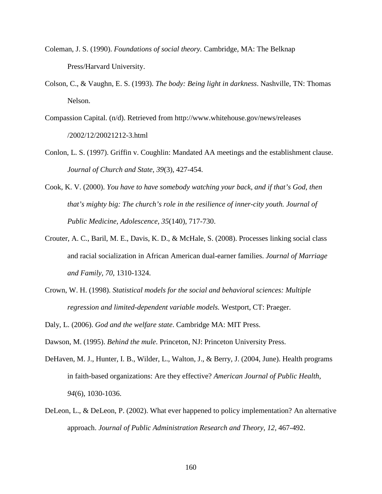- Coleman, J. S. (1990). *Foundations of social theory.* Cambridge, MA: The Belknap Press/Harvard University.
- Colson, C., & Vaughn, E. S. (1993). *The body: Being light in darkness*. Nashville, TN: Thomas Nelson.
- Compassion Capital. (n/d). Retrieved from http://www.whitehouse.gov/news/releases /2002/12/20021212-3.html
- Conlon, L. S. (1997). Griffin v. Coughlin: Mandated AA meetings and the establishment clause. *Journal of Church and State, 39*(3), 427-454.
- Cook, K. V. (2000). *You have to have somebody watching your back, and if that's God, then that's mighty big: The church's role in the resilience of inner-city youth. Journal of Public Medicine, Adolescence, 35*(140), 717-730.
- Crouter, A. C., Baril, M. E., Davis, K. D., & McHale, S. (2008). Processes linking social class and racial socialization in African American dual-earner families. *Journal of Marriage and Family, 70*, 1310-1324.
- Crown, W. H. (1998). *Statistical models for the social and behavioral sciences: Multiple regression and limited-dependent variable models.* Westport, CT: Praeger.
- Daly, L. (2006). *God and the welfare state*. Cambridge MA: MIT Press.

Dawson, M. (1995). *Behind the mule*. Princeton, NJ: Princeton University Press.

- DeHaven, M. J., Hunter, I. B., Wilder, L., Walton, J., & Berry, J. (2004, June). Health programs in faith-based organizations: Are they effective? *American Journal of Public Health, 94*(6), 1030-1036.
- DeLeon, L., & DeLeon, P. (2002). What ever happened to policy implementation? An alternative approach. *Journal of Public Administration Research and Theory*, *12,* 467-492.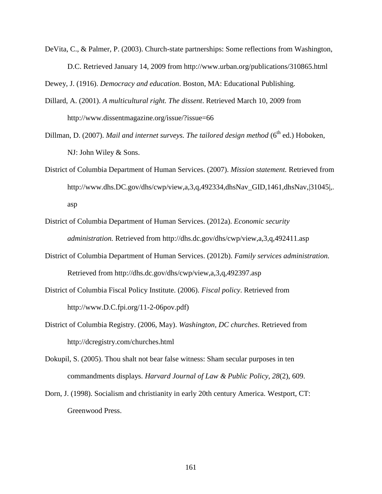DeVita, C., & Palmer, P. (2003). Church-state partnerships: Some reflections from Washington, D.C. Retrieved January 14, 2009 from http://www.urban.org/publications/310865.html

Dewey, J. (1916). *Democracy and education*. Boston, MA: Educational Publishing.

- Dillard, A. (2001). *A multicultural right. The dissent*. Retrieved March 10, 2009 from http://www.dissentmagazine.org/issue/?issue=66
- Dillman, D. (2007). *Mail and internet surveys. The tailored design method* (6<sup>th</sup> ed.) Hoboken, NJ: John Wiley & Sons.
- District of Columbia Department of Human Services. (2007). *Mission statement.* Retrieved from http://www.dhs.DC.gov/dhs/cwp/view,a,3,q,492334,dhsNav\_GID,1461,dhsNav,|31045|,. asp
- District of Columbia Department of Human Services. (2012a). *Economic security administration.* Retrieved from http://dhs.dc.gov/dhs/cwp/view,a,3,q,492411.asp
- District of Columbia Department of Human Services. (2012b). *Family services administration.* Retrieved from http://dhs.dc.gov/dhs/cwp/view,a,3,q,492397.asp
- District of Columbia Fiscal Policy Institute. (2006). *Fiscal policy*. Retrieved from http://www.D.C.fpi.org/11-2-06pov.pdf)
- District of Columbia Registry. (2006, May). *Washington, DC churches*. Retrieved from http://dcregistry.com/churches.html
- Dokupil, S. (2005). Thou shalt not bear false witness: Sham secular purposes in ten commandments displays. *Harvard Journal of Law & Public Policy, 28*(2), 609.
- Dorn, J. (1998). Socialism and christianity in early 20th century America. Westport, CT: Greenwood Press.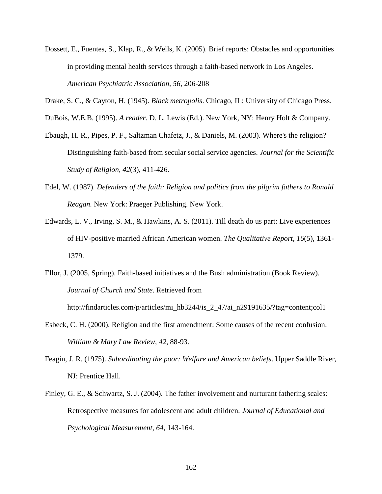- Dossett, E., Fuentes, S., Klap, R., & Wells, K. (2005). Brief reports: Obstacles and opportunities in providing mental health services through a faith-based network in Los Angeles. *American Psychiatric Association, 56*, 206-208
- Drake, S. C., & Cayton, H. (1945). *Black metropolis*. Chicago, IL: University of Chicago Press.

DuBois, W.E.B. (1995). *A reader*. D. L. Lewis (Ed.). New York, NY: Henry Holt & Company.

- Ebaugh, H. R., Pipes, P. F., Saltzman Chafetz, J., & Daniels, M. (2003). Where's the religion? Distinguishing faith-based from secular social service agencies. *Journal for the Scientific Study of Religion*, *42*(3), 411-426.
- Edel, W. (1987). *Defenders of the faith: Religion and politics from the pilgrim fathers to Ronald Reagan.* New York: Praeger Publishing. New York.
- Edwards, L. V., Irving, S. M., & Hawkins, A. S. (2011). Till death do us part: Live experiences of HIV-positive married African American women. *The Qualitative Report, 16*(5), 1361- 1379.
- Ellor, J. (2005, Spring). Faith-based initiatives and the Bush administration (Book Review). *Journal of Church and State*. Retrieved from

http://findarticles.com/p/articles/mi\_hb3244/is\_2\_47/ai\_n29191635/?tag=content;col1

- Esbeck, C. H. (2000). Religion and the first amendment: Some causes of the recent confusion. *William & Mary Law Review, 42*, 88-93.
- Feagin, J. R. (1975). *Subordinating the poor: Welfare and American beliefs*. Upper Saddle River, NJ: Prentice Hall.
- Finley, G. E., & Schwartz, S. J. (2004). The father involvement and nurturant fathering scales: Retrospective measures for adolescent and adult children. *Journal of Educational and Psychological Measurement, 64*, 143-164.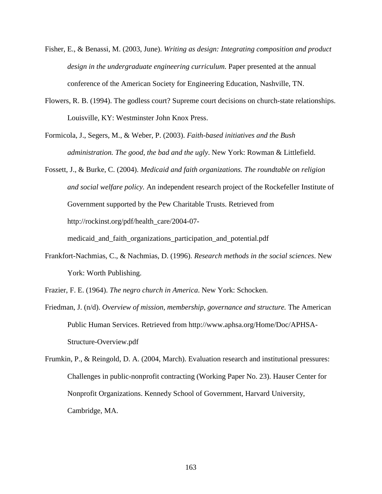- Fisher, E., & Benassi, M. (2003, June). *Writing as design: Integrating composition and product design in the undergraduate engineering curriculum.* Paper presented at the annual conference of the American Society for Engineering Education, Nashville, TN.
- Flowers, R. B. (1994). The godless court? Supreme court decisions on church-state relationships. Louisville, KY: Westminster John Knox Press.
- Formicola, J., Segers, M., & Weber, P. (2003). *Faith-based initiatives and the Bush administration. The good, the bad and the ugly*. New York: Rowman & Littlefield.
- Fossett, J., & Burke, C. (2004). *Medicaid and faith organizations. The roundtable on religion and social welfare policy.* An independent research project of the Rockefeller Institute of Government supported by the Pew Charitable Trusts. Retrieved from http://rockinst.org/pdf/health\_care/2004-07-

medicaid\_and\_faith\_organizations\_participation\_and\_potential.pdf

- Frankfort-Nachmias, C., & Nachmias, D. (1996). *Research methods in the social sciences*. New York: Worth Publishing.
- Frazier, F. E. (1964). *The negro church in America*. New York: Schocken.
- Friedman, J. (n/d). *Overview of mission, membership, governance and structure.* The American Public Human Services. Retrieved from http://www.aphsa.org/Home/Doc/APHSA-Structure-Overview.pdf
- Frumkin, P., & Reingold, D. A. (2004, March). Evaluation research and institutional pressures: Challenges in public-nonprofit contracting (Working Paper No. 23). Hauser Center for Nonprofit Organizations. Kennedy School of Government, Harvard University, Cambridge, MA.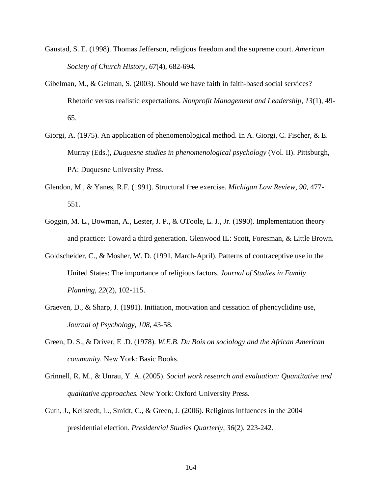- Gaustad, S. E. (1998). Thomas Jefferson, religious freedom and the supreme court. *American Society of Church History, 67*(4), 682-694.
- Gibelman, M., & Gelman, S. (2003). Should we have faith in faith-based social services? Rhetoric versus realistic expectations. *Nonprofit Management and Leadership, 13*(1), 49- 65.
- Giorgi, A. (1975). An application of phenomenological method. In A. Giorgi, C. Fischer, & E. Murray (Eds.), *Duquesne studies in phenomenological psychology* (Vol. II). Pittsburgh, PA: Duquesne University Press.
- Glendon, M., & Yanes, R.F. (1991). Structural free exercise. *Michigan Law Review, 90*, 477- 551.
- Goggin, M. L., Bowman, A., Lester, J. P., & OToole, L. J., Jr. (1990). Implementation theory and practice: Toward a third generation. Glenwood IL: Scott, Foresman, & Little Brown.
- Goldscheider, C., & Mosher, W. D. (1991, March-April). Patterns of contraceptive use in the United States: The importance of religious factors. *Journal of Studies in Family Planning*, *22*(2), 102-115.
- Graeven, D., & Sharp, J. (1981). Initiation, motivation and cessation of phencyclidine use, *Journal of Psychology, 108*, 43-58.
- Green, D. S., & Driver, E .D. (1978). *W.E.B. Du Bois on sociology and the African American community.* New York: Basic Books.
- Grinnell, R. M., & Unrau, Y. A. (2005). *Social work research and evaluation: Quantitative and qualitative approaches.* New York: Oxford University Press.
- Guth, J., Kellstedt, L., Smidt, C., & Green, J. (2006). Religious influences in the 2004 presidential election. *Presidential Studies Quarterly, 36*(2), 223-242.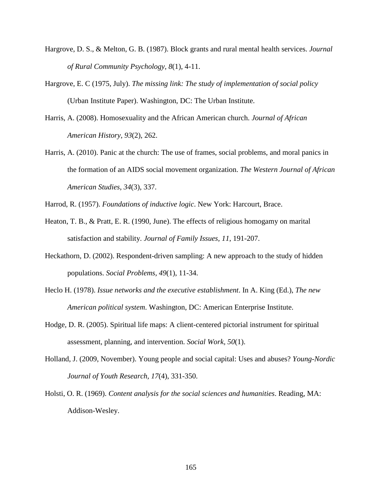- Hargrove, D. S., & Melton, G. B. (1987). Block grants and rural mental health services. *Journal of Rural Community Psychology, 8*(1), 4-11.
- Hargrove, E. C (1975, July). *The missing link: The study of implementation of social policy* (Urban Institute Paper). Washington, DC: The Urban Institute.
- Harris, A. (2008). Homosexuality and the African American church. *Journal of African American History*, *93*(2), 262.
- Harris, A. (2010). Panic at the church: The use of frames, social problems, and moral panics in the formation of an AIDS social movement organization. *The Western Journal of African American Studies*, *34*(3), 337.
- Harrod, R. (1957). *Foundations of inductive logic*. New York: Harcourt, Brace.
- Heaton, T. B., & Pratt, E. R. (1990, June). The effects of religious homogamy on marital satisfaction and stability. *Journal of Family Issues, 11*, 191-207.
- Heckathorn, D. (2002). Respondent-driven sampling: A new approach to the study of hidden populations. *Social Problems, 49*(1), 11-34.
- Heclo H. (1978). *Issue networks and the executive establishment*. In A. King (Ed.), *The new American political system*. Washington, DC: American Enterprise Institute.
- Hodge, D. R. (2005). Spiritual life maps: A client-centered pictorial instrument for spiritual assessment, planning, and intervention. *Social Work, 50*(1).
- Holland, J. (2009, November). Young people and social capital: Uses and abuses? *Young-Nordic Journal of Youth Research, 17*(4), 331-350.
- Holsti, O. R. (1969). *Content analysis for the social sciences and humanities*. Reading, MA: Addison-Wesley.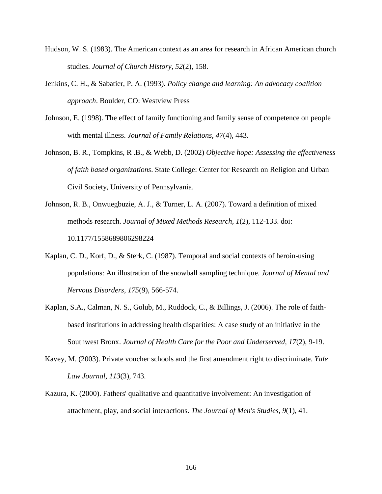- Hudson, W. S. (1983). The American context as an area for research in African American church studies. *Journal of Church History, 52*(2), 158.
- Jenkins, C. H., & Sabatier, P. A. (1993). *Policy change and learning: An advocacy coalition approach*. Boulder, CO: Westview Press
- Johnson, E. (1998). The effect of family functioning and family sense of competence on people with mental illness. *Journal of Family Relations, 47*(4), 443.
- Johnson, B. R., Tompkins, R .B., & Webb, D. (2002) *Objective hope: Assessing the effectiveness of faith based organizations*. State College: Center for Research on Religion and Urban Civil Society, University of Pennsylvania.
- Johnson, R. B., Onwuegbuzie, A. J., & Turner, L. A. (2007). Toward a definition of mixed methods research. *Journal of Mixed Methods Research, 1*(2), 112-133. doi: 10.1177/1558689806298224
- Kaplan, C. D., Korf, D., & Sterk, C. (1987). Temporal and social contexts of heroin-using populations: An illustration of the snowball sampling technique. *Journal of Mental and Nervous Disorders, 175*(9), 566-574.
- Kaplan, S.A., Calman, N. S., Golub, M., Ruddock, C., & Billings, J. (2006). The role of faithbased institutions in addressing health disparities: A case study of an initiative in the Southwest Bronx. *Journal of Health Care for the Poor and Underserved, 17*(2), 9-19.
- Kavey, M. (2003). Private voucher schools and the first amendment right to discriminate. *Yale Law Journal, 113*(3), 743.
- Kazura, K. (2000). Fathers' qualitative and quantitative involvement: An investigation of attachment, play, and social interactions. *The Journal of Men's Studies, 9*(1), 41.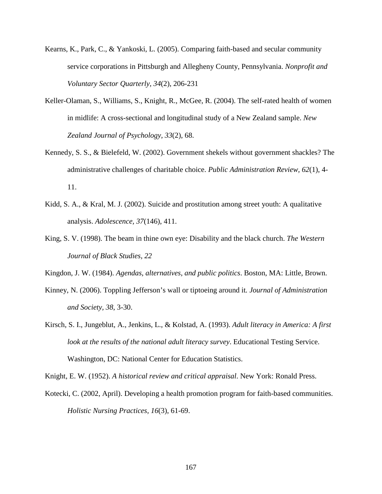- Kearns, K., Park, C., & Yankoski, L. (2005). Comparing faith-based and secular community service corporations in Pittsburgh and Allegheny County, Pennsylvania. *Nonprofit and Voluntary Sector Quarterly, 34*(2), 206-231
- Keller-Olaman, S., Williams, S., Knight, R., McGee, R. (2004). The self-rated health of women in midlife: A cross-sectional and longitudinal study of a New Zealand sample. *New Zealand Journal of Psychology, 33*(2), 68.
- Kennedy, S. S., & Bielefeld, W. (2002). Government shekels without government shackles? The administrative challenges of charitable choice. *Public Administration Review, 62*(1), 4- 11.
- Kidd, S. A., & Kral, M. J. (2002). Suicide and prostitution among street youth: A qualitative analysis. *Adolescence, 37*(146), 411.
- King, S. V. (1998). The beam in thine own eye: Disability and the black church. *The Western Journal of Black Studies, 22*

Kingdon, J. W. (1984). *Agendas, alternatives, and public politics*. Boston, MA: Little, Brown.

- Kinney, N. (2006). Toppling Jefferson's wall or tiptoeing around it*. Journal of Administration and Society, 38*, 3-30.
- Kirsch, S. I., Jungeblut, A., Jenkins, L., & Kolstad, A. (1993). *Adult literacy in America: A first look at the results of the national adult literacy survey*. Educational Testing Service. Washington, DC: National Center for Education Statistics.

Knight, E. W. (1952). *A historical review and critical appraisal*. New York: Ronald Press.

Kotecki, C. (2002, April). Developing a health promotion program for faith-based communities. *Holistic Nursing Practices, 16*(3), 61-69.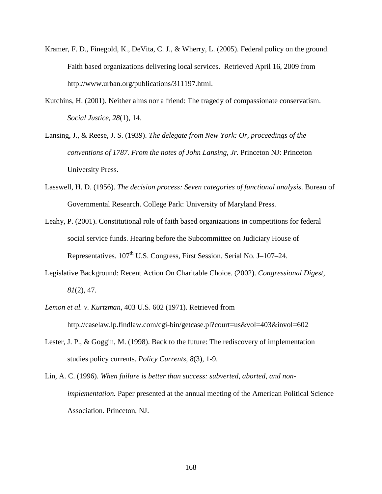- Kramer, F. D., Finegold, K., DeVita, C. J., & Wherry, L. (2005). Federal policy on the ground. Faith based organizations delivering local services. Retrieved April 16, 2009 from http://www.urban.org/publications/311197.html.
- Kutchins, H. (2001). Neither alms nor a friend: The tragedy of compassionate conservatism. *Social Justice, 28*(1), 14.
- Lansing, J., & Reese, J. S. (1939). *The delegate from New York: Or, proceedings of the conventions of 1787. From the notes of John Lansing, Jr.* Princeton NJ: Princeton University Press.
- Lasswell, H. D. (1956). *The decision process: Seven categories of functional analysis*. Bureau of Governmental Research. College Park: University of Maryland Press.
- Leahy, P. (2001). Constitutional role of faith based organizations in competitions for federal social service funds. Hearing before the Subcommittee on Judiciary House of Representatives.  $107<sup>th</sup>$  U.S. Congress, First Session. Serial No. J–107–24.
- Legislative Background: Recent Action On Charitable Choice. (2002). *Congressional Digest, 81*(2), 47.
- *Lemon et al. v. Kurtzman*, 403 U.S. 602 (1971). Retrieved from http://caselaw.lp.findlaw.com/cgi-bin/getcase.pl?court=us&vol=403&invol=602
- Lester, J. P., & Goggin, M. (1998). Back to the future: The rediscovery of implementation studies policy currents. *Policy Currents, 8*(3), 1-9.
- Lin, A. C. (1996). *When failure is better than success: subverted, aborted, and nonimplementation.* Paper presented at the annual meeting of the American Political Science Association. Princeton, NJ.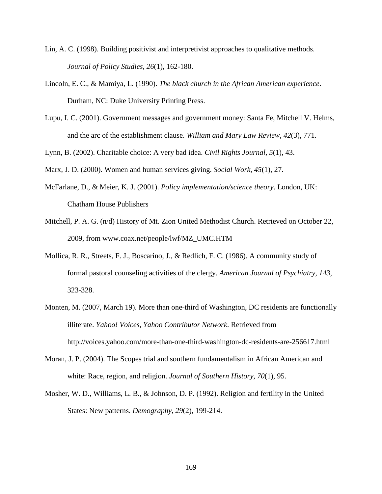- Lin, A. C. (1998). Building positivist and interpretivist approaches to qualitative methods. *Journal of Policy Studies, 26*(1), 162-180.
- Lincoln, E. C., & Mamiya, L. (1990). *The black church in the African American experience*. Durham, NC: Duke University Printing Press.
- Lupu, I. C. (2001). Government messages and government money: Santa Fe, Mitchell V. Helms, and the arc of the establishment clause. *William and Mary Law Review, 42*(3), 771.
- Lynn, B. (2002). Charitable choice: A very bad idea. *Civil Rights Journal, 5*(1), 43.
- Marx, J. D. (2000). Women and human services giving. *Social Work, 45*(1), 27.
- McFarlane, D., & Meier, K. J. (2001). *Policy implementation/science theory*. London, UK: Chatham House Publishers
- Mitchell, P. A. G. (n/d) History of Mt. Zion United Methodist Church. Retrieved on October 22, 2009, from www.coax.net/people/lwf/MZ\_UMC.HTM
- Mollica, R. R., Streets, F. J., Boscarino, J., & Redlich, F. C. (1986). A community study of formal pastoral counseling activities of the clergy. *American Journal of Psychiatry, 143,*  323-328.
- Monten, M. (2007, March 19). More than one-third of Washington, DC residents are functionally illiterate. *Yahoo! Voices, Yahoo Contributor Network*. Retrieved from http://voices.yahoo.com/more-than-one-third-washington-dc-residents-are-256617.html
- Moran, J. P. (2004). The Scopes trial and southern fundamentalism in African American and white: Race, region, and religion. *Journal of Southern History, 70*(1), 95.
- Mosher, W. D., Williams, L. B., & Johnson, D. P. (1992). Religion and fertility in the United States: New patterns. *Demography, 29*(2), 199-214.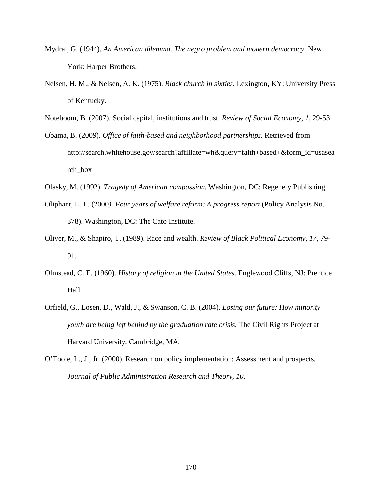- Mydral, G. (1944). *An American dilemma. The negro problem and modern democracy*. New York: Harper Brothers.
- Nelsen, H. M., & Nelsen, A. K. (1975). *Black church in sixties*. Lexington, KY: University Press of Kentucky.
- Noteboom, B. (2007). Social capital, institutions and trust. *Review of Social Economy, 1*, 29-53.
- Obama, B. (2009). *Office of faith-based and neighborhood partnerships.* Retrieved from http://search.whitehouse.gov/search?affiliate=wh&query=faith+based+&form\_id=usasea rch\_box
- Olasky, M. (1992). *Tragedy of American compassion*. Washington, DC: Regenery Publishing.
- Oliphant, L. E. (2000*). Four years of welfare reform: A progress report* (Policy Analysis No. 378). Washington, DC: The Cato Institute.
- Oliver, M., & Shapiro, T. (1989). Race and wealth. *Review of Black Political Economy, 17*, 79- 91.
- Olmstead, C. E. (1960). *History of religion in the United States*. Englewood Cliffs, NJ: Prentice Hall.
- Orfield, G., Losen, D., Wald, J., & Swanson, C. B. (2004). *Losing our future: How minority youth are being left behind by the graduation rate crisis.* The Civil Rights Project at Harvard University, Cambridge, MA.
- O'Toole, L., J., Jr. (2000). Research on policy implementation: Assessment and prospects. *Journal of Public Administration Research and Theory, 10*.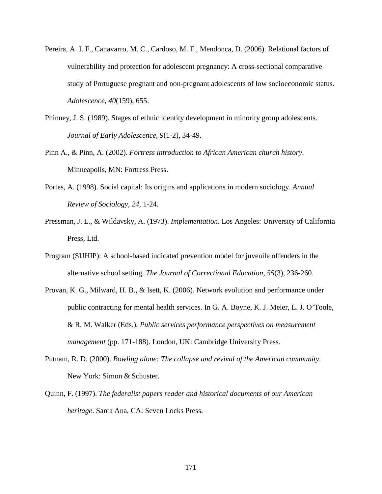- Pereira, A. I. F., Canavarro, M. C., Cardoso, M. F., Mendonca, D. (2006). Relational factors of vulnerability and protection for adolescent pregnancy: A cross-sectional comparative study of Portuguese pregnant and non-pregnant adolescents of low socioeconomic status. *Adolescence, 40*(159), 655.
- Phinney, J. S. (1989). Stages of ethnic identity development in minority group adolescents. *Journal of Early Adolescence, 9*(1-2), 34-49.
- Pinn A., & Pinn, A. (2002). *Fortress introduction to African American church history*. Minneapolis, MN: Fortress Press.
- Portes, A. (1998). Social capital: Its origins and applications in modern sociology. *Annual Review of Sociology, 24,* 1-24.
- Pressman, J. L., & Wildavsky, A. (1973). *Implementation*. Los Angeles: University of California Press, Ltd.
- Program (SUHIP): A school-based indicated prevention model for juvenile offenders in the alternative school setting. *The Journal of Correctional Education, 55*(3), 236-260.
- Provan, K. G., Milward, H. B., & Isett, K. (2006). Network evolution and performance under public contracting for mental health services. In G. A. Boyne, K. J. Meier, L. J. O'Toole, & R. M. Walker (Eds.), *Public services performance perspectives on measurement management* (pp. 171-188). London, UK: Cambridge University Press.
- Putnam, R. D. (2000). *Bowling alone: The collapse and revival of the American community*. New York: Simon & Schuster.
- Quinn, F. (1997). *The federalist papers reader and historical documents of our American heritage*. Santa Ana, CA: Seven Locks Press.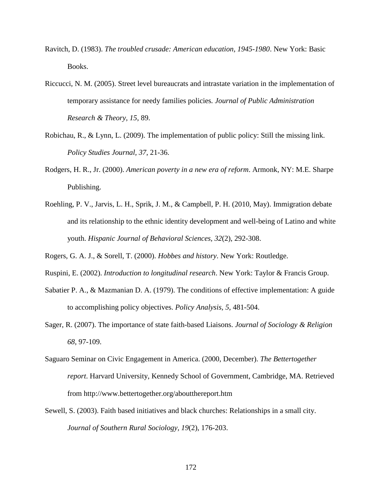- Ravitch, D. (1983). *The troubled crusade: American education, 1945-1980*. New York: Basic Books.
- Riccucci, N. M. (2005). Street level bureaucrats and intrastate variation in the implementation of temporary assistance for needy families policies*. Journal of Public Administration Research & Theory, 15*, 89.
- Robichau, R., & Lynn, L. (2009). The implementation of public policy: Still the missing link. *Policy Studies Journal, 37*, 21-36.
- Rodgers, H. R., Jr. (2000). *American poverty in a new era of reform*. Armonk, NY: M.E. Sharpe Publishing.
- Roehling, P. V., Jarvis, L. H., Sprik, J. M., & Campbell, P. H. (2010, May). Immigration debate and its relationship to the ethnic identity development and well-being of Latino and white youth. *Hispanic Journal of Behavioral Sciences, 32*(2), 292-308.
- Rogers, G. A. J., & Sorell, T. (2000). *Hobbes and history*. New York: Routledge.
- Ruspini, E. (2002). *Introduction to longitudinal research*. New York: Taylor & Francis Group.
- Sabatier P. A., & Mazmanian D. A. (1979). The conditions of effective implementation: A guide to accomplishing policy objectives. *Policy Analysis, 5*, 481-504.
- Sager, R. (2007). The importance of state faith-based Liaisons. *Journal of Sociology & Religion 68*, 97-109.
- Saguaro Seminar on Civic Engagement in America. (2000, December). *The Bettertogether report*. Harvard University, Kennedy School of Government, Cambridge, MA. Retrieved from http://www.bettertogether.org/aboutthereport.htm
- Sewell, S. (2003). Faith based initiatives and black churches: Relationships in a small city. *Journal of Southern Rural Sociology, 19*(2), 176-203.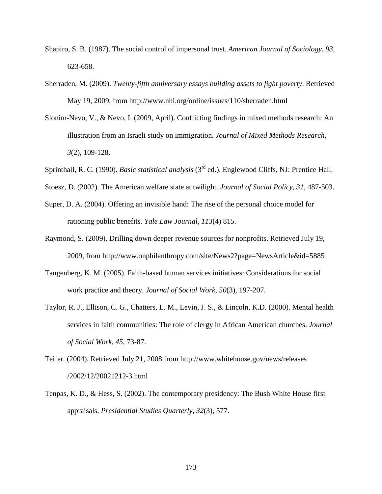- Shapiro, S. B. (1987). The social control of impersonal trust. *American Journal of Sociology, 93*, 623-658.
- Sherraden, M. (2009). *Twenty-fifth anniversary essays building assets to fight poverty*. Retrieved May 19, 2009, from http://www.nhi.org/online/issues/110/sherraden.html
- Slonim-Nevo, V., & Nevo, I. (2009, April). Conflicting findings in mixed methods research: An illustration from an Israeli study on immigration. *Journal of Mixed Methods Research, 3*(2), 109-128.
- Sprinthall, R. C. (1990). *Basic statistical analysis* (3rd ed.). Englewood Cliffs, NJ: Prentice Hall.
- Stoesz, D. (2002). The American welfare state at twilight. *Journal of Social Policy*, *31*, 487-503.
- Super, D. A. (2004). Offering an invisible hand: The rise of the personal choice model for rationing public benefits. *Yale Law Journal, 113*(4) 815.
- Raymond, S. (2009). Drilling down deeper revenue sources for nonprofits. Retrieved July 19, 2009, from http://www.onphilanthropy.com/site/News2?page=NewsArticle&id=5885
- Tangenberg, K. M. (2005). Faith-based human services initiatives: Considerations for social work practice and theory. *Journal of Social Work, 50*(3), 197-207.
- Taylor, R. J., Ellison, C. G., Chatters, L. M., Levin, J. S., & Lincoln, K.D. (2000). Mental health services in faith communities: The role of clergy in African American churches. *Journal of Social Work, 45*, 73-87.
- Teifer. (2004). Retrieved July 21, 2008 from http://www.whitehouse.gov/news/releases /2002/12/20021212-3.html
- Tenpas, K. D., & Hess, S. (2002). The contemporary presidency: The Bush White House first appraisals. *Presidential Studies Quarterly, 32*(3), 577.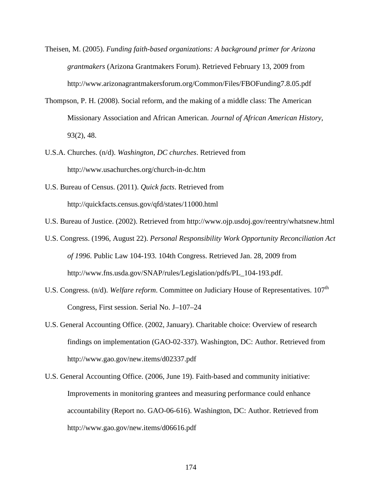- Theisen, M. (2005). *Funding faith-based organizations: A background primer for Arizona grantmakers* (Arizona Grantmakers Forum). Retrieved February 13, 2009 from http://www.arizonagrantmakersforum.org/Common/Files/FBOFunding7.8.05.pdf
- Thompson, P. H. (2008). Social reform, and the making of a middle class: The American Missionary Association and African American. *Journal of African American History,* 93(2), 48.
- U.S.A. Churches. (n/d). *Washington, DC churches*. Retrieved from http://www.usachurches.org/church-in-dc.htm
- U.S. Bureau of Census. (2011). *Quick facts*. Retrieved from http://quickfacts.census.gov/qfd/states/11000.html
- U.S. Bureau of Justice. (2002). Retrieved from http://www.ojp.usdoj.gov/reentry/whatsnew.html
- U.S. Congress. (1996, August 22). *Personal Responsibility Work Opportunity Reconciliation Act of 1996*. Public Law 104-193. 104th Congress. Retrieved Jan. 28, 2009 from http://www.fns.usda.gov/SNAP/rules/Legislation/pdfs/PL\_104-193.pdf.
- U.S. Congress. (n/d). *Welfare reform*. Committee on Judiciary House of Representatives. 107<sup>th</sup> Congress, First session. Serial No. J–107–24
- U.S. General Accounting Office. (2002, January). Charitable choice: Overview of research findings on implementation (GAO-02-337). Washington, DC: Author. Retrieved from http://www.gao.gov/new.items/d02337.pdf
- U.S. General Accounting Office. (2006, June 19). Faith-based and community initiative: Improvements in monitoring grantees and measuring performance could enhance accountability (Report no. GAO-06-616). Washington, DC: Author. Retrieved from http://www.gao.gov/new.items/d06616.pdf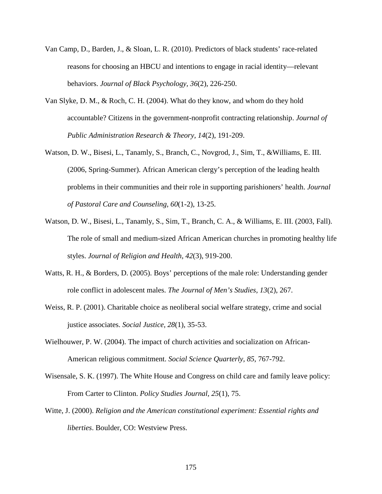- Van Camp, D., Barden, J., & Sloan, L. R. (2010). Predictors of black students' race-related reasons for choosing an HBCU and intentions to engage in racial identity—relevant behaviors. *Journal of Black Psychology, 36*(2), 226-250.
- Van Slyke, D. M., & Roch, C. H. (2004). What do they know, and whom do they hold accountable? Citizens in the government-nonprofit contracting relationship. *Journal of Public Administration Research & Theory, 14*(2), 191-209.
- Watson, D. W., Bisesi, L., Tanamly, S., Branch, C., Novgrod, J., Sim, T., &Williams, E. III. (2006, Spring-Summer). African American clergy's perception of the leading health problems in their communities and their role in supporting parishioners' health. *Journal of Pastoral Care and Counseling, 60*(1-2), 13-25.
- Watson, D. W., Bisesi, L., Tanamly, S., Sim, T., Branch, C. A., & Williams, E. III. (2003, Fall). The role of small and medium-sized African American churches in promoting healthy life styles. *Journal of Religion and Health, 42*(3), 919-200.
- Watts, R. H., & Borders, D. (2005). Boys' perceptions of the male role: Understanding gender role conflict in adolescent males. *The Journal of Men's Studies, 13*(2), 267.
- Weiss, R. P. (2001). Charitable choice as neoliberal social welfare strategy, crime and social justice associates. *Social Justice, 28*(1), 35-53.
- Wielhouwer, P. W. (2004). The impact of church activities and socialization on African-American religious commitment. *Social Science Quarterly, 85*, 767-792.
- Wisensale, S. K. (1997). The White House and Congress on child care and family leave policy: From Carter to Clinton. *Policy Studies Journal, 25*(1), 75.
- Witte, J. (2000). *Religion and the American constitutional experiment: Essential rights and liberties*. Boulder, CO: Westview Press.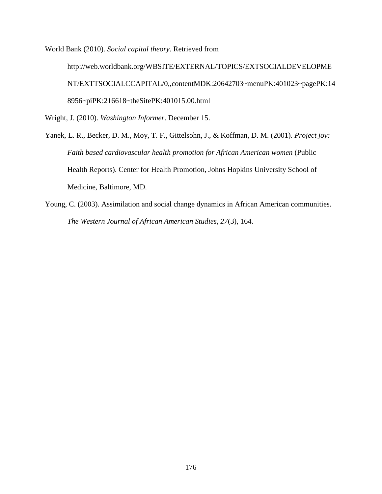World Bank (2010). *Social capital theory*. Retrieved from

http://web.worldbank.org/WBSITE/EXTERNAL/TOPICS/EXTSOCIALDEVELOPME NT/EXTTSOCIALCCAPITAL/0,,contentMDK:20642703~menuPK:401023~pagePK:14 8956~piPK:216618~theSitePK:401015.00.html

Wright, J. (2010). *Washington Informer*. December 15.

- Yanek, L. R., Becker, D. M., Moy, T. F., Gittelsohn, J., & Koffman, D. M. (2001). *Project joy: Faith based cardiovascular health promotion for African American women* (Public Health Reports). Center for Health Promotion, Johns Hopkins University School of Medicine, Baltimore, MD.
- Young, C. (2003). Assimilation and social change dynamics in African American communities. *The Western Journal of African American Studies, 27*(3), 164.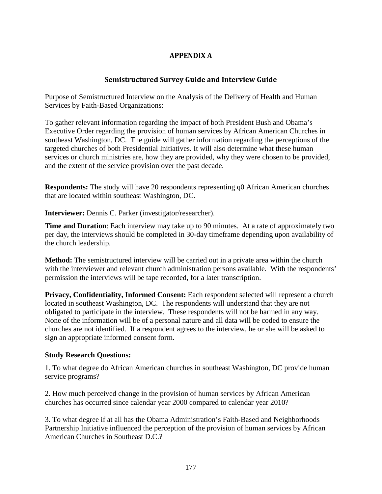## APPENDIX A

### Semistructured Survey Guide and Interview Guide

Purpose of Semistructured Interview on the Analysis of the Delivery of Health and Human Services by Faith-Based Organizations:

To gather relevant information regarding the impact of both President Bush and Obama's Executive Order regarding the provision of human services by African American Churches in southeast Washington, DC. The guide will gather information regarding the perceptions of the targeted churches of both Presidential Initiatives. It will also determine what these human services or church ministries are, how they are provided, why they were chosen to be provided, and the extent of the service provision over the past decade.

**Respondents:** The study will have 20 respondents representing q0 African American churches that are located within southeast Washington, DC.

**Interviewer:** Dennis C. Parker (investigator/researcher).

**Time and Duration**: Each interview may take up to 90 minutes. At a rate of approximately two per day, the interviews should be completed in 30-day timeframe depending upon availability of the church leadership.

**Method:** The semistructured interview will be carried out in a private area within the church with the interviewer and relevant church administration persons available. With the respondents' permission the interviews will be tape recorded, for a later transcription.

**Privacy, Confidentiality, Informed Consent:** Each respondent selected will represent a church located in southeast Washington, DC. The respondents will understand that they are not obligated to participate in the interview. These respondents will not be harmed in any way. None of the information will be of a personal nature and all data will be coded to ensure the churches are not identified. If a respondent agrees to the interview, he or she will be asked to sign an appropriate informed consent form.

#### **Study Research Questions:**

1. To what degree do African American churches in southeast Washington, DC provide human service programs?

2. How much perceived change in the provision of human services by African American churches has occurred since calendar year 2000 compared to calendar year 2010?

3. To what degree if at all has the Obama Administration's Faith-Based and Neighborhoods Partnership Initiative influenced the perception of the provision of human services by African American Churches in Southeast D.C.?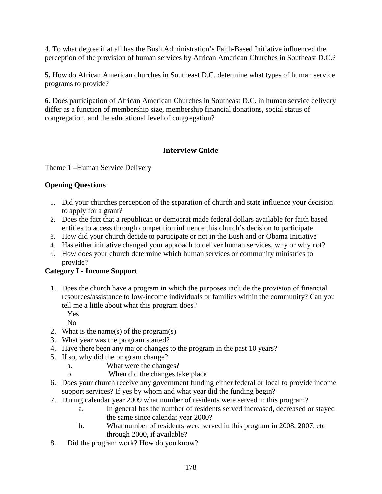4. To what degree if at all has the Bush Administration's Faith-Based Initiative influenced the perception of the provision of human services by African American Churches in Southeast D.C.?

**5.** How do African American churches in Southeast D.C. determine what types of human service programs to provide?

**6.** Does participation of African American Churches in Southeast D.C. in human service delivery differ as a function of membership size, membership financial donations, social status of congregation, and the educational level of congregation?

# Interview Guide

Theme 1 –Human Service Delivery

## **Opening Questions**

- 1. Did your churches perception of the separation of church and state influence your decision to apply for a grant?
- 2. Does the fact that a republican or democrat made federal dollars available for faith based entities to access through competition influence this church's decision to participate
- 3. How did your church decide to participate or not in the Bush and or Obama Initiative
- 4. Has either initiative changed your approach to deliver human services, why or why not?
- 5. How does your church determine which human services or community ministries to provide?

## **Category I - Income Support**

1. Does the church have a program in which the purposes include the provision of financial resources/assistance to low-income individuals or families within the community? Can you tell me a little about what this program does?

Yes No

- 2. What is the name(s) of the program(s)
- 3. What year was the program started?
- 4. Have there been any major changes to the program in the past 10 years?
- 5. If so, why did the program change?
	- a. What were the changes?
	- b. When did the changes take place
- 6. Does your church receive any government funding either federal or local to provide income support services? If yes by whom and what year did the funding begin?
- 7. During calendar year 2009 what number of residents were served in this program?
	- a. In general has the number of residents served increased, decreased or stayed the same since calendar year 2000?
	- b. What number of residents were served in this program in 2008, 2007, etc through 2000, if available?
- 8. Did the program work? How do you know?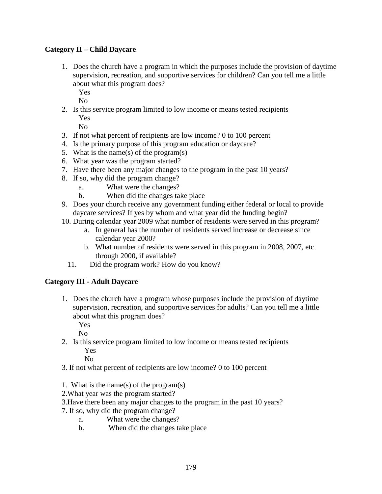## **Category II – Child Daycare**

- 1. Does the church have a program in which the purposes include the provision of daytime supervision, recreation, and supportive services for children? Can you tell me a little about what this program does?
	- Yes

No

2. Is this service program limited to low income or means tested recipients Yes

No

- 3. If not what percent of recipients are low income? 0 to 100 percent
- 4. Is the primary purpose of this program education or daycare?
- 5. What is the name(s) of the program(s)
- 6. What year was the program started?
- 7. Have there been any major changes to the program in the past 10 years?
- 8. If so, why did the program change?
	- a. What were the changes?
	- b. When did the changes take place
- 9. Does your church receive any government funding either federal or local to provide daycare services? If yes by whom and what year did the funding begin?
- 10. During calendar year 2009 what number of residents were served in this program?
	- a. In general has the number of residents served increase or decrease since calendar year 2000?
	- b. What number of residents were served in this program in 2008, 2007, etc through 2000, if available?
	- 11. Did the program work? How do you know?

## **Category III - Adult Daycare**

1. Does the church have a program whose purposes include the provision of daytime supervision, recreation, and supportive services for adults? Can you tell me a little about what this program does?

Yes

No

2. Is this service program limited to low income or means tested recipients Yes

- 3. If not what percent of recipients are low income? 0 to 100 percent
- 1. What is the name(s) of the program(s)
- 2.What year was the program started?
- 3.Have there been any major changes to the program in the past 10 years?
- 7. If so, why did the program change?
	- a. What were the changes?
	- b. When did the changes take place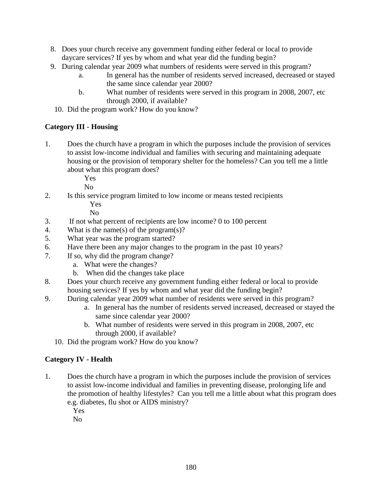- 8. Does your church receive any government funding either federal or local to provide daycare services? If yes by whom and what year did the funding begin?
- 9. During calendar year 2009 what numbers of residents were served in this program?
	- a. In general has the number of residents served increased, decreased or stayed the same since calendar year 2000?
	- b. What number of residents were served in this program in 2008, 2007, etc through 2000, if available?
	- 10. Did the program work? How do you know?

## **Category III - Housing**

1. Does the church have a program in which the purposes include the provision of services to assist low-income individual and families with securing and maintaining adequate housing or the provision of temporary shelter for the homeless? Can you tell me a little about what this program does?

Yes

 $N<sub>0</sub>$ 

 2. Is this service program limited to low income or means tested recipients Yes

No

- 3. If not what percent of recipients are low income? 0 to 100 percent
- 4. What is the name(s) of the program(s)?
- 5. What year was the program started?
- 6. Have there been any major changes to the program in the past 10 years?
- 7. If so, why did the program change?
	- a. What were the changes?
	- b. When did the changes take place
- 8. Does your church receive any government funding either federal or local to provide housing services? If yes by whom and what year did the funding begin?
- 9. During calendar year 2009 what number of residents were served in this program?
	- a. In general has the number of residents served increased, decreased or stayed the same since calendar year 2000?
	- b. What number of residents were served in this program in 2008, 2007, etc through 2000, if available?
	- 10. Did the program work? How do you know?

## **Category IV - Health**

- 1. Does the church have a program in which the purposes include the provision of services to assist low-income individual and families in preventing disease, prolonging life and the promotion of healthy lifestyles? Can you tell me a little about what this program does e.g. diabetes, flu shot or AIDS ministry?
	- Yes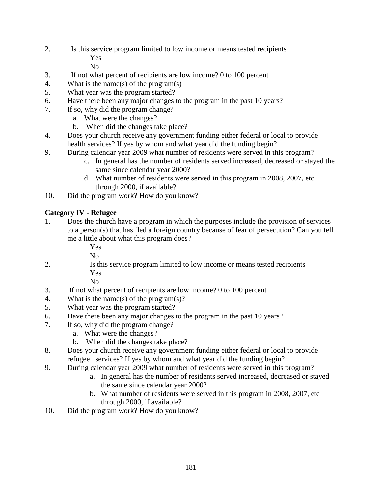2. Is this service program limited to low income or means tested recipients Yes

No

- 3. If not what percent of recipients are low income? 0 to 100 percent
- 4. What is the name(s) of the program(s)
- 5. What year was the program started?
- 6. Have there been any major changes to the program in the past 10 years?
- 7. If so, why did the program change?
	- a. What were the changes?
	- b. When did the changes take place?
- 4. Does your church receive any government funding either federal or local to provide health services? If yes by whom and what year did the funding begin?
- 9. During calendar year 2009 what number of residents were served in this program?
	- c. In general has the number of residents served increased, decreased or stayed the same since calendar year 2000?
	- d. What number of residents were served in this program in 2008, 2007, etc through 2000, if available?
- 10. Did the program work? How do you know?

## **Category IV - Refugee**

1. Does the church have a program in which the purposes include the provision of services to a person(s) that has fled a foreign country because of fear of persecution? Can you tell me a little about what this program does?

> Yes  $N<sub>0</sub>$

2. Is this service program limited to low income or means tested recipients Yes

- 3. If not what percent of recipients are low income? 0 to 100 percent
- 4. What is the name(s) of the program(s)?
- 5. What year was the program started?
- 6. Have there been any major changes to the program in the past 10 years?
- 7. If so, why did the program change?
	- a. What were the changes?
	- b. When did the changes take place?
- 8. Does your church receive any government funding either federal or local to provide refugee services? If yes by whom and what year did the funding begin?
- 9. During calendar year 2009 what number of residents were served in this program?
	- a. In general has the number of residents served increased, decreased or stayed the same since calendar year 2000?
	- b. What number of residents were served in this program in 2008, 2007, etc through 2000, if available?
- 10. Did the program work? How do you know?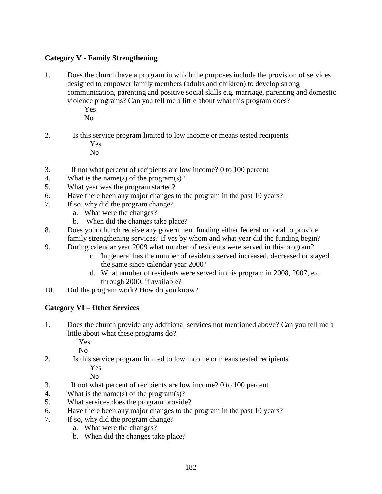## **Category V - Family Strengthening**

- 1. Does the church have a program in which the purposes include the provision of services designed to empower family members (adults and children) to develop strong communication, parenting and positive social skills e.g. marriage, parenting and domestic violence programs? Can you tell me a little about what this program does? Yes
	- No
- 2. Is this service program limited to low income or means tested recipients Yes No
- 3. If not what percent of recipients are low income? 0 to 100 percent
- 4. What is the name(s) of the program(s)?
- 5. What year was the program started?
- 6. Have there been any major changes to the program in the past 10 years?
- 7. If so, why did the program change?
	- a. What were the changes?
	- b. When did the changes take place?
- 8. Does your church receive any government funding either federal or local to provide family strengthening services? If yes by whom and what year did the funding begin?
- 9. During calendar year 2009 what number of residents were served in this program?
	- c. In general has the number of residents served increased, decreased or stayed the same since calendar year 2000?
	- d. What number of residents were served in this program in 2008, 2007, etc through 2000, if available?
- 10. Did the program work? How do you know?

### **Category VI – Other Services**

1. Does the church provide any additional services not mentioned above? Can you tell me a little about what these programs do?

Yes

No

2. Is this service program limited to low income or means tested recipients Yes

- 3. If not what percent of recipients are low income? 0 to 100 percent
- 4. What is the name(s) of the program(s)?
- 5. What services does the program provide?
- 6. Have there been any major changes to the program in the past 10 years?
- 7. If so, why did the program change?
	- a. What were the changes?
	- b. When did the changes take place?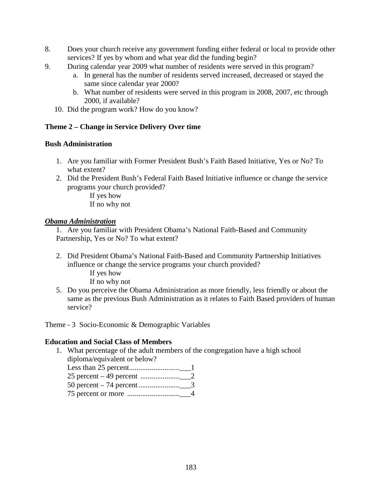- 8. Does your church receive any government funding either federal or local to provide other services? If yes by whom and what year did the funding begin?
- 9. During calendar year 2009 what number of residents were served in this program?
	- a. In general has the number of residents served increased, decreased or stayed the same since calendar year 2000?
	- b. What number of residents were served in this program in 2008, 2007, etc through 2000, if available?
	- 10. Did the program work? How do you know?

### **Theme 2 – Change in Service Delivery Over time**

### **Bush Administration**

- 1. Are you familiar with Former President Bush's Faith Based Initiative, Yes or No? To what extent?
- 2. Did the President Bush's Federal Faith Based Initiative influence or change the service programs your church provided?

 If yes how If no why not

#### *Obama Administration*

1. Are you familiar with President Obama's National Faith-Based and Community Partnership, Yes or No? To what extent?

- 2. Did President Obama's National Faith-Based and Community Partnership Initiatives influence or change the service programs your church provided?
	- If yes how

If no why not

5. Do you perceive the Obama Administration as more friendly, less friendly or about the same as the previous Bush Administration as it relates to Faith Based providers of human service?

Theme - 3 Socio-Economic & Demographic Variables

#### **Education and Social Class of Members**

1. What percentage of the adult members of the congregation have a high school diploma/equivalent or below?

Less than 25 percent...........................\_\_\_1 25 percent – 49 percent .....................\_\_\_2

50 percent – 74 percent ......................\_\_\_3

75 percent or more ............................\_\_\_4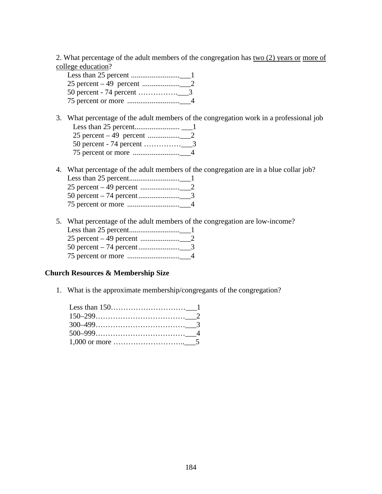2. What percentage of the adult members of the congregation has two (2) years or more of college education?

3. What percentage of the adult members of the congregation work in a professional job Less than 25 percent........................ \_\_\_1 25 percent – 49 percent .................\_\_\_2 50 percent - 74 percent ……………\_\_\_3 75 percent or more .........................\_\_\_4

4. What percentage of the adult members of the congregation are in a blue collar job? Less than 25 percent...........................\_\_\_1 25 percent – 49 percent .....................\_\_\_2 50 percent – 74 percent ......................\_\_\_3 75 percent or more ............................\_\_\_4

5. What percentage of the adult members of the congregation are low-income? Less than 25 percent...........................\_\_\_1

### **Church Resources & Membership Size**

1. What is the approximate membership/congregants of the congregation?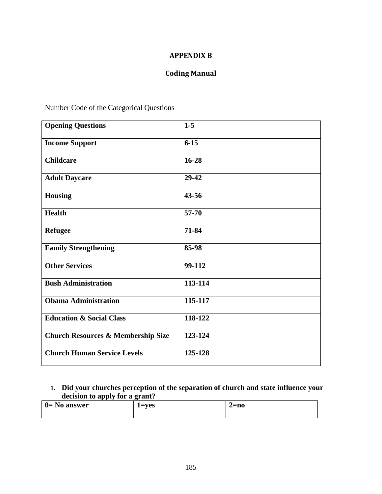## APPENDIX B

# Coding Manual

Number Code of the Categorical Questions

| <b>Opening Questions</b>                      | $1-5$     |
|-----------------------------------------------|-----------|
| <b>Income Support</b>                         | $6 - 15$  |
| <b>Childcare</b>                              | 16-28     |
| <b>Adult Daycare</b>                          | 29-42     |
| <b>Housing</b>                                | $43 - 56$ |
| <b>Health</b>                                 | $57 - 70$ |
| <b>Refugee</b>                                | 71-84     |
| <b>Family Strengthening</b>                   | 85-98     |
| <b>Other Services</b>                         | 99-112    |
| <b>Bush Administration</b>                    | 113-114   |
| <b>Obama Administration</b>                   | 115-117   |
| <b>Education &amp; Social Class</b>           | 118-122   |
| <b>Church Resources &amp; Membership Size</b> | 123-124   |
| <b>Church Human Service Levels</b>            | 125-128   |

### **1. Did your churches perception of the separation of church and state influence your decision to apply for a grant?**

| $0 = No$ answer | $l = ves$ | '=no |
|-----------------|-----------|------|
|                 |           |      |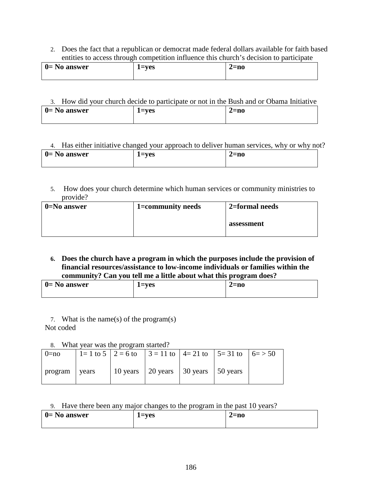2. Does the fact that a republican or democrat made federal dollars available for faith based entities to access through competition influence this church's decision to participate

| $0 = No$ answer | $=$ ves | 2=no |
|-----------------|---------|------|
|                 |         |      |

| 3. How did your church decide to participate or not in the Bush and or Obama Initiative |           |        |  |
|-----------------------------------------------------------------------------------------|-----------|--------|--|
| $0 = No$ answer                                                                         | $1 = ves$ | $2=no$ |  |

|                       |           | 4. Has either initiative changed your approach to deliver human services, why or why not? |
|-----------------------|-----------|-------------------------------------------------------------------------------------------|
| $\vert$ 0 = No answer | $l = ves$ | $2=no$                                                                                    |
|                       |           |                                                                                           |

5. How does your church determine which human services or community ministries to provide?

| $0 = No$ answer | 1=community needs | 2=formal needs |
|-----------------|-------------------|----------------|
|                 |                   | assessment     |

**6. Does the church have a program in which the purposes include the provision of financial resources/assistance to low-income individuals or families within the community? Can you tell me a little about what this program does?** 

| - - - - - - - - - - - - - - - | -------------- | -------------- |
|-------------------------------|----------------|----------------|
| $0 = No$ answer               | $1 = ves$      | 2=no           |
|                               |                |                |

- 7. What is the name(s) of the program(s) Not coded
	- 8. What year was the program started?

|               | $\alpha$ . what year was the program started.                        |                                           |  |  |
|---------------|----------------------------------------------------------------------|-------------------------------------------|--|--|
| $0=no$        | 1 = 1 to 5   2 = 6 to   3 = 11 to   4 = 21 to   5 = 31 to   6 = > 50 |                                           |  |  |
| program years |                                                                      | 10 years   20 years   30 years   50 years |  |  |

#### 9. Have there been any major changes to the program in the past 10 years?

| $0=$ No answer | 1=ves | $2=$ no |
|----------------|-------|---------|
|                |       |         |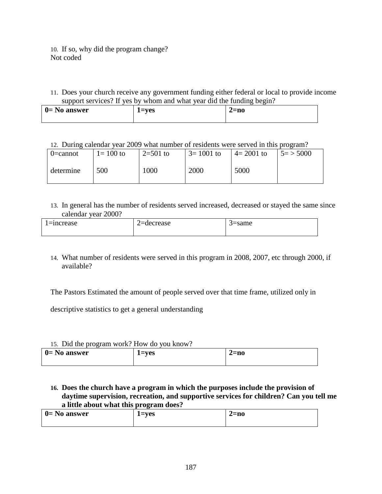10. If so, why did the program change? Not coded

11. Does your church receive any government funding either federal or local to provide income support services? If yes by whom and what year did the funding begin?

12. During calendar year 2009 what number of residents were served in this program?

| $0$ =cannot | $1 = 100$ to | $2=501$ to | $3=1001$ to | $4 = 2001$ to | $5 = > 5000$ |
|-------------|--------------|------------|-------------|---------------|--------------|
| determine   | 500          | 1000       | 2000        | 5000          |              |

13. In general has the number of residents served increased, decreased or stayed the same since calendar year 2000?

| $l =$ = 1 ncrease | $2 =$ decrease | ≒same |
|-------------------|----------------|-------|
|                   |                |       |

14. What number of residents were served in this program in 2008, 2007, etc through 2000, if available?

The Pastors Estimated the amount of people served over that time frame, utilized only in

descriptive statistics to get a general understanding

### 15. Did the program work? How do you know?

| $\vert$ 0 = No answer | $=$ ves | $2=no$ |
|-----------------------|---------|--------|
|                       |         |        |

### **16. Does the church have a program in which the purposes include the provision of daytime supervision, recreation, and supportive services for children? Can you tell me a little about what this program does?**

| $0 = No$ answer | $=$ ves | $2=$ no |
|-----------------|---------|---------|
|                 |         |         |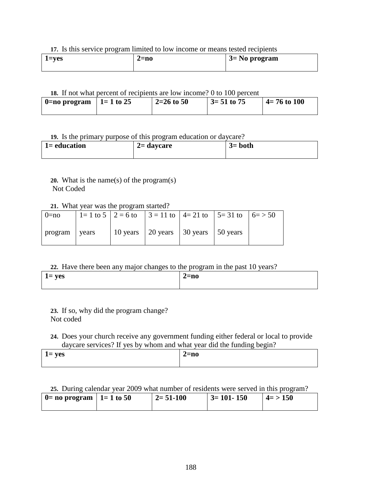#### **17.** Is this service program limited to low income or means tested recipients

| $l = ves$ | 2=no | $\frac{3}{5}$ No program |
|-----------|------|--------------------------|
|           |      |                          |

### **18.** If not what percent of recipients are low income? 0 to 100 percent

| $0 = no program$ | $1 = 1$ to 25 | $2=26$ to 50 | $\frac{3}{2}$ 51 to 75 | $4 = 76$ to 100 |
|------------------|---------------|--------------|------------------------|-----------------|
|                  |               |              |                        |                 |

### **19.** Is the primary purpose of this program education or daycare?

| $1 =$ education | $2=$ daycare | $3 = both$ |
|-----------------|--------------|------------|
|                 |              |            |

## **20.** What is the name(s) of the program(s) Not Coded

#### **21.** What year was the program started?

| $0=$ no       |  | 1 = 1 to 5   2 = 6 to   3 = 11 to   4 = 21 to   5 = 31 to   6 = > 50 |  |  |
|---------------|--|----------------------------------------------------------------------|--|--|
| program vears |  | 10 years   20 years   30 years   50 years                            |  |  |

### **22.** Have there been any major changes to the program in the past 10 years?

|           |  | - |           |  |  |
|-----------|--|---|-----------|--|--|
| $1 = yes$ |  |   | $2 = n$ o |  |  |
|           |  |   |           |  |  |

**23.** If so, why did the program change? Not coded

### **24.** Does your church receive any government funding either federal or local to provide daycare services? If yes by whom and what year did the funding begin?

| $l = yes$ | ∠=no |
|-----------|------|
|           |      |
|           |      |
|           |      |
|           |      |

### **25.** During calendar year 2009 what number of residents were served in this program?

| $ 0=$ no program $ 1=1$ to 50 | $2 = 51 - 100$ | $\vert$ 3= 101- 150 | $4 = > 150$ |
|-------------------------------|----------------|---------------------|-------------|
|                               |                |                     |             |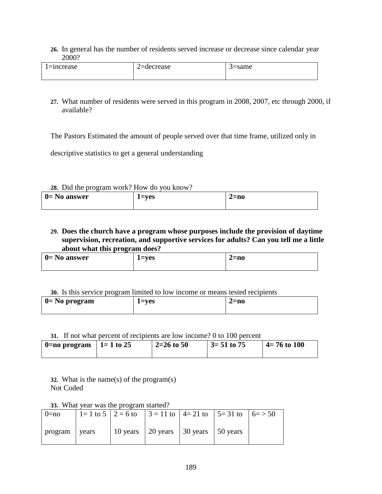**26.** In general has the number of residents served increase or decrease since calendar year 2000?

| l≡increase | '=decrease | =same |
|------------|------------|-------|
|------------|------------|-------|

**27.** What number of residents were served in this program in 2008, 2007, etc through 2000, if available?

The Pastors Estimated the amount of people served over that time frame, utilized only in

descriptive statistics to get a general understanding

#### **28.** Did the program work? How do you know?

| $\vert$ 0= No answer | $1 = ves$ | $2=$ no |
|----------------------|-----------|---------|
|                      |           |         |

### **29. Does the church have a program whose purposes include the provision of daytime supervision, recreation, and supportive services for adults? Can you tell me a little about what this program does?**

| $\vert$ 0 = No answer<br>2=no<br>$=$ ves |
|------------------------------------------|
|------------------------------------------|

#### **30.** Is this service program limited to low income or means tested recipients

| $\vert$ 0 = No program | $l = ves$ | 2=n0 |
|------------------------|-----------|------|
|                        |           |      |

#### **31.** If not what percent of recipients are low income? 0 to 100 percent

| $\vert$ 0=no program | $1 = 1$ to 25 | $2=26$ to 50 | $3 = 51$ to 75 | $4 = 76$ to 100 |
|----------------------|---------------|--------------|----------------|-----------------|
|                      |               |              |                |                 |

**32.** What is the name(s) of the program(s) Not Coded

**33.** What year was the program started?

| $0 = no$        |  | 1 = 1 to 5   2 = 6 to   3 = 11 to   4 = 21 to   5 = 31 to   6 = > 50 |  |  |
|-----------------|--|----------------------------------------------------------------------|--|--|
| program   years |  | 10 years   20 years   30 years   50 years                            |  |  |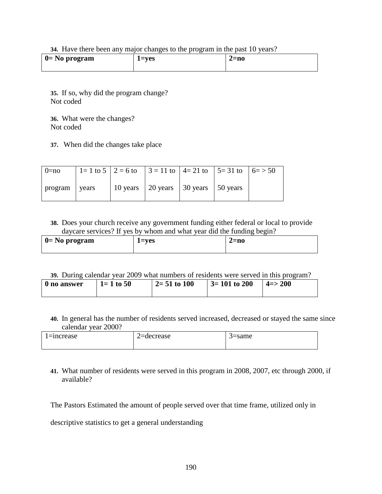**34.** Have there been any major changes to the program in the past 10 years?

| $\vert$ 0 = No program | $1 = ves$ | 2=n0 |
|------------------------|-----------|------|
|                        |           |      |

**35.** If so, why did the program change? Not coded

**36.** What were the changes? Not coded

**37.** When did the changes take place

| $0 = no$      | 1 = 1 to 5   2 = 6 to   3 = 11 to   4 = 21 to   5 = 31 to   6 = > 50 |                                           |  |  |
|---------------|----------------------------------------------------------------------|-------------------------------------------|--|--|
| program vears |                                                                      | 10 years   20 years   30 years   50 years |  |  |

**38.** Does your church receive any government funding either federal or local to provide daycare services? If yes by whom and what year did the funding begin?

| $\vert 0=$ No program | $l = ves$ | $2 = no$ |
|-----------------------|-----------|----------|
|                       |           |          |

**39.** During calendar year 2009 what numbers of residents were served in this program?

| 0 no answer | $1 = 1$ to 50 | $2=51$ to 100 | $3 = 101$ to 200 | $ 4 = > 200$ |
|-------------|---------------|---------------|------------------|--------------|
|             |               |               |                  |              |

**40.** In general has the number of residents served increased, decreased or stayed the same since calendar year 2000?

| l=increase | '=decrease<br>- | 5=same |
|------------|-----------------|--------|
|            |                 |        |

**41.** What number of residents were served in this program in 2008, 2007, etc through 2000, if available?

The Pastors Estimated the amount of people served over that time frame, utilized only in

descriptive statistics to get a general understanding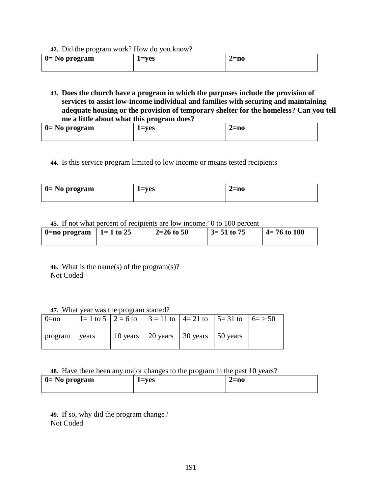**42.** Did the program work? How do you know?

| $\vert 0=$ No program | 1=ves | 2=no |
|-----------------------|-------|------|
|                       |       |      |

**43. Does the church have a program in which the purposes include the provision of services to assist low-income individual and families with securing and maintaining adequate housing or the provision of temporary shelter for the homeless? Can you tell me a little about what this program does?** 

| $\vert 0=$ No program | 1=ves | $2=$ no |
|-----------------------|-------|---------|
|                       |       |         |

**44.** Is this service program limited to low income or means tested recipients

| $0 = No program$ | $1 = ves$ | 2=no |
|------------------|-----------|------|
|                  |           |      |

**45.** If not what percent of recipients are low income? 0 to 100 percent

| $0 = no program$ | $1 = 1$ to 25 | $\frac{2}{2}$ 2=26 to 50 | $\frac{3}{2}$ 51 to 75 | $4 = 76$ to 100 |
|------------------|---------------|--------------------------|------------------------|-----------------|
|                  |               |                          |                        |                 |

**46.** What is the name(s) of the program(s)? Not Coded

**47.** What year was the program started?

| $0=no$          |  | 1 = 1 to 5   2 = 6 to   3 = 11 to   4 = 21 to   5 = 31 to   6 = > 50 |  |  |
|-----------------|--|----------------------------------------------------------------------|--|--|
| program   years |  | 10 years   20 years   30 years   50 years                            |  |  |

**48.** Have there been any major changes to the program in the past 10 years?

| $\vert$ 0 = No program | 1=ves | $2 = no$ |
|------------------------|-------|----------|
|                        |       |          |

**49.** If so, why did the program change? Not Coded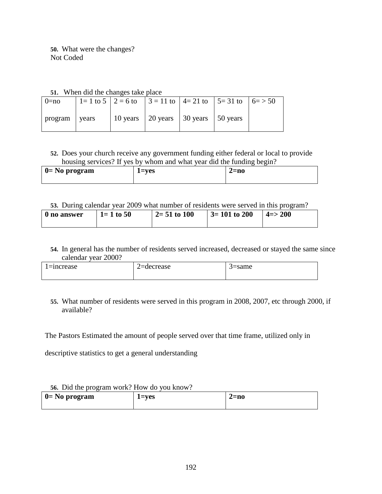**50.** What were the changes? Not Coded

| 51. When did the changes take place |
|-------------------------------------|
|-------------------------------------|

|          |       | $\mathcal{L}_1$ . If non and the enanges take prace |                                                                                             |  |  |
|----------|-------|-----------------------------------------------------|---------------------------------------------------------------------------------------------|--|--|
| $0 = no$ |       |                                                     | $1=1$ to $5 \mid 2 = 6$ to $\mid 3 = 11$ to $\mid 4 = 21$ to $\mid 5 = 31$ to $\mid 6 = 50$ |  |  |
| program  | vears |                                                     | 10 years   20 years   30 years   50 years                                                   |  |  |

## **52.** Does your church receive any government funding either federal or local to provide housing services? If yes by whom and what year did the funding begin?

| $\vert$ 0 = No program | $=$ ves | 2=no |
|------------------------|---------|------|
|                        |         |      |

### **53.** During calendar year 2009 what number of residents were served in this program?

| 0 no answer | $1 = 1$ to 50 | $2=51$ to $100$ | $\vert$ 3= 101 to 200 | $ 4 = > 200$ |
|-------------|---------------|-----------------|-----------------------|--------------|
|             |               |                 |                       |              |

**54.** In general has the number of residents served increased, decreased or stayed the same since calendar year 2000?

| l=increase | 2=decrease | 3=same |
|------------|------------|--------|
|            |            |        |

### **55.** What number of residents were served in this program in 2008, 2007, etc through 2000, if available?

The Pastors Estimated the amount of people served over that time frame, utilized only in

descriptive statistics to get a general understanding

### **56.** Did the program work? How do you know?

| $\vert$ 0 = No program | $l = ves$ | $2 = no$ |
|------------------------|-----------|----------|
|                        |           |          |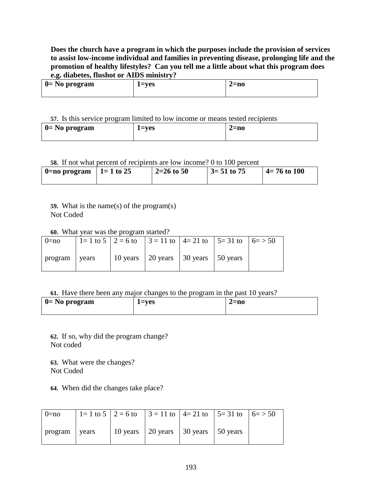### **Does the church have a program in which the purposes include the provision of services to assist low-income individual and families in preventing disease, prolonging life and the promotion of healthy lifestyles? Can you tell me a little about what this program does e.g. diabetes, flushot or AIDS ministry?**

| $0 = No program$ | 1=ves | $2=$ no |
|------------------|-------|---------|
|                  |       |         |

#### **57.** Is this service program limited to low income or means tested recipients

| $0 = No program$ | $=$ ves | $2=$ no |
|------------------|---------|---------|
|                  |         |         |

### **58.** If not what percent of recipients are low income? 0 to 100 percent

| $\vert$ 0=no program | $1 = 1$ to 25 | $2=26$ to 50 | $\frac{3}{2}$ 51 to 75 | $4 = 76$ to 100 |
|----------------------|---------------|--------------|------------------------|-----------------|
|                      |               |              |                        |                 |

**59.** What is the name(s) of the program(s) Not Coded

**60.** What year was the program started?

| $0=no$        |  | 1 = 1 to 5   2 = 6 to   3 = 11 to   4 = 21 to   5 = 31 to   6 = > 50 |  |  |
|---------------|--|----------------------------------------------------------------------|--|--|
| program vears |  | 10 years   20 years   30 years   50 years                            |  |  |

#### **61.** Have there been any major changes to the program in the past 10 years?

| $\vert 0=$ No program | 1=ves | $2=$ no |
|-----------------------|-------|---------|
|                       |       |         |

**62.** If so, why did the program change? Not coded

**63.** What were the changes? Not Coded

**64.** When did the changes take place?

| $0=no$          |  | 1 = 1 to 5   2 = 6 to   3 = 11 to   4 = 21 to   5 = 31 to   6 = > 50 |  |  |
|-----------------|--|----------------------------------------------------------------------|--|--|
| program   years |  | 10 years   20 years   30 years   50 years                            |  |  |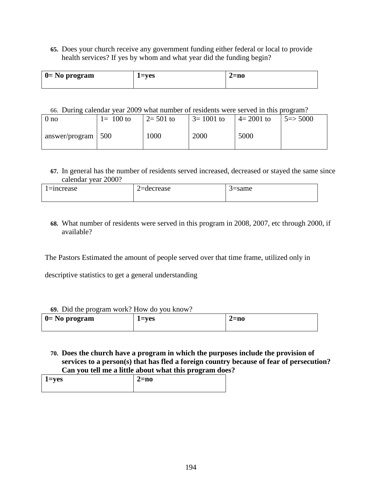**65.** Does your church receive any government funding either federal or local to provide health services? If yes by whom and what year did the funding begin?

| $\vert 0=$ No program | 1=ves | $2=$ no |
|-----------------------|-------|---------|
|                       |       |         |

### 66. During calendar year 2009 what number of residents were served in this program?

| 0 no                 | $1 = 100$ to | $12 = 501$ to | $3 = 1001$ to | $4 = 2001$ to | $5 = > 5000$ |
|----------------------|--------------|---------------|---------------|---------------|--------------|
| $answer/program$ 500 |              | 1000          | 2000          | 5000          |              |

**67.** In general has the number of residents served increased, decreased or stayed the same since calendar year 2000?

| l=increase | decrease | 5=same |
|------------|----------|--------|
|            |          |        |

**68.** What number of residents were served in this program in 2008, 2007, etc through 2000, if available?

The Pastors Estimated the amount of people served over that time frame, utilized only in

descriptive statistics to get a general understanding

#### **69.** Did the program work? How do you know?

| $\sigma$ , Did the program work, riow do you know. |           |      |  |  |  |
|----------------------------------------------------|-----------|------|--|--|--|
| $\vert 0=$ No program                              | $1 = ves$ | 2=no |  |  |  |
|                                                    |           |      |  |  |  |

**70. Does the church have a program in which the purposes include the provision of services to a person(s) that has fled a foreign country because of fear of persecution? Can you tell me a little about what this program does?** 

| $1 = yes$ | $2=no$ |
|-----------|--------|
|           |        |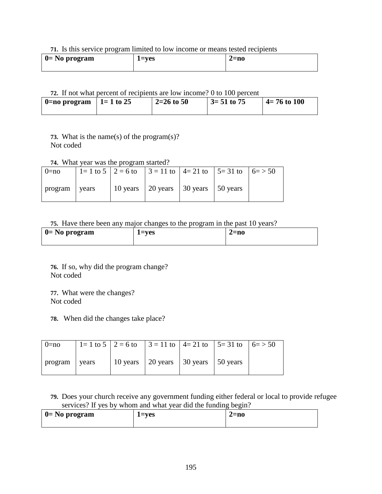#### **71.** Is this service program limited to low income or means tested recipients

| $\vert$ 0= No program | l=ves | 2=no |  |
|-----------------------|-------|------|--|
|                       |       |      |  |

### **72.** If not what percent of recipients are low income? 0 to 100 percent

| $\vert$ 0=no program | $1 = 1$ to 25 | $2=26$ to 50 | $3 = 51$ to 75 | $4 = 76$ to 100 |
|----------------------|---------------|--------------|----------------|-----------------|
|                      |               |              |                |                 |

**73.** What is the name(s) of the program(s)? Not coded

### **74.** What year was the program started?

| $0=no$        |  | 1 = 1 to 5   2 = 6 to   3 = 11 to   4 = 21 to   5 = 31 to   6 = > 50 |  |  |
|---------------|--|----------------------------------------------------------------------|--|--|
| program vears |  | 10 years   20 years   30 years   50 years                            |  |  |

#### **75.** Have there been any major changes to the program in the past 10 years?

| $\vert 0=$ No program | $1 = ves$ | 2=no |
|-----------------------|-----------|------|
|                       |           |      |

**76.** If so, why did the program change? Not coded

**77.** What were the changes? Not coded

**78.** When did the changes take place?

| $0 = no$        |  | 1 = 1 to 5   2 = 6 to   3 = 11 to   4 = 21 to   5 = 31 to   6 = > 50 |  |  |
|-----------------|--|----------------------------------------------------------------------|--|--|
| program   years |  | 10 years   20 years   30 years   50 years                            |  |  |

**79.** Does your church receive any government funding either federal or local to provide refugee services? If yes by whom and what year did the funding begin?

| $0 = No program$ | $=$ ves | $2=$ no |
|------------------|---------|---------|
|                  |         |         |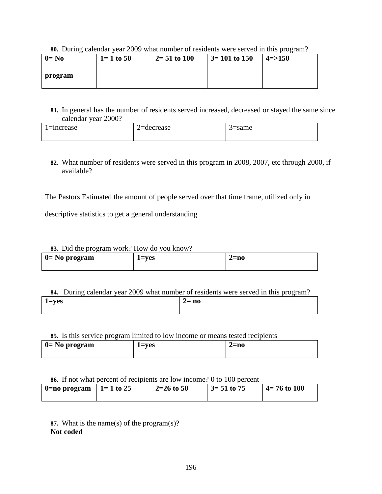#### **80.** During calendar year 2009 what number of residents were served in this program?

| $0 = No$ | $1 = 1$ to 50 | $2=51$ to 100 | $\vert 3=101$ to 150 | $4 = > 150$ |
|----------|---------------|---------------|----------------------|-------------|
| program  |               |               |                      |             |
|          |               |               |                      |             |

**81.** In general has the number of residents served increased, decreased or stayed the same since calendar year 2000?

| 1=increase | '=decrease | ≒same |
|------------|------------|-------|
|            |            |       |

**82.** What number of residents were served in this program in 2008, 2007, etc through 2000, if available?

The Pastors Estimated the amount of people served over that time frame, utilized only in

descriptive statistics to get a general understanding

#### **83.** Did the program work? How do you know?

| $\vert$ 0 = No program | 1=ves | 2=no |
|------------------------|-------|------|
|                        |       |      |

### **84.** During calendar year 2009 what number of residents were served in this program?

| $1 = yes$ | $2 = no$ |
|-----------|----------|
|           |          |

#### **85.** Is this service program limited to low income or means tested recipients

| $\vert 0=$ No program | $1 = ves$ | $2 = n0$ |
|-----------------------|-----------|----------|
|                       |           |          |

#### **86.** If not what percent of recipients are low income? 0 to 100 percent

| $ 0=$ no program $ 1=1$ to 25 | $2=26$ to 50 | $\frac{3}{2}$ 51 to 75 | $4 = 76$ to 100 |
|-------------------------------|--------------|------------------------|-----------------|
|                               |              |                        |                 |

**87.** What is the name(s) of the program(s)? **Not coded**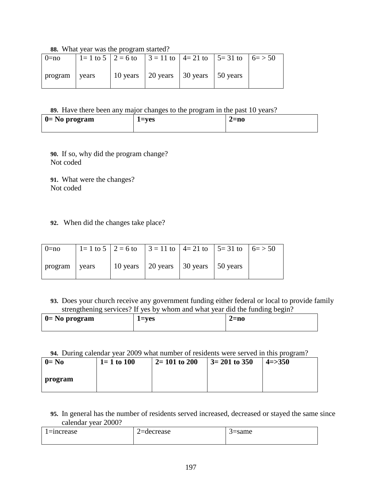**88.** What year was the program started?

|               | $\frac{1}{1!}$ |                                                                                             |  |  |
|---------------|----------------|---------------------------------------------------------------------------------------------|--|--|
| $0=no$        |                | $1=1$ to $5 \mid 2 = 6$ to $\mid 3 = 11$ to $\mid 4 = 21$ to $\mid 5 = 31$ to $\mid 6 = 50$ |  |  |
| program vears |                | 10 years   20 years   30 years   50 years                                                   |  |  |

**89.** Have there been any major changes to the program in the past 10 years?

| $\vert 0=$ No program | l=ves | 2=no |
|-----------------------|-------|------|
|                       |       |      |

**90.** If so, why did the program change? Not coded

**91.** What were the changes? Not coded

### **92.** When did the changes take place?

| $0=no$        |  |                                           | 1 = 1 to 5   2 = 6 to   3 = 11 to   4 = 21 to   5 = 31 to   6 = > 50 |  |
|---------------|--|-------------------------------------------|----------------------------------------------------------------------|--|
| program vears |  | 10 years   20 years   30 years   50 years |                                                                      |  |

**93.** Does your church receive any government funding either federal or local to provide family strengthening services? If yes by whom and what year did the funding begin?

| $\vert$ 0 = No program | 1=ves | 2=no |
|------------------------|-------|------|
|                        |       |      |

#### **94.** During calendar year 2009 what number of residents were served in this program?

| $0=$ No | $1 = 1$ to 100 | $2 = 101$ to 200 | $3 = 201$ to 350 | $4 = > 350$ |
|---------|----------------|------------------|------------------|-------------|
| program |                |                  |                  |             |

**95.** In general has the number of residents served increased, decreased or stayed the same since calendar year 2000?

| l=increase | '=decrease | 5=same |
|------------|------------|--------|
|------------|------------|--------|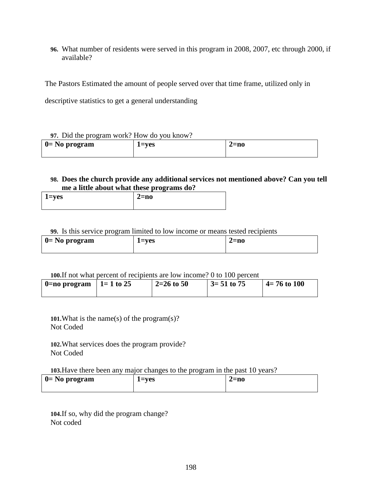**96.** What number of residents were served in this program in 2008, 2007, etc through 2000, if available?

The Pastors Estimated the amount of people served over that time frame, utilized only in

descriptive statistics to get a general understanding

#### **97.** Did the program work? How do you know?

| $\vert$ 0 = No program | $1 = ves$ | $2=$ no |
|------------------------|-----------|---------|
|                        |           |         |

#### **98. Does the church provide any additional services not mentioned above? Can you tell me a little about what these programs do?**

| 1=yes | $2 = no$ |
|-------|----------|
|       |          |

#### **99.** Is this service program limited to low income or means tested recipients

| $\vert$ 0 = No program | 1=ves | $2 = no$ |  |
|------------------------|-------|----------|--|
|                        |       |          |  |

#### **100.**If not what percent of recipients are low income? 0 to 100 percent

| 0=no program   1= 1 to 25 | 2=26 to 50 | $\frac{3}{2}$ 51 to 75 | $\vert$ 4= 76 to 100 |
|---------------------------|------------|------------------------|----------------------|
|                           |            |                        |                      |

**101.**What is the name(s) of the program(s)? Not Coded

**102.**What services does the program provide? Not Coded

**103.**Have there been any major changes to the program in the past 10 years?

| $\vert 0=$ No program | l=ves<br>$\sim$ | <i>2=</i> no |
|-----------------------|-----------------|--------------|
|                       |                 |              |

**104.**If so, why did the program change? Not coded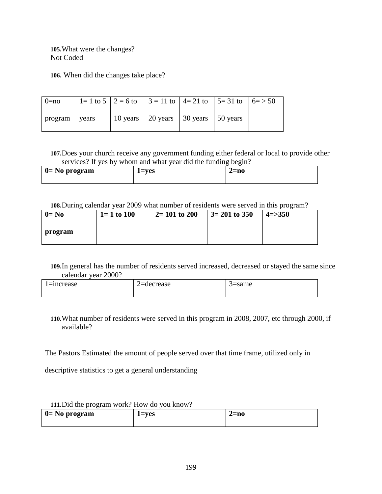**105.**What were the changes? Not Coded

**106.** When did the changes take place?

| $0 = no$        |  | 1 = 1 to 5   2 = 6 to   3 = 11 to   4 = 21 to   5 = 31 to   6 = > 50 |  |  |
|-----------------|--|----------------------------------------------------------------------|--|--|
| program   years |  | 10 years   20 years   30 years   50 years                            |  |  |

**107.**Does your church receive any government funding either federal or local to provide other services? If yes by whom and what year did the funding begin?

| $\vert$ 0= No program | 1=ves | 2=no |
|-----------------------|-------|------|
|                       |       |      |

**108.**During calendar year 2009 what number of residents were served in this program?

| $0=$ No | $1 = 1$ to 100 | $2 = 101$ to 200 | $3 = 201$ to 350 | $4 = > 350$ |
|---------|----------------|------------------|------------------|-------------|
| program |                |                  |                  |             |

**109.**In general has the number of residents served increased, decreased or stayed the same since calendar year 2000?

| $l =$ increase | $2 =$ decrease | '=same |
|----------------|----------------|--------|
|                |                |        |

**110.**What number of residents were served in this program in 2008, 2007, etc through 2000, if available?

The Pastors Estimated the amount of people served over that time frame, utilized only in

descriptive statistics to get a general understanding

| <b>III.</b> Did the program work! How do you know! |             |         |
|----------------------------------------------------|-------------|---------|
| $\vert 0=$ No program                              | $1 = v e s$ | $2=$ no |
|                                                    |             |         |

# **111.**Did the program work? How do you know?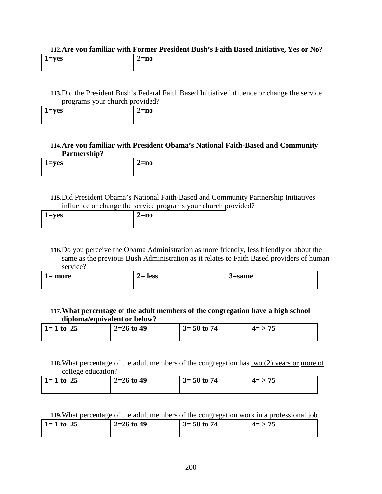#### **112.Are you familiar with Former President Bush's Faith Based Initiative, Yes or No?**

| 1=yes | 2=no |
|-------|------|
|       |      |

**113.**Did the President Bush's Federal Faith Based Initiative influence or change the service programs your church provided?

| $1 = yes$ |  | $2 = no$ |
|-----------|--|----------|
|           |  |          |

#### **114.Are you familiar with President Obama's National Faith-Based and Community Partnership?**

| 1=yes | 2=no |
|-------|------|
|       |      |

**115.**Did President Obama's National Faith-Based and Community Partnership Initiatives influence or change the service programs your church provided?

| l=yes | 2=no |
|-------|------|
|       |      |

**116.**Do you perceive the Obama Administration as more friendly, less friendly or about the same as the previous Bush Administration as it relates to Faith Based providers of human service?

| l= more | $2=$ less | <i>-</i> same |
|---------|-----------|---------------|
|         |           |               |

### **117.What percentage of the adult members of the congregation have a high school diploma/equivalent or below?**

| $1 = 1$ to 25 | $2=26$ to 49 | $3 = 50$ to 74 | $4 = 75$ |
|---------------|--------------|----------------|----------|
|               |              |                |          |

**118.**What percentage of the adult members of the congregation has two (2) years or more of college education?

| $1 = 1$ to 25 | $2=26$ to 49 | $3 = 50$ to 74 | $4 = 75$ |
|---------------|--------------|----------------|----------|
|               |              |                |          |

### **119.**What percentage of the adult members of the congregation work in a professional job

| $3 = 50$ to 74<br>  1 = 1 to 25<br>$2=26$ to 49<br>$4 = > 75$ |  |
|---------------------------------------------------------------|--|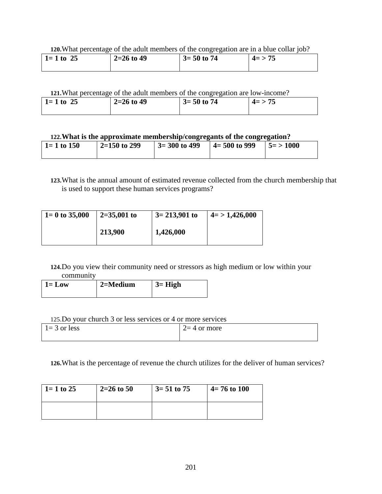**120.**What percentage of the adult members of the congregation are in a blue collar job?

| 25<br>$1 = 1$ to | $2=26$ to 49 | $3 = 50$ to 74 | $4 = 75$ |
|------------------|--------------|----------------|----------|
|                  |              |                |          |

### **121.**What percentage of the adult members of the congregation are low-income?

| 1 = 1 to 25<br>$2=26$ to 49 | $3 = 50$ to 74 | $4=>$<br>- 73 |  |
|-----------------------------|----------------|---------------|--|
|-----------------------------|----------------|---------------|--|

#### **122.What is the approximate membership/congregants of the congregation?**

| $1 = 1$ to 150 | $2=150$ to 299 | $3 = 300$ to 499 | $\vert$ 4= 500 to 999 | $15 = 1000$ |
|----------------|----------------|------------------|-----------------------|-------------|
|                |                |                  |                       |             |

**123.**What is the annual amount of estimated revenue collected from the church membership that is used to support these human services programs?

| $1 = 0$ to 35,000 | $2=35,001$ to | $3 = 213,901$ to | $4 = 1,426,000$ |  |
|-------------------|---------------|------------------|-----------------|--|
|                   | 213,900       | 1,426,000        |                 |  |

#### **124.**Do you view their community need or stressors as high medium or low within your community

| $1 = Low$ | 2=Medium | $3 = High$ |
|-----------|----------|------------|
|           |          |            |

#### 125.Do your church 3 or less services or 4 or more services

| $1 = 3$ or less | $\frac{1}{2} = 4$ or more |
|-----------------|---------------------------|
|                 |                           |

**126.**What is the percentage of revenue the church utilizes for the deliver of human services?

| $1 = 1$ to 25 | $2=26$ to 50 | $3 = 51$ to 75 | $4 = 76$ to 100 |
|---------------|--------------|----------------|-----------------|
|               |              |                |                 |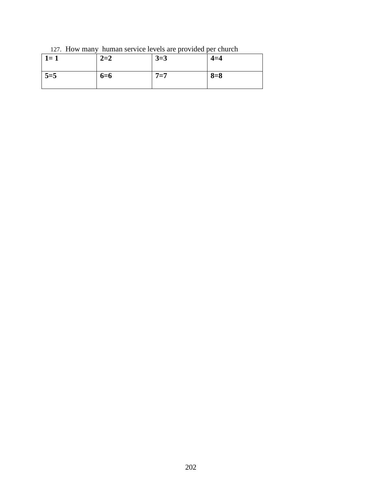127. How many human service levels are provided per church

| $1 = 1$ | $2 = 2$ | $3=3$   | $4 = 4$ |
|---------|---------|---------|---------|
| $5 = 5$ | $6 = 6$ | $7 = 7$ | $8 = 8$ |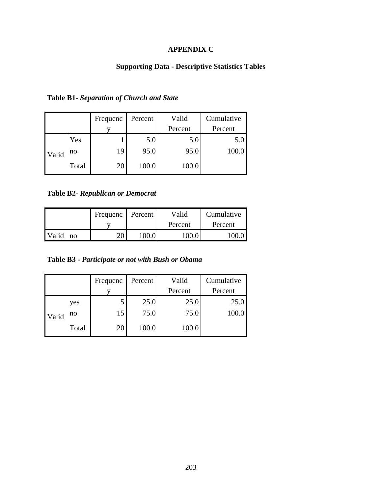# **APPENDIX C**

# **Supporting Data - Descriptive Statistics Tables**

|       |       | Frequenc | Percent | Valid   | Cumulative |
|-------|-------|----------|---------|---------|------------|
|       |       |          |         | Percent | Percent    |
|       | Yes   |          | 5.0     | 5.0     | 5.0        |
| Valid | no    | 19       | 95.0    | 95.0    |            |
|       | Total | 20       | 100.0   | 100.0   |            |

**Table B1-** *Separation of Church and State* 

**Table B2-** *Republican or Democrat* 

|                                | Frequenc | Percent | Valid   | Cumulative |
|--------------------------------|----------|---------|---------|------------|
|                                |          |         | Percent | Percent    |
| <b>Valid</b><br>$\overline{p}$ | ጎስ<br>∠∪ | LOO.    | 1 በበ በ  |            |

**Table B3 -** *Participate or not with Bush or Obama* 

|       |       | Frequenc | Percent | Valid   | Cumulative |
|-------|-------|----------|---------|---------|------------|
|       |       |          |         | Percent | Percent    |
|       | yes   | J        | 25.0    | 25.0    | 25.0       |
| Valid | no    | 15       | 75.0    | 75.0    | 100.0      |
|       | Total | 20       | 100.0   | 100.0   |            |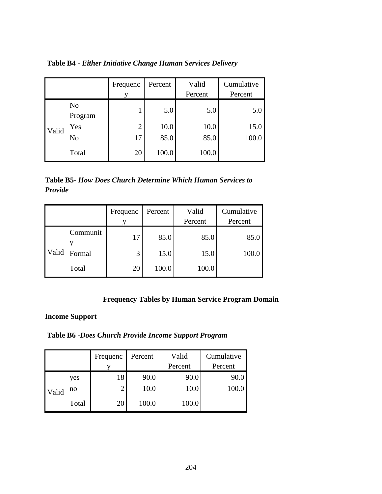|       |                           | Frequenc       | Percent | Valid<br>Percent | Cumulative<br>Percent |
|-------|---------------------------|----------------|---------|------------------|-----------------------|
|       | N <sub>o</sub><br>Program |                | 5.0     | 5.0              | 5.0                   |
| Valid | Yes                       | $\overline{2}$ | 10.0    | 10.0             | 15.0                  |
|       | N <sub>o</sub>            | 17             | 85.0    | 85.0             | 100.0                 |
|       | Total                     | 20             | 100.0   | 100.0            |                       |

**Table B4 -** *Either Initiative Change Human Services Delivery* 

**Table B5-** *How Does Church Determine Which Human Services to Provide* 

|       |          | Frequenc | Percent | Valid   | Cumulative |
|-------|----------|----------|---------|---------|------------|
|       |          |          |         | Percent | Percent    |
|       | Communit | 17       | 85.0    | 85.0    | 85.0       |
| Valid | Formal   | 3        | 15.0    | 15.0    | 100.0      |
|       | Total    | 20       | 100.0   | 100.0   |            |

## **Frequency Tables by Human Service Program Domain**

## **Income Support**

**Table B6 -***Does Church Provide Income Support Program*

|       |       | Frequenc | Percent | Valid   | Cumulative |
|-------|-------|----------|---------|---------|------------|
|       |       |          |         | Percent | Percent    |
|       | yes   | 18       | 90.0    | 90.0    | 90.0       |
| Valid | no    | 2        | 10.0    | 10.0    | 100.0      |
|       | Total | 20       | 100.0   | 100.0   |            |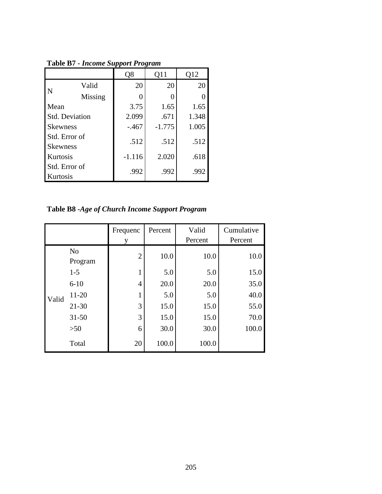|                                  |         | Q8       | 011      | Q12   |
|----------------------------------|---------|----------|----------|-------|
| N                                | Valid   | 20       | 20       | 20    |
|                                  | Missing |          |          |       |
| Mean                             |         | 3.75     | 1.65     | 1.65  |
| Std. Deviation                   |         | 2.099    | .671     | 1.348 |
| <b>Skewness</b>                  |         | $-.467$  | $-1.775$ | 1.005 |
| Std. Error of<br><b>Skewness</b> |         | .512     | .512     | .512  |
| Kurtosis                         |         | $-1.116$ | 2.020    | .618  |
| Std. Error of<br>Kurtosis        |         | .992     | .992     | .992  |

**Table B7 -** *Income Support Program*

**Table B8 -***Age of Church Income Support Program* 

|       |                           | Frequenc       | Percent | Valid   | Cumulative |
|-------|---------------------------|----------------|---------|---------|------------|
|       |                           |                |         | Percent | Percent    |
|       | N <sub>o</sub><br>Program | $\overline{2}$ | 10.0    | 10.0    | 10.0       |
|       | $1 - 5$                   | 1              | 5.0     | 5.0     | 15.0       |
|       | $6 - 10$                  | $\overline{4}$ | 20.0    | 20.0    | 35.0       |
| Valid | 11-20                     | 1              | 5.0     | 5.0     | 40.0       |
|       | $21 - 30$                 | 3              | 15.0    | 15.0    | 55.0       |
|       | $31 - 50$                 | 3              | 15.0    | 15.0    | 70.0       |
|       | >50                       | 6              | 30.0    | 30.0    | 100.0      |
|       | Total                     | 20             | 100.0   | 100.0   |            |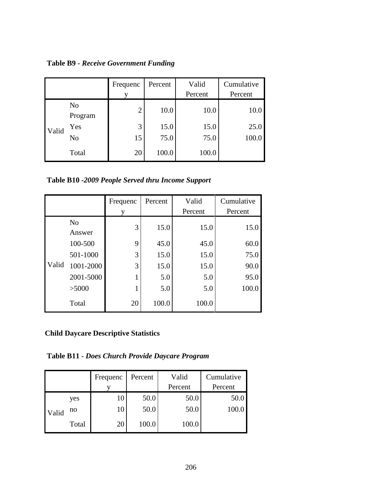**Table B9 -** *Receive Government Funding* 

|       |                           | Frequenc<br>v  | Percent | Valid<br>Percent | Cumulative<br>Percent |
|-------|---------------------------|----------------|---------|------------------|-----------------------|
|       | N <sub>0</sub><br>Program | $\overline{2}$ | 10.0    | 10.0             | 10.0                  |
| Valid | Yes                       | 3              | 15.0    | 15.0             | 25.0                  |
|       | N <sub>o</sub>            | 15             | 75.0    | 75.0             | 100.0                 |
|       | Total                     | 20             | 100.0   | 100.0            |                       |

**Table B10 -***2009 People Served thru Income Support*

|       |                          | Frequenc | Percent | Valid   | Cumulative |
|-------|--------------------------|----------|---------|---------|------------|
|       |                          |          |         | Percent | Percent    |
|       | N <sub>o</sub><br>Answer | 3        | 15.0    | 15.0    | 15.0       |
|       | 100-500                  | 9        | 45.0    | 45.0    | 60.0       |
|       | 501-1000                 | 3        | 15.0    | 15.0    | 75.0       |
| Valid | 1001-2000                | 3        | 15.0    | 15.0    | 90.0       |
|       | 2001-5000                |          | 5.0     | 5.0     | 95.0       |
|       | >5000                    |          | 5.0     | 5.0     | 100.0      |
|       | Total                    | 20       | 100.0   | 100.0   |            |

**Child Daycare Descriptive Statistics** 

**Table B11 -** *Does Church Provide Daycare Program* 

|       |       | Frequenc | Percent | Valid   | Cumulative |
|-------|-------|----------|---------|---------|------------|
|       |       |          |         | Percent | Percent    |
|       | yes   | 10       | 50.0    | 50.0    | 50.0       |
| Valid | no    | 10       | 50.0    | 50.0    | 100.0      |
|       | Total | 20       | 100.0   | 100.0   |            |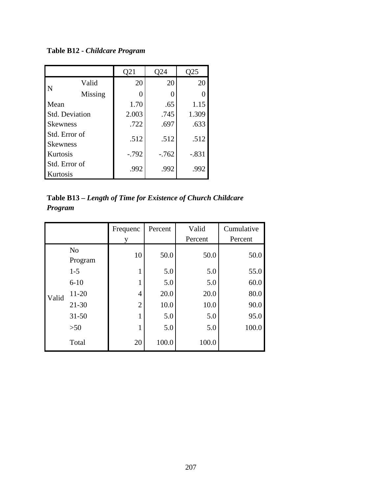**Table B12 -** *Childcare Program*

|                           |                       | Q21     | )24    | Q25     |
|---------------------------|-----------------------|---------|--------|---------|
|                           | Valid                 | 20      | 20     | 20      |
| N                         | Missing               |         | 0      |         |
| Mean                      |                       | 1.70    | .65    | 1.15    |
|                           | <b>Std. Deviation</b> | 2.003   | .745   | 1.309   |
| <b>Skewness</b>           |                       | .722    | .697   | .633    |
| Std. Error of             |                       | .512    | .512   | .512    |
| <b>Skewness</b>           |                       |         |        |         |
| Kurtosis                  |                       | $-.792$ | $-762$ | $-.831$ |
| Std. Error of<br>Kurtosis |                       | .992    | .992   | .992    |

**Table B13 –** *Length of Time for Existence of Church Childcare Program* 

|       |                           | Frequenc       | Percent | Valid   | Cumulative |
|-------|---------------------------|----------------|---------|---------|------------|
|       |                           | у              |         | Percent | Percent    |
|       | N <sub>0</sub><br>Program | 10             | 50.0    | 50.0    | 50.0       |
|       | $1 - 5$                   | $\mathbf{1}$   | 5.0     | 5.0     | 55.0       |
|       | $6 - 10$                  | $\mathbf{1}$   | 5.0     | 5.0     | 60.0       |
| Valid | 11-20                     | 4              | 20.0    | 20.0    | 80.0       |
|       | $21 - 30$                 | $\overline{2}$ | 10.0    | 10.0    | 90.0       |
|       | $31 - 50$                 | $\mathbf{1}$   | 5.0     | 5.0     | 95.0       |
|       | $>50$                     | $\mathbf{1}$   | 5.0     | 5.0     | 100.0      |
|       | Total                     | 20             | 100.0   | 100.0   |            |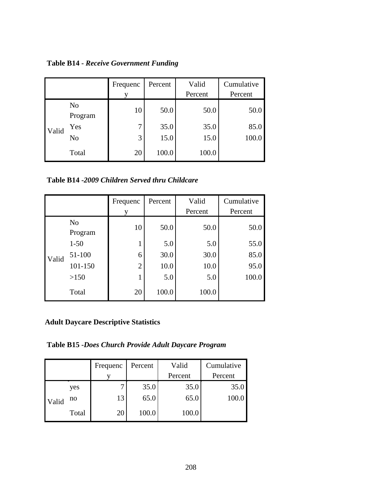**Table B14 -** *Receive Government Funding* 

|       |                           | Frequenc | Percent | Valid<br>Percent | Cumulative<br>Percent |
|-------|---------------------------|----------|---------|------------------|-----------------------|
|       | N <sub>0</sub><br>Program | 10       | 50.0    | 50.0             | 50.0                  |
| Valid | Yes                       | 7        | 35.0    | 35.0             | 85.0                  |
|       | N <sub>0</sub>            | 3        | 15.0    | 15.0             | 100.0                 |
|       | Total                     | 20       | 100.0   | 100.0            |                       |

**Table B14 -***2009 Children Served thru Childcare* 

|       |                           | Frequenc       | Percent | Valid   | Cumulative |
|-------|---------------------------|----------------|---------|---------|------------|
|       |                           |                |         | Percent | Percent    |
|       | N <sub>o</sub><br>Program | 10             | 50.0    | 50.0    | 50.0       |
|       | $1 - 50$                  | 1              | 5.0     | 5.0     | 55.0       |
| Valid | 51-100                    | 6              | 30.0    | 30.0    | 85.0       |
|       | 101-150                   | $\overline{2}$ | 10.0    | 10.0    | 95.0       |
|       | >150                      | 1              | 5.0     | 5.0     | 100.0      |
|       | Total                     | 20             | 100.0   | 100.0   |            |

## **Adult Daycare Descriptive Statistics**

**Table B15 -***Does Church Provide Adult Daycare Program*

|       |       | Frequenc | Percent | Valid   | Cumulative |
|-------|-------|----------|---------|---------|------------|
|       |       |          |         | Percent | Percent    |
|       | yes   |          | 35.0    | 35.0    | 35.0       |
| Valid | no    | 13       | 65.0    | 65.0    | 100.0      |
|       | Total | 20       | 100.0   | 100.0   |            |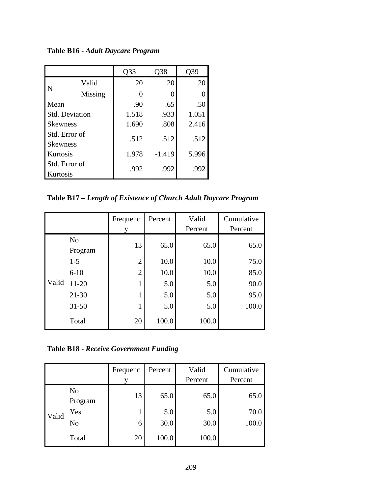**Table B16 -** *Adult Daycare Program*

|                           |                       | Q33   | Q38      | )39   |
|---------------------------|-----------------------|-------|----------|-------|
|                           | Valid                 | 20    | 20       | 20    |
| N                         | Missing               | 0     |          |       |
| Mean                      |                       | .90   | .65      | .50   |
|                           | <b>Std. Deviation</b> | 1.518 | .933     | 1.051 |
| <b>Skewness</b>           |                       | 1.690 | .808     | 2.416 |
| Std. Error of             |                       | .512  | .512     | .512  |
| <b>Skewness</b>           |                       |       |          |       |
| Kurtosis                  |                       | 1.978 | $-1.419$ | 5.996 |
| Std. Error of<br>Kurtosis |                       | .992  | .992     | .992  |

**Table B17 –** *Length of Existence of Church Adult Daycare Program* 

|       |                           | Frequenc<br>y  | Percent | Valid<br>Percent | Cumulative<br>Percent |
|-------|---------------------------|----------------|---------|------------------|-----------------------|
|       | N <sub>o</sub><br>Program | 13             | 65.0    | 65.0             | 65.0                  |
|       | $1 - 5$                   | $\overline{2}$ | 10.0    | 10.0             | 75.0                  |
|       | $6 - 10$                  | $\overline{2}$ | 10.0    | 10.0             | 85.0                  |
| Valid | $11 - 20$                 | 1              | 5.0     | 5.0              | 90.0                  |
|       | $21 - 30$                 | 1              | 5.0     | 5.0              | 95.0                  |
|       | $31 - 50$                 | $\mathbf{1}$   | 5.0     | 5.0              | 100.0                 |
|       | Total                     | 20             | 100.0   | 100.0            |                       |

**Table B18 -** *Receive Government Funding* 

|       |                           | Frequenc | Percent | Valid<br>Percent | Cumulative<br>Percent |
|-------|---------------------------|----------|---------|------------------|-----------------------|
|       | N <sub>0</sub><br>Program | 13       | 65.0    | 65.0             | 65.0                  |
| Valid | Yes                       |          | 5.0     | 5.0              | 70.0                  |
|       | No                        | 6        | 30.0    | 30.0             | 100.0                 |
|       | Total                     | 20       | 100.0   | 100.0            |                       |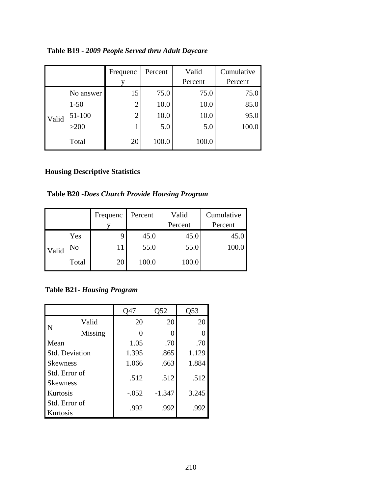|       |           | Frequenc       | Percent | Valid   | Cumulative |
|-------|-----------|----------------|---------|---------|------------|
|       |           |                |         | Percent | Percent    |
|       | No answer | 15             | 75.0    | 75.0    | 75.0       |
|       | $1 - 50$  | $\overline{2}$ | 10.0    | 10.0    | 85.0       |
| Valid | 51-100    | $\overline{2}$ | 10.0    | 10.0    | 95.0       |
|       | >200      |                | 5.0     | 5.0     | 100.0      |
|       | Total     | 20             | 100.0   | 100.0   |            |

**Table B19 -** *2009 People Served thru Adult Daycare* 

#### **Housing Descriptive Statistics**

**Table B20 -***Does Church Provide Housing Program*

|       |       | Frequenc | Percent | Valid   | Cumulative |
|-------|-------|----------|---------|---------|------------|
|       |       |          |         | Percent | Percent    |
|       | Yes   |          | 45.0    | 45.0    | 45.0       |
| Valid | No    |          | 55.0    | 55.0    | 100.0      |
|       | Total | 20       | 100.0   | 100.0   |            |

**Table B21-** *Housing Program*

|                                  |                       | Q47     | Q52      | Q53   |
|----------------------------------|-----------------------|---------|----------|-------|
|                                  | Valid                 | 20      | 20       | 20    |
| $\mathbf N$                      | Missing               |         |          |       |
| Mean                             |                       | 1.05    | .70      | .70   |
|                                  | <b>Std. Deviation</b> | 1.395   | .865     | 1.129 |
| <b>Skewness</b>                  |                       | 1.066   | .663     | 1.884 |
| Std. Error of<br><b>Skewness</b> |                       | .512    | .512     | .512  |
| Kurtosis                         |                       | $-.052$ | $-1.347$ | 3.245 |
| Std. Error of<br>Kurtosis        |                       | .992    | .992     | .992  |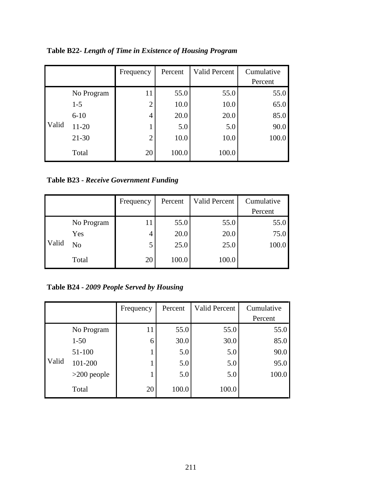|       |            | Frequency      | Percent | <b>Valid Percent</b> | Cumulative<br>Percent |
|-------|------------|----------------|---------|----------------------|-----------------------|
|       | No Program | 11             | 55.0    | 55.0                 | 55.0                  |
|       | $1 - 5$    | $\overline{2}$ | 10.0    | 10.0                 | 65.0                  |
|       | $6 - 10$   | 4              | 20.0    | 20.0                 | 85.0                  |
| Valid | 11-20      |                | 5.0     | 5.0                  | 90.0                  |
|       | $21 - 30$  | $\overline{2}$ | 10.0    | 10.0                 | 100.0                 |
|       | Total      | 20             | 100.0   | 100.0                |                       |

**Table B22-** *Length of Time in Existence of Housing Program* 

**Table B23 -** *Receive Government Funding* 

|       |            | Frequency | Percent | <b>Valid Percent</b> | Cumulative |
|-------|------------|-----------|---------|----------------------|------------|
|       |            |           |         |                      | Percent    |
|       | No Program | 11        | 55.0    | 55.0                 | 55.0       |
|       | Yes        | 4         | 20.0    | 20.0                 | 75.0       |
| Valid | No         | 5         | 25.0    | 25.0                 | 100.0      |
|       | Total      | 20        | 100.0   | 100.0                |            |

**Table B24 -** *2009 People Served by Housing* 

|       |               | Frequency | Percent | <b>Valid Percent</b> | Cumulative<br>Percent |
|-------|---------------|-----------|---------|----------------------|-----------------------|
|       |               |           |         |                      |                       |
|       | No Program    | 11        | 55.0    | 55.0                 | 55.0                  |
|       | $1 - 50$      | 6         | 30.0    | 30.0                 | 85.0                  |
|       | 51-100        |           | 5.0     | 5.0                  | 90.0                  |
| Valid | 101-200       |           | 5.0     | 5.0                  | 95.0                  |
|       | $>200$ people |           | 5.0     | 5.0                  | 100.0                 |
|       | Total         | 20        | 100.0   | 100.0                |                       |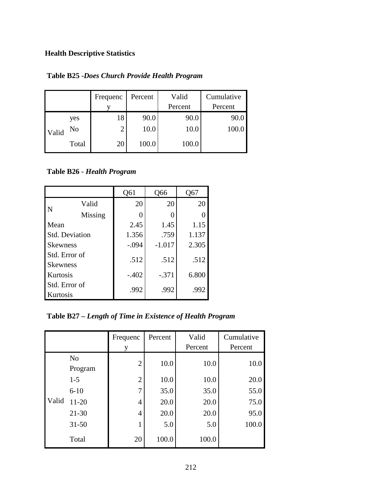# **Health Descriptive Statistics**

|       |       | Frequenc | Percent | Valid   | Cumulative |
|-------|-------|----------|---------|---------|------------|
|       |       |          |         | Percent | Percent    |
|       | yes   | 18       | 90.0    | 90.0    | 90.0       |
| Valid | No    | ◠        | 10.0    | 10.0    | 100.0      |
|       | Total | 20       | 100.0   | 100.0   |            |

**Table B25 -***Does Church Provide Health Program* 

#### **Table B26 -** *Health Program*

|                       |         | Q61     | Q66              | Q67   |
|-----------------------|---------|---------|------------------|-------|
|                       | Valid   | 20      | 20               | 20    |
| $\mathbf N$           | Missing | 0       | $\left( \right)$ |       |
| Mean                  |         | 2.45    | 1.45             | 1.15  |
| <b>Std. Deviation</b> |         | 1.356   | .759             | 1.137 |
| <b>Skewness</b>       |         | $-.094$ | $-1.017$         | 2.305 |
| Std. Error of         |         | .512    | .512             | .512  |
| <b>Skewness</b>       |         |         |                  |       |
| <b>Kurtosis</b>       |         | $-.402$ | $-.371$          | 6.800 |
| Std. Error of         |         | .992    | .992             | .992  |
| Kurtosis              |         |         |                  |       |

**Table B27 –** *Length of Time in Existence of Health Program* 

|       |                           | Frequenc       | Percent | Valid   | Cumulative |
|-------|---------------------------|----------------|---------|---------|------------|
|       |                           | y              |         | Percent | Percent    |
|       | N <sub>o</sub><br>Program | $\overline{2}$ | 10.0    | 10.0    | 10.0       |
|       | $1 - 5$                   | $\overline{2}$ | 10.0    | 10.0    | 20.0       |
|       | $6 - 10$                  | 7              | 35.0    | 35.0    | 55.0       |
| Valid | $11 - 20$                 | 4              | 20.0    | 20.0    | 75.0       |
|       | $21 - 30$                 | 4              | 20.0    | 20.0    | 95.0       |
|       | $31 - 50$                 | 1              | 5.0     | 5.0     | 100.0      |
|       | Total                     | 20             | 100.0   | 100.0   |            |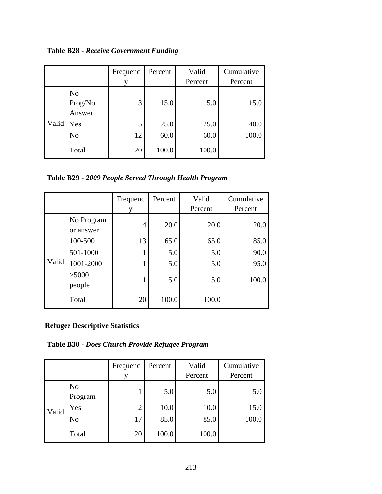**Table B28 -** *Receive Government Funding* 

|       |                                     | Frequenc<br>v | Percent      | Valid<br>Percent | Cumulative<br>Percent |
|-------|-------------------------------------|---------------|--------------|------------------|-----------------------|
|       | N <sub>o</sub><br>Prog/No<br>Answer | 3             | 15.0         | 15.0             | 15.0                  |
| Valid | Yes<br>N <sub>o</sub>               | 5<br>12       | 25.0<br>60.0 | 25.0<br>60.0     | 40.0<br>100.0         |
|       | Total                               | 20            | 100.0        | 100.0            |                       |

**Table B29 -** *2009 People Served Through Health Program* 

|       |                         | Frequenc | Percent | Valid   | Cumulative |
|-------|-------------------------|----------|---------|---------|------------|
|       |                         | V        |         | Percent | Percent    |
|       | No Program<br>or answer | 4        | 20.0    | 20.0    | 20.0       |
|       | 100-500                 | 13       | 65.0    | 65.0    | 85.0       |
|       | 501-1000                |          | 5.0     | 5.0     | 90.0       |
| Valid | 1001-2000               |          | 5.0     | 5.0     | 95.0       |
|       | >5000<br>people         |          | 5.0     | 5.0     | 100.0      |
|       | Total                   | 20       | 100.0   | 100.0   |            |

#### **Refugee Descriptive Statistics**

**Table B30 -** *Does Church Provide Refugee Program* 

|       |                           | Frequenc       | Percent | Valid<br>Percent | Cumulative<br>Percent |
|-------|---------------------------|----------------|---------|------------------|-----------------------|
|       | N <sub>o</sub><br>Program |                | 5.0     | 5.0              | 5.0                   |
| Valid | Yes                       | $\overline{2}$ | 10.0    | 10.0             | 15.0                  |
|       | No                        | 17             | 85.0    | 85.0             | 100.0                 |
|       | Total                     | 20             | 100.0   | 100.0            |                       |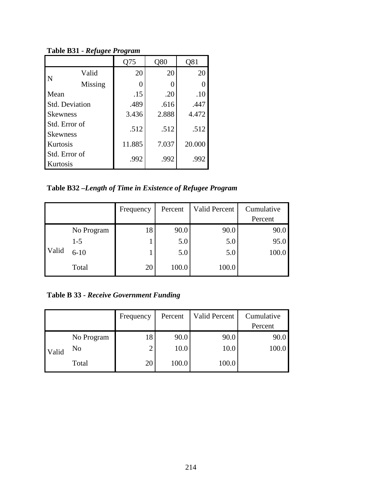|                                  |         | 175    | Q80   | Q81    |
|----------------------------------|---------|--------|-------|--------|
|                                  | Valid   | 20     | 20    | 20     |
| N                                | Missing | 0      |       |        |
| Mean                             |         | .15    | .20   | .10    |
| <b>Std. Deviation</b>            |         | .489   | .616  | .447   |
| <b>Skewness</b>                  |         | 3.436  | 2.888 | 4.472  |
| Std. Error of<br><b>Skewness</b> |         | .512   | .512  | .512   |
| Kurtosis                         |         | 11.885 | 7.037 | 20.000 |
| Std. Error of<br>Kurtosis        |         | .992   | .992  | .992   |

**Table B31 -** *Refugee Program*

**Table B32 –***Length of Time in Existence of Refugee Program* 

|       |            | Frequency | Percent | <b>Valid Percent</b> | Cumulative |
|-------|------------|-----------|---------|----------------------|------------|
|       |            |           |         |                      | Percent    |
| Valid | No Program | 18        | 90.0    | 90.0                 | 90.0       |
|       | $1-5$      |           | 5.0     | 5.0                  | 95.0       |
|       | $6 - 10$   |           | 5.0     | 5.0                  | 100.0      |
|       | Total      | 20        | 100.0   | 100.0                |            |

**Table B 33 -** *Receive Government Funding*

|       |            | Frequency | Percent | Valid Percent | Cumulative |
|-------|------------|-----------|---------|---------------|------------|
|       |            |           |         |               | Percent    |
| Valid | No Program | 18        | 90.0    | 90.0          | 90.0       |
|       | No         | ◠<br>∠    | 10.0    | 10.0          | 100.0      |
|       | Total      | 20        | 100.0   | 100.0         |            |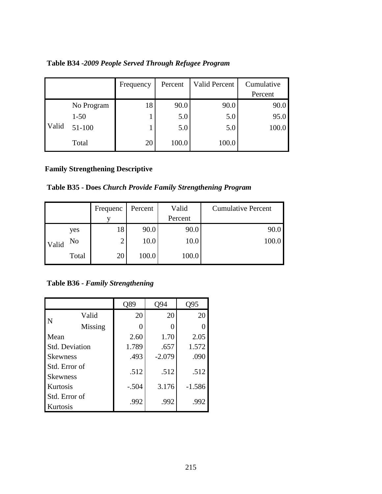| Table B34 -2009 People Served Through Refugee Program |  |  |  |
|-------------------------------------------------------|--|--|--|
|                                                       |  |  |  |

|       |            | Frequency | Percent | Valid Percent | Cumulative |
|-------|------------|-----------|---------|---------------|------------|
|       |            |           |         |               | Percent    |
| Valid | No Program | 18        | 90.0    | 90.0          | 90.0       |
|       | $1 - 50$   |           | 5.0     | 5.0           | 95.0       |
|       | 51-100     |           | 5.0     | 5.0           | 100.0      |
|       | Total      | 20        | 100.0   | 100.0         |            |

### **Family Strengthening Descriptive**

**Table B35 - Does** *Church Provide Family Strengthening Program* 

|       |                | Frequenc       | Percent | Valid   | <b>Cumulative Percent</b> |
|-------|----------------|----------------|---------|---------|---------------------------|
|       |                |                |         | Percent |                           |
|       | yes            | 18             | 90.0    | 90.0    | 90.0                      |
| Valid | N <sub>o</sub> | $\overline{2}$ | 10.0    | 10.0    | 100.0                     |
|       | Total          | 20             | 100.0   | 100.0   |                           |

**Table B36 -** *Family Strengthening*

|                                  |         | Q89     | O94      | Q95      |
|----------------------------------|---------|---------|----------|----------|
|                                  | Valid   | 20      | 20       | 20       |
| $\mathsf{I}\,\mathbf{N}$         | Missing |         | 0        |          |
| Mean                             |         | 2.60    | 1.70     | 2.05     |
| <b>Std. Deviation</b>            |         | 1.789   | .657     | 1.572    |
| <b>Skewness</b>                  |         | .493    | $-2.079$ | .090     |
| Std. Error of                    |         | .512    | .512     | .512     |
| <b>Skewness</b>                  |         |         |          |          |
| Kurtosis                         |         | $-.504$ | 3.176    | $-1.586$ |
| Std. Error of<br><b>Kurtosis</b> |         | .992    | .992     | .992     |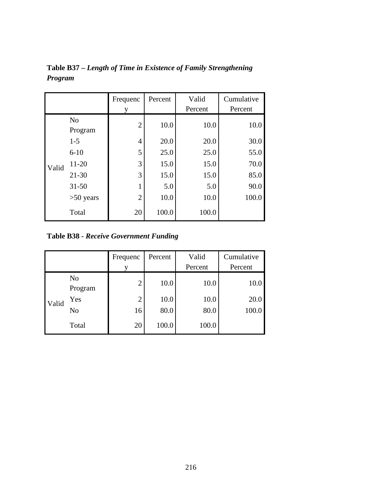|       |                | Frequenc       | Percent | Valid<br>Percent | Cumulative<br>Percent |
|-------|----------------|----------------|---------|------------------|-----------------------|
|       |                | y              |         |                  |                       |
|       | N <sub>o</sub> | $\overline{2}$ | 10.0    | 10.0             | 10.0                  |
|       | Program        |                |         |                  |                       |
|       | $1 - 5$        | $\overline{4}$ | 20.0    | 20.0             | 30.0                  |
|       | $6 - 10$       | 5              | 25.0    | 25.0             | 55.0                  |
| Valid | $11 - 20$      | 3              | 15.0    | 15.0             | 70.0                  |
|       | $21 - 30$      | 3              | 15.0    | 15.0             | 85.0                  |
|       | $31 - 50$      | 1              | 5.0     | 5.0              | 90.0                  |
|       | $>50$ years    | $\overline{2}$ | 10.0    | 10.0             | 100.0                 |
|       | Total          | 20             | 100.0   | 100.0            |                       |

**Table B37 –** *Length of Time in Existence of Family Strengthening Program* 

**Table B38 -** *Receive Government Funding*

|       |                           | Frequenc<br>v  | Percent | Valid<br>Percent | Cumulative<br>Percent |
|-------|---------------------------|----------------|---------|------------------|-----------------------|
|       | N <sub>o</sub><br>Program | $\overline{2}$ | 10.0    | 10.0             | 10.0                  |
| Valid | Yes                       | $\overline{2}$ | 10.0    | 10.0             | 20.0                  |
|       | N <sub>o</sub>            | 16             | 80.0    | 80.0             | 100.0                 |
|       | Total                     | 20             | 100.0   | 100.0            |                       |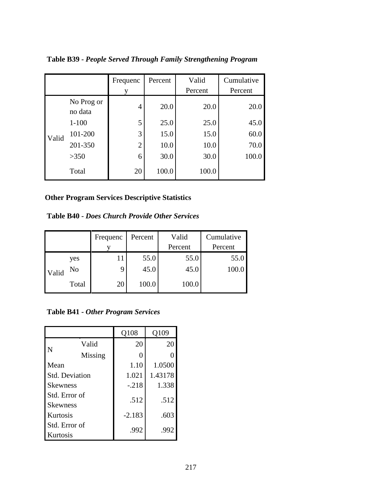|       |                       | Frequenc       | Percent | Valid   | Cumulative |
|-------|-----------------------|----------------|---------|---------|------------|
|       |                       |                |         | Percent | Percent    |
|       | No Prog or<br>no data | 4              | 20.0    | 20.0    | 20.0       |
|       | $1 - 100$             | 5              | 25.0    | 25.0    | 45.0       |
| Valid | 101-200               | 3              | 15.0    | 15.0    | 60.0       |
|       | 201-350               | $\overline{2}$ | 10.0    | 10.0    | 70.0       |
|       | >350                  | 6              | 30.0    | 30.0    | 100.0      |
|       | Total                 | 20             | 100.0   | 100.0   |            |

**Table B39 -** *People Served Through Family Strengthening Program* 

### **Other Program Services Descriptive Statistics**

**Table B40 -** *Does Church Provide Other Services* 

|       |       | Frequenc | Percent | Valid   | Cumulative |
|-------|-------|----------|---------|---------|------------|
|       |       |          |         | Percent | Percent    |
| Valid | yes   |          | 55.0    | 55.0    | 55.0       |
|       | No    | 9        | 45.0    | 45.0    | 100.0      |
|       | Total | 20       | 100.0   | 100.0   |            |

**Table B41 -** *Other Program Services* 

|                       |         | Q108     | Q109    |
|-----------------------|---------|----------|---------|
|                       | Valid   | 20       | 20      |
| N                     | Missing |          |         |
| Mean                  |         | 1.10     | 1.0500  |
| <b>Std. Deviation</b> |         | 1.021    | 1.43178 |
| <b>Skewness</b>       |         | $-.218$  | 1.338   |
| Std. Error of         |         | .512     | .512    |
| <b>Skewness</b>       |         |          |         |
| Kurtosis              |         | $-2.183$ | .603    |
| Std. Error of         |         | .992     | .992    |
| Kurtosis              |         |          |         |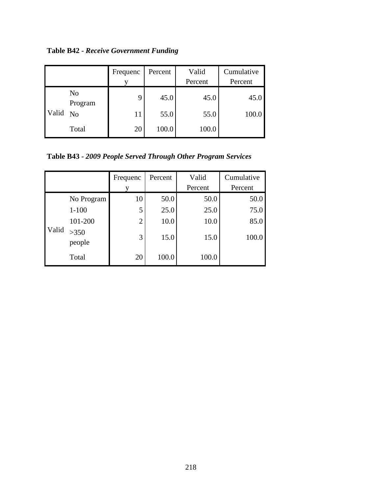**Table B42 -** *Receive Government Funding*

|       |                | Frequenc | Percent | Valid   | Cumulative |
|-------|----------------|----------|---------|---------|------------|
|       |                |          |         | Percent | Percent    |
|       | No<br>Program  | 9        | 45.0    | 45.0    | 45.0       |
| Valid | N <sub>0</sub> | 11       | 55.0    | 55.0    | 100.0      |
|       | Total          | 20       | 100.0   | 100.0   |            |

**Table B43 -** *2009 People Served Through Other Program Services* 

|       |                | Frequenc       | Percent | Valid   | Cumulative |
|-------|----------------|----------------|---------|---------|------------|
|       |                | V              |         | Percent | Percent    |
|       | No Program     | 10             | 50.0    | 50.0    | 50.0       |
|       | $1 - 100$      | 5              | 25.0    | 25.0    | 75.0       |
|       | 101-200        | $\overline{2}$ | 10.0    | 10.0    | 85.0       |
| Valid | >350<br>people | 3              | 15.0    | 15.0    | 100.0      |
|       | Total          | 20             | 100.0   | 100.0   |            |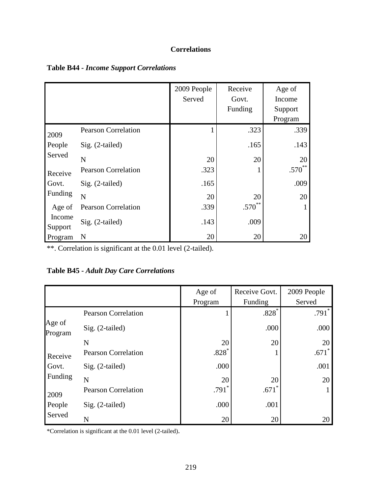# **Correlations**

|                   |                            | 2009 People<br>Served | Receive<br>Govt.<br>Funding | Age of<br>Income<br>Support<br>Program |
|-------------------|----------------------------|-----------------------|-----------------------------|----------------------------------------|
| 2009              | <b>Pearson Correlation</b> |                       | .323                        | .339                                   |
| People            | Sig. (2-tailed)            |                       | .165                        | .143                                   |
| Served            | $\mathbf N$                | 20                    | 20                          | 20                                     |
| Receive           | <b>Pearson Correlation</b> | .323                  |                             | $\ast\ast$<br>$.570^{^{\circ}}$        |
| Govt.             | Sig. (2-tailed)            | .165                  |                             | .009                                   |
| Funding           | N                          | 20                    | 20                          | 20                                     |
| Age of            | <b>Pearson Correlation</b> | .339                  | $.570***$                   |                                        |
| Income<br>Support | Sig. (2-tailed)            | .143                  | .009                        |                                        |
| Program           | N                          | 20                    | 20                          | 20                                     |

#### **Table B44** *- Income Support Correlations*

\*\*. Correlation is significant at the 0.01 level (2-tailed).

# **Table B45 -** *Adult Day Care Correlations*

|                   |                            | Age of            | Receive Govt. | 2009 People |
|-------------------|----------------------------|-------------------|---------------|-------------|
|                   |                            | Program           | Funding       | Served      |
|                   | <b>Pearson Correlation</b> |                   | $.828*$       | $.791*$     |
| Age of<br>Program | Sig. (2-tailed)            |                   | .000          | .000        |
|                   | N                          | 20                | 20            | 20          |
| Receive           | <b>Pearson Correlation</b> | $.828*$           |               | .671        |
| Govt.             | Sig. (2-tailed)            | .000              |               | .001        |
| Funding           | N                          | 20                | 20            | 20          |
| 2009              | <b>Pearson Correlation</b> | .791 <sup>°</sup> | .671          |             |
| People            | Sig. (2-tailed)            | .000              | .001          |             |
| Served            | N                          | 20                | 20            | 20          |

\*Correlation is significant at the 0.01 level (2-tailed).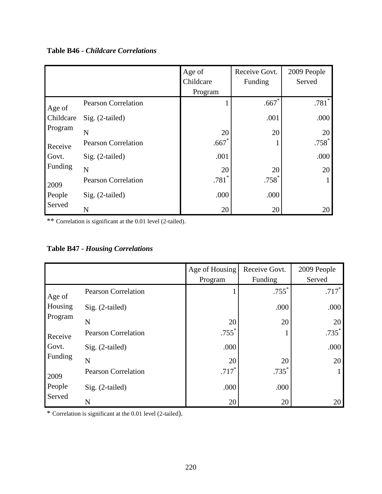# **Table B46 -** *Childcare Correlations*

|           |                            | Age of<br>Childcare | Receive Govt.<br>Funding | 2009 People<br>Served |
|-----------|----------------------------|---------------------|--------------------------|-----------------------|
|           |                            | Program             |                          |                       |
| Age of    | <b>Pearson Correlation</b> |                     | $.667*$                  | $.781*$               |
| Childcare | Sig. (2-tailed)            |                     | .001                     | .000                  |
| Program   | N                          | 20                  | 20                       | 20                    |
| Receive   | <b>Pearson Correlation</b> | .667                |                          | $.758*$               |
| Govt.     | Sig. (2-tailed)            | .001                |                          | .000                  |
| Funding   | N                          | 20                  | 20                       | 20                    |
| 2009      | <b>Pearson Correlation</b> | $.781*$             | $.758*$                  | 1                     |
| People    | Sig. (2-tailed)            | .000                | .000                     |                       |
| Served    | N                          | 20                  | 20                       | 20                    |

\*\* Correlation is significant at the 0.01 level (2-tailed).

| <b>Table B47 - Housing Correlations</b> |  |
|-----------------------------------------|--|
|-----------------------------------------|--|

|         |                            | Age of Housing<br>Program | Receive Govt.<br>Funding | 2009 People<br>Served |
|---------|----------------------------|---------------------------|--------------------------|-----------------------|
|         |                            |                           |                          |                       |
| Age of  | <b>Pearson Correlation</b> |                           | $.755*$                  | $.717*$               |
| Housing | $Sig. (2-tailed)$          |                           | .000                     | .000                  |
| Program | N                          | 20                        | 20                       | 20                    |
|         | <b>Pearson Correlation</b> | $.755$ <sup>*</sup>       |                          | $.735*$               |
| Receive |                            |                           |                          |                       |
| Govt.   | Sig. (2-tailed)            | .000                      |                          | .000                  |
| Funding | N                          | 20                        | 20                       | 20                    |
| 2009    | <b>Pearson Correlation</b> | $.717*$                   | $.735*$                  |                       |
| People  | $Sig. (2-tailed)$          | .000                      | .000                     |                       |
| Served  | N                          | 20                        | 20                       | 20                    |

\* Correlation is significant at the 0.01 level (2-tailed).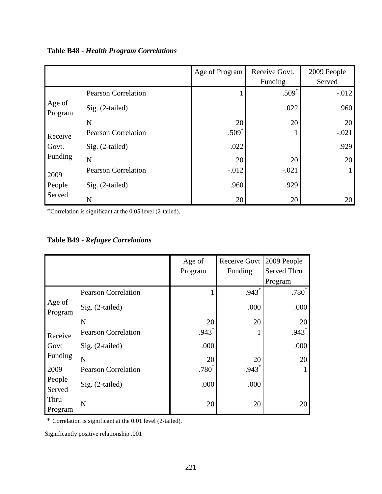|                   |                            | Age of Program | Receive Govt. | 2009 People |
|-------------------|----------------------------|----------------|---------------|-------------|
|                   |                            |                | Funding       | Served      |
|                   | <b>Pearson Correlation</b> |                | $.509*$       | $-.012$     |
| Age of<br>Program | Sig. (2-tailed)            |                | .022          | .960        |
|                   | N                          | 20             | 20            | 20          |
| Receive           | <b>Pearson Correlation</b> | $.509*$        |               | $-.021$     |
| Govt.             | Sig. (2-tailed)            | .022           |               | .929        |
| Funding           | N                          | 20             | 20            | 20          |
| 2009              | <b>Pearson Correlation</b> | $-0.012$       | $-.021$       |             |
| People            | Sig. (2-tailed)            | .960           | .929          |             |
| Served            | N                          | 20             | 20            | 20          |

*\**Correlation is significant at the 0.05 level (2-tailed)*.* 

| <b>Table B49 - Refugee Correlations</b> |  |
|-----------------------------------------|--|
|-----------------------------------------|--|

|                   |                            | Age of<br>Program | Receive Govt<br>Funding | 2009 People<br>Served Thru<br>Program |
|-------------------|----------------------------|-------------------|-------------------------|---------------------------------------|
|                   | <b>Pearson Correlation</b> |                   | $.943*$                 | $.780^{*}$                            |
| Age of<br>Program | Sig. (2-tailed)            |                   | .000                    | .000                                  |
|                   | N                          | 20                | 20                      | 20                                    |
| Receive           | <b>Pearson Correlation</b> | $.943*$           |                         | $.943*$                               |
| Govt              | Sig. (2-tailed)            | .000              |                         | .000                                  |
| Funding           | N                          | 20                | 20                      | 20                                    |
| 2009              | <b>Pearson Correlation</b> | .780 <sup>°</sup> | $.943$ <sup>*</sup>     | 1                                     |
| People<br>Served  | Sig. (2-tailed)            | .000              | .000                    |                                       |
| Thru<br>Program   | N                          | 20                | 20                      | 20                                    |

\* Correlation is significant at the 0.01 level (2-tailed).

Significantly positive relationship .001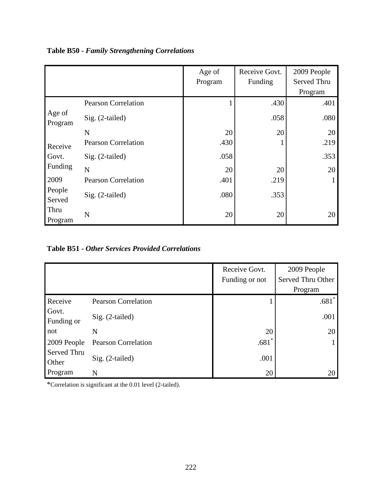|                   |                            | Age of<br>Program | Receive Govt.<br>Funding | 2009 People<br>Served Thru<br>Program |
|-------------------|----------------------------|-------------------|--------------------------|---------------------------------------|
|                   | <b>Pearson Correlation</b> |                   | .430                     | .401                                  |
| Age of<br>Program | Sig. (2-tailed)            |                   | .058                     | .080                                  |
|                   | N                          | 20                | 20                       | 20                                    |
| Receive           | <b>Pearson Correlation</b> | .430              |                          | .219                                  |
| Govt.             | Sig. (2-tailed)            | .058              |                          | .353                                  |
| Funding           | N                          | 20                | 20                       | 20                                    |
| 2009              | <b>Pearson Correlation</b> | .401              | .219                     |                                       |
| People<br>Served  | Sig. (2-tailed)            | .080              | .353                     |                                       |
| Thru<br>Program   | N                          | 20                | 20                       | 20                                    |

**Table B50 -** *Family Strengthening Correlations* 

**Table B51 -** *Other Services Provided Correlations* 

|                      |                            | Receive Govt.<br>Funding or not | 2009 People<br>Served Thru Other<br>Program |
|----------------------|----------------------------|---------------------------------|---------------------------------------------|
| Receive              | <b>Pearson Correlation</b> |                                 | $.681*$                                     |
| Govt.<br>Funding or  | $Sig. (2-tailed)$          |                                 | .001                                        |
| not                  | N                          | 20                              | 20                                          |
| 2009 People          | <b>Pearson Correlation</b> | .681                            |                                             |
| Served Thru<br>Other | Sig. (2-tailed)            | .001                            |                                             |
| Program              | N                          | 20                              | 20                                          |

\*Correlation is significant at the 0.01 level (2-tailed).